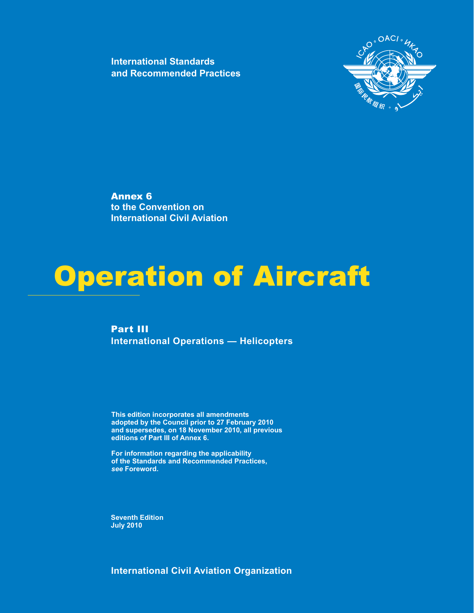**International Standards and Recommended Practices**



Annex 6 **to the Convention on International Civil Aviation**

## Operation of Aircraft

Part III **International Operations — Helicopters** 

**This edition incorporates all amendments** adopted by the Council prior to 27 February 2010 and supersedes, on 18 November 2010, all previous **editions of Part III of Annex 6.**

**For information regarding the applicability of the Standards and Recommended Practices,** *see* **Foreword.**

**Seventh Edition July 2010**

**International Civil Aviation Organization**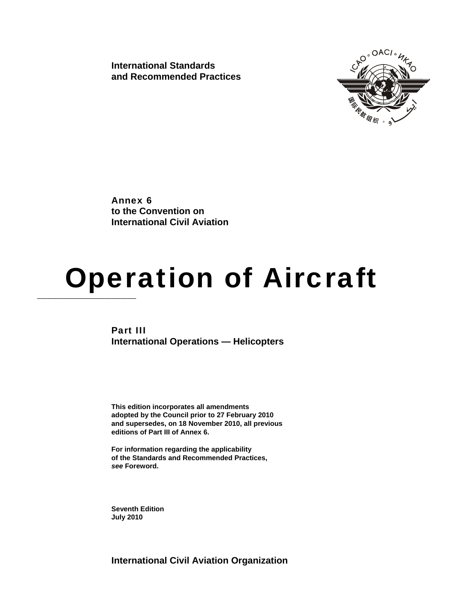**International Standards and Recommended Practices** 



Annex 6 **to the Convention on International Civil Aviation**

# **Operation of Aircraft**

Part III **International Operations — Helicopters**

**This edition incorporates all amendments adopted by the Council prior to 27 February 2010 and supersedes, on 18 November 2010, all previous editions of Part III of Annex 6.** 

**For information regarding the applicability of the Standards and Recommended Practices,**  *see* **Foreword.** 

**Seventh Edition July 2010**

**International Civil Aviation Organization**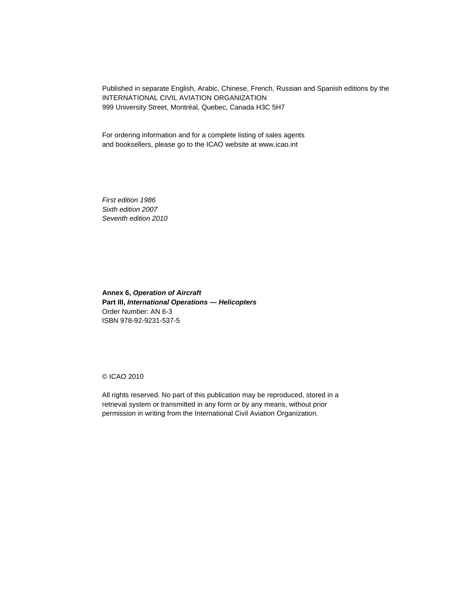Published in separate English, Arabic, Chinese, French, Russian and Spanish editions by the INTERNATIONAL CIVIL AVIATION ORGANIZATION 999 University Street, Montréal, Quebec, Canada H3C 5H7

For ordering information and for a complete listing of sales agents and booksellers, please go to the ICAO website at www.icao.int

*First edition 1986 Sixth edition 2007 Seventh edition 2010* 

**Annex 6,** *Operation of Aircraft* **Part III,** *International Operations — Helicopters* Order Number: AN 6-3 ISBN 978-92-9231-537-5

© ICAO 2010

All rights reserved. No part of this publication may be reproduced, stored in a retrieval system or transmitted in any form or by any means, without prior permission in writing from the International Civil Aviation Organization.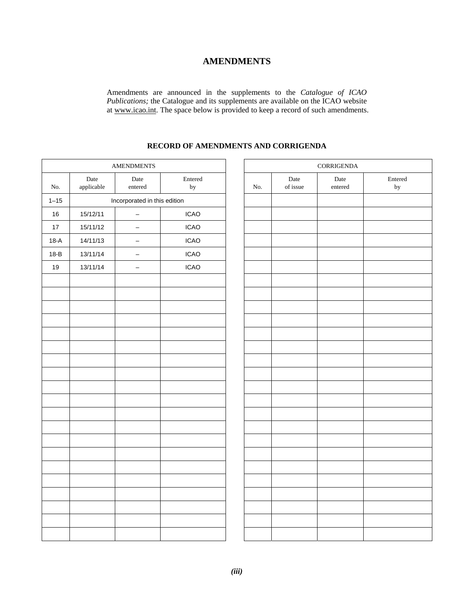### **AMENDMENTS**

Amendments are announced in the supplements to the *Catalogue of ICAO Publications;* the Catalogue and its supplements are available on the ICAO website at www.icao.int. The space below is provided to keep a record of such amendments.

## **AMENDMENTS** No. Date applicable Date entered Entered by  $\qquad \qquad$  No. 1–15 Incorporated in this edition 16 15/12/11 – ICAO 17 | 15/11/12 | – | ICAO 18-A 14/11/13 – ICAO 18-B 13/11/14 – ICAO 19 13/11/14 – ICAO

#### **RECORD OF AMENDMENTS AND CORRIGENDA**

| CORRIGENDA |                  |                 |               |
|------------|------------------|-----------------|---------------|
| No.        | Date<br>of issue | Date<br>entered | Entered<br>by |
|            |                  |                 |               |
|            |                  |                 |               |
|            |                  |                 |               |
|            |                  |                 |               |
|            |                  |                 |               |
|            |                  |                 |               |
|            |                  |                 |               |
|            |                  |                 |               |
|            |                  |                 |               |
|            |                  |                 |               |
|            |                  |                 |               |
|            |                  |                 |               |
|            |                  |                 |               |
|            |                  |                 |               |
|            |                  |                 |               |
|            |                  |                 |               |
|            |                  |                 |               |
|            |                  |                 |               |
|            |                  |                 |               |
|            |                  |                 |               |
|            |                  |                 |               |
|            |                  |                 |               |
|            |                  |                 |               |
|            |                  |                 |               |
|            |                  |                 |               |
|            |                  |                 |               |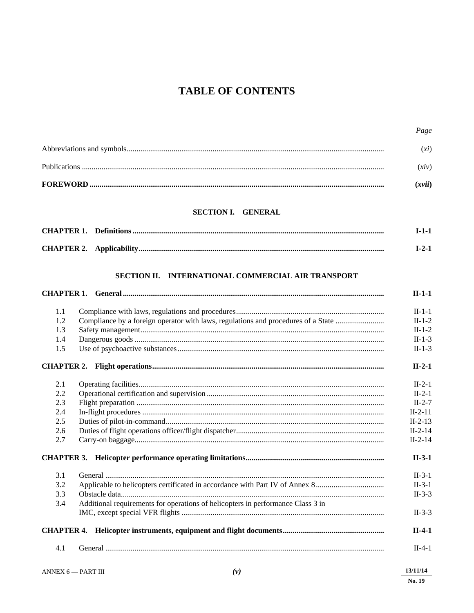## **TABLE OF CONTENTS**

| (xvii)            |
|-------------------|
| (xiv)             |
| $\chi$ <i>i</i> ) |

#### SECTION I. GENERAL

#### SECTION II. INTERNATIONAL COMMERCIAL AIR TRANSPORT

|     |                                                                                   | $II-1-1$  |
|-----|-----------------------------------------------------------------------------------|-----------|
| 1.1 |                                                                                   | $II-1-1$  |
| 1.2 | Compliance by a foreign operator with laws, regulations and procedures of a State | $II-1-2$  |
| 1.3 |                                                                                   | $II-1-2$  |
| 1.4 |                                                                                   | $II-1-3$  |
| 1.5 |                                                                                   | $II-1-3$  |
|     |                                                                                   | $II-2-1$  |
| 2.1 |                                                                                   | $II-2-1$  |
| 2.2 |                                                                                   | $II-2-1$  |
| 2.3 |                                                                                   | $II-2-7$  |
| 2.4 |                                                                                   | $II-2-11$ |
| 2.5 |                                                                                   | $II-2-13$ |
| 2.6 |                                                                                   | $II-2-14$ |
| 2.7 |                                                                                   | $II-2-14$ |
|     |                                                                                   | $II-3-1$  |
| 3.1 |                                                                                   | $II-3-1$  |
| 3.2 | Applicable to helicopters certificated in accordance with Part IV of Annex 8      | $II-3-1$  |
| 3.3 |                                                                                   | $II-3-3$  |
| 3.4 | Additional requirements for operations of helicopters in performance Class 3 in   |           |
|     |                                                                                   | $II-3-3$  |
|     |                                                                                   | $II-4-1$  |
| 4.1 |                                                                                   | $II-4-1$  |
|     |                                                                                   |           |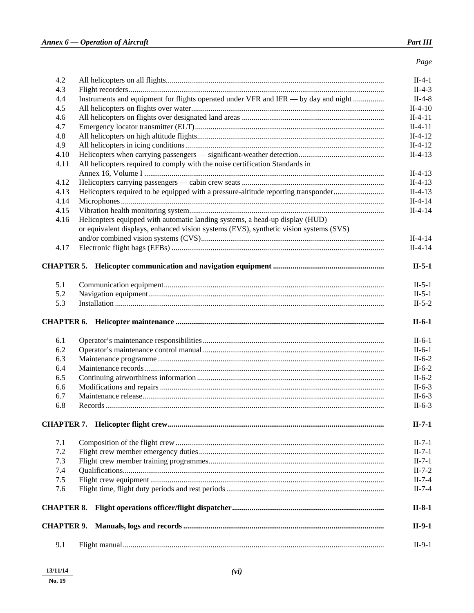Page

| 4.2               |                                                                                       | $II-4-1$  |
|-------------------|---------------------------------------------------------------------------------------|-----------|
| 4.3               |                                                                                       | $II-4-3$  |
| 4.4               | Instruments and equipment for flights operated under VFR and IFR — by day and night   | $II-4-8$  |
| 4.5               |                                                                                       | $II-4-10$ |
| 4.6               |                                                                                       | $II-4-11$ |
| 4.7               |                                                                                       | $II-4-11$ |
| 4.8               |                                                                                       | $II-4-12$ |
| 4.9               |                                                                                       | $II-4-12$ |
| 4.10              |                                                                                       | $II-4-13$ |
| 4.11              | All helicopters required to comply with the noise certification Standards in          | $II-4-13$ |
| 4.12              |                                                                                       | $II-4-13$ |
| 4.13              | Helicopters required to be equipped with a pressure-altitude reporting transponder    | $II-4-13$ |
| 4.14              |                                                                                       | $II-4-14$ |
| 4.15              |                                                                                       | $II-4-14$ |
| 4.16              | Helicopters equipped with automatic landing systems, a head-up display (HUD)          |           |
|                   | or equivalent displays, enhanced vision systems (EVS), synthetic vision systems (SVS) |           |
|                   |                                                                                       | $II-4-14$ |
| 4.17              |                                                                                       | $II-4-14$ |
|                   |                                                                                       | $II-5-1$  |
| 5.1               |                                                                                       | $II-5-1$  |
| 5.2               |                                                                                       | $II-5-1$  |
| 5.3               |                                                                                       | $II-5-2$  |
|                   |                                                                                       | $II-6-1$  |
|                   |                                                                                       |           |
| 6.1               |                                                                                       | $II-6-1$  |
| 6.2               |                                                                                       | $II-6-1$  |
| 6.3               |                                                                                       | $II-6-2$  |
| 6.4               |                                                                                       | $II-6-2$  |
| 6.5               |                                                                                       | $II-6-2$  |
| 6.6               |                                                                                       | $II-6-3$  |
| 6.7               |                                                                                       | $II-6-3$  |
| 6.8               |                                                                                       | $II-6-3$  |
|                   |                                                                                       | $II-7-1$  |
| 7.1               |                                                                                       | $II-7-1$  |
| 7.2               |                                                                                       | $II-7-1$  |
| 7.3               |                                                                                       | $II-7-1$  |
| 7.4               |                                                                                       | $II-7-2$  |
| 7.5               |                                                                                       | $II-7-4$  |
| 7.6               |                                                                                       | $II-7-4$  |
|                   |                                                                                       | $II-8-1$  |
| <b>CHAPTER 9.</b> |                                                                                       | $II-9-1$  |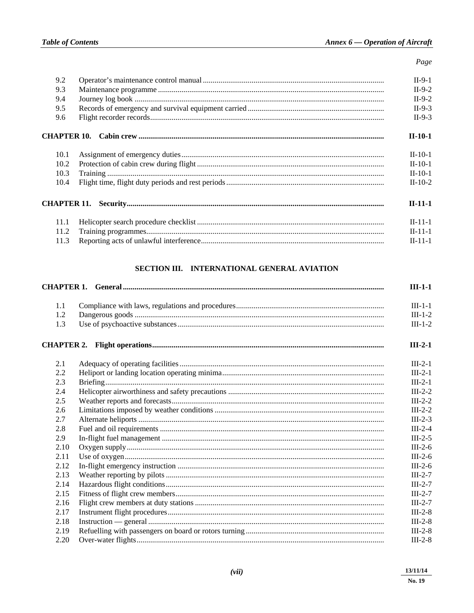| 9.2         | $II-9-1$      |
|-------------|---------------|
| 9.3         | $II-9-2$      |
| 9.4         | $II-9-2$      |
| 9.5         | $II-9-3$      |
| 9.6         | $II-9-3$      |
| CHAPTER 10. | $II-10-1$     |
| 10.1        | $II-10-1$     |
| 10.2        | $II-10-1$     |
| 10.3        | $II-10-1$     |
| 10.4        | $II-10-2$     |
|             | $II-11-1$     |
| 11.1        | $II - 11 - 1$ |
| 11.2        | $II-11-1$     |
| 11.3        | $II - 11 - 1$ |

#### SECTION III. INTERNATIONAL GENERAL AVIATION

|      | $III-1-1$ |
|------|-----------|
| 1.1  | $III-1-1$ |
| 1.2  | $III-1-2$ |
| 1.3  | $III-1-2$ |
|      | $III-2-1$ |
| 2.1  | $III-2-1$ |
| 2.2  | $III-2-1$ |
| 2.3  | $III-2-1$ |
| 2.4  | $III-2-2$ |
| 2.5  | $III-2-2$ |
| 2.6  | $III-2-2$ |
| 2.7  | $III-2-3$ |
| 2.8  | $III-2-4$ |
| 2.9  | $III-2-5$ |
| 2.10 | $III-2-6$ |
| 2.11 | $III-2-6$ |
| 2.12 | $III-2-6$ |
| 2.13 | $III-2-7$ |
| 2.14 | $III-2-7$ |
| 2.15 | $III-2-7$ |
| 2.16 | $III-2-7$ |
| 2.17 | $III-2-8$ |
| 2.18 | $III-2-8$ |
| 2.19 | $III-2-8$ |
| 2.20 | $III-2-8$ |
|      |           |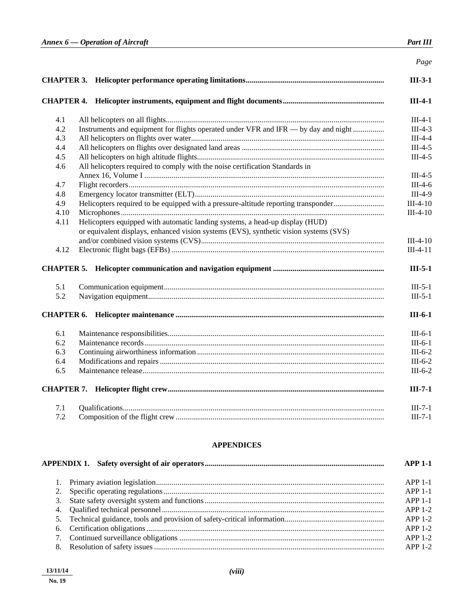|      |                                                                                       | Page       |
|------|---------------------------------------------------------------------------------------|------------|
|      |                                                                                       | $III-3-1$  |
|      |                                                                                       | $III-4-1$  |
| 4.1  |                                                                                       | $III-4-1$  |
| 4.2  | Instruments and equipment for flights operated under VFR and IFR — by day and night   | $III-4-3$  |
| 4.3  |                                                                                       | $III-4-4$  |
| 4.4  |                                                                                       | $III-4-5$  |
| 4.5  |                                                                                       | $III-4-5$  |
| 4.6  | All helicopters required to comply with the noise certification Standards in          |            |
|      |                                                                                       | $III-4-5$  |
| 4.7  |                                                                                       | $III-4-6$  |
| 4.8  |                                                                                       | $III-4-9$  |
| 4.9  | Helicopters required to be equipped with a pressure-altitude reporting transponder    | $III-4-10$ |
| 4.10 |                                                                                       | $III-4-10$ |
| 4.11 | Helicopters equipped with automatic landing systems, a head-up display (HUD)          |            |
|      | or equivalent displays, enhanced vision systems (EVS), synthetic vision systems (SVS) |            |
|      |                                                                                       | $III-4-10$ |
| 4.12 |                                                                                       | $III-4-11$ |
|      |                                                                                       | $III-5-1$  |
| 5.1  |                                                                                       | $III-5-1$  |
| 5.2  |                                                                                       | $III-5-1$  |
|      |                                                                                       | $III-6-1$  |
| 6.1  |                                                                                       | $III-6-1$  |
| 6.2  |                                                                                       | $III-6-1$  |
| 6.3  |                                                                                       | $III-6-2$  |
| 6.4  |                                                                                       | $III-6-2$  |
| 6.5  |                                                                                       | $III-6-2$  |
|      |                                                                                       | $III-7-1$  |
| 7.1  |                                                                                       | $III-7-1$  |
| 7.2  |                                                                                       | $III-7-1$  |

#### **APPENDICES**

|    | $APP 1-1$ |
|----|-----------|
|    | $APP1-1$  |
|    | $APP1-1$  |
| 3. | $APP1-1$  |
|    | $APP1-2$  |
|    | $APP1-2$  |
|    | $APP1-2$  |
|    | $APP1-2$  |
| 8. | $APP1-2$  |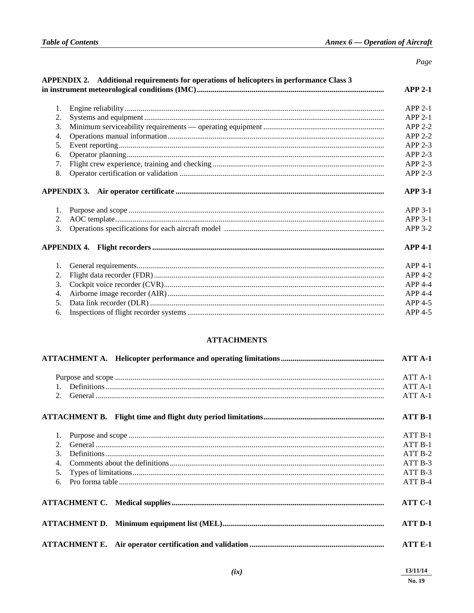#### Page

|    | APPENDIX 2. Additional requirements for operations of helicopters in performance Class 3 | $APP 2-1$                  |
|----|------------------------------------------------------------------------------------------|----------------------------|
|    |                                                                                          | $APP2-1$                   |
| 2. |                                                                                          | $APP2-1$                   |
| 3. |                                                                                          | $APP 2-2$                  |
| 4. |                                                                                          | $APP 2-2$                  |
| 5. |                                                                                          | APP 2-3                    |
| 6. |                                                                                          | APP 2-3                    |
| 7. |                                                                                          | APP 2-3                    |
| 8. |                                                                                          | $APP 2-3$                  |
| 1. |                                                                                          | <b>APP 3-1</b><br>$APP3-1$ |
| 2. |                                                                                          | APP 3-1                    |
| 3. |                                                                                          | APP 3-2                    |
|    |                                                                                          | $APP 4-1$                  |
|    |                                                                                          | $APP 4-1$                  |
| 2. |                                                                                          | APP 4-2                    |
| 3. |                                                                                          | $APP 4-4$                  |
| 4. |                                                                                          | APP 4-4                    |
| 5. |                                                                                          | APP 4-5                    |
| 6. |                                                                                          | APP 4-5                    |

#### **ATTACHMENTS**

|                | ATT A-1             |
|----------------|---------------------|
|                | ATT A-1             |
| $1_{-}$        | ATT A-1             |
|                | ATT A-1             |
|                | ATT B-1             |
| 1.             | $ATT B-1$           |
| 2.             | $ATT B-1$           |
| $\mathcal{F}$  | ATT <sub>B-2</sub>  |
| $\mathbf{4}$ . | $ATT B-3$           |
| 5 <sub>1</sub> | ATT <sub>B</sub> -3 |
| 6.             | ATT <sub>B-4</sub>  |
|                | ATT C-1             |
|                | ATT D-1             |
|                | ATT E-1             |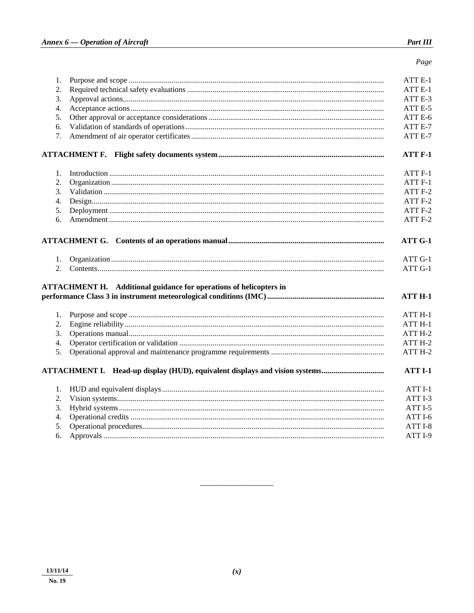Page

| 1.       |                                                                           | ATT E-1                       |
|----------|---------------------------------------------------------------------------|-------------------------------|
| 2.       |                                                                           | ATT E-1                       |
| 3.       |                                                                           | ATT E-3                       |
| 4.       |                                                                           | ATT E-5                       |
| 5.       |                                                                           | ATT E-6                       |
| 6.       |                                                                           | ATT E-7                       |
| 7.       |                                                                           | ATT E-7                       |
|          |                                                                           | ATT F-1                       |
| 1.       |                                                                           | ATT <sub>F-1</sub>            |
| 2.       |                                                                           | ATT <sub>F-1</sub>            |
| 3.       |                                                                           | ATT <sub>F-2</sub>            |
| 4.       |                                                                           | ATT F-2                       |
| 5.       |                                                                           | ATT <sub>F-2</sub>            |
| 6.       |                                                                           | ATT F-2                       |
| 1.<br>2. |                                                                           | ATT G-1<br>ATT G-1<br>ATT G-1 |
|          | <b>ATTACHMENT H.</b> Additional guidance for operations of helicopters in | <b>ATT H-1</b>                |
|          |                                                                           |                               |
| 1.       |                                                                           | ATT <sub>H-1</sub>            |
| 2.       |                                                                           | ATTH-1                        |
| 3.       |                                                                           | ATT H-2                       |
| 4.       |                                                                           | ATT H-2                       |
| 5.       |                                                                           | ATT H-2                       |
|          |                                                                           | ATT I-1                       |
| 1.       |                                                                           | ATT <sub>I-1</sub>            |
| 2.       |                                                                           | ATT I-3                       |
| 3.       |                                                                           | ATT I-5                       |
| 4.       |                                                                           | ATT I-6                       |
| 5.       |                                                                           | ATT I-8                       |
| 6.       |                                                                           | ATT I-9                       |
|          |                                                                           |                               |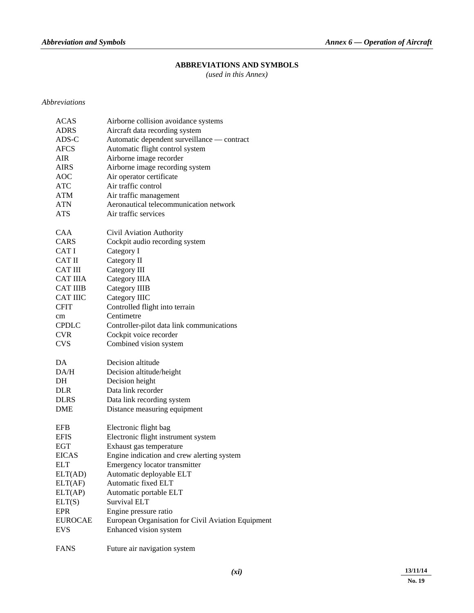### **ABBREVIATIONS AND SYMBOLS**

*(used in this Annex)* 

#### *Abbreviations*

| <b>ACAS</b>     | Airborne collision avoidance systems               |
|-----------------|----------------------------------------------------|
| <b>ADRS</b>     | Aircraft data recording system                     |
| $ADS-C$         | Automatic dependent surveillance - contract        |
| <b>AFCS</b>     | Automatic flight control system                    |
| AIR             | Airborne image recorder                            |
| AIRS            | Airborne image recording system                    |
| <b>AOC</b>      | Air operator certificate                           |
| <b>ATC</b>      | Air traffic control                                |
| ATM             | Air traffic management                             |
| ATN             | Aeronautical telecommunication network             |
| <b>ATS</b>      | Air traffic services                               |
| <b>CAA</b>      | Civil Aviation Authority                           |
| <b>CARS</b>     | Cockpit audio recording system                     |
| CAT I           | Category I                                         |
| <b>CAT II</b>   | Category II                                        |
| <b>CAT III</b>  | Category III                                       |
| <b>CAT IIIA</b> | Category IIIA                                      |
| <b>CAT IIIB</b> | <b>Category IIIB</b>                               |
| <b>CAT IIIC</b> | Category IIIC                                      |
| <b>CFIT</b>     | Controlled flight into terrain                     |
| cm              | Centimetre                                         |
| <b>CPDLC</b>    | Controller-pilot data link communications          |
| <b>CVR</b>      | Cockpit voice recorder                             |
| <b>CVS</b>      | Combined vision system                             |
| DA              | Decision altitude                                  |
| DA/H            | Decision altitude/height                           |
| DH              | Decision height                                    |
| <b>DLR</b>      | Data link recorder                                 |
| <b>DLRS</b>     | Data link recording system                         |
| <b>DME</b>      | Distance measuring equipment                       |
| <b>EFB</b>      | Electronic flight bag                              |
| <b>EFIS</b>     | Electronic flight instrument system                |
| <b>EGT</b>      | Exhaust gas temperature                            |
| <b>EICAS</b>    | Engine indication and crew alerting system         |
| <b>ELT</b>      | Emergency locator transmitter                      |
| ELT(AD)         | Automatic deployable ELT                           |
| ELT(AF)         | Automatic fixed ELT                                |
| ELT(AP)         | Automatic portable ELT                             |
| ELT(S)          | <b>Survival ELT</b>                                |
| <b>EPR</b>      | Engine pressure ratio                              |
| <b>EUROCAE</b>  | European Organisation for Civil Aviation Equipment |
| <b>EVS</b>      | Enhanced vision system                             |
| <b>FANS</b>     | Future air navigation system                       |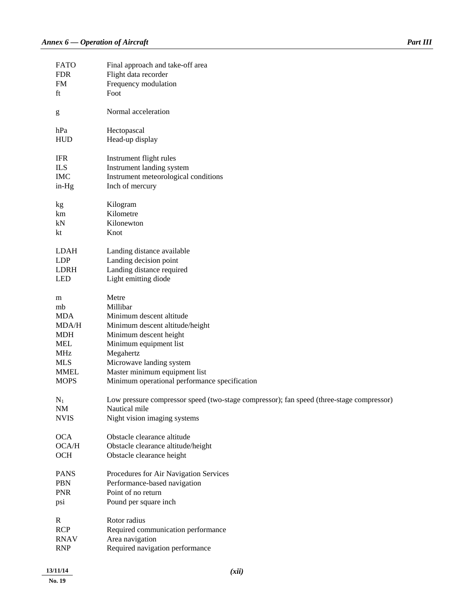| 13/11/14                                              | (xii)                                                                                                     |
|-------------------------------------------------------|-----------------------------------------------------------------------------------------------------------|
| <b>RNAV</b><br><b>RNP</b>                             | Area navigation<br>Required navigation performance                                                        |
| <b>RCP</b>                                            | Required communication performance                                                                        |
| $\mathbf R$                                           | Rotor radius                                                                                              |
| psi                                                   | Pound per square inch                                                                                     |
| <b>PNR</b>                                            | Point of no return                                                                                        |
| <b>PBN</b>                                            | Performance-based navigation                                                                              |
| <b>PANS</b>                                           | Procedures for Air Navigation Services                                                                    |
| <b>OCH</b>                                            | Obstacle clearance height                                                                                 |
| OCA/H                                                 | Obstacle clearance altitude/height                                                                        |
| <b>OCA</b>                                            | Obstacle clearance altitude                                                                               |
|                                                       |                                                                                                           |
| <b>NVIS</b>                                           | Night vision imaging systems                                                                              |
| $N_1$<br>NM                                           | Low pressure compressor speed (two-stage compressor); fan speed (three-stage compressor)<br>Nautical mile |
|                                                       |                                                                                                           |
| <b>MOPS</b>                                           | Minimum operational performance specification                                                             |
| <b>MMEL</b>                                           | Master minimum equipment list                                                                             |
| <b>MLS</b>                                            | Microwave landing system                                                                                  |
| <b>MHz</b>                                            | Megahertz                                                                                                 |
| <b>MEL</b>                                            | Minimum equipment list                                                                                    |
| <b>MDH</b>                                            | Minimum descent height                                                                                    |
| MDA/H                                                 | Minimum descent altitude/height                                                                           |
| <b>MDA</b>                                            | Minimum descent altitude                                                                                  |
| m<br>mb                                               | Millibar                                                                                                  |
|                                                       | Metre                                                                                                     |
| <b>LED</b>                                            | Light emitting diode                                                                                      |
| LDRH                                                  | Landing distance required                                                                                 |
| <b>LDP</b>                                            | Landing decision point                                                                                    |
| <b>LDAH</b>                                           | Landing distance available                                                                                |
|                                                       |                                                                                                           |
| kt                                                    | Knot                                                                                                      |
| kN                                                    | Kilonewton                                                                                                |
| km                                                    | Kilometre                                                                                                 |
| kg                                                    | Kilogram                                                                                                  |
|                                                       |                                                                                                           |
| in-Hg                                                 | Inch of mercury                                                                                           |
| <b>IMC</b>                                            | Instrument meteorological conditions                                                                      |
| <b>ILS</b>                                            | Instrument landing system                                                                                 |
| <b>IFR</b>                                            | Instrument flight rules                                                                                   |
|                                                       |                                                                                                           |
| <b>HUD</b>                                            | Head-up display                                                                                           |
| hPa                                                   | Hectopascal                                                                                               |
| $\mathbf{g}% _{0}\left( \mathbf{r},\mathbf{r}\right)$ | Normal acceleration                                                                                       |
|                                                       |                                                                                                           |
| ft                                                    | Foot                                                                                                      |
| FM                                                    | Frequency modulation                                                                                      |
| <b>FDR</b>                                            | Flight data recorder                                                                                      |
| <b>FATO</b>                                           | Final approach and take-off area                                                                          |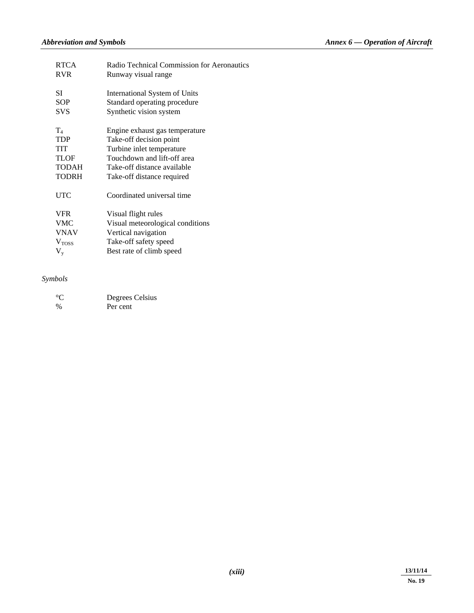| <b>RTCA</b><br><b>RVR</b> | Radio Technical Commission for Aeronautics<br>Runway visual range |
|---------------------------|-------------------------------------------------------------------|
| SI                        | International System of Units                                     |
| <b>SOP</b>                | Standard operating procedure                                      |
| <b>SVS</b>                | Synthetic vision system                                           |
| $\rm T_4$                 | Engine exhaust gas temperature                                    |
| <b>TDP</b>                | Take-off decision point                                           |
| <b>TIT</b>                | Turbine inlet temperature                                         |
| <b>TLOF</b>               | Touchdown and lift-off area                                       |
| <b>TODAH</b>              | Take-off distance available                                       |
| <b>TODRH</b>              | Take-off distance required                                        |
| <b>UTC</b>                | Coordinated universal time                                        |
| <b>VFR</b>                | Visual flight rules                                               |
| <b>VMC</b>                | Visual meteorological conditions                                  |
| <b>VNAV</b>               | Vertical navigation                                               |
| V <sub>Toss</sub>         | Take-off safety speed                                             |
| $\rm V_{y}$               | Best rate of climb speed                                          |
|                           |                                                                   |

#### *Symbols*

| $^{\circ}C$   | Degrees Celsius |
|---------------|-----------------|
| $\frac{0}{0}$ | Per cent        |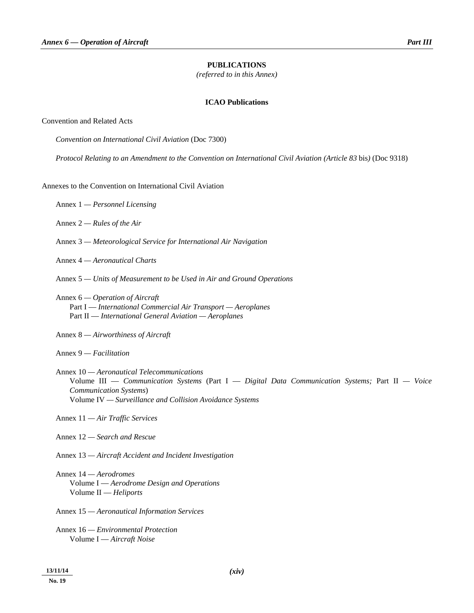#### **PUBLICATIONS**

*(referred to in this Annex)* 

#### **ICAO Publications**

#### Convention and Related Acts

 *Convention on International Civil Aviation* (Doc 7300)

 *Protocol Relating to an Amendment to the Convention on International Civil Aviation (Article 83* bis*)* (Doc 9318)

#### Annexes to the Convention on International Civil Aviation

- Annex 1 *Personnel Licensing*
- Annex 2 *Rules of the Air*
- Annex 3 *Meteorological Service for International Air Navigation*
- Annex 4 *Aeronautical Charts*
- Annex 5 *Units of Measurement to be Used in Air and Ground Operations*
- Annex 6  *Operation of Aircraft*  Part I — *International Commercial Air Transport — Aeroplanes*  Part II — *International General Aviation — Aeroplanes*
- Annex 8  *Airworthiness of Aircraft*

Annex 9 *— Facilitation* 

- Annex 10 *Aeronautical Telecommunications*  Volume III — *Communication Systems* (Part I — *Digital Data Communication Systems;* Part II *— Voice Communication Systems*) Volume IV *— Surveillance and Collision Avoidance Systems*
- Annex 11 *Air Traffic Services*
- Annex 12 *Search and Rescue*
- Annex 13 *Aircraft Accident and Incident Investigation*
- Annex 14 *Aerodromes*  Volume I — *Aerodrome Design and Operations*  Volume II — *Heliports*
- Annex 15  *Aeronautical Information Services*
- Annex 16  *Environmental Protection*  Volume I — *Aircraft Noise*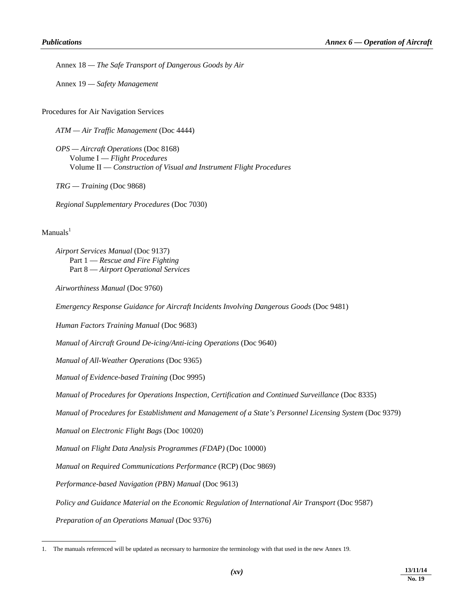Annex 18 *— The Safe Transport of Dangerous Goods by Air* 

Annex 19 *— Safety Management*

Procedures for Air Navigation Services

 *ATM — Air Traffic Management* (Doc 4444)

*OPS — Aircraft Operations* (Doc 8168) Volume I — *Flight Procedures*  Volume II — *Construction of Visual and Instrument Flight Procedures* 

*TRG — Training* (Doc 9868)

 *Regional Supplementary Procedures* (Doc 7030)

#### $M$ anuals<sup>1</sup>

-

*Airport Services Manual* (Doc 9137) Part 1 — *Rescue and Fire Fighting*  Part 8 — *Airport Operational Services* 

 *Airworthiness Manual* (Doc 9760)

*Emergency Response Guidance for Aircraft Incidents Involving Dangerous Goods* (Doc 9481)

*Human Factors Training Manual* (Doc 9683)

 *Manual of Aircraft Ground De-icing/Anti-icing Operations* (Doc 9640)

*Manual of All-Weather Operations* (Doc 9365)

*Manual of Evidence-based Training* (Doc 9995)

 *Manual of Procedures for Operations Inspection, Certification and Continued Surveillance* (Doc 8335)

 *Manual of Procedures for Establishment and Management of a State's Personnel Licensing System* (Doc 9379)

 *Manual on Electronic Flight Bags* (Doc 10020)

*Manual on Flight Data Analysis Programmes (FDAP)* (Doc 10000)

*Manual on Required Communications Performance* (RCP) (Doc 9869)

 *Performance-based Navigation (PBN) Manual* (Doc 9613)

*Policy and Guidance Material on the Economic Regulation of International Air Transport (Doc 9587)* 

 *Preparation of an Operations Manual* (Doc 9376)

<sup>1.</sup> The manuals referenced will be updated as necessary to harmonize the terminology with that used in the new Annex 19.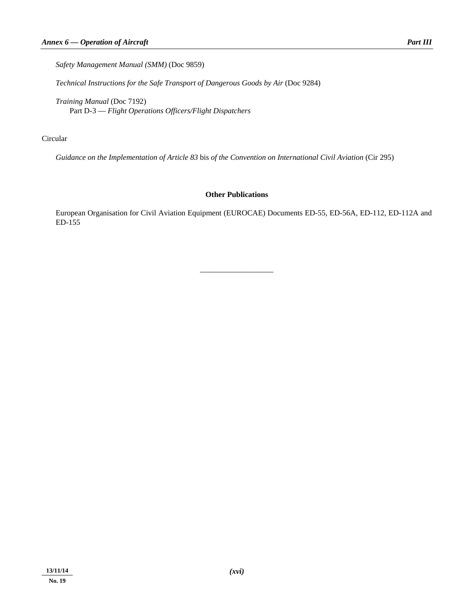*Safety Management Manual (SMM)* (Doc 9859)

*Technical Instructions for the Safe Transport of Dangerous Goods by Air* (Doc 9284)

 *Training Manual* (Doc 7192) Part D-3 — *Flight Operations Officers/Flight Dispatchers* 

#### Circular

 *Guidance on the Implementation of Article 83* bis *of the Convention on International Civil Aviation* (Cir 295)

#### **Other Publications**

 European Organisation for Civil Aviation Equipment (EUROCAE) Documents ED-55, ED-56A, ED-112, ED-112A and ED-155

\_\_\_\_\_\_\_\_\_\_\_\_\_\_\_\_\_\_\_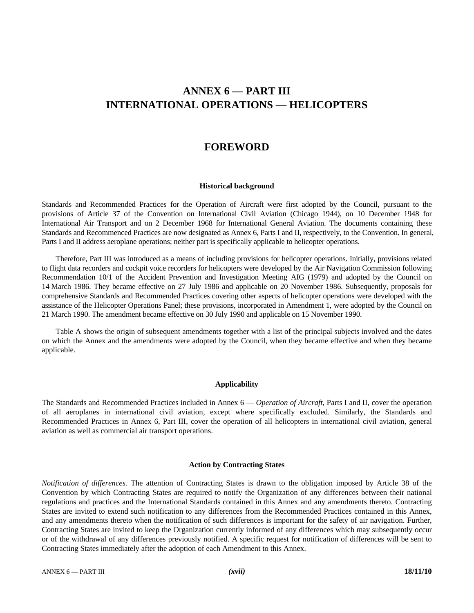## **ANNEX 6 — PART III INTERNATIONAL OPERATIONS — HELICOPTERS**

### **FOREWORD**

#### **Historical background**

Standards and Recommended Practices for the Operation of Aircraft were first adopted by the Council, pursuant to the provisions of Article 37 of the Convention on International Civil Aviation (Chicago 1944), on 10 December 1948 for International Air Transport and on 2 December 1968 for International General Aviation. The documents containing these Standards and Recommenced Practices are now designated as Annex 6, Parts I and II, respectively, to the Convention. In general, Parts I and II address aeroplane operations; neither part is specifically applicable to helicopter operations.

 Therefore, Part III was introduced as a means of including provisions for helicopter operations. Initially, provisions related to flight data recorders and cockpit voice recorders for helicopters were developed by the Air Navigation Commission following Recommendation 10/1 of the Accident Prevention and Investigation Meeting AIG (1979) and adopted by the Council on 14 March 1986. They became effective on 27 July 1986 and applicable on 20 November 1986. Subsequently, proposals for comprehensive Standards and Recommended Practices covering other aspects of helicopter operations were developed with the assistance of the Helicopter Operations Panel; these provisions, incorporated in Amendment 1, were adopted by the Council on 21 March 1990. The amendment became effective on 30 July 1990 and applicable on 15 November 1990.

 Table A shows the origin of subsequent amendments together with a list of the principal subjects involved and the dates on which the Annex and the amendments were adopted by the Council, when they became effective and when they became applicable.

#### **Applicability**

The Standards and Recommended Practices included in Annex 6 — *Operation of Aircraft*, Parts I and II, cover the operation of all aeroplanes in international civil aviation, except where specifically excluded. Similarly, the Standards and Recommended Practices in Annex 6, Part III, cover the operation of all helicopters in international civil aviation, general aviation as well as commercial air transport operations.

#### **Action by Contracting States**

*Notification of differences.* The attention of Contracting States is drawn to the obligation imposed by Article 38 of the Convention by which Contracting States are required to notify the Organization of any differences between their national regulations and practices and the International Standards contained in this Annex and any amendments thereto. Contracting States are invited to extend such notification to any differences from the Recommended Practices contained in this Annex, and any amendments thereto when the notification of such differences is important for the safety of air navigation. Further, Contracting States are invited to keep the Organization currently informed of any differences which may subsequently occur or of the withdrawal of any differences previously notified. A specific request for notification of differences will be sent to Contracting States immediately after the adoption of each Amendment to this Annex.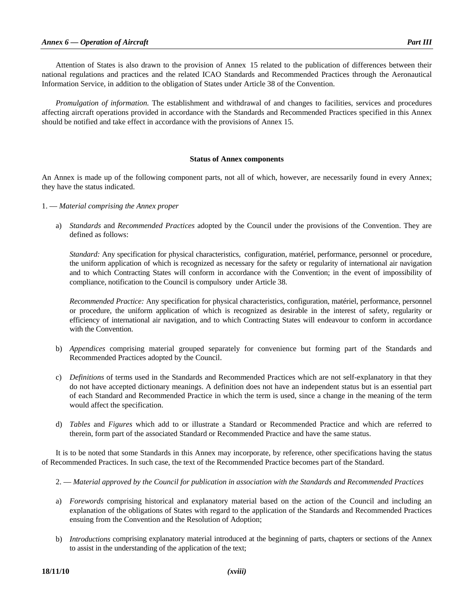Attention of States is also drawn to the provision of Annex 15 related to the publication of differences between their national regulations and practices and the related ICAO Standards and Recommended Practices through the Aeronautical Information Service, in addition to the obligation of States under Article 38 of the Convention.

*Promulgation of information.* The establishment and withdrawal of and changes to facilities, services and procedures affecting aircraft operations provided in accordance with the Standards and Recommended Practices specified in this Annex should be notified and take effect in accordance with the provisions of Annex 15.

#### **Status of Annex components**

An Annex is made up of the following component parts, not all of which, however, are necessarily found in every Annex; they have the status indicated.

- 1. *Material comprising the Annex proper* 
	- a) *Standards* and *Recommended Practices* adopted by the Council under the provisions of the Convention. They are defined as follows:

 *Standard:* Any specification for physical characteristics, configuration, matériel, performance, personnel or procedure, the uniform application of which is recognized as necessary for the safety or regularity of international air navigation and to which Contracting States will conform in accordance with the Convention; in the event of impossibility of compliance, notification to the Council is compulsory under Article 38.

 *Recommended Practice:* Any specification for physical characteristics, configuration, matériel, performance, personnel or procedure, the uniform application of which is recognized as desirable in the interest of safety, regularity or efficiency of international air navigation, and to which Contracting States will endeavour to conform in accordance with the Convention.

- b) *Appendices* comprising material grouped separately for convenience but forming part of the Standards and Recommended Practices adopted by the Council.
- c) *Definitions* of terms used in the Standards and Recommended Practices which are not self-explanatory in that they do not have accepted dictionary meanings. A definition does not have an independent status but is an essential part of each Standard and Recommended Practice in which the term is used, since a change in the meaning of the term would affect the specification.
- d) *Tables* and *Figures* which add to or illustrate a Standard or Recommended Practice and which are referred to therein, form part of the associated Standard or Recommended Practice and have the same status.

 It is to be noted that some Standards in this Annex may incorporate, by reference, other specifications having the status of Recommended Practices. In such case, the text of the Recommended Practice becomes part of the Standard.

- 2. *Material approved by the Council for publication in association with the Standards and Recommended Practices*
- a) *Forewords* comprising historical and explanatory material based on the action of the Council and including an explanation of the obligations of States with regard to the application of the Standards and Recommended Practices ensuing from the Convention and the Resolution of Adoption;
- b) *Introductions* comprising explanatory material introduced at the beginning of parts, chapters or sections of the Annex to assist in the understanding of the application of the text;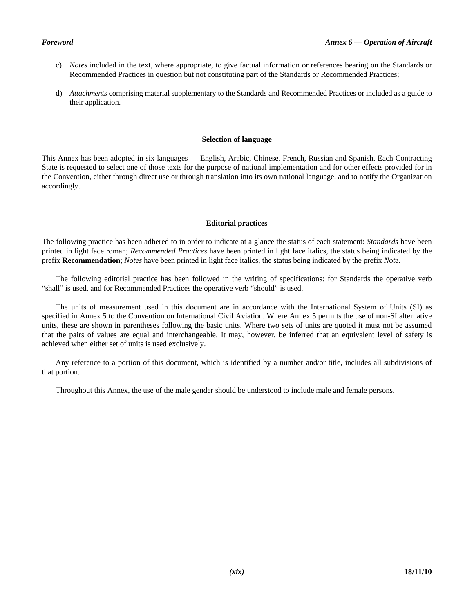- c) *Notes* included in the text, where appropriate, to give factual information or references bearing on the Standards or Recommended Practices in question but not constituting part of the Standards or Recommended Practices;
- d) *Attachments* comprising material supplementary to the Standards and Recommended Practices or included as a guide to their application.

#### **Selection of language**

This Annex has been adopted in six languages — English, Arabic, Chinese, French, Russian and Spanish. Each Contracting State is requested to select one of those texts for the purpose of national implementation and for other effects provided for in the Convention, either through direct use or through translation into its own national language, and to notify the Organization accordingly.

#### **Editorial practices**

The following practice has been adhered to in order to indicate at a glance the status of each statement: *Standards* have been printed in light face roman; *Recommended Practices* have been printed in light face italics, the status being indicated by the prefix **Recommendation**; *Notes* have been printed in light face italics, the status being indicated by the prefix *Note.* 

 The following editorial practice has been followed in the writing of specifications: for Standards the operative verb "shall" is used, and for Recommended Practices the operative verb "should" is used.

 The units of measurement used in this document are in accordance with the International System of Units (SI) as specified in Annex 5 to the Convention on International Civil Aviation. Where Annex 5 permits the use of non-SI alternative units, these are shown in parentheses following the basic units. Where two sets of units are quoted it must not be assumed that the pairs of values are equal and interchangeable. It may, however, be inferred that an equivalent level of safety is achieved when either set of units is used exclusively.

 Any reference to a portion of this document, which is identified by a number and/or title, includes all subdivisions of that portion.

Throughout this Annex, the use of the male gender should be understood to include male and female persons.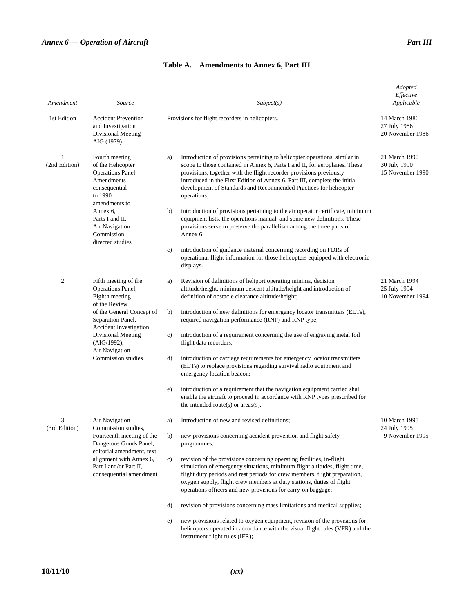| Amendment          | Source                                                                                                                                                           | Subject(s)                                                                                                                                                                                                                                                                                                                                                                                                                                                                                      | Adopted<br>Effective<br>Applicable                |
|--------------------|------------------------------------------------------------------------------------------------------------------------------------------------------------------|-------------------------------------------------------------------------------------------------------------------------------------------------------------------------------------------------------------------------------------------------------------------------------------------------------------------------------------------------------------------------------------------------------------------------------------------------------------------------------------------------|---------------------------------------------------|
| 1st Edition        | <b>Accident Prevention</b><br>and Investigation<br>Divisional Meeting<br>AIG (1979)                                                                              | Provisions for flight recorders in helicopters.                                                                                                                                                                                                                                                                                                                                                                                                                                                 | 14 March 1986<br>27 July 1986<br>20 November 1986 |
| 1<br>(2nd Edition) | Fourth meeting<br>of the Helicopter<br>Operations Panel.<br>Amendments<br>consequential<br>to 1990<br>amendments to<br>Annex 6,                                  | Introduction of provisions pertaining to helicopter operations, similar in<br>a)<br>scope to those contained in Annex 6, Parts I and II, for aeroplanes. These<br>provisions, together with the flight recorder provisions previously<br>introduced in the First Edition of Annex 6, Part III, complete the initial<br>development of Standards and Recommended Practices for helicopter<br>operations;<br>introduction of provisions pertaining to the air operator certificate, minimum<br>b) | 21 March 1990<br>30 July 1990<br>15 November 1990 |
|                    | Parts I and II.<br>Air Navigation<br>$Commission_{\text{}}$<br>directed studies                                                                                  | equipment lists, the operations manual, and some new definitions. These<br>provisions serve to preserve the parallelism among the three parts of<br>Annex 6;                                                                                                                                                                                                                                                                                                                                    |                                                   |
|                    |                                                                                                                                                                  | introduction of guidance material concerning recording on FDRs of<br>c)<br>operational flight information for those helicopters equipped with electronic<br>displays.                                                                                                                                                                                                                                                                                                                           |                                                   |
| $\overline{2}$     | Fifth meeting of the<br>Operations Panel,<br>Eighth meeting<br>of the Review                                                                                     | Revision of definitions of heliport operating minima, decision<br>a)<br>altitude/height, minimum descent altitude/height and introduction of<br>definition of obstacle clearance altitude/height;                                                                                                                                                                                                                                                                                               | 21 March 1994<br>25 July 1994<br>10 November 1994 |
|                    | of the General Concept of<br>Separation Panel,<br>Accident Investigation<br>Divisional Meeting<br>(AIG/1992),<br>Air Navigation                                  | introduction of new definitions for emergency locator transmitters (ELTs),<br>b)<br>required navigation performance (RNP) and RNP type;                                                                                                                                                                                                                                                                                                                                                         |                                                   |
|                    |                                                                                                                                                                  | introduction of a requirement concerning the use of engraving metal foil<br>c)<br>flight data recorders;                                                                                                                                                                                                                                                                                                                                                                                        |                                                   |
|                    | Commission studies                                                                                                                                               | introduction of carriage requirements for emergency locator transmitters<br>d)<br>(ELTs) to replace provisions regarding survival radio equipment and<br>emergency location beacon;                                                                                                                                                                                                                                                                                                             |                                                   |
|                    |                                                                                                                                                                  | introduction of a requirement that the navigation equipment carried shall<br>e)<br>enable the aircraft to proceed in accordance with RNP types prescribed for<br>the intended route(s) or $ares(s)$ .                                                                                                                                                                                                                                                                                           |                                                   |
| 3<br>(3rd Edition) | Air Navigation<br>Commission studies,                                                                                                                            | Introduction of new and revised definitions;<br>a)                                                                                                                                                                                                                                                                                                                                                                                                                                              | 10 March 1995<br>24 July 1995                     |
|                    | Fourteenth meeting of the<br>Dangerous Goods Panel,<br>editorial amendment, text<br>alignment with Annex 6,<br>Part I and/or Part II,<br>consequential amendment | new provisions concerning accident prevention and flight safety<br>b)<br>programmes;                                                                                                                                                                                                                                                                                                                                                                                                            | 9 November 1995                                   |
|                    |                                                                                                                                                                  | revision of the provisions concerning operating facilities, in-flight<br>c)<br>simulation of emergency situations, minimum flight altitudes, flight time,<br>flight duty periods and rest periods for crew members, flight preparation,<br>oxygen supply, flight crew members at duty stations, duties of flight<br>operations officers and new provisions for carry-on baggage;                                                                                                                |                                                   |
|                    |                                                                                                                                                                  | revision of provisions concerning mass limitations and medical supplies;<br>d)                                                                                                                                                                                                                                                                                                                                                                                                                  |                                                   |
|                    |                                                                                                                                                                  | new provisions related to oxygen equipment, revision of the provisions for<br>e)<br>helicopters operated in accordance with the visual flight rules (VFR) and the<br>instrument flight rules (IFR);                                                                                                                                                                                                                                                                                             |                                                   |

**Table A. Amendments to Annex 6, Part III**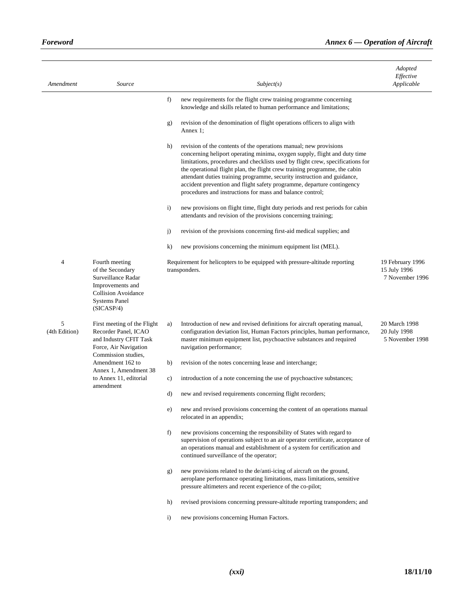| Amendment          | Source                                                                                                                                           |              | Subject(s)                                                                                                                                                                                                                                                                                                                                                                                                                                                                                                                       | Adopted<br>Effective<br>Applicable                  |
|--------------------|--------------------------------------------------------------------------------------------------------------------------------------------------|--------------|----------------------------------------------------------------------------------------------------------------------------------------------------------------------------------------------------------------------------------------------------------------------------------------------------------------------------------------------------------------------------------------------------------------------------------------------------------------------------------------------------------------------------------|-----------------------------------------------------|
|                    |                                                                                                                                                  | f)           | new requirements for the flight crew training programme concerning<br>knowledge and skills related to human performance and limitations;                                                                                                                                                                                                                                                                                                                                                                                         |                                                     |
|                    |                                                                                                                                                  | g)           | revision of the denomination of flight operations officers to align with<br>Annex 1;                                                                                                                                                                                                                                                                                                                                                                                                                                             |                                                     |
|                    |                                                                                                                                                  | h)           | revision of the contents of the operations manual; new provisions<br>concerning heliport operating minima, oxygen supply, flight and duty time<br>limitations, procedures and checklists used by flight crew, specifications for<br>the operational flight plan, the flight crew training programme, the cabin<br>attendant duties training programme, security instruction and guidance,<br>accident prevention and flight safety programme, departure contingency<br>procedures and instructions for mass and balance control; |                                                     |
|                    |                                                                                                                                                  | $\mathbf{i}$ | new provisions on flight time, flight duty periods and rest periods for cabin<br>attendants and revision of the provisions concerning training;                                                                                                                                                                                                                                                                                                                                                                                  |                                                     |
|                    |                                                                                                                                                  | j)           | revision of the provisions concerning first-aid medical supplies; and                                                                                                                                                                                                                                                                                                                                                                                                                                                            |                                                     |
|                    |                                                                                                                                                  | $\bf k$      | new provisions concerning the minimum equipment list (MEL).                                                                                                                                                                                                                                                                                                                                                                                                                                                                      |                                                     |
| $\overline{4}$     | Fourth meeting<br>of the Secondary<br>Surveillance Radar<br>Improvements and<br><b>Collision Avoidance</b><br><b>Systems Panel</b><br>(SICASP/4) |              | Requirement for helicopters to be equipped with pressure-altitude reporting<br>transponders.                                                                                                                                                                                                                                                                                                                                                                                                                                     | 19 February 1996<br>15 July 1996<br>7 November 1996 |
| 5<br>(4th Edition) | First meeting of the Flight<br>Recorder Panel, ICAO<br>and Industry CFIT Task<br>Force, Air Navigation<br>Commission studies,                    | a)           | Introduction of new and revised definitions for aircraft operating manual,<br>configuration deviation list, Human Factors principles, human performance,<br>master minimum equipment list, psychoactive substances and required<br>navigation performance;                                                                                                                                                                                                                                                                       | 20 March 1998<br>20 July 1998<br>5 November 1998    |
|                    | Amendment 162 to<br>Annex 1, Amendment 38                                                                                                        | b)           | revision of the notes concerning lease and interchange;                                                                                                                                                                                                                                                                                                                                                                                                                                                                          |                                                     |
|                    | to Annex 11, editorial<br>amendment                                                                                                              | c)           | introduction of a note concerning the use of psychoactive substances;                                                                                                                                                                                                                                                                                                                                                                                                                                                            |                                                     |
|                    |                                                                                                                                                  | d)           | new and revised requirements concerning flight recorders;                                                                                                                                                                                                                                                                                                                                                                                                                                                                        |                                                     |
|                    |                                                                                                                                                  | e)           | new and revised provisions concerning the content of an operations manual<br>relocated in an appendix;                                                                                                                                                                                                                                                                                                                                                                                                                           |                                                     |
|                    |                                                                                                                                                  | f)           | new provisions concerning the responsibility of States with regard to<br>supervision of operations subject to an air operator certificate, acceptance of<br>an operations manual and establishment of a system for certification and<br>continued surveillance of the operator;                                                                                                                                                                                                                                                  |                                                     |
|                    |                                                                                                                                                  | g)           | new provisions related to the de/anti-icing of aircraft on the ground,<br>aeroplane performance operating limitations, mass limitations, sensitive<br>pressure altimeters and recent experience of the co-pilot;                                                                                                                                                                                                                                                                                                                 |                                                     |
|                    |                                                                                                                                                  | h)           | revised provisions concerning pressure-altitude reporting transponders; and                                                                                                                                                                                                                                                                                                                                                                                                                                                      |                                                     |
|                    |                                                                                                                                                  | $\mathbf{i}$ | new provisions concerning Human Factors.                                                                                                                                                                                                                                                                                                                                                                                                                                                                                         |                                                     |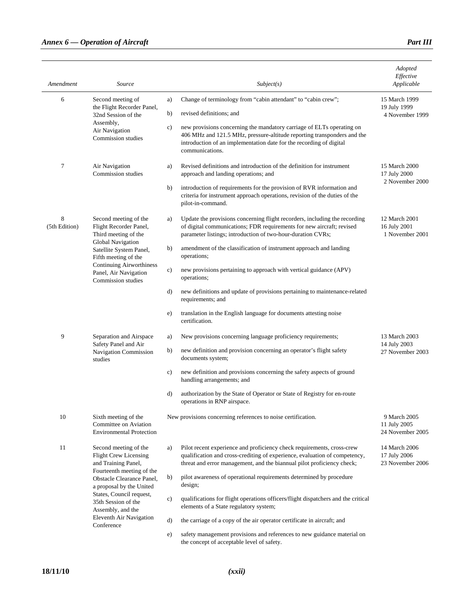#### *Annex 6 — Operation of Aircraft Part III Part III*

| Amendment          | Source                                                                                                        |               | Subject(s)                                                                                                                                                                                                                                 | Adopted<br>Effective<br>Applicable                |
|--------------------|---------------------------------------------------------------------------------------------------------------|---------------|--------------------------------------------------------------------------------------------------------------------------------------------------------------------------------------------------------------------------------------------|---------------------------------------------------|
| 6                  | Second meeting of                                                                                             | a)            | Change of terminology from "cabin attendant" to "cabin crew";                                                                                                                                                                              | 15 March 1999                                     |
|                    | the Flight Recorder Panel,<br>32nd Session of the<br>Assembly,<br>Air Navigation<br>Commission studies        | b)            | revised definitions; and                                                                                                                                                                                                                   | 19 July 1999<br>4 November 1999                   |
|                    |                                                                                                               | c)            | new provisions concerning the mandatory carriage of ELTs operating on<br>406 MHz and 121.5 MHz, pressure-altitude reporting transponders and the<br>introduction of an implementation date for the recording of digital<br>communications. |                                                   |
| 7                  | Air Navigation<br>Commission studies                                                                          | a)            | Revised definitions and introduction of the definition for instrument<br>approach and landing operations; and                                                                                                                              | 15 March 2000<br>17 July 2000                     |
|                    |                                                                                                               | b)            | introduction of requirements for the provision of RVR information and<br>criteria for instrument approach operations, revision of the duties of the<br>pilot-in-command.                                                                   | 2 November 2000                                   |
| 8<br>(5th Edition) | Second meeting of the<br>Flight Recorder Panel,<br>Third meeting of the                                       | a)            | Update the provisions concerning flight recorders, including the recording<br>of digital communications; FDR requirements for new aircraft; revised<br>parameter listings; introduction of two-hour-duration CVRs;                         | 12 March 2001<br>16 July 2001<br>1 November 2001  |
|                    | Global Navigation<br>Satellite System Panel,<br>Fifth meeting of the                                          | b)            | amendment of the classification of instrument approach and landing<br>operations;                                                                                                                                                          |                                                   |
|                    | <b>Continuing Airworthiness</b><br>Panel, Air Navigation<br>Commission studies                                | c)            | new provisions pertaining to approach with vertical guidance (APV)<br>operations;                                                                                                                                                          |                                                   |
|                    |                                                                                                               | d)            | new definitions and update of provisions pertaining to maintenance-related<br>requirements; and                                                                                                                                            |                                                   |
|                    |                                                                                                               | e)            | translation in the English language for documents attesting noise<br>certification.                                                                                                                                                        |                                                   |
| 9                  | Separation and Airspace                                                                                       | a)            | New provisions concerning language proficiency requirements;                                                                                                                                                                               | 13 March 2003                                     |
|                    | Safety Panel and Air<br>Navigation Commission<br>studies                                                      | b)            | new definition and provision concerning an operator's flight safety<br>documents system;                                                                                                                                                   | 14 July 2003<br>27 November 2003                  |
|                    |                                                                                                               | c)            | new definition and provisions concerning the safety aspects of ground<br>handling arrangements; and                                                                                                                                        |                                                   |
|                    |                                                                                                               | d)            | authorization by the State of Operator or State of Registry for en-route<br>operations in RNP airspace.                                                                                                                                    |                                                   |
| 10                 | Sixth meeting of the<br>Committee on Aviation<br><b>Environmental Protection</b>                              |               | New provisions concerning references to noise certification.                                                                                                                                                                               | 9 March 2005<br>11 July 2005<br>24 November 2005  |
| 11                 | Second meeting of the<br><b>Flight Crew Licensing</b><br>and Training Panel,                                  | a)            | Pilot recent experience and proficiency check requirements, cross-crew<br>qualification and cross-crediting of experience, evaluation of competency,<br>threat and error management, and the biannual pilot proficiency check;             | 14 March 2006<br>17 July 2006<br>23 November 2006 |
|                    | Fourteenth meeting of the<br>Obstacle Clearance Panel,<br>a proposal by the United                            | b)            | pilot awareness of operational requirements determined by procedure<br>design;                                                                                                                                                             |                                                   |
|                    | States, Council request,<br>35th Session of the<br>Assembly, and the<br>Eleventh Air Navigation<br>Conference | $\mathbf{c})$ | qualifications for flight operations officers/flight dispatchers and the critical<br>elements of a State regulatory system;                                                                                                                |                                                   |
|                    |                                                                                                               | d)            | the carriage of a copy of the air operator certificate in aircraft; and                                                                                                                                                                    |                                                   |
|                    |                                                                                                               | e)            | safety management provisions and references to new guidance material on<br>the concept of acceptable level of safety.                                                                                                                      |                                                   |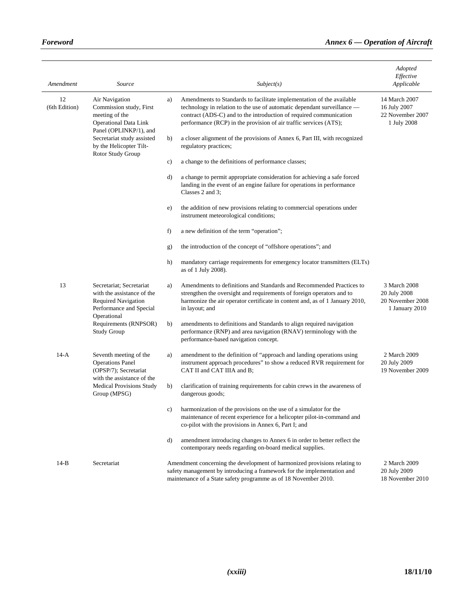$\overline{a}$ 

| Amendment           | Source                                                                                                   |    | Subject(s)                                                                                                                                                                                                                                                                                  | Adopted<br>Effective<br>Applicable                                 |
|---------------------|----------------------------------------------------------------------------------------------------------|----|---------------------------------------------------------------------------------------------------------------------------------------------------------------------------------------------------------------------------------------------------------------------------------------------|--------------------------------------------------------------------|
| 12<br>(6th Edition) | Air Navigation<br>Commission study, First<br>meeting of the<br><b>Operational Data Link</b>              | a) | Amendments to Standards to facilitate implementation of the available<br>technology in relation to the use of automatic dependant surveillance -<br>contract (ADS-C) and to the introduction of required communication<br>performance (RCP) in the provision of air traffic services (ATS); | 14 March 2007<br>16 July 2007<br>22 November 2007<br>1 July 2008   |
|                     | Panel (OPLINKP/1), and<br>Secretariat study assisted<br>by the Helicopter Tilt-                          | b) | a closer alignment of the provisions of Annex 6, Part III, with recognized<br>regulatory practices;                                                                                                                                                                                         |                                                                    |
|                     | Rotor Study Group                                                                                        | c) | a change to the definitions of performance classes;                                                                                                                                                                                                                                         |                                                                    |
|                     |                                                                                                          | d) | a change to permit appropriate consideration for achieving a safe forced<br>landing in the event of an engine failure for operations in performance<br>Classes 2 and 3;                                                                                                                     |                                                                    |
|                     |                                                                                                          | e) | the addition of new provisions relating to commercial operations under<br>instrument meteorological conditions;                                                                                                                                                                             |                                                                    |
|                     |                                                                                                          | f) | a new definition of the term "operation";                                                                                                                                                                                                                                                   |                                                                    |
|                     |                                                                                                          | g) | the introduction of the concept of "offshore operations"; and                                                                                                                                                                                                                               |                                                                    |
|                     |                                                                                                          | h) | mandatory carriage requirements for emergency locator transmitters (ELTs)<br>as of 1 July 2008).                                                                                                                                                                                            |                                                                    |
| 13                  | Secretariat: Secretariat<br>with the assistance of the<br>Required Navigation<br>Performance and Special | a) | Amendments to definitions and Standards and Recommended Practices to<br>strengthen the oversight and requirements of foreign operators and to<br>harmonize the air operator certificate in content and, as of 1 January 2010,<br>in layout; and                                             | 3 March 2008<br>20 July 2008<br>20 November 2008<br>1 January 2010 |
|                     | Operational<br>Requirements (RNPSOR)<br><b>Study Group</b>                                               | b) | amendments to definitions and Standards to align required navigation<br>performance (RNP) and area navigation (RNAV) terminology with the<br>performance-based navigation concept.                                                                                                          |                                                                    |
| $14-A$              | Seventh meeting of the<br><b>Operations Panel</b><br>(OPSP/7); Secretariat                               | a) | amendment to the definition of "approach and landing operations using<br>instrument approach procedures" to show a reduced RVR requirement for<br>CAT II and CAT IIIA and B;                                                                                                                | 2 March 2009<br>20 July 2009<br>19 November 2009                   |
|                     | with the assistance of the<br><b>Medical Provisions Study</b><br>Group (MPSG)                            | b) | clarification of training requirements for cabin crews in the awareness of<br>dangerous goods;                                                                                                                                                                                              |                                                                    |
|                     |                                                                                                          | c) | harmonization of the provisions on the use of a simulator for the<br>maintenance of recent experience for a helicopter pilot-in-command and<br>co-pilot with the provisions in Annex 6, Part I; and                                                                                         |                                                                    |
|                     |                                                                                                          | d) | amendment introducing changes to Annex 6 in order to better reflect the<br>contemporary needs regarding on-board medical supplies.                                                                                                                                                          |                                                                    |
| $14-B$              | Secretariat                                                                                              |    | Amendment concerning the development of harmonized provisions relating to<br>safety management by introducing a framework for the implementation and<br>maintenance of a State safety programme as of 18 November 2010.                                                                     | 2 March 2009<br>20 July 2009<br>18 November 2010                   |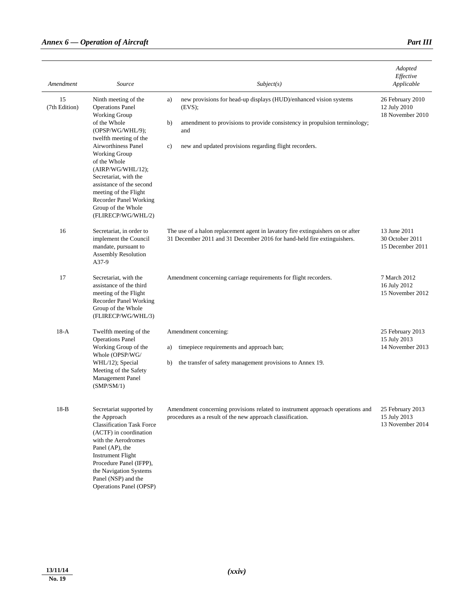|                     |                                                                                                                                                                                                                                                                                     |                                                                                                                                                            | Adopted<br>Effective                                 |
|---------------------|-------------------------------------------------------------------------------------------------------------------------------------------------------------------------------------------------------------------------------------------------------------------------------------|------------------------------------------------------------------------------------------------------------------------------------------------------------|------------------------------------------------------|
| Amendment           | Source                                                                                                                                                                                                                                                                              | Subject(s)                                                                                                                                                 | Applicable                                           |
| 15<br>(7th Edition) | Ninth meeting of the<br><b>Operations Panel</b><br>Working Group                                                                                                                                                                                                                    | new provisions for head-up displays (HUD)/enhanced vision systems<br>a)<br>(EVS);                                                                          | 26 February 2010<br>12 July 2010<br>18 November 2010 |
|                     | of the Whole<br>(OPSP/WG/WHL/9);<br>twelfth meeting of the                                                                                                                                                                                                                          | amendment to provisions to provide consistency in propulsion terminology;<br>b)<br>and                                                                     |                                                      |
|                     | Airworthiness Panel<br>Working Group<br>of the Whole<br>(AIRP/WG/WHL/12);<br>Secretariat, with the<br>assistance of the second<br>meeting of the Flight<br>Recorder Panel Working<br>Group of the Whole<br>(FLIRECP/WG/WHL/2)                                                       | new and updated provisions regarding flight recorders.<br>c)                                                                                               |                                                      |
| 16                  | Secretariat, in order to<br>implement the Council<br>mandate, pursuant to<br><b>Assembly Resolution</b><br>A37-9                                                                                                                                                                    | The use of a halon replacement agent in lavatory fire extinguishers on or after<br>31 December 2011 and 31 December 2016 for hand-held fire extinguishers. | 13 June 2011<br>30 October 2011<br>15 December 2011  |
| 17                  | Secretariat, with the<br>assistance of the third<br>meeting of the Flight<br><b>Recorder Panel Working</b><br>Group of the Whole<br>(FLIRECP/WG/WHL/3)                                                                                                                              | Amendment concerning carriage requirements for flight recorders.                                                                                           | 7 March 2012<br>16 July 2012<br>15 November 2012     |
| $18-A$              | Twelfth meeting of the<br><b>Operations Panel</b>                                                                                                                                                                                                                                   | Amendment concerning:                                                                                                                                      | 25 February 2013<br>15 July 2013                     |
|                     | Working Group of the<br>Whole (OPSP/WG/                                                                                                                                                                                                                                             | timepiece requirements and approach ban;<br>a)                                                                                                             | 14 November 2013                                     |
|                     | WHL/12); Special<br>Meeting of the Safety<br>Management Panel<br>(SMP/SM/1)                                                                                                                                                                                                         | the transfer of safety management provisions to Annex 19.<br>b)                                                                                            |                                                      |
| $18-B$              | Secretariat supported by<br>the Approach<br><b>Classification Task Force</b><br>(ACTF) in coordination<br>with the Aerodromes<br>Panel (AP), the<br><b>Instrument Flight</b><br>Procedure Panel (IFPP),<br>the Navigation Systems<br>Panel (NSP) and the<br>Operations Panel (OPSP) | Amendment concerning provisions related to instrument approach operations and<br>procedures as a result of the new approach classification.                | 25 February 2013<br>15 July 2013<br>13 November 2014 |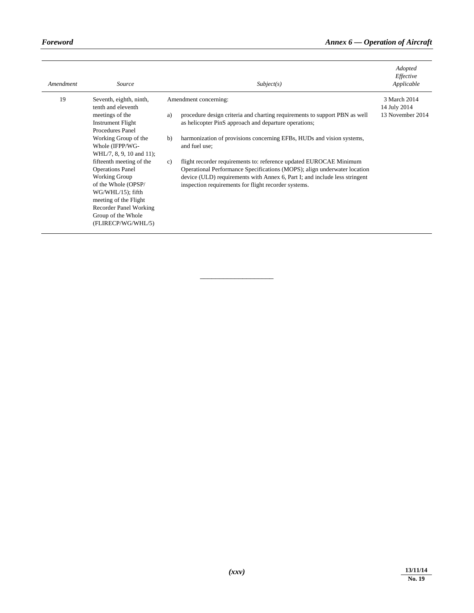| Amendment | Source                                                                                                                                                                                                                           |    | Subject(s)                                                                                                                                                                                                                                                                           | Adopted<br>Effective<br>Applicable |
|-----------|----------------------------------------------------------------------------------------------------------------------------------------------------------------------------------------------------------------------------------|----|--------------------------------------------------------------------------------------------------------------------------------------------------------------------------------------------------------------------------------------------------------------------------------------|------------------------------------|
| 19        | Seventh, eighth, ninth,<br>tenth and eleventh                                                                                                                                                                                    |    | Amendment concerning:                                                                                                                                                                                                                                                                | 3 March 2014<br>14 July 2014       |
|           | meetings of the<br><b>Instrument Flight</b><br>Procedures Panel                                                                                                                                                                  | a) | procedure design criteria and charting requirements to support PBN as well<br>as helicopter PinS approach and departure operations;                                                                                                                                                  | 13 November 2014                   |
|           | Working Group of the<br>Whole (IFPP/WG-<br>WHL/7, 8, 9, 10 and 11);                                                                                                                                                              | b) | harmonization of provisions concerning EFBs, HUDs and vision systems,<br>and fuel use;                                                                                                                                                                                               |                                    |
|           | fifteenth meeting of the<br><b>Operations Panel</b><br><b>Working Group</b><br>of the Whole (OPSP/<br>$WG/WHL/15)$ ; fifth<br>meeting of the Flight<br><b>Recorder Panel Working</b><br>Group of the Whole<br>(FLIRECP/WG/WHL/5) | c) | flight recorder requirements to: reference updated EUROCAE Minimum<br>Operational Performance Specifications (MOPS); align underwater location<br>device (ULD) requirements with Annex 6, Part I; and include less stringent<br>inspection requirements for flight recorder systems. |                                    |

\_\_\_\_\_\_\_\_\_\_\_\_\_\_\_\_\_\_\_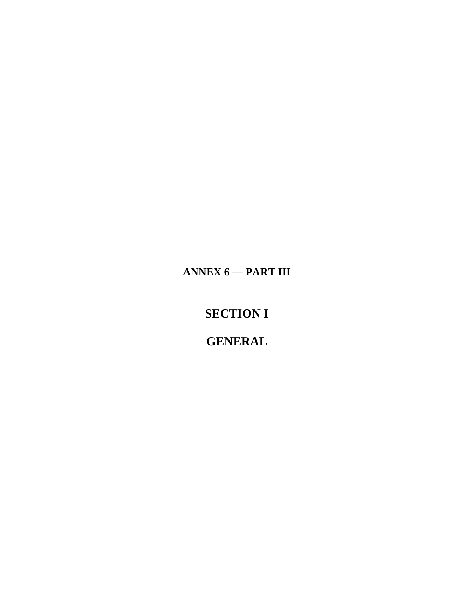ANNEX  $6$  - PART III

**SECTION I** 

**GENERAL**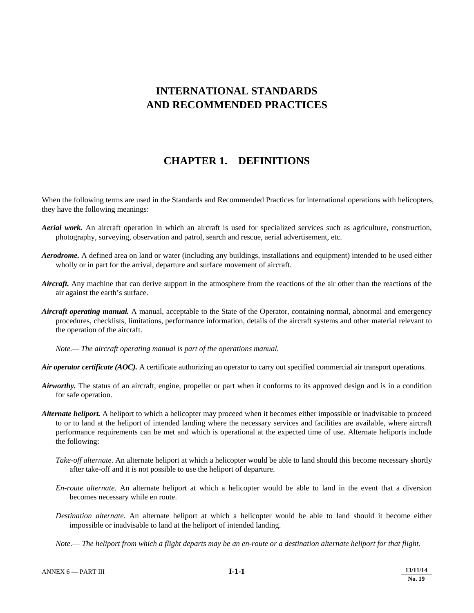## **INTERNATIONAL STANDARDS AND RECOMMENDED PRACTICES**

### **CHAPTER 1. DEFINITIONS**

When the following terms are used in the Standards and Recommended Practices for international operations with helicopters, they have the following meanings:

- *Aerial work.* An aircraft operation in which an aircraft is used for specialized services such as agriculture, construction, photography, surveying, observation and patrol, search and rescue, aerial advertisement, etc.
- *Aerodrome.* A defined area on land or water (including any buildings, installations and equipment) intended to be used either wholly or in part for the arrival, departure and surface movement of aircraft.
- *Aircraft.* Any machine that can derive support in the atmosphere from the reactions of the air other than the reactions of the air against the earth's surface.
- *Aircraft operating manual.* A manual, acceptable to the State of the Operator, containing normal, abnormal and emergency procedures, checklists, limitations, performance information, details of the aircraft systems and other material relevant to the operation of the aircraft.

 *Note.— The aircraft operating manual is part of the operations manual.* 

*Air operator certificate (AOC).* A certificate authorizing an operator to carry out specified commercial air transport operations.

- *Airworthy.* The status of an aircraft, engine, propeller or part when it conforms to its approved design and is in a condition for safe operation.
- *Alternate heliport.* A heliport to which a helicopter may proceed when it becomes either impossible or inadvisable to proceed to or to land at the heliport of intended landing where the necessary services and facilities are available, where aircraft performance requirements can be met and which is operational at the expected time of use. Alternate heliports include the following:
	- *Take-off alternate*. An alternate heliport at which a helicopter would be able to land should this become necessary shortly after take-off and it is not possible to use the heliport of departure.
	- *En-route alternate*. An alternate heliport at which a helicopter would be able to land in the event that a diversion becomes necessary while en route.
	- *Destination alternate*. An alternate heliport at which a helicopter would be able to land should it become either impossible or inadvisable to land at the heliport of intended landing.
	- *Note*.— *The heliport from which a flight departs may be an en-route or a destination alternate heliport for that flight.*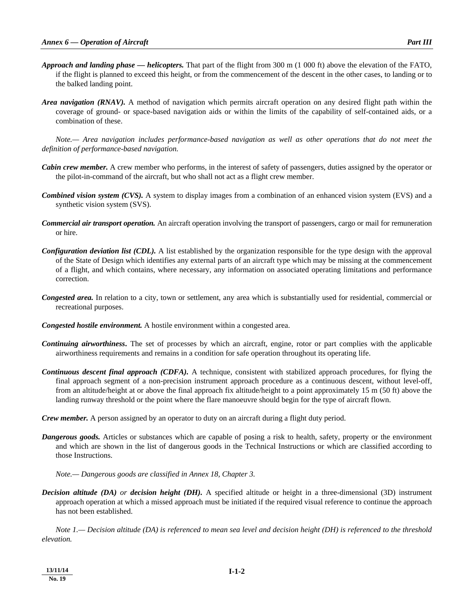- *Approach and landing phase helicopters.* That part of the flight from 300 m (1 000 ft) above the elevation of the FATO, if the flight is planned to exceed this height, or from the commencement of the descent in the other cases, to landing or to the balked landing point.
- *Area navigation (RNAV).* A method of navigation which permits aircraft operation on any desired flight path within the coverage of ground- or space-based navigation aids or within the limits of the capability of self-contained aids, or a combination of these.

 *Note.— Area navigation includes performance-based navigation as well as other operations that do not meet the definition of performance-based navigation.* 

- *Cabin crew member.* A crew member who performs, in the interest of safety of passengers, duties assigned by the operator or the pilot-in-command of the aircraft, but who shall not act as a flight crew member.
- *Combined vision system (CVS).* A system to display images from a combination of an enhanced vision system (EVS) and a synthetic vision system (SVS).
- *Commercial air transport operation.* An aircraft operation involving the transport of passengers, cargo or mail for remuneration or hire.
- *Configuration deviation list (CDL).* A list established by the organization responsible for the type design with the approval of the State of Design which identifies any external parts of an aircraft type which may be missing at the commencement of a flight, and which contains, where necessary, any information on associated operating limitations and performance correction.
- *Congested area.* In relation to a city, town or settlement, any area which is substantially used for residential, commercial or recreational purposes.
- *Congested hostile environment.* A hostile environment within a congested area.
- *Continuing airworthiness***.** The set of processes by which an aircraft, engine, rotor or part complies with the applicable airworthiness requirements and remains in a condition for safe operation throughout its operating life.
- *Continuous descent final approach (CDFA).* A technique, consistent with stabilized approach procedures, for flying the final approach segment of a non-precision instrument approach procedure as a continuous descent, without level-off, from an altitude/height at or above the final approach fix altitude/height to a point approximately 15 m (50 ft) above the landing runway threshold or the point where the flare manoeuvre should begin for the type of aircraft flown.
- *Crew member.* A person assigned by an operator to duty on an aircraft during a flight duty period.
- *Dangerous goods.* Articles or substances which are capable of posing a risk to health, safety, property or the environment and which are shown in the list of dangerous goods in the Technical Instructions or which are classified according to those Instructions.

 *Note.— Dangerous goods are classified in Annex 18, Chapter 3.* 

*Decision altitude (DA) or decision height (DH).* A specified altitude or height in a three-dimensional (3D) instrument approach operation at which a missed approach must be initiated if the required visual reference to continue the approach has not been established.

 *Note 1.— Decision altitude (DA) is referenced to mean sea level and decision height (DH) is referenced to the threshold elevation.*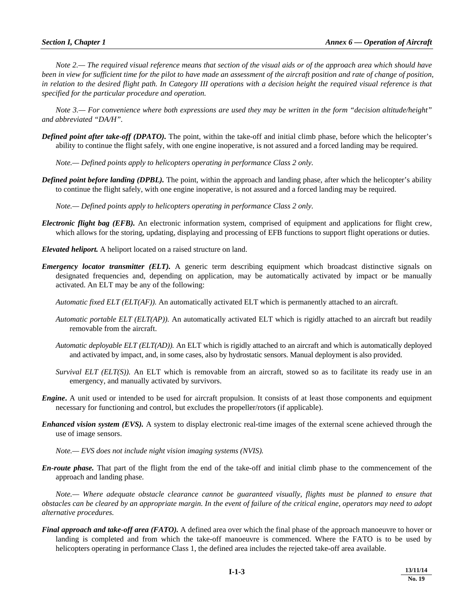*Note 2.— The required visual reference means that section of the visual aids or of the approach area which should have been in view for sufficient time for the pilot to have made an assessment of the aircraft position and rate of change of position, in relation to the desired flight path. In Category III operations with a decision height the required visual reference is that specified for the particular procedure and operation.* 

 *Note 3.— For convenience where both expressions are used they may be written in the form "decision altitude/height" and abbreviated "DA/H".* 

*Defined point after take-off (DPATO).* The point, within the take-off and initial climb phase, before which the helicopter's ability to continue the flight safely, with one engine inoperative, is not assured and a forced landing may be required.

 *Note.— Defined points apply to helicopters operating in performance Class 2 only.* 

*Defined point before landing (DPBL).* The point, within the approach and landing phase, after which the helicopter's ability to continue the flight safely, with one engine inoperative, is not assured and a forced landing may be required.

 *Note.— Defined points apply to helicopters operating in performance Class 2 only.* 

*Electronic flight bag (EFB).* An electronic information system, comprised of equipment and applications for flight crew, which allows for the storing, updating, displaying and processing of EFB functions to support flight operations or duties.

*Elevated heliport.* A heliport located on a raised structure on land.

*Emergency locator transmitter (ELT).* A generic term describing equipment which broadcast distinctive signals on designated frequencies and, depending on application, may be automatically activated by impact or be manually activated. An ELT may be any of the following:

 *Automatic fixed ELT (ELT(AF)).* An automatically activated ELT which is permanently attached to an aircraft.

- *Automatic portable ELT (ELT(AP)).* An automatically activated ELT which is rigidly attached to an aircraft but readily removable from the aircraft.
- *Automatic deployable ELT (ELT(AD)).* An ELT which is rigidly attached to an aircraft and which is automatically deployed and activated by impact, and, in some cases, also by hydrostatic sensors. Manual deployment is also provided.
- *Survival ELT (ELT(S)).* An ELT which is removable from an aircraft, stowed so as to facilitate its ready use in an emergency, and manually activated by survivors.
- *Engine***.** A unit used or intended to be used for aircraft propulsion. It consists of at least those components and equipment necessary for functioning and control, but excludes the propeller/rotors (if applicable).
- *Enhanced vision system (EVS).* A system to display electronic real-time images of the external scene achieved through the use of image sensors.

*Note.— EVS does not include night vision imaging systems (NVIS).* 

*En-route phase.* That part of the flight from the end of the take-off and initial climb phase to the commencement of the approach and landing phase.

 *Note.— Where adequate obstacle clearance cannot be guaranteed visually, flights must be planned to ensure that obstacles can be cleared by an appropriate margin. In the event of failure of the critical engine, operators may need to adopt alternative procedures.* 

*Final approach and take-off area (FATO).* A defined area over which the final phase of the approach manoeuvre to hover or landing is completed and from which the take-off manoeuvre is commenced. Where the FATO is to be used by helicopters operating in performance Class 1, the defined area includes the rejected take-off area available.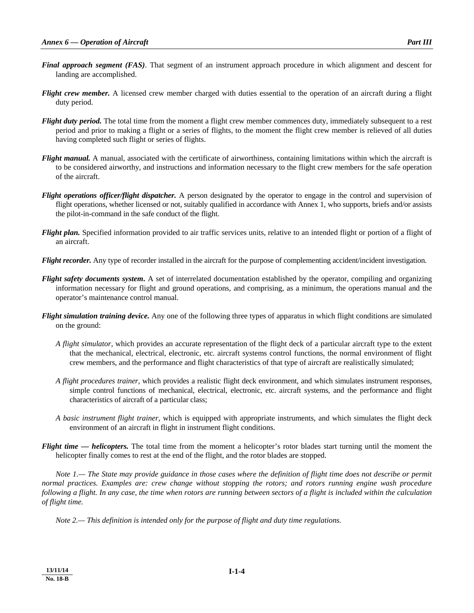- *Final approach segment (FAS)*. That segment of an instrument approach procedure in which alignment and descent for landing are accomplished.
- *Flight crew member.* A licensed crew member charged with duties essential to the operation of an aircraft during a flight duty period.
- *Flight duty period.* The total time from the moment a flight crew member commences duty, immediately subsequent to a rest period and prior to making a flight or a series of flights, to the moment the flight crew member is relieved of all duties having completed such flight or series of flights.
- *Flight manual.* A manual, associated with the certificate of airworthiness, containing limitations within which the aircraft is to be considered airworthy, and instructions and information necessary to the flight crew members for the safe operation of the aircraft.
- *Flight operations officer/flight dispatcher.* A person designated by the operator to engage in the control and supervision of flight operations, whether licensed or not, suitably qualified in accordance with Annex 1, who supports, briefs and/or assists the pilot-in-command in the safe conduct of the flight.
- *Flight plan.* Specified information provided to air traffic services units, relative to an intended flight or portion of a flight of an aircraft.
- *Flight recorder.* Any type of recorder installed in the aircraft for the purpose of complementing accident/incident investigation.
- *Flight safety documents system***.** A set of interrelated documentation established by the operator, compiling and organizing information necessary for flight and ground operations, and comprising, as a minimum, the operations manual and the operator's maintenance control manual.
- *Flight simulation training device.* Any one of the following three types of apparatus in which flight conditions are simulated on the ground:
	- *A flight simulator,* which provides an accurate representation of the flight deck of a particular aircraft type to the extent that the mechanical, electrical, electronic, etc. aircraft systems control functions, the normal environment of flight crew members, and the performance and flight characteristics of that type of aircraft are realistically simulated;
	- *A flight procedures trainer,* which provides a realistic flight deck environment, and which simulates instrument responses, simple control functions of mechanical, electrical, electronic, etc. aircraft systems, and the performance and flight characteristics of aircraft of a particular class;
	- *A basic instrument flight trainer,* which is equipped with appropriate instruments, and which simulates the flight deck environment of an aircraft in flight in instrument flight conditions.
- *Flight time helicopters.* The total time from the moment a helicopter's rotor blades start turning until the moment the helicopter finally comes to rest at the end of the flight, and the rotor blades are stopped.

 *Note 1.— The State may provide guidance in those cases where the definition of flight time does not describe or permit normal practices. Examples are: crew change without stopping the rotors; and rotors running engine wash procedure following a flight. In any case, the time when rotors are running between sectors of a flight is included within the calculation of flight time.*

 *Note 2.— This definition is intended only for the purpose of flight and duty time regulations.*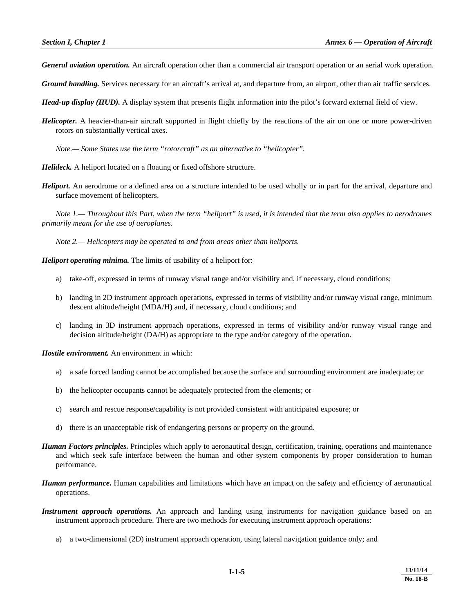*General aviation operation.* An aircraft operation other than a commercial air transport operation or an aerial work operation.

*Ground handling.* Services necessary for an aircraft's arrival at, and departure from, an airport, other than air traffic services.

*Head-up display (HUD).* A display system that presents flight information into the pilot's forward external field of view.

*Helicopter.* A heavier-than-air aircraft supported in flight chiefly by the reactions of the air on one or more power-driven rotors on substantially vertical axes.

 *Note.— Some States use the term "rotorcraft" as an alternative to "helicopter".*

*Helideck.* A heliport located on a floating or fixed offshore structure.

*Heliport.* An aerodrome or a defined area on a structure intended to be used wholly or in part for the arrival, departure and surface movement of helicopters.

 *Note 1.— Throughout this Part, when the term "heliport" is used, it is intended that the term also applies to aerodromes primarily meant for the use of aeroplanes.*

 *Note 2.— Helicopters may be operated to and from areas other than heliports.* 

*Heliport operating minima.* The limits of usability of a heliport for:

- a) take-off, expressed in terms of runway visual range and/or visibility and, if necessary, cloud conditions;
- b) landing in 2D instrument approach operations, expressed in terms of visibility and/or runway visual range, minimum descent altitude/height (MDA/H) and, if necessary, cloud conditions; and
- c) landing in 3D instrument approach operations, expressed in terms of visibility and/or runway visual range and decision altitude/height (DA/H) as appropriate to the type and/or category of the operation.

*Hostile environment.* An environment in which:

- a) a safe forced landing cannot be accomplished because the surface and surrounding environment are inadequate; or
- b) the helicopter occupants cannot be adequately protected from the elements; or
- c) search and rescue response/capability is not provided consistent with anticipated exposure; or
- d) there is an unacceptable risk of endangering persons or property on the ground.
- *Human Factors principles.* Principles which apply to aeronautical design, certification, training, operations and maintenance and which seek safe interface between the human and other system components by proper consideration to human performance.
- *Human performance***.** Human capabilities and limitations which have an impact on the safety and efficiency of aeronautical operations.
- *Instrument approach operations.* An approach and landing using instruments for navigation guidance based on an instrument approach procedure. There are two methods for executing instrument approach operations:
	- a) a two-dimensional (2D) instrument approach operation, using lateral navigation guidance only; and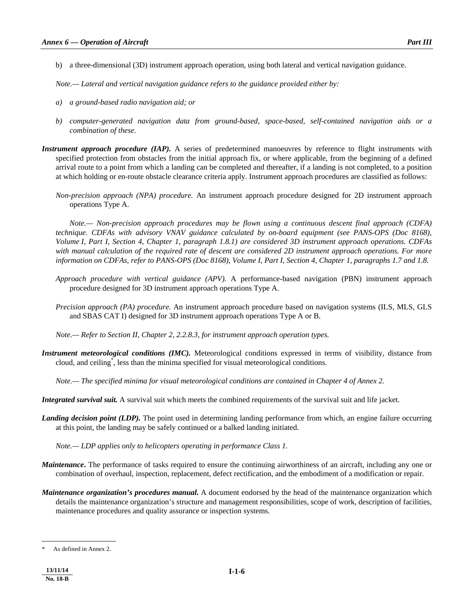b) a three-dimensional (3D) instrument approach operation, using both lateral and vertical navigation guidance.

*Note.— Lateral and vertical navigation guidance refers to the guidance provided either by:* 

- *a) a ground-based radio navigation aid; or*
- *b) computer-generated navigation data from ground-based, space-based, self-contained navigation aids or a combination of these.*
- *Instrument approach procedure (IAP)*. A series of predetermined manoeuvres by reference to flight instruments with specified protection from obstacles from the initial approach fix, or where applicable, from the beginning of a defined arrival route to a point from which a landing can be completed and thereafter, if a landing is not completed, to a position at which holding or en-route obstacle clearance criteria apply. Instrument approach procedures are classified as follows:
	- *Non-precision approach (NPA) procedure.* An instrument approach procedure designed for 2D instrument approach operations Type A.

 *Note.— Non-precision approach procedures may be flown using a continuous descent final approach (CDFA) technique. CDFAs with advisory VNAV guidance calculated by on-board equipment (see PANS-OPS (Doc 8168), Volume I, Part I, Section 4, Chapter 1, paragraph 1.8.1) are considered 3D instrument approach operations. CDFAs with manual calculation of the required rate of descent are considered 2D instrument approach operations. For more information on CDFAs, refer to PANS-OPS (Doc 8168), Volume I, Part I, Section 4, Chapter 1, paragraphs 1.7 and 1.8.* 

- *Approach procedure with vertical guidance (APV).* A performance-based navigation (PBN) instrument approach procedure designed for 3D instrument approach operations Type A.
- *Precision approach (PA) procedure.* An instrument approach procedure based on navigation systems (ILS, MLS, GLS and SBAS CAT I) designed for 3D instrument approach operations Type A or B.

*Note.— Refer to Section II, Chapter 2, 2.2.8.3, for instrument approach operation types.* 

*Instrument meteorological conditions (IMC).* Meteorological conditions expressed in terms of visibility, distance from cloud, and ceiling\* , less than the minima specified for visual meteorological conditions.

 *Note.— The specified minima for visual meteorological conditions are contained in Chapter 4 of Annex 2.* 

*Integrated survival suit.* A survival suit which meets the combined requirements of the survival suit and life jacket.

*Landing decision point (LDP).* The point used in determining landing performance from which, an engine failure occurring at this point, the landing may be safely continued or a balked landing initiated.

 *Note.— LDP applies only to helicopters operating in performance Class 1.* 

- *Maintenance***.** The performance of tasks required to ensure the continuing airworthiness of an aircraft, including any one or combination of overhaul, inspection, replacement, defect rectification, and the embodiment of a modification or repair.
- *Maintenance organization's procedures manual***.** A document endorsed by the head of the maintenance organization which details the maintenance organization's structure and management responsibilities, scope of work, description of facilities, maintenance procedures and quality assurance or inspection systems.

-

As defined in Annex 2.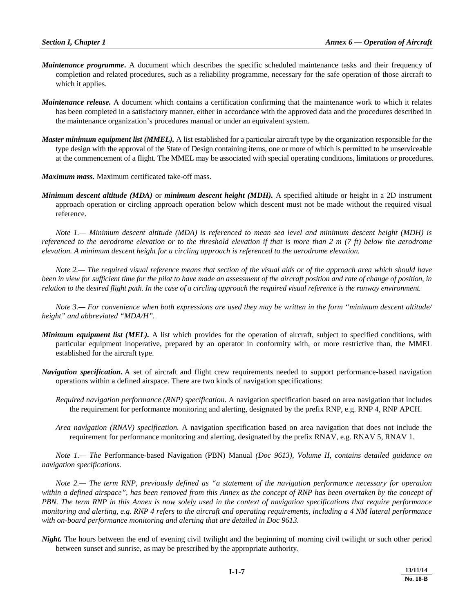- *Maintenance programme***.** A document which describes the specific scheduled maintenance tasks and their frequency of completion and related procedures, such as a reliability programme, necessary for the safe operation of those aircraft to which it applies.
- *Maintenance release.* A document which contains a certification confirming that the maintenance work to which it relates has been completed in a satisfactory manner, either in accordance with the approved data and the procedures described in the maintenance organization's procedures manual or under an equivalent system.
- *Master minimum equipment list (MMEL).* A list established for a particular aircraft type by the organization responsible for the type design with the approval of the State of Design containing items, one or more of which is permitted to be unserviceable at the commencement of a flight. The MMEL may be associated with special operating conditions, limitations or procedures.

*Maximum mass.* Maximum certificated take-off mass.

*Minimum descent altitude (MDA)* or *minimum descent height (MDH).* A specified altitude or height in a 2D instrument approach operation or circling approach operation below which descent must not be made without the required visual reference.

 *Note 1.— Minimum descent altitude (MDA) is referenced to mean sea level and minimum descent height (MDH) is referenced to the aerodrome elevation or to the threshold elevation if that is more than 2 m (7 ft) below the aerodrome elevation. A minimum descent height for a circling approach is referenced to the aerodrome elevation.* 

 *Note 2.— The required visual reference means that section of the visual aids or of the approach area which should have been in view for sufficient time for the pilot to have made an assessment of the aircraft position and rate of change of position, in relation to the desired flight path. In the case of a circling approach the required visual reference is the runway environment.* 

 *Note 3.— For convenience when both expressions are used they may be written in the form "minimum descent altitude/ height" and abbreviated "MDA/H".* 

- *Minimum equipment list (MEL).* A list which provides for the operation of aircraft, subject to specified conditions, with particular equipment inoperative, prepared by an operator in conformity with, or more restrictive than, the MMEL established for the aircraft type.
- *Navigation specification.* A set of aircraft and flight crew requirements needed to support performance-based navigation operations within a defined airspace. There are two kinds of navigation specifications:
	- *Required navigation performance (RNP) specification.* A navigation specification based on area navigation that includes the requirement for performance monitoring and alerting, designated by the prefix RNP, e.g. RNP 4, RNP APCH.
	- *Area navigation (RNAV) specification.* A navigation specification based on area navigation that does not include the requirement for performance monitoring and alerting, designated by the prefix RNAV, e.g. RNAV 5, RNAV 1.

 *Note 1.— The* Performance-based Navigation (PBN) Manual *(Doc 9613), Volume II, contains detailed guidance on navigation specifications.* 

 *Note 2.— The term RNP, previously defined as "a statement of the navigation performance necessary for operation*  within a defined airspace", has been removed from this Annex as the concept of RNP has been overtaken by the concept of *PBN. The term RNP in this Annex is now solely used in the context of navigation specifications that require performance monitoring and alerting, e.g. RNP 4 refers to the aircraft and operating requirements, including a 4 NM lateral performance with on-board performance monitoring and alerting that are detailed in Doc 9613.*

*Night*. The hours between the end of evening civil twilight and the beginning of morning civil twilight or such other period between sunset and sunrise, as may be prescribed by the appropriate authority.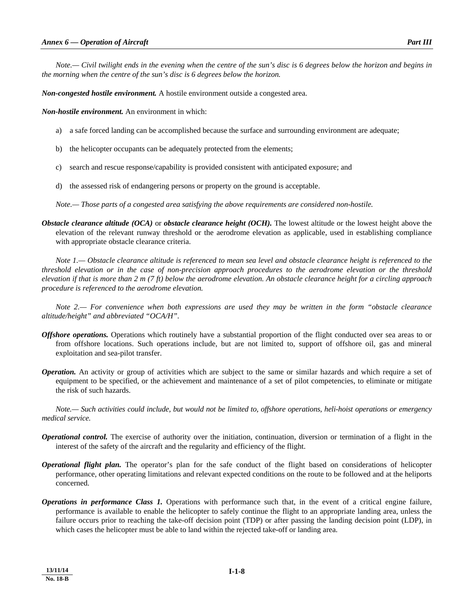*Note.— Civil twilight ends in the evening when the centre of the sun's disc is 6 degrees below the horizon and begins in the morning when the centre of the sun's disc is 6 degrees below the horizon.* 

*Non-congested hostile environment.* A hostile environment outside a congested area.

*Non-hostile environment.* An environment in which:

- a) a safe forced landing can be accomplished because the surface and surrounding environment are adequate;
- b) the helicopter occupants can be adequately protected from the elements;
- c) search and rescue response/capability is provided consistent with anticipated exposure; and
- d) the assessed risk of endangering persons or property on the ground is acceptable.

 *Note.— Those parts of a congested area satisfying the above requirements are considered non-hostile.* 

*Obstacle clearance altitude (OCA)* or *obstacle clearance height (OCH).* The lowest altitude or the lowest height above the elevation of the relevant runway threshold or the aerodrome elevation as applicable, used in establishing compliance with appropriate obstacle clearance criteria.

 *Note 1.— Obstacle clearance altitude is referenced to mean sea level and obstacle clearance height is referenced to the threshold elevation or in the case of non-precision approach procedures to the aerodrome elevation or the threshold elevation if that is more than 2 m (7 ft) below the aerodrome elevation. An obstacle clearance height for a circling approach procedure is referenced to the aerodrome elevation.* 

 *Note 2.— For convenience when both expressions are used they may be written in the form "obstacle clearance altitude/height" and abbreviated "OCA/H".* 

- *Offshore operations.* Operations which routinely have a substantial proportion of the flight conducted over sea areas to or from offshore locations. Such operations include, but are not limited to, support of offshore oil, gas and mineral exploitation and sea-pilot transfer.
- *Operation.* An activity or group of activities which are subject to the same or similar hazards and which require a set of equipment to be specified, or the achievement and maintenance of a set of pilot competencies, to eliminate or mitigate the risk of such hazards.

 *Note.— Such activities could include, but would not be limited to, offshore operations, heli-hoist operations or emergency medical service.* 

- *Operational control.* The exercise of authority over the initiation, continuation, diversion or termination of a flight in the interest of the safety of the aircraft and the regularity and efficiency of the flight.
- *Operational flight plan.* The operator's plan for the safe conduct of the flight based on considerations of helicopter performance, other operating limitations and relevant expected conditions on the route to be followed and at the heliports concerned.
- *Operations in performance Class 1.* Operations with performance such that, in the event of a critical engine failure, performance is available to enable the helicopter to safely continue the flight to an appropriate landing area, unless the failure occurs prior to reaching the take-off decision point (TDP) or after passing the landing decision point (LDP), in which cases the helicopter must be able to land within the rejected take-off or landing area.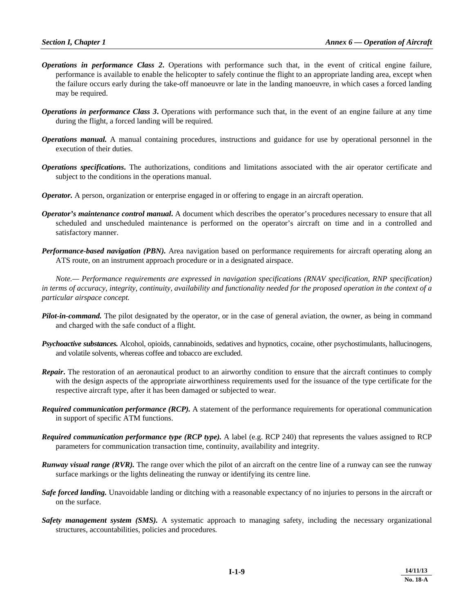- *Operations in performance Class 2***.** Operations with performance such that, in the event of critical engine failure, performance is available to enable the helicopter to safely continue the flight to an appropriate landing area, except when the failure occurs early during the take-off manoeuvre or late in the landing manoeuvre, in which cases a forced landing may be required.
- *Operations in performance Class 3***.** Operations with performance such that, in the event of an engine failure at any time during the flight, a forced landing will be required.
- *Operations manual.* A manual containing procedures, instructions and guidance for use by operational personnel in the execution of their duties.
- *Operations specifications***.** The authorizations, conditions and limitations associated with the air operator certificate and subject to the conditions in the operations manual.
- *Operator.* A person, organization or enterprise engaged in or offering to engage in an aircraft operation.
- *Operator's maintenance control manual***.** A document which describes the operator's procedures necessary to ensure that all scheduled and unscheduled maintenance is performed on the operator's aircraft on time and in a controlled and satisfactory manner.
- *Performance-based navigation (PBN).* Area navigation based on performance requirements for aircraft operating along an ATS route, on an instrument approach procedure or in a designated airspace.

 *Note.— Performance requirements are expressed in navigation specifications (RNAV specification, RNP specification) in terms of accuracy, integrity, continuity, availability and functionality needed for the proposed operation in the context of a particular airspace concept.* 

- *Pilot-in-command.* The pilot designated by the operator, or in the case of general aviation, the owner, as being in command and charged with the safe conduct of a flight.
- *Psychoactive substances.* Alcohol, opioids, cannabinoids, sedatives and hypnotics, cocaine, other psychostimulants, hallucinogens, and volatile solvents, whereas coffee and tobacco are excluded.
- *Repair***.** The restoration of an aeronautical product to an airworthy condition to ensure that the aircraft continues to comply with the design aspects of the appropriate airworthiness requirements used for the issuance of the type certificate for the respective aircraft type, after it has been damaged or subjected to wear.
- *Required communication performance (RCP).* A statement of the performance requirements for operational communication in support of specific ATM functions.
- *Required communication performance type (RCP type).* A label (e.g. RCP 240) that represents the values assigned to RCP parameters for communication transaction time, continuity, availability and integrity.
- *Runway visual range (RVR)*. The range over which the pilot of an aircraft on the centre line of a runway can see the runway surface markings or the lights delineating the runway or identifying its centre line.
- *Safe forced landing.* Unavoidable landing or ditching with a reasonable expectancy of no injuries to persons in the aircraft or on the surface.
- *Safety management system (SMS).* A systematic approach to managing safety, including the necessary organizational structures, accountabilities, policies and procedures*.*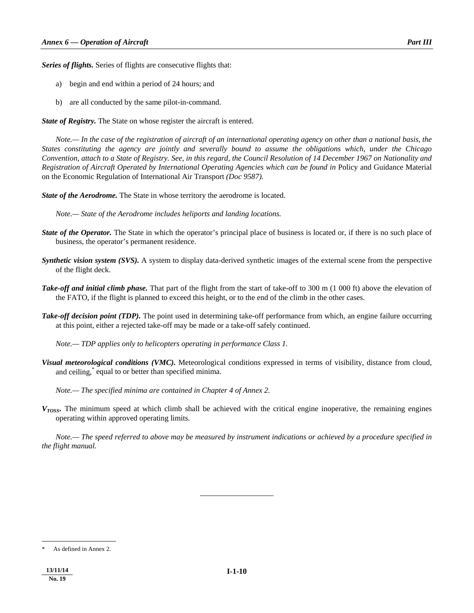*Series of flights.* Series of flights are consecutive flights that:

- a) begin and end within a period of 24 hours; and
- b) are all conducted by the same pilot-in-command.

*State of Registry.* The State on whose register the aircraft is entered.

 *Note.— In the case of the registration of aircraft of an international operating agency on other than a national basis, the States constituting the agency are jointly and severally bound to assume the obligations which, under the Chicago Convention, attach to a State of Registry. See, in this regard, the Council Resolution of 14 December 1967 on Nationality and Registration of Aircraft Operated by International Operating Agencies which can be found in* Policy and Guidance Material on the Economic Regulation of International Air Transport *(Doc 9587).* 

*State of the Aerodrome.* The State in whose territory the aerodrome is located.

 *Note.— State of the Aerodrome includes heliports and landing locations.* 

- *State of the Operator.* The State in which the operator's principal place of business is located or, if there is no such place of business, the operator's permanent residence.
- *Synthetic vision system (SVS).* A system to display data-derived synthetic images of the external scene from the perspective of the flight deck.
- *Take-off and initial climb phase.* That part of the flight from the start of take-off to 300 m (1 000 ft) above the elevation of the FATO, if the flight is planned to exceed this height, or to the end of the climb in the other cases.
- *Take-off decision point (TDP).* The point used in determining take-off performance from which, an engine failure occurring at this point, either a rejected take-off may be made or a take-off safely continued.

 *Note.— TDP applies only to helicopters operating in performance Class 1.* 

*Visual meteorological conditions (VMC).* Meteorological conditions expressed in terms of visibility, distance from cloud, and ceiling,\* equal to or better than specified minima.

 *Note.— The specified minima are contained in Chapter 4 of Annex 2.* 

*VTOSS***.** The minimum speed at which climb shall be achieved with the critical engine inoperative, the remaining engines operating within approved operating limits.

 *Note.— The speed referred to above may be measured by instrument indications or achieved by a procedure specified in the flight manual.* 

*\_\_\_\_\_\_\_\_\_\_\_\_\_\_\_\_\_\_\_* 

 $\overline{\phantom{a}}$ 

As defined in Annex 2.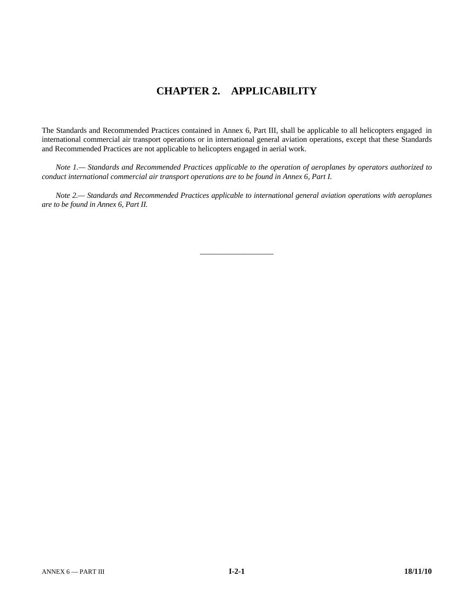# **CHAPTER 2. APPLICABILITY**

The Standards and Recommended Practices contained in Annex 6, Part III, shall be applicable to all helicopters engaged in international commercial air transport operations or in international general aviation operations, except that these Standards and Recommended Practices are not applicable to helicopters engaged in aerial work.

 *Note 1.— Standards and Recommended Practices applicable to the operation of aeroplanes by operators authorized to conduct international commercial air transport operations are to be found in Annex 6, Part I.* 

 *Note 2.— Standards and Recommended Practices applicable to international general aviation operations with aeroplanes are to be found in Annex 6, Part II.* 

\_\_\_\_\_\_\_\_\_\_\_\_\_\_\_\_\_\_\_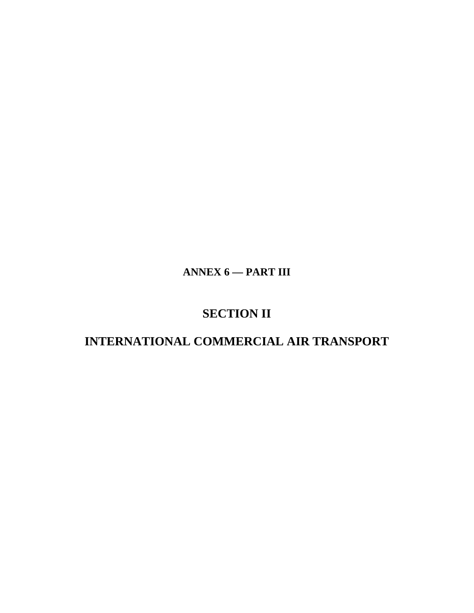**ANNEX 6 — PART III** 

# **SECTION II**

# **INTERNATIONAL COMMERCIAL AIR TRANSPORT**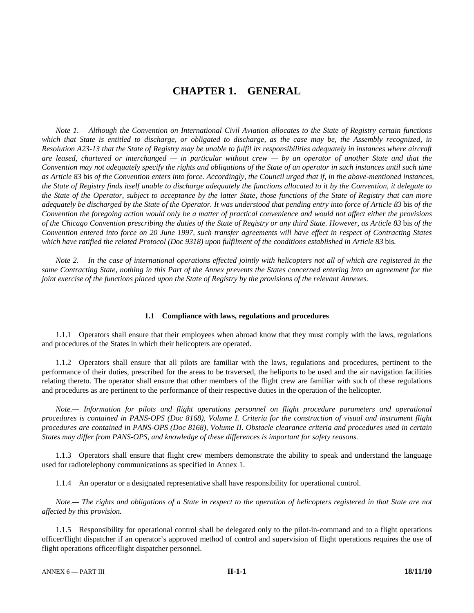# **CHAPTER 1. GENERAL**

 *Note 1.— Although the Convention on International Civil Aviation allocates to the State of Registry certain functions which that State is entitled to discharge, or obligated to discharge, as the case may be, the Assembly recognized, in Resolution A23-13 that the State of Registry may be unable to fulfil its responsibilities adequately in instances where aircraft are leased, chartered or interchanged — in particular without crew — by an operator of another State and that the Convention may not adequately specify the rights and obligations of the State of an operator in such instances until such time as Article 83* bis *of the Convention enters into force. Accordingly, the Council urged that if, in the above-mentioned instances, the State of Registry finds itself unable to discharge adequately the functions allocated to it by the Convention, it delegate to the State of the Operator, subject to acceptance by the latter State, those functions of the State of Registry that can more adequately be discharged by the State of the Operator. It was understood that pending entry into force of Article 83* bis *of the Convention the foregoing action would only be a matter of practical convenience and would not affect either the provisions of the Chicago Convention prescribing the duties of the State of Registry or any third State. However, as Article 83* bis *of the Convention entered into force on 20 June 1997, such transfer agreements will have effect in respect of Contracting States which have ratified the related Protocol (Doc 9318) upon fulfilment of the conditions established in Article 83* bis*.* 

 *Note 2.— In the case of international operations effected jointly with helicopters not all of which are registered in the same Contracting State, nothing in this Part of the Annex prevents the States concerned entering into an agreement for the joint exercise of the functions placed upon the State of Registry by the provisions of the relevant Annexes.* 

#### **1.1 Compliance with laws, regulations and procedures**

 1.1.1 Operators shall ensure that their employees when abroad know that they must comply with the laws, regulations and procedures of the States in which their helicopters are operated.

 1.1.2 Operators shall ensure that all pilots are familiar with the laws, regulations and procedures, pertinent to the performance of their duties, prescribed for the areas to be traversed, the heliports to be used and the air navigation facilities relating thereto. The operator shall ensure that other members of the flight crew are familiar with such of these regulations and procedures as are pertinent to the performance of their respective duties in the operation of the helicopter.

*Note.— Information for pilots and flight operations personnel on flight procedure parameters and operational procedures is contained in PANS-OPS (Doc 8168), Volume I. Criteria for the construction of visual and instrument flight procedures are contained in PANS-OPS (Doc 8168), Volume II. Obstacle clearance criteria and procedures used in certain States may differ from PANS-OPS, and knowledge of these differences is important for safety reasons.* 

 1.1.3 Operators shall ensure that flight crew members demonstrate the ability to speak and understand the language used for radiotelephony communications as specified in Annex 1.

1.1.4 An operator or a designated representative shall have responsibility for operational control.

 *Note.— The rights and obligations of a State in respect to the operation of helicopters registered in that State are not affected by this provision.* 

 1.1.5 Responsibility for operational control shall be delegated only to the pilot-in-command and to a flight operations officer/flight dispatcher if an operator's approved method of control and supervision of flight operations requires the use of flight operations officer/flight dispatcher personnel.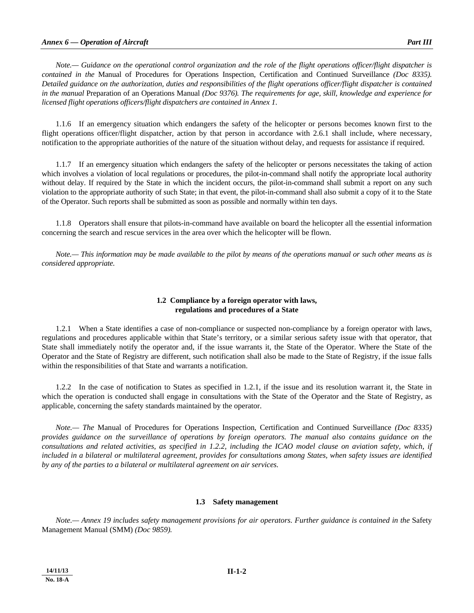*Note.— Guidance on the operational control organization and the role of the flight operations officer/flight dispatcher is contained in the* Manual of Procedures for Operations Inspection, Certification and Continued Surveillance *(Doc 8335). Detailed guidance on the authorization, duties and responsibilities of the flight operations officer/flight dispatcher is contained in the manual* Preparation of an Operations Manual *(Doc 9376). The requirements for age, skill, knowledge and experience for licensed flight operations officers/flight dispatchers are contained in Annex 1*.

 1.1.6 If an emergency situation which endangers the safety of the helicopter or persons becomes known first to the flight operations officer/flight dispatcher, action by that person in accordance with 2.6.1 shall include, where necessary, notification to the appropriate authorities of the nature of the situation without delay, and requests for assistance if required.

 1.1.7 If an emergency situation which endangers the safety of the helicopter or persons necessitates the taking of action which involves a violation of local regulations or procedures, the pilot-in-command shall notify the appropriate local authority without delay. If required by the State in which the incident occurs, the pilot-in-command shall submit a report on any such violation to the appropriate authority of such State; in that event, the pilot-in-command shall also submit a copy of it to the State of the Operator. Such reports shall be submitted as soon as possible and normally within ten days.

 1.1.8 Operators shall ensure that pilots-in-command have available on board the helicopter all the essential information concerning the search and rescue services in the area over which the helicopter will be flown.

*Note.— This information may be made available to the pilot by means of the operations manual or such other means as is considered appropriate.* 

# **1.2 Compliance by a foreign operator with laws, regulations and procedures of a State**

 1.2.1 When a State identifies a case of non-compliance or suspected non-compliance by a foreign operator with laws, regulations and procedures applicable within that State's territory, or a similar serious safety issue with that operator, that State shall immediately notify the operator and, if the issue warrants it, the State of the Operator. Where the State of the Operator and the State of Registry are different, such notification shall also be made to the State of Registry, if the issue falls within the responsibilities of that State and warrants a notification.

 1.2.2 In the case of notification to States as specified in 1.2.1, if the issue and its resolution warrant it, the State in which the operation is conducted shall engage in consultations with the State of the Operator and the State of Registry, as applicable, concerning the safety standards maintained by the operator.

 *Note.— The* Manual of Procedures for Operations Inspection, Certification and Continued Surveillance *(Doc 8335) provides guidance on the surveillance of operations by foreign operators. The manual also contains guidance on the consultations and related activities, as specified in 1.2.2, including the ICAO model clause on aviation safety, which, if included in a bilateral or multilateral agreement, provides for consultations among States, when safety issues are identified by any of the parties to a bilateral or multilateral agreement on air services.* 

#### **1.3 Safety management**

*Note.— Annex 19 includes safety management provisions for air operators. Further guidance is contained in the Safety* Management Manual (SMM) *(Doc 9859).*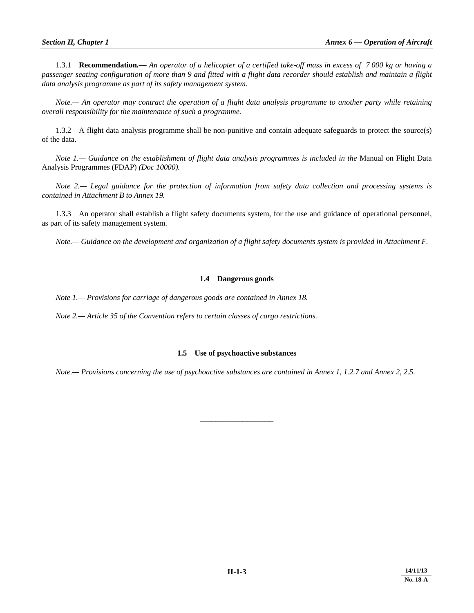1.3.1 **Recommendation***.— An operator of a helicopter of a certified take-off mass in excess of 7 000 kg or having a passenger seating configuration of more than 9 and fitted with a flight data recorder should establish and maintain a flight data analysis programme as part of its safety management system.* 

 *Note.— An operator may contract the operation of a flight data analysis programme to another party while retaining overall responsibility for the maintenance of such a programme.* 

 1.3.2 A flight data analysis programme shall be non-punitive and contain adequate safeguards to protect the source(s) of the data.

*Note 1.*— Guidance on the establishment of flight data analysis programmes is included in the Manual on Flight Data Analysis Programmes (FDAP) *(Doc 10000).* 

 *Note 2.— Legal guidance for the protection of information from safety data collection and processing systems is contained in Attachment B to Annex 19.* 

 1.3.3 An operator shall establish a flight safety documents system, for the use and guidance of operational personnel, as part of its safety management system.

*Note.— Guidance on the development and organization of a flight safety documents system is provided in Attachment F.*

# **1.4 Dangerous goods**

 *Note 1.— Provisions for carriage of dangerous goods are contained in Annex 18.* 

 *Note 2.— Article 35 of the Convention refers to certain classes of cargo restrictions.* 

# **1.5 Use of psychoactive substances**

 *Note.— Provisions concerning the use of psychoactive substances are contained in Annex 1, 1.2.7 and Annex 2, 2.5.* 

\_\_\_\_\_\_\_\_\_\_\_\_\_\_\_\_\_\_\_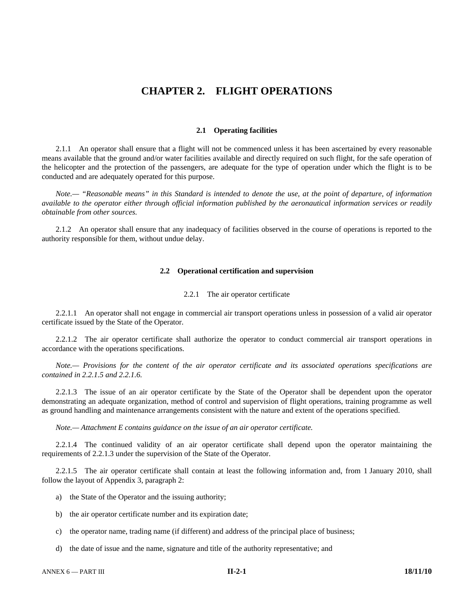# **CHAPTER 2. FLIGHT OPERATIONS**

#### **2.1 Operating facilities**

 2.1.1 An operator shall ensure that a flight will not be commenced unless it has been ascertained by every reasonable means available that the ground and/or water facilities available and directly required on such flight, for the safe operation of the helicopter and the protection of the passengers, are adequate for the type of operation under which the flight is to be conducted and are adequately operated for this purpose.

 *Note.— "Reasonable means" in this Standard is intended to denote the use, at the point of departure, of information available to the operator either through official information published by the aeronautical information services or readily obtainable from other sources.* 

 2.1.2 An operator shall ensure that any inadequacy of facilities observed in the course of operations is reported to the authority responsible for them, without undue delay.

#### **2.2 Operational certification and supervision**

#### 2.2.1 The air operator certificate

 2.2.1.1 An operator shall not engage in commercial air transport operations unless in possession of a valid air operator certificate issued by the State of the Operator.

 2.2.1.2 The air operator certificate shall authorize the operator to conduct commercial air transport operations in accordance with the operations specifications.

*Note.— Provisions for the content of the air operator certificate and its associated operations specifications are contained in 2.2.1.5 and 2.2.1.6.* 

 2.2.1.3 The issue of an air operator certificate by the State of the Operator shall be dependent upon the operator demonstrating an adequate organization, method of control and supervision of flight operations, training programme as well as ground handling and maintenance arrangements consistent with the nature and extent of the operations specified.

 *Note.— Attachment E contains guidance on the issue of an air operator certificate.* 

 2.2.1.4 The continued validity of an air operator certificate shall depend upon the operator maintaining the requirements of 2.2.1.3 under the supervision of the State of the Operator.

 2.2.1.5 The air operator certificate shall contain at least the following information and, from 1 January 2010, shall follow the layout of Appendix 3, paragraph 2:

- a) the State of the Operator and the issuing authority;
- b) the air operator certificate number and its expiration date;
- c) the operator name, trading name (if different) and address of the principal place of business;
- d) the date of issue and the name, signature and title of the authority representative; and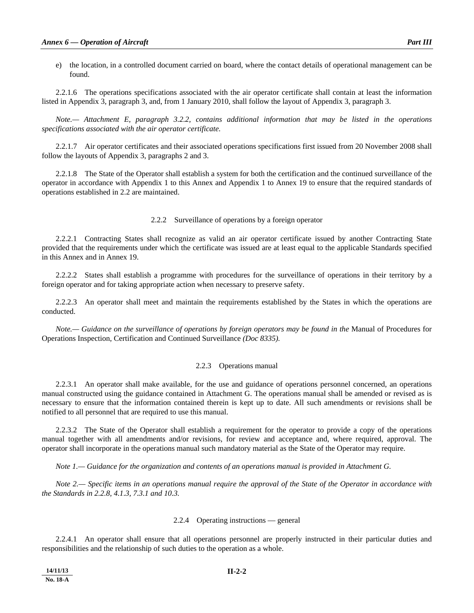2.2.1.6 The operations specifications associated with the air operator certificate shall contain at least the information listed in Appendix 3, paragraph 3, and, from 1 January 2010, shall follow the layout of Appendix 3, paragraph 3.

 *Note.— Attachment E, paragraph 3.2.2, contains additional information that may be listed in the operations specifications associated with the air operator certificate.* 

 2.2.1.7 Air operator certificates and their associated operations specifications first issued from 20 November 2008 shall follow the layouts of Appendix 3, paragraphs 2 and 3.

 2.2.1.8 The State of the Operator shall establish a system for both the certification and the continued surveillance of the operator in accordance with Appendix 1 to this Annex and Appendix 1 to Annex 19 to ensure that the required standards of operations established in 2.2 are maintained.

#### 2.2.2 Surveillance of operations by a foreign operator

 2.2.2.1 Contracting States shall recognize as valid an air operator certificate issued by another Contracting State provided that the requirements under which the certificate was issued are at least equal to the applicable Standards specified in this Annex and in Annex 19.

 2.2.2.2 States shall establish a programme with procedures for the surveillance of operations in their territory by a foreign operator and for taking appropriate action when necessary to preserve safety.

 2.2.2.3 An operator shall meet and maintain the requirements established by the States in which the operations are conducted.

 *Note.— Guidance on the surveillance of operations by foreign operators may be found in the* Manual of Procedures for Operations Inspection, Certification and Continued Surveillance *(Doc 8335).*

#### 2.2.3 Operations manual

 2.2.3.1 An operator shall make available, for the use and guidance of operations personnel concerned, an operations manual constructed using the guidance contained in Attachment G. The operations manual shall be amended or revised as is necessary to ensure that the information contained therein is kept up to date. All such amendments or revisions shall be notified to all personnel that are required to use this manual.

 2.2.3.2 The State of the Operator shall establish a requirement for the operator to provide a copy of the operations manual together with all amendments and/or revisions, for review and acceptance and, where required, approval. The operator shall incorporate in the operations manual such mandatory material as the State of the Operator may require.

 *Note 1.— Guidance for the organization and contents of an operations manual is provided in Attachment G.* 

 *Note 2.— Specific items in an operations manual require the approval of the State of the Operator in accordance with the Standards in 2.2.8, 4.1.3, 7.3.1 and 10.3.* 

#### 2.2.4 Operating instructions — general

 2.2.4.1 An operator shall ensure that all operations personnel are properly instructed in their particular duties and responsibilities and the relationship of such duties to the operation as a whole.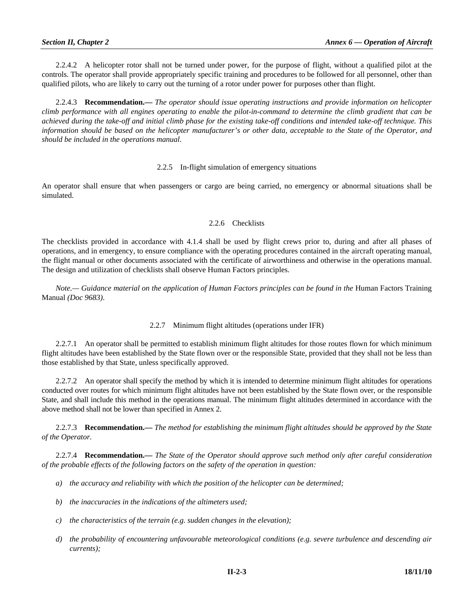2.2.4.2 A helicopter rotor shall not be turned under power, for the purpose of flight, without a qualified pilot at the controls. The operator shall provide appropriately specific training and procedures to be followed for all personnel, other than qualified pilots, who are likely to carry out the turning of a rotor under power for purposes other than flight.

 2.2.4.3 **Recommendation.—** *The operator should issue operating instructions and provide information on helicopter climb performance with all engines operating to enable the pilot-in-command to determine the climb gradient that can be achieved during the take-off and initial climb phase for the existing take-off conditions and intended take-off technique. This information should be based on the helicopter manufacturer's or other data, acceptable to the State of the Operator, and should be included in the operations manual*.

# 2.2.5 In-flight simulation of emergency situations

An operator shall ensure that when passengers or cargo are being carried, no emergency or abnormal situations shall be simulated.

# 2.2.6 Checklists

The checklists provided in accordance with 4.1.4 shall be used by flight crews prior to, during and after all phases of operations, and in emergency, to ensure compliance with the operating procedures contained in the aircraft operating manual, the flight manual or other documents associated with the certificate of airworthiness and otherwise in the operations manual. The design and utilization of checklists shall observe Human Factors principles.

*Note.*— Guidance material on the application of Human Factors principles can be found in the Human Factors Training Manual *(Doc 9683)*.

# 2.2.7 Minimum flight altitudes (operations under IFR)

 2.2.7.1 An operator shall be permitted to establish minimum flight altitudes for those routes flown for which minimum flight altitudes have been established by the State flown over or the responsible State, provided that they shall not be less than those established by that State, unless specifically approved.

 2.2.7.2 An operator shall specify the method by which it is intended to determine minimum flight altitudes for operations conducted over routes for which minimum flight altitudes have not been established by the State flown over, or the responsible State, and shall include this method in the operations manual. The minimum flight altitudes determined in accordance with the above method shall not be lower than specified in Annex 2.

 2.2.7.3 **Recommendation.—** *The method for establishing the minimum flight altitudes should be approved by the State of the Operator.* 

 2.2.7.4 **Recommendation.—** *The State of the Operator should approve such method only after careful consideration of the probable effects of the following factors on the safety of the operation in question:* 

- *a) the accuracy and reliability with which the position of the helicopter can be determined;*
- *b) the inaccuracies in the indications of the altimeters used;*
- *c) the characteristics of the terrain (e.g. sudden changes in the elevation);*
- *d) the probability of encountering unfavourable meteorological conditions (e.g. severe turbulence and descending air currents);*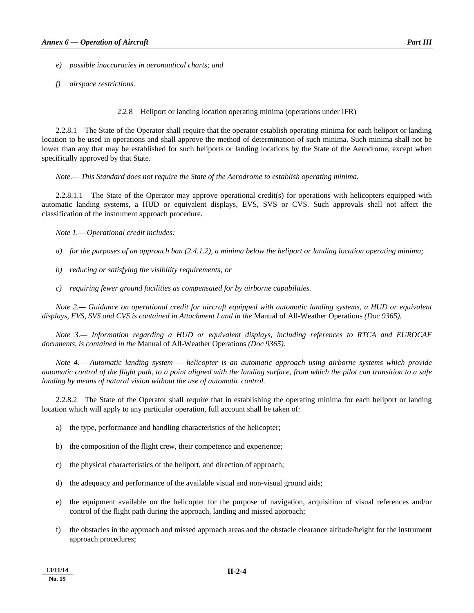*e) possible inaccuracies in aeronautical charts; and* 

 *f) airspace restrictions.* 

2.2.8 Heliport or landing location operating minima (operations under IFR)

 2.2.8.1 The State of the Operator shall require that the operator establish operating minima for each heliport or landing location to be used in operations and shall approve the method of determination of such minima. Such minima shall not be lower than any that may be established for such heliports or landing locations by the State of the Aerodrome, except when specifically approved by that State.

 *Note.— This Standard does not require the State of the Aerodrome to establish operating minima.* 

 2.2.8.1.1 The State of the Operator may approve operational credit(s) for operations with helicopters equipped with automatic landing systems, a HUD or equivalent displays, EVS, SVS or CVS. Such approvals shall not affect the classification of the instrument approach procedure.

*Note 1.— Operational credit includes:* 

 *a) for the purposes of an approach ban (2.4.1.2), a minima below the heliport or landing location operating minima;* 

- *b) reducing or satisfying the visibility requirements; or*
- *c) requiring fewer ground facilities as compensated for by airborne capabilities.*

*Note 2.*— Guidance on operational credit for aircraft equipped with automatic landing systems, a HUD or equivalent *displays, EVS, SVS and CVS is contained in Attachment I and in the* Manual of All-Weather Operations *(Doc 9365).* 

 *Note 3.— Information regarding a HUD or equivalent displays, including references to RTCA and EUROCAE documents, is contained in the* Manual of All-Weather Operations *(Doc 9365).* 

 *Note 4.— Automatic landing system — helicopter is an automatic approach using airborne systems which provide automatic control of the flight path, to a point aligned with the landing surface, from which the pilot can transition to a safe landing by means of natural vision without the use of automatic control.* 

 2.2.8.2 The State of the Operator shall require that in establishing the operating minima for each heliport or landing location which will apply to any particular operation, full account shall be taken of:

- a) the type, performance and handling characteristics of the helicopter;
- b) the composition of the flight crew, their competence and experience;
- c) the physical characteristics of the heliport, and direction of approach;
- d) the adequacy and performance of the available visual and non-visual ground aids;
- e) the equipment available on the helicopter for the purpose of navigation, acquisition of visual references and/or control of the flight path during the approach, landing and missed approach;
- f) the obstacles in the approach and missed approach areas and the obstacle clearance altitude/height for the instrument approach procedures;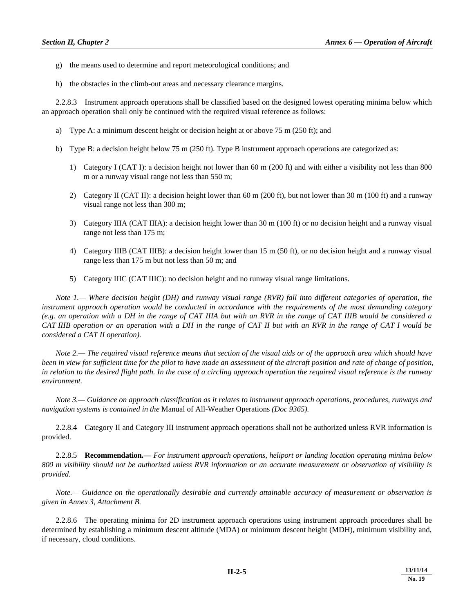- g) the means used to determine and report meteorological conditions; and
- h) the obstacles in the climb-out areas and necessary clearance margins.

 2.2.8.3 Instrument approach operations shall be classified based on the designed lowest operating minima below which an approach operation shall only be continued with the required visual reference as follows:

- a) Type A: a minimum descent height or decision height at or above 75 m (250 ft); and
- b) Type B: a decision height below 75 m (250 ft). Type B instrument approach operations are categorized as:
	- 1) Category I (CAT I): a decision height not lower than 60 m (200 ft) and with either a visibility not less than 800 m or a runway visual range not less than 550 m;
	- 2) Category II (CAT II): a decision height lower than 60 m (200 ft), but not lower than 30 m (100 ft) and a runway visual range not less than 300 m;
	- 3) Category IIIA (CAT IIIA): a decision height lower than 30 m (100 ft) or no decision height and a runway visual range not less than 175 m;
	- 4) Category IIIB (CAT IIIB): a decision height lower than 15 m (50 ft), or no decision height and a runway visual range less than 175 m but not less than 50 m; and
	- 5) Category IIIC (CAT IIIC): no decision height and no runway visual range limitations.

 *Note 1.— Where decision height (DH) and runway visual range (RVR) fall into different categories of operation, the instrument approach operation would be conducted in accordance with the requirements of the most demanding category (e.g. an operation with a DH in the range of CAT IIIA but with an RVR in the range of CAT IIIB would be considered a CAT IIIB operation or an operation with a DH in the range of CAT II but with an RVR in the range of CAT I would be considered a CAT II operation).* 

 *Note 2.— The required visual reference means that section of the visual aids or of the approach area which should have been in view for sufficient time for the pilot to have made an assessment of the aircraft position and rate of change of position, in relation to the desired flight path. In the case of a circling approach operation the required visual reference is the runway environment.* 

 *Note 3.— Guidance on approach classification as it relates to instrument approach operations, procedures, runways and navigation systems is contained in the* Manual of All-Weather Operations *(Doc 9365).* 

 2.2.8.4 Category II and Category III instrument approach operations shall not be authorized unless RVR information is provided.

 2.2.8.5 **Recommendation.—** *For instrument approach operations, heliport or landing location operating minima below 800 m visibility should not be authorized unless RVR information or an accurate measurement or observation of visibility is provided.* 

*Note.— Guidance on the operationally desirable and currently attainable accuracy of measurement or observation is given in Annex 3*, *Attachment B.* 

 2.2.8.6 The operating minima for 2D instrument approach operations using instrument approach procedures shall be determined by establishing a minimum descent altitude (MDA) or minimum descent height (MDH), minimum visibility and, if necessary, cloud conditions.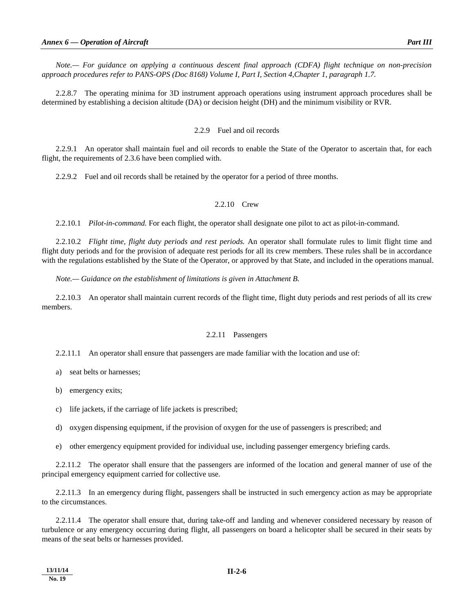*Note.— For guidance on applying a continuous descent final approach (CDFA) flight technique on non-precision approach procedures refer to PANS-OPS (Doc 8168) Volume I, Part I, Section 4,Chapter 1, paragraph 1.7.* 

 2.2.8.7 The operating minima for 3D instrument approach operations using instrument approach procedures shall be determined by establishing a decision altitude (DA) or decision height (DH) and the minimum visibility or RVR.

#### 2.2.9 Fuel and oil records

 2.2.9.1 An operator shall maintain fuel and oil records to enable the State of the Operator to ascertain that, for each flight, the requirements of 2.3.6 have been complied with.

2.2.9.2 Fuel and oil records shall be retained by the operator for a period of three months.

# 2.2.10 Crew

2.2.10.1 *Pilot-in-command.* For each flight, the operator shall designate one pilot to act as pilot-in-command.

 2.2.10.2 *Flight time, flight duty periods and rest periods.* An operator shall formulate rules to limit flight time and flight duty periods and for the provision of adequate rest periods for all its crew members. These rules shall be in accordance with the regulations established by the State of the Operator, or approved by that State, and included in the operations manual.

 *Note.— Guidance on the establishment of limitations is given in Attachment B.*

 2.2.10.3 An operator shall maintain current records of the flight time, flight duty periods and rest periods of all its crew members.

#### 2.2.11 Passengers

2.2.11.1 An operator shall ensure that passengers are made familiar with the location and use of:

- a) seat belts or harnesses;
- b) emergency exits;
- c) life jackets, if the carriage of life jackets is prescribed;
- d) oxygen dispensing equipment, if the provision of oxygen for the use of passengers is prescribed; and
- e) other emergency equipment provided for individual use, including passenger emergency briefing cards.

 2.2.11.2 The operator shall ensure that the passengers are informed of the location and general manner of use of the principal emergency equipment carried for collective use.

 2.2.11.3 In an emergency during flight, passengers shall be instructed in such emergency action as may be appropriate to the circumstances.

 2.2.11.4 The operator shall ensure that, during take-off and landing and whenever considered necessary by reason of turbulence or any emergency occurring during flight, all passengers on board a helicopter shall be secured in their seats by means of the seat belts or harnesses provided.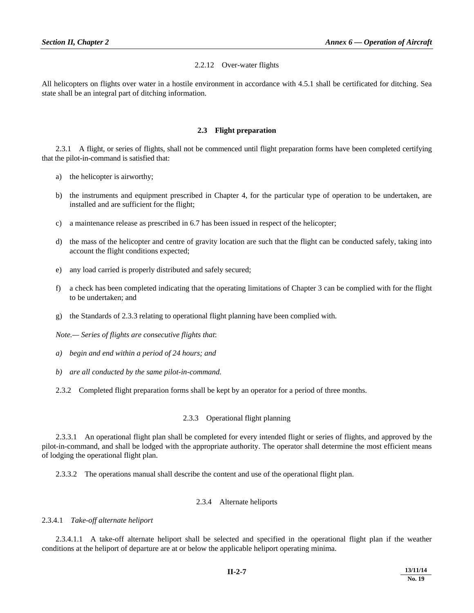# 2.2.12 Over-water flights

All helicopters on flights over water in a hostile environment in accordance with 4.5.1 shall be certificated for ditching. Sea state shall be an integral part of ditching information.

# **2.3 Flight preparation**

 2.3.1 A flight, or series of flights, shall not be commenced until flight preparation forms have been completed certifying that the pilot-in-command is satisfied that:

- a) the helicopter is airworthy;
- b) the instruments and equipment prescribed in Chapter 4, for the particular type of operation to be undertaken, are installed and are sufficient for the flight;
- c) a maintenance release as prescribed in 6.7 has been issued in respect of the helicopter;
- d) the mass of the helicopter and centre of gravity location are such that the flight can be conducted safely, taking into account the flight conditions expected;
- e) any load carried is properly distributed and safely secured;
- f) a check has been completed indicating that the operating limitations of Chapter 3 can be complied with for the flight to be undertaken; and
- g) the Standards of 2.3.3 relating to operational flight planning have been complied with.

*Note.— Series of flights are consecutive flights that*:

- *a) begin and end within a period of 24 hours; and*
- *b) are all conducted by the same pilot-in-command.*
- 2.3.2 Completed flight preparation forms shall be kept by an operator for a period of three months.

# 2.3.3 Operational flight planning

 2.3.3.1 An operational flight plan shall be completed for every intended flight or series of flights, and approved by the pilot-in-command, and shall be lodged with the appropriate authority. The operator shall determine the most efficient means of lodging the operational flight plan.

2.3.3.2 The operations manual shall describe the content and use of the operational flight plan.

#### 2.3.4 Alternate heliports

# 2.3.4.1 *Take-off alternate heliport*

 2.3.4.1.1 A take-off alternate heliport shall be selected and specified in the operational flight plan if the weather conditions at the heliport of departure are at or below the applicable heliport operating minima.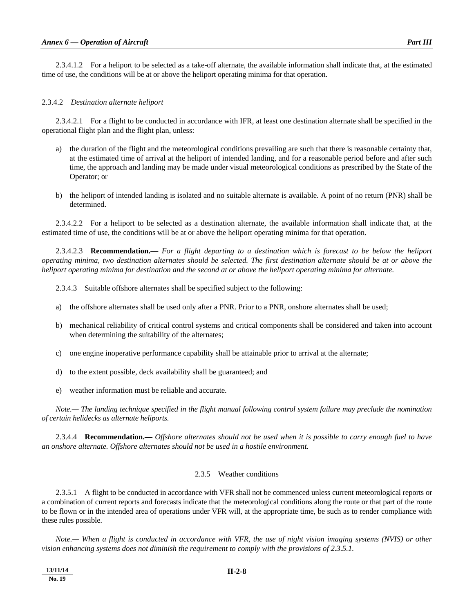2.3.4.1.2 For a heliport to be selected as a take-off alternate, the available information shall indicate that, at the estimated time of use, the conditions will be at or above the heliport operating minima for that operation.

#### 2.3.4.2 *Destination alternate heliport*

 2.3.4.2.1 For a flight to be conducted in accordance with IFR, at least one destination alternate shall be specified in the operational flight plan and the flight plan, unless:

- a) the duration of the flight and the meteorological conditions prevailing are such that there is reasonable certainty that, at the estimated time of arrival at the heliport of intended landing, and for a reasonable period before and after such time, the approach and landing may be made under visual meteorological conditions as prescribed by the State of the Operator; or
- b) the heliport of intended landing is isolated and no suitable alternate is available. A point of no return (PNR) shall be determined.

 2.3.4.2.2 For a heliport to be selected as a destination alternate, the available information shall indicate that, at the estimated time of use, the conditions will be at or above the heliport operating minima for that operation.

 2.3.4.2.3 **Recommendation.**— *For a flight departing to a destination which is forecast to be below the heliport operating minima, two destination alternates should be selected. The first destination alternate should be at or above the heliport operating minima for destination and the second at or above the heliport operating minima for alternate.* 

2.3.4.3 Suitable offshore alternates shall be specified subject to the following:

- a) the offshore alternates shall be used only after a PNR. Prior to a PNR, onshore alternates shall be used;
- b) mechanical reliability of critical control systems and critical components shall be considered and taken into account when determining the suitability of the alternates;
- c) one engine inoperative performance capability shall be attainable prior to arrival at the alternate;
- d) to the extent possible, deck availability shall be guaranteed; and
- e) weather information must be reliable and accurate.

 *Note.— The landing technique specified in the flight manual following control system failure may preclude the nomination of certain helidecks as alternate heliports.* 

 2.3.4.4 **Recommendation.—** *Offshore alternates should not be used when it is possible to carry enough fuel to have an onshore alternate. Offshore alternates should not be used in a hostile environment.* 

#### 2.3.5 Weather conditions

 2.3.5.1 A flight to be conducted in accordance with VFR shall not be commenced unless current meteorological reports or a combination of current reports and forecasts indicate that the meteorological conditions along the route or that part of the route to be flown or in the intended area of operations under VFR will, at the appropriate time, be such as to render compliance with these rules possible.

 *Note.— When a flight is conducted in accordance with VFR, the use of night vision imaging systems (NVIS) or other vision enhancing systems does not diminish the requirement to comply with the provisions of 2.3.5.1.*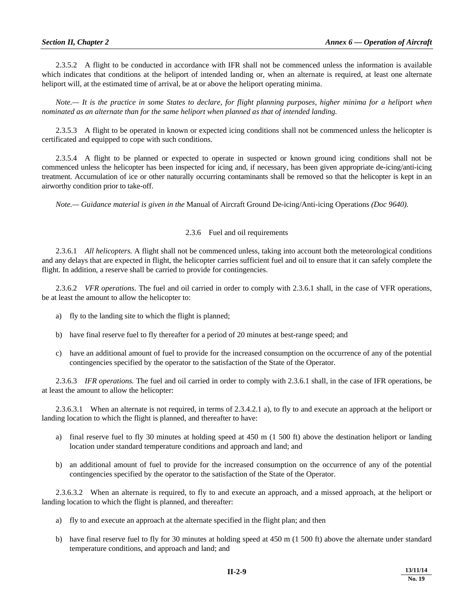2.3.5.2 A flight to be conducted in accordance with IFR shall not be commenced unless the information is available which indicates that conditions at the heliport of intended landing or, when an alternate is required, at least one alternate heliport will, at the estimated time of arrival, be at or above the heliport operating minima.

 *Note.— It is the practice in some States to declare, for flight planning purposes, higher minima for a heliport when nominated as an alternate than for the same heliport when planned as that of intended landing.* 

 2.3.5.3 A flight to be operated in known or expected icing conditions shall not be commenced unless the helicopter is certificated and equipped to cope with such conditions.

 2.3.5.4 A flight to be planned or expected to operate in suspected or known ground icing conditions shall not be commenced unless the helicopter has been inspected for icing and, if necessary, has been given appropriate de-icing/anti-icing treatment. Accumulation of ice or other naturally occurring contaminants shall be removed so that the helicopter is kept in an airworthy condition prior to take-off.

 *Note.— Guidance material is given in the* Manual of Aircraft Ground De-icing/Anti-icing Operations *(Doc 9640).* 

# 2.3.6 Fuel and oil requirements

 2.3.6.1 *All helicopters.* A flight shall not be commenced unless, taking into account both the meteorological conditions and any delays that are expected in flight, the helicopter carries sufficient fuel and oil to ensure that it can safely complete the flight. In addition, a reserve shall be carried to provide for contingencies.

 2.3.6.2 *VFR operations.* The fuel and oil carried in order to comply with 2.3.6.1 shall, in the case of VFR operations, be at least the amount to allow the helicopter to:

- a) fly to the landing site to which the flight is planned;
- b) have final reserve fuel to fly thereafter for a period of 20 minutes at best-range speed; and
- c) have an additional amount of fuel to provide for the increased consumption on the occurrence of any of the potential contingencies specified by the operator to the satisfaction of the State of the Operator.

 2.3.6.3 *IFR operations.* The fuel and oil carried in order to comply with 2.3.6.1 shall, in the case of IFR operations, be at least the amount to allow the helicopter:

 2.3.6.3.1 When an alternate is not required, in terms of 2.3.4.2.1 a), to fly to and execute an approach at the heliport or landing location to which the flight is planned, and thereafter to have:

- a) final reserve fuel to fly 30 minutes at holding speed at 450 m (1 500 ft) above the destination heliport or landing location under standard temperature conditions and approach and land; and
- b) an additional amount of fuel to provide for the increased consumption on the occurrence of any of the potential contingencies specified by the operator to the satisfaction of the State of the Operator.

 2.3.6.3.2 When an alternate is required, to fly to and execute an approach, and a missed approach, at the heliport or landing location to which the flight is planned, and thereafter:

- a) fly to and execute an approach at the alternate specified in the flight plan; and then
- b) have final reserve fuel to fly for 30 minutes at holding speed at 450 m (1 500 ft) above the alternate under standard temperature conditions, and approach and land; and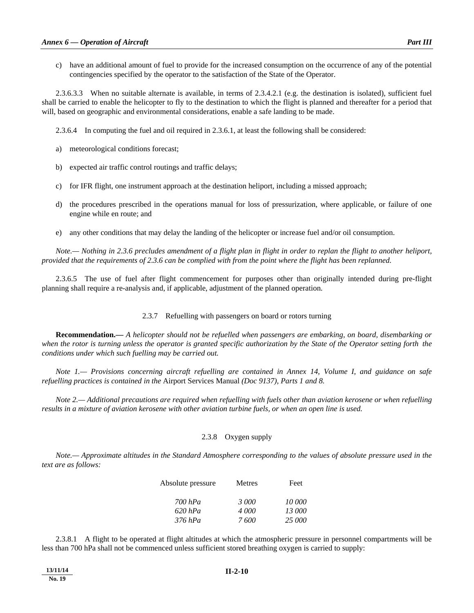c) have an additional amount of fuel to provide for the increased consumption on the occurrence of any of the potential contingencies specified by the operator to the satisfaction of the State of the Operator.

 2.3.6.3.3 When no suitable alternate is available, in terms of 2.3.4.2.1 (e.g. the destination is isolated), sufficient fuel shall be carried to enable the helicopter to fly to the destination to which the flight is planned and thereafter for a period that will, based on geographic and environmental considerations, enable a safe landing to be made.

2.3.6.4 In computing the fuel and oil required in 2.3.6.1, at least the following shall be considered:

- a) meteorological conditions forecast;
- b) expected air traffic control routings and traffic delays;
- c) for IFR flight, one instrument approach at the destination heliport, including a missed approach;
- d) the procedures prescribed in the operations manual for loss of pressurization, where applicable, or failure of one engine while en route; and
- e) any other conditions that may delay the landing of the helicopter or increase fuel and/or oil consumption.

 *Note.— Nothing in 2.3.6 precludes amendment of a flight plan in flight in order to replan the flight to another heliport, provided that the requirements of 2.3.6 can be complied with from the point where the flight has been replanned.* 

 2.3.6.5 The use of fuel after flight commencement for purposes other than originally intended during pre-flight planning shall require a re-analysis and, if applicable, adjustment of the planned operation.

#### 2.3.7 Refuelling with passengers on board or rotors turning

**Recommendation.—** *A helicopter should not be refuelled when passengers are embarking, on board, disembarking or when the rotor is turning unless the operator is granted specific authorization by the State of the Operator setting forth the conditions under which such fuelling may be carried out.* 

 *Note 1.— Provisions concerning aircraft refuelling are contained in Annex 14, Volume I, and guidance on safe refuelling practices is contained in the* Airport Services Manual *(Doc 9137), Parts 1 and 8.* 

 *Note 2.— Additional precautions are required when refuelling with fuels other than aviation kerosene or when refuelling results in a mixture of aviation kerosene with other aviation turbine fuels, or when an open line is used.* 

# 2.3.8 Oxygen supply

 *Note.— Approximate altitudes in the Standard Atmosphere corresponding to the values of absolute pressure used in the text are as follows:* 

| Absolute pressure | Metres | Feet   |
|-------------------|--------|--------|
| $700$ hPa         | 3000   | 10 000 |
| $620$ hPa         | 4 000  | 13 000 |
| $376$ hPa         | 7600   | 25 000 |

 2.3.8.1 A flight to be operated at flight altitudes at which the atmospheric pressure in personnel compartments will be less than 700 hPa shall not be commenced unless sufficient stored breathing oxygen is carried to supply: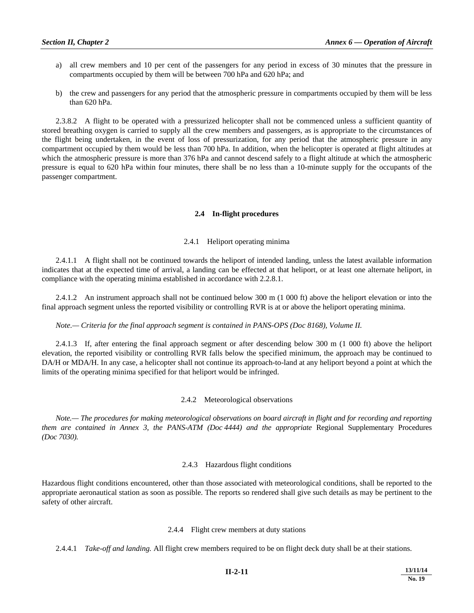- a) all crew members and 10 per cent of the passengers for any period in excess of 30 minutes that the pressure in compartments occupied by them will be between 700 hPa and 620 hPa; and
- b) the crew and passengers for any period that the atmospheric pressure in compartments occupied by them will be less than 620 hPa.

 2.3.8.2 A flight to be operated with a pressurized helicopter shall not be commenced unless a sufficient quantity of stored breathing oxygen is carried to supply all the crew members and passengers, as is appropriate to the circumstances of the flight being undertaken, in the event of loss of pressurization, for any period that the atmospheric pressure in any compartment occupied by them would be less than 700 hPa. In addition, when the helicopter is operated at flight altitudes at which the atmospheric pressure is more than 376 hPa and cannot descend safely to a flight altitude at which the atmospheric pressure is equal to 620 hPa within four minutes, there shall be no less than a 10-minute supply for the occupants of the passenger compartment.

# **2.4 In-flight procedures**

#### 2.4.1 Heliport operating minima

 2.4.1.1 A flight shall not be continued towards the heliport of intended landing, unless the latest available information indicates that at the expected time of arrival, a landing can be effected at that heliport, or at least one alternate heliport, in compliance with the operating minima established in accordance with 2.2.8.1.

 2.4.1.2 An instrument approach shall not be continued below 300 m (1 000 ft) above the heliport elevation or into the final approach segment unless the reported visibility or controlling RVR is at or above the heliport operating minima.

#### *Note.— Criteria for the final approach segment is contained in PANS-OPS (Doc 8168), Volume II.*

 2.4.1.3 If, after entering the final approach segment or after descending below 300 m (1 000 ft) above the heliport elevation, the reported visibility or controlling RVR falls below the specified minimum, the approach may be continued to DA/H or MDA/H. In any case, a helicopter shall not continue its approach-to-land at any heliport beyond a point at which the limits of the operating minima specified for that heliport would be infringed.

#### 2.4.2 Meteorological observations

 *Note.— The procedures for making meteorological observations on board aircraft in flight and for recording and reporting them are contained in Annex 3, the PANS-ATM (Doc 4444) and the appropriate Regional Supplementary Procedures (Doc 7030).* 

#### 2.4.3 Hazardous flight conditions

Hazardous flight conditions encountered, other than those associated with meteorological conditions, shall be reported to the appropriate aeronautical station as soon as possible. The reports so rendered shall give such details as may be pertinent to the safety of other aircraft.

#### 2.4.4 Flight crew members at duty stations

2.4.4.1 *Take-off and landing.* All flight crew members required to be on flight deck duty shall be at their stations.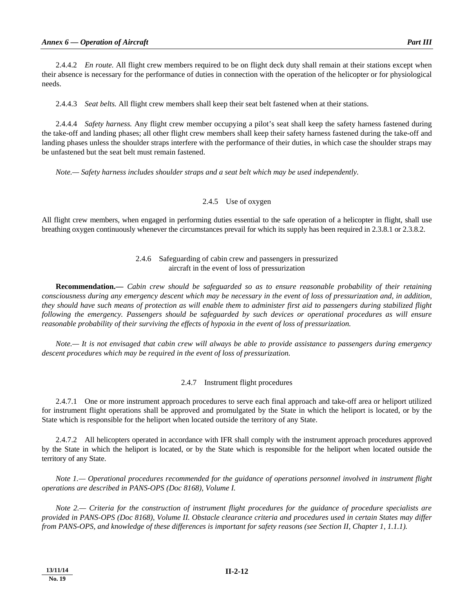2.4.4.2 *En route.* All flight crew members required to be on flight deck duty shall remain at their stations except when their absence is necessary for the performance of duties in connection with the operation of the helicopter or for physiological needs.

2.4.4.3 *Seat belts.* All flight crew members shall keep their seat belt fastened when at their stations.

 2.4.4.4 *Safety harness.* Any flight crew member occupying a pilot's seat shall keep the safety harness fastened during the take-off and landing phases; all other flight crew members shall keep their safety harness fastened during the take-off and landing phases unless the shoulder straps interfere with the performance of their duties, in which case the shoulder straps may be unfastened but the seat belt must remain fastened.

 *Note.— Safety harness includes shoulder straps and a seat belt which may be used independently.* 

# 2.4.5 Use of oxygen

All flight crew members, when engaged in performing duties essential to the safe operation of a helicopter in flight, shall use breathing oxygen continuously whenever the circumstances prevail for which its supply has been required in 2.3.8.1 or 2.3.8.2.

# 2.4.6 Safeguarding of cabin crew and passengers in pressurized aircraft in the event of loss of pressurization

 **Recommendation.—** *Cabin crew should be safeguarded so as to ensure reasonable probability of their retaining consciousness during any emergency descent which may be necessary in the event of loss of pressurization and, in addition, they should have such means of protection as will enable them to administer first aid to passengers during stabilized flight following the emergency. Passengers should be safeguarded by such devices or operational procedures as will ensure reasonable probability of their surviving the effects of hypoxia in the event of loss of pressurization.* 

 *Note.— It is not envisaged that cabin crew will always be able to provide assistance to passengers during emergency descent procedures which may be required in the event of loss of pressurization.* 

# 2.4.7 Instrument flight procedures

 2.4.7.1 One or more instrument approach procedures to serve each final approach and take-off area or heliport utilized for instrument flight operations shall be approved and promulgated by the State in which the heliport is located, or by the State which is responsible for the heliport when located outside the territory of any State.

 2.4.7.2 All helicopters operated in accordance with IFR shall comply with the instrument approach procedures approved by the State in which the heliport is located, or by the State which is responsible for the heliport when located outside the territory of any State.

 *Note 1.— Operational procedures recommended for the guidance of operations personnel involved in instrument flight operations are described in PANS-OPS (Doc 8168), Volume I.* 

 *Note 2.— Criteria for the construction of instrument flight procedures for the guidance of procedure specialists are provided in PANS-OPS (Doc 8168), Volume II. Obstacle clearance criteria and procedures used in certain States may differ from PANS-OPS, and knowledge of these differences is important for safety reasons (see Section II, Chapter 1, 1.1.1).*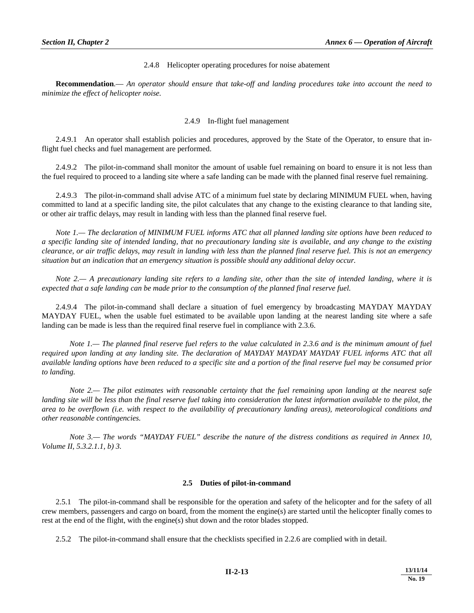# 2.4.8 Helicopter operating procedures for noise abatement

 **Recommendation**.— *An operator should ensure that take-off and landing procedures take into account the need to minimize the effect of helicopter noise.*

# 2.4.9 In-flight fuel management

 2.4.9.1 An operator shall establish policies and procedures, approved by the State of the Operator, to ensure that inflight fuel checks and fuel management are performed.

 2.4.9.2 The pilot-in-command shall monitor the amount of usable fuel remaining on board to ensure it is not less than the fuel required to proceed to a landing site where a safe landing can be made with the planned final reserve fuel remaining.

 2.4.9.3 The pilot-in-command shall advise ATC of a minimum fuel state by declaring MINIMUM FUEL when, having committed to land at a specific landing site, the pilot calculates that any change to the existing clearance to that landing site, or other air traffic delays, may result in landing with less than the planned final reserve fuel.

*Note 1.— The declaration of MINIMUM FUEL informs ATC that all planned landing site options have been reduced to a specific landing site of intended landing, that no precautionary landing site is available, and any change to the existing clearance, or air traffic delays, may result in landing with less than the planned final reserve fuel. This is not an emergency situation but an indication that an emergency situation is possible should any additional delay occur.* 

 *Note 2.— A precautionary landing site refers to a landing site, other than the site of intended landing, where it is expected that a safe landing can be made prior to the consumption of the planned final reserve fuel.* 

 2.4.9.4 The pilot-in-command shall declare a situation of fuel emergency by broadcasting MAYDAY MAYDAY MAYDAY FUEL, when the usable fuel estimated to be available upon landing at the nearest landing site where a safe landing can be made is less than the required final reserve fuel in compliance with 2.3.6.

*Note 1.— The planned final reserve fuel refers to the value calculated in 2.3.6 and is the minimum amount of fuel required upon landing at any landing site. The declaration of MAYDAY MAYDAY MAYDAY FUEL informs ATC that all available landing options have been reduced to a specific site and a portion of the final reserve fuel may be consumed prior to landing.* 

*Note 2.— The pilot estimates with reasonable certainty that the fuel remaining upon landing at the nearest safe* landing site will be less than the final reserve fuel taking into consideration the latest information available to the pilot, the *area to be overflown (i.e. with respect to the availability of precautionary landing areas), meteorological conditions and other reasonable contingencies.* 

 *Note 3.— The words "MAYDAY FUEL" describe the nature of the distress conditions as required in Annex 10, Volume II, 5.3.2.1.1, b) 3.* 

# **2.5 Duties of pilot-in-command**

 2.5.1 The pilot-in-command shall be responsible for the operation and safety of the helicopter and for the safety of all crew members, passengers and cargo on board, from the moment the engine(s) are started until the helicopter finally comes to rest at the end of the flight, with the engine(s) shut down and the rotor blades stopped.

2.5.2 The pilot-in-command shall ensure that the checklists specified in 2.2.6 are complied with in detail.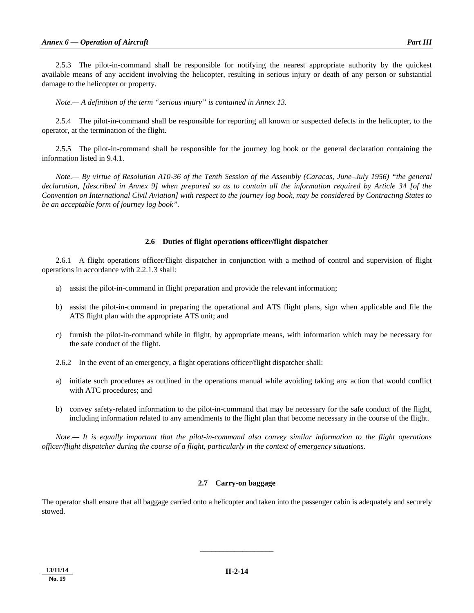2.5.3 The pilot-in-command shall be responsible for notifying the nearest appropriate authority by the quickest available means of any accident involving the helicopter, resulting in serious injury or death of any person or substantial damage to the helicopter or property.

 *Note.— A definition of the term "serious injury" is contained in Annex 13.* 

 2.5.4 The pilot-in-command shall be responsible for reporting all known or suspected defects in the helicopter, to the operator, at the termination of the flight.

 2.5.5 The pilot-in-command shall be responsible for the journey log book or the general declaration containing the information listed in 9.4.1.

 *Note.— By virtue of Resolution A10-36 of the Tenth Session of the Assembly (Caracas, June–July 1956) "the general declaration, [described in Annex 9] when prepared so as to contain all the information required by Article 34 [of the Convention on International Civil Aviation] with respect to the journey log book, may be considered by Contracting States to be an acceptable form of journey log book".* 

# **2.6 Duties of flight operations officer/flight dispatcher**

 2.6.1 A flight operations officer/flight dispatcher in conjunction with a method of control and supervision of flight operations in accordance with 2.2.1.3 shall:

- a) assist the pilot-in-command in flight preparation and provide the relevant information;
- b) assist the pilot-in-command in preparing the operational and ATS flight plans, sign when applicable and file the ATS flight plan with the appropriate ATS unit; and
- c) furnish the pilot-in-command while in flight, by appropriate means, with information which may be necessary for the safe conduct of the flight.
- 2.6.2 In the event of an emergency, a flight operations officer/flight dispatcher shall:
- a) initiate such procedures as outlined in the operations manual while avoiding taking any action that would conflict with ATC procedures; and
- b) convey safety-related information to the pilot-in-command that may be necessary for the safe conduct of the flight, including information related to any amendments to the flight plan that become necessary in the course of the flight.

 *Note.— It is equally important that the pilot-in-command also convey similar information to the flight operations officer/flight dispatcher during the course of a flight, particularly in the context of emergency situations.*

#### **2.7 Carry-on baggage**

The operator shall ensure that all baggage carried onto a helicopter and taken into the passenger cabin is adequately and securely stowed.

\_\_\_\_\_\_\_\_\_\_\_\_\_\_\_\_\_\_\_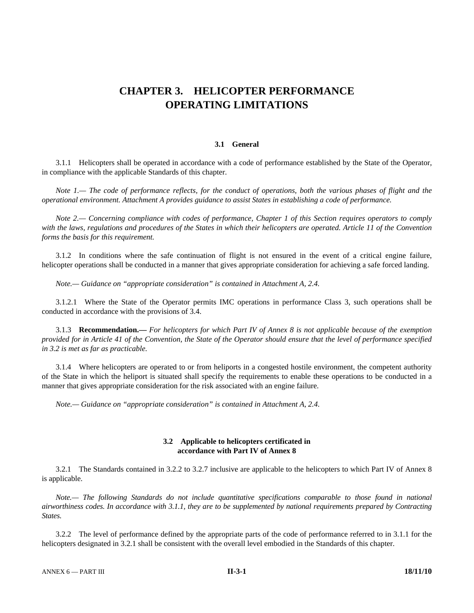# **CHAPTER 3. HELICOPTER PERFORMANCE OPERATING LIMITATIONS**

#### **3.1 General**

 3.1.1 Helicopters shall be operated in accordance with a code of performance established by the State of the Operator, in compliance with the applicable Standards of this chapter.

*Note 1.*— The code of performance reflects, for the conduct of operations, both the various phases of flight and the *operational environment. Attachment A provides guidance to assist States in establishing a code of performance.* 

 *Note 2.— Concerning compliance with codes of performance, Chapter 1 of this Section requires operators to comply with the laws, regulations and procedures of the States in which their helicopters are operated. Article 11 of the Convention forms the basis for this requirement.* 

 3.1.2 In conditions where the safe continuation of flight is not ensured in the event of a critical engine failure, helicopter operations shall be conducted in a manner that gives appropriate consideration for achieving a safe forced landing.

 *Note.— Guidance on "appropriate consideration" is contained in Attachment A, 2.4.*

 3.1.2.1 Where the State of the Operator permits IMC operations in performance Class 3, such operations shall be conducted in accordance with the provisions of 3.4.

 3.1.3 **Recommendation.—** *For helicopters for which Part IV of Annex 8 is not applicable because of the exemption provided for in Article 41 of the Convention, the State of the Operator should ensure that the level of performance specified in 3.2 is met as far as practicable.* 

 3.1.4 Where helicopters are operated to or from heliports in a congested hostile environment, the competent authority of the State in which the heliport is situated shall specify the requirements to enable these operations to be conducted in a manner that gives appropriate consideration for the risk associated with an engine failure.

 *Note.— Guidance on "appropriate consideration" is contained in Attachment A, 2.4*.

#### **3.2 Applicable to helicopters certificated in accordance with Part IV of Annex 8**

 3.2.1 The Standards contained in 3.2.2 to 3.2.7 inclusive are applicable to the helicopters to which Part IV of Annex 8 is applicable.

*Note.*— The following Standards do not include quantitative specifications comparable to those found in national *airworthiness codes. In accordance with 3.1.1, they are to be supplemented by national requirements prepared by Contracting States.* 

 3.2.2 The level of performance defined by the appropriate parts of the code of performance referred to in 3.1.1 for the helicopters designated in 3.2.1 shall be consistent with the overall level embodied in the Standards of this chapter.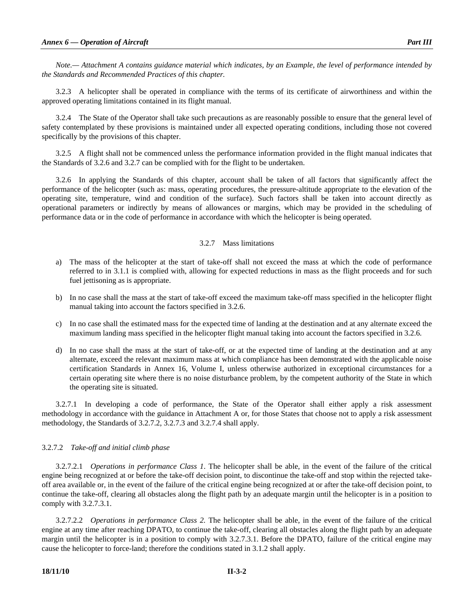*Note.— Attachment A contains guidance material which indicates, by an Example, the level of performance intended by the Standards and Recommended Practices of this chapter.* 

 3.2.3 A helicopter shall be operated in compliance with the terms of its certificate of airworthiness and within the approved operating limitations contained in its flight manual.

 3.2.4 The State of the Operator shall take such precautions as are reasonably possible to ensure that the general level of safety contemplated by these provisions is maintained under all expected operating conditions, including those not covered specifically by the provisions of this chapter.

 3.2.5 A flight shall not be commenced unless the performance information provided in the flight manual indicates that the Standards of 3.2.6 and 3.2.7 can be complied with for the flight to be undertaken.

 3.2.6 In applying the Standards of this chapter, account shall be taken of all factors that significantly affect the performance of the helicopter (such as: mass, operating procedures, the pressure-altitude appropriate to the elevation of the operating site, temperature, wind and condition of the surface). Such factors shall be taken into account directly as operational parameters or indirectly by means of allowances or margins, which may be provided in the scheduling of performance data or in the code of performance in accordance with which the helicopter is being operated.

# 3.2.7 Mass limitations

- a) The mass of the helicopter at the start of take-off shall not exceed the mass at which the code of performance referred to in 3.1.1 is complied with, allowing for expected reductions in mass as the flight proceeds and for such fuel jettisoning as is appropriate.
- b) In no case shall the mass at the start of take-off exceed the maximum take-off mass specified in the helicopter flight manual taking into account the factors specified in 3.2.6.
- c) In no case shall the estimated mass for the expected time of landing at the destination and at any alternate exceed the maximum landing mass specified in the helicopter flight manual taking into account the factors specified in 3.2.6.
- d) In no case shall the mass at the start of take-off, or at the expected time of landing at the destination and at any alternate, exceed the relevant maximum mass at which compliance has been demonstrated with the applicable noise certification Standards in Annex 16, Volume I, unless otherwise authorized in exceptional circumstances for a certain operating site where there is no noise disturbance problem, by the competent authority of the State in which the operating site is situated.

3.2.7.1In developing a code of performance, the State of the Operator shall either apply a risk assessment methodology in accordance with the guidance in Attachment A or, for those States that choose not to apply a risk assessment methodology, the Standards of 3.2.7.2, 3.2.7.3 and 3.2.7.4 shall apply.

# 3.2.7.2 *Take-off and initial climb phase*

 3.2.7.2.1 *Operations in performance Class 1*. The helicopter shall be able, in the event of the failure of the critical engine being recognized at or before the take-off decision point, to discontinue the take-off and stop within the rejected takeoff area available or, in the event of the failure of the critical engine being recognized at or after the take-off decision point, to continue the take-off, clearing all obstacles along the flight path by an adequate margin until the helicopter is in a position to comply with 3.2.7.3.1.

 3.2.7.2.2 *Operations in performance Class 2.* The helicopter shall be able, in the event of the failure of the critical engine at any time after reaching DPATO, to continue the take-off, clearing all obstacles along the flight path by an adequate margin until the helicopter is in a position to comply with 3.2.7.3.1. Before the DPATO, failure of the critical engine may cause the helicopter to force-land; therefore the conditions stated in 3.1.2 shall apply.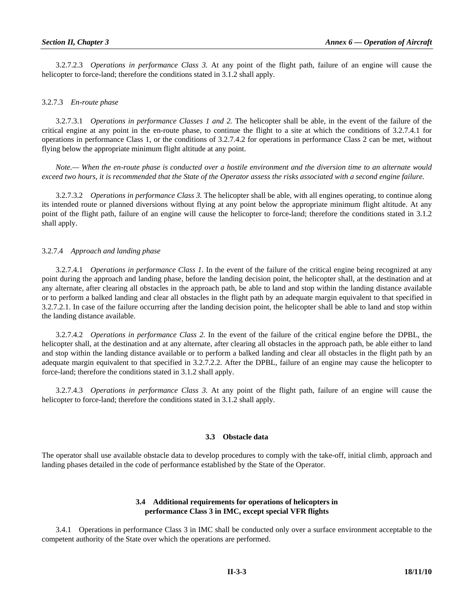3.2.7.2.3 *Operations in performance Class 3.* At any point of the flight path, failure of an engine will cause the helicopter to force-land; therefore the conditions stated in 3.1.2 shall apply.

# 3.2.7.3 *En-route phase*

 3.2.7.3.1 *Operations in performance Classes 1 and 2.* The helicopter shall be able, in the event of the failure of the critical engine at any point in the en-route phase, to continue the flight to a site at which the conditions of 3.2.7.4.1 for operations in performance Class 1, or the conditions of 3.2.7.4.2 for operations in performance Class 2 can be met, without flying below the appropriate minimum flight altitude at any point.

 *Note.— When the en-route phase is conducted over a hostile environment and the diversion time to an alternate would exceed two hours, it is recommended that the State of the Operator assess the risks associated with a second engine failure.* 

 3.2.7.3.2 *Operations in performance Class 3.* The helicopter shall be able, with all engines operating, to continue along its intended route or planned diversions without flying at any point below the appropriate minimum flight altitude. At any point of the flight path, failure of an engine will cause the helicopter to force-land; therefore the conditions stated in 3.1.2 shall apply.

# 3.2.7.4 *Approach and landing phase*

 3.2.7.4.1 *Operations in performance Class 1*. In the event of the failure of the critical engine being recognized at any point during the approach and landing phase, before the landing decision point, the helicopter shall, at the destination and at any alternate, after clearing all obstacles in the approach path, be able to land and stop within the landing distance available or to perform a balked landing and clear all obstacles in the flight path by an adequate margin equivalent to that specified in 3.2.7.2.1. In case of the failure occurring after the landing decision point, the helicopter shall be able to land and stop within the landing distance available.

 3.2.7.4.2 *Operations in performance Class 2.* In the event of the failure of the critical engine before the DPBL, the helicopter shall, at the destination and at any alternate, after clearing all obstacles in the approach path, be able either to land and stop within the landing distance available or to perform a balked landing and clear all obstacles in the flight path by an adequate margin equivalent to that specified in 3.2.7.2.2. After the DPBL, failure of an engine may cause the helicopter to force-land; therefore the conditions stated in 3.1.2 shall apply.

 3.2.7.4.3 *Operations in performance Class 3.* At any point of the flight path, failure of an engine will cause the helicopter to force-land; therefore the conditions stated in 3.1.2 shall apply.

#### **3.3 Obstacle data**

The operator shall use available obstacle data to develop procedures to comply with the take-off, initial climb, approach and landing phases detailed in the code of performance established by the State of the Operator.

# **3.4 Additional requirements for operations of helicopters in performance Class 3 in IMC, except special VFR flights**

 3.4.1 Operations in performance Class 3 in IMC shall be conducted only over a surface environment acceptable to the competent authority of the State over which the operations are performed.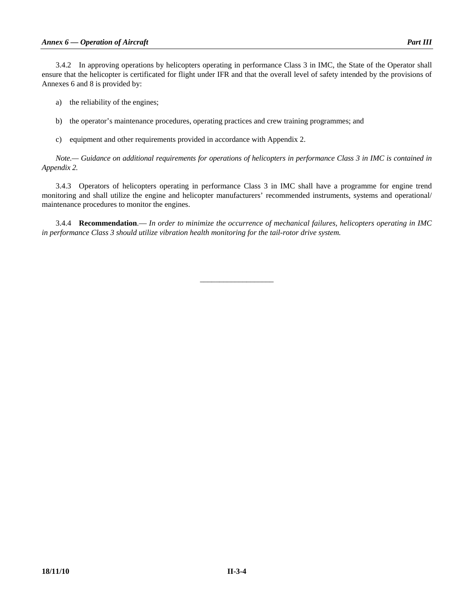- a) the reliability of the engines;
- b) the operator's maintenance procedures, operating practices and crew training programmes; and
- c) equipment and other requirements provided in accordance with Appendix 2.

 *Note.— Guidance on additional requirements for operations of helicopters in performance Class 3 in IMC is contained in Appendix 2.* 

 3.4.3 Operators of helicopters operating in performance Class 3 in IMC shall have a programme for engine trend monitoring and shall utilize the engine and helicopter manufacturers' recommended instruments, systems and operational/ maintenance procedures to monitor the engines.

 3.4.4 **Recommendation**.— *In order to minimize the occurrence of mechanical failures, helicopters operating in IMC in performance Class 3 should utilize vibration health monitoring for the tail-rotor drive system.* 

\_\_\_\_\_\_\_\_\_\_\_\_\_\_\_\_\_\_\_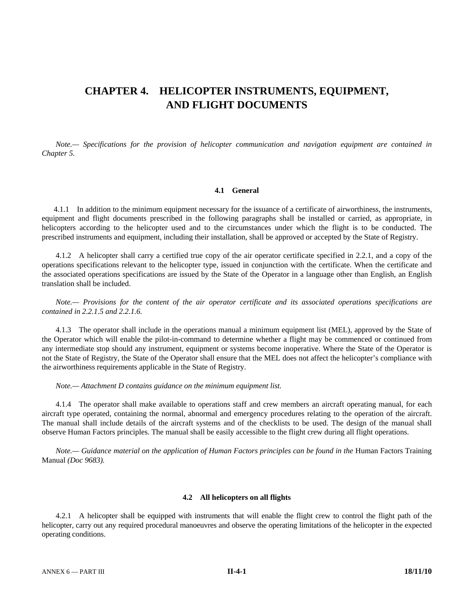# **CHAPTER 4. HELICOPTER INSTRUMENTS, EQUIPMENT, AND FLIGHT DOCUMENTS**

 *Note.— Specifications for the provision of helicopter communication and navigation equipment are contained in Chapter 5.* 

#### **4.1 General**

 4.1.1 In addition to the minimum equipment necessary for the issuance of a certificate of airworthiness, the instruments, equipment and flight documents prescribed in the following paragraphs shall be installed or carried, as appropriate, in helicopters according to the helicopter used and to the circumstances under which the flight is to be conducted. The prescribed instruments and equipment, including their installation, shall be approved or accepted by the State of Registry.

 4.1.2 A helicopter shall carry a certified true copy of the air operator certificate specified in 2.2.1, and a copy of the operations specifications relevant to the helicopter type, issued in conjunction with the certificate. When the certificate and the associated operations specifications are issued by the State of the Operator in a language other than English, an English translation shall be included.

*Note.— Provisions for the content of the air operator certificate and its associated operations specifications are contained in 2.2.1.5 and 2.2.1.6.*

 4.1.3 The operator shall include in the operations manual a minimum equipment list (MEL), approved by the State of the Operator which will enable the pilot-in-command to determine whether a flight may be commenced or continued from any intermediate stop should any instrument, equipment or systems become inoperative. Where the State of the Operator is not the State of Registry, the State of the Operator shall ensure that the MEL does not affect the helicopter's compliance with the airworthiness requirements applicable in the State of Registry.

 *Note.— Attachment D contains guidance on the minimum equipment list.* 

 4.1.4 The operator shall make available to operations staff and crew members an aircraft operating manual, for each aircraft type operated, containing the normal, abnormal and emergency procedures relating to the operation of the aircraft. The manual shall include details of the aircraft systems and of the checklists to be used. The design of the manual shall observe Human Factors principles. The manual shall be easily accessible to the flight crew during all flight operations.

*Note.*— Guidance material on the application of Human Factors principles can be found in the Human Factors Training Manual *(Doc 9683).* 

#### **4.2 All helicopters on all flights**

 4.2.1 A helicopter shall be equipped with instruments that will enable the flight crew to control the flight path of the helicopter, carry out any required procedural manoeuvres and observe the operating limitations of the helicopter in the expected operating conditions.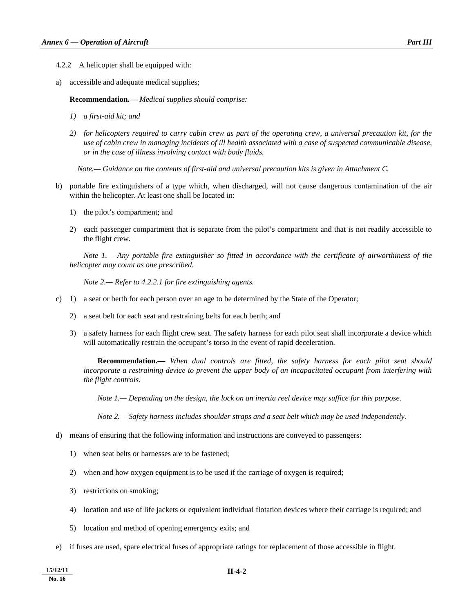- 4.2.2 A helicopter shall be equipped with:
- a) accessible and adequate medical supplies;

 **Recommendation.—** *Medical supplies should comprise:* 

- *1) a first-aid kit; and*
- *2) for helicopters required to carry cabin crew as part of the operating crew, a universal precaution kit, for the use of cabin crew in managing incidents of ill health associated with a case of suspected communicable disease, or in the case of illness involving contact with body fluids.*

 *Note.— Guidance on the contents of first-aid and universal precaution kits is given in Attachment C.* 

- b) portable fire extinguishers of a type which, when discharged, will not cause dangerous contamination of the air within the helicopter. At least one shall be located in:
	- 1) the pilot's compartment; and
	- 2) each passenger compartment that is separate from the pilot's compartment and that is not readily accessible to the flight crew.

 *Note 1.— Any portable fire extinguisher so fitted in accordance with the certificate of airworthiness of the helicopter may count as one prescribed.* 

 *Note 2.— Refer to 4.2.2.1 for fire extinguishing agents.* 

- c) 1) a seat or berth for each person over an age to be determined by the State of the Operator;
	- 2) a seat belt for each seat and restraining belts for each berth; and
	- 3) a safety harness for each flight crew seat. The safety harness for each pilot seat shall incorporate a device which will automatically restrain the occupant's torso in the event of rapid deceleration.

 **Recommendation.—** *When dual controls are fitted, the safety harness for each pilot seat should incorporate a restraining device to prevent the upper body of an incapacitated occupant from interfering with the flight controls.* 

*Note 1.— Depending on the design, the lock on an inertia reel device may suffice for this purpose.* 

 *Note 2.— Safety harness includes shoulder straps and a seat belt which may be used independently.* 

- d) means of ensuring that the following information and instructions are conveyed to passengers:
	- 1) when seat belts or harnesses are to be fastened;
	- 2) when and how oxygen equipment is to be used if the carriage of oxygen is required;
	- 3) restrictions on smoking;
	- 4) location and use of life jackets or equivalent individual flotation devices where their carriage is required; and
	- 5) location and method of opening emergency exits; and
- e) if fuses are used, spare electrical fuses of appropriate ratings for replacement of those accessible in flight.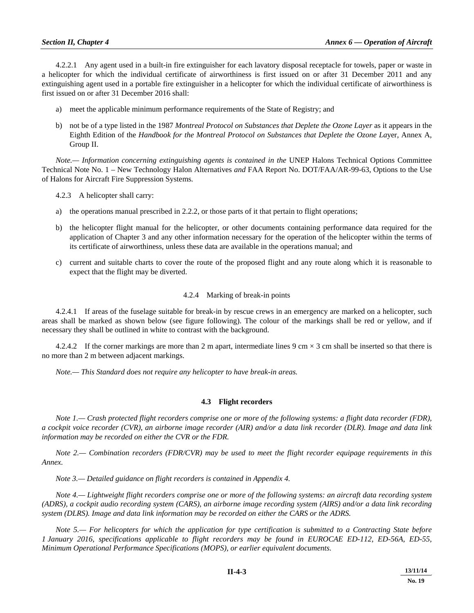4.2.2.1 Any agent used in a built-in fire extinguisher for each lavatory disposal receptacle for towels, paper or waste in a helicopter for which the individual certificate of airworthiness is first issued on or after 31 December 2011 and any extinguishing agent used in a portable fire extinguisher in a helicopter for which the individual certificate of airworthiness is first issued on or after 31 December 2016 shall:

- a) meet the applicable minimum performance requirements of the State of Registry; and
- b) not be of a type listed in the 1987 *Montreal Protocol on Substances that Deplete the Ozone Layer* as it appears in the Eighth Edition of the *Handbook for the Montreal Protocol on Substances that Deplete the Ozone La*yer, Annex A, Group II.

*Note.— Information concerning extinguishing agents is contained in the UNEP Halons Technical Options Committee* Technical Note No. 1 – New Technology Halon Alternatives *and* FAA Report No. DOT/FAA/AR-99-63, Options to the Use of Halons for Aircraft Fire Suppression Systems*.* 

4.2.3 A helicopter shall carry:

- a) the operations manual prescribed in 2.2.2, or those parts of it that pertain to flight operations;
- b) the helicopter flight manual for the helicopter, or other documents containing performance data required for the application of Chapter 3 and any other information necessary for the operation of the helicopter within the terms of its certificate of airworthiness, unless these data are available in the operations manual; and
- c) current and suitable charts to cover the route of the proposed flight and any route along which it is reasonable to expect that the flight may be diverted.

#### 4.2.4 Marking of break-in points

 4.2.4.1 If areas of the fuselage suitable for break-in by rescue crews in an emergency are marked on a helicopter, such areas shall be marked as shown below (see figure following). The colour of the markings shall be red or yellow, and if necessary they shall be outlined in white to contrast with the background.

4.2.4.2 If the corner markings are more than 2 m apart, intermediate lines 9 cm  $\times$  3 cm shall be inserted so that there is no more than 2 m between adjacent markings.

 *Note.— This Standard does not require any helicopter to have break-in areas.* 

#### **4.3 Flight recorders**

 *Note 1.— Crash protected flight recorders comprise one or more of the following systems: a flight data recorder (FDR), a cockpit voice recorder (CVR), an airborne image recorder (AIR) and/or a data link recorder (DLR). Image and data link information may be recorded on either the CVR or the FDR.* 

 *Note 2.— Combination recorders (FDR/CVR) may be used to meet the flight recorder equipage requirements in this Annex.* 

 *Note 3.— Detailed guidance on flight recorders is contained in Appendix 4.* 

 *Note 4.— Lightweight flight recorders comprise one or more of the following systems: an aircraft data recording system (ADRS), a cockpit audio recording system (CARS), an airborne image recording system (AIRS) and/or a data link recording system (DLRS). Image and data link information may be recorded on either the CARS or the ADRS.* 

 *Note 5.— For helicopters for which the application for type certification is submitted to a Contracting State before 1 January 2016, specifications applicable to flight recorders may be found in EUROCAE ED-112, ED-56A, ED-55, Minimum Operational Performance Specifications (MOPS), or earlier equivalent documents.*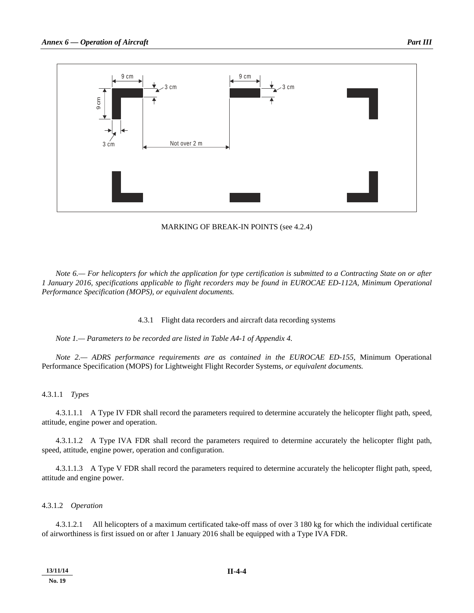

MARKING OF BREAK-IN POINTS (see 4.2.4)

*Note 6.— For helicopters for which the application for type certification is submitted to a Contracting State on or after 1 January 2016, specifications applicable to flight recorders may be found in EUROCAE ED-112A, Minimum Operational Performance Specification (MOPS), or equivalent documents.* 

4.3.1 Flight data recorders and aircraft data recording systems

 *Note 1.— Parameters to be recorded are listed in Table A4-1 of Appendix 4.* 

*Note 2.— ADRS performance requirements are as contained in the EUROCAE ED-155,* Minimum Operational Performance Specification (MOPS) for Lightweight Flight Recorder Systems*, or equivalent documents.* 

#### 4.3.1.1 *Types*

 4.3.1.1.1 A Type IV FDR shall record the parameters required to determine accurately the helicopter flight path, speed, attitude, engine power and operation.

 4.3.1.1.2 A Type IVA FDR shall record the parameters required to determine accurately the helicopter flight path, speed, attitude, engine power, operation and configuration.

 4.3.1.1.3 A Type V FDR shall record the parameters required to determine accurately the helicopter flight path, speed, attitude and engine power.

#### 4.3.1.2 *Operation*

 4.3.1.2.1 All helicopters of a maximum certificated take-off mass of over 3 180 kg for which the individual certificate of airworthiness is first issued on or after 1 January 2016 shall be equipped with a Type IVA FDR.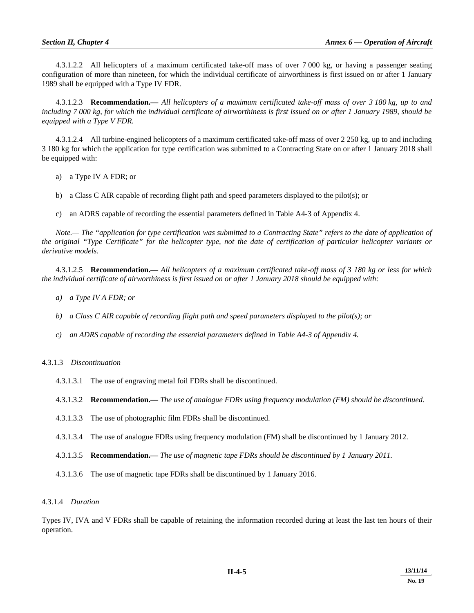4.3.1.2.2 All helicopters of a maximum certificated take-off mass of over 7 000 kg, or having a passenger seating configuration of more than nineteen, for which the individual certificate of airworthiness is first issued on or after 1 January 1989 shall be equipped with a Type IV FDR.

 4.3.1.2.3 **Recommendation.—** *All helicopters of a maximum certificated take-off mass of over 3 180 kg, up to and including 7 000 kg, for which the individual certificate of airworthiness is first issued on or after 1 January 1989, should be equipped with a Type V FDR.*

 4.3.1.2.4 All turbine-engined helicopters of a maximum certificated take-off mass of over 2 250 kg, up to and including 3 180 kg for which the application for type certification was submitted to a Contracting State on or after 1 January 2018 shall be equipped with:

- a) a Type IV A FDR; or
- b) a Class C AIR capable of recording flight path and speed parameters displayed to the pilot(s); or
- c) an ADRS capable of recording the essential parameters defined in Table A4-3 of Appendix 4.

*Note.— The "application for type certification was submitted to a Contracting State" refers to the date of application of the original "Type Certificate" for the helicopter type, not the date of certification of particular helicopter variants or derivative models.* 

 4.3.1.2.5 **Recommendation.—** *All helicopters of a maximum certificated take-off mass of 3 180 kg or less for which the individual certificate of airworthiness is first issued on or after 1 January 2018 should be equipped with:* 

- *a) a Type IV A FDR; or*
- *b) a Class C AIR capable of recording flight path and speed parameters displayed to the pilot(s); or*
- *c) an ADRS capable of recording the essential parameters defined in Table A4-3 of Appendix 4.*

#### 4.3.1.3 *Discontinuation*

4.3.1.3.1 The use of engraving metal foil FDRs shall be discontinued.

4.3.1.3.2 **Recommendation.—** *The use of analogue FDRs using frequency modulation (FM) should be discontinued.* 

- 4.3.1.3.3 The use of photographic film FDRs shall be discontinued.
- 4.3.1.3.4 The use of analogue FDRs using frequency modulation (FM) shall be discontinued by 1 January 2012.
- 4.3.1.3.5 **Recommendation.—** *The use of magnetic tape FDRs should be discontinued by 1 January 2011.*
- 4.3.1.3.6 The use of magnetic tape FDRs shall be discontinued by 1 January 2016.

#### 4.3.1.4 *Duration*

Types IV, IVA and V FDRs shall be capable of retaining the information recorded during at least the last ten hours of their operation.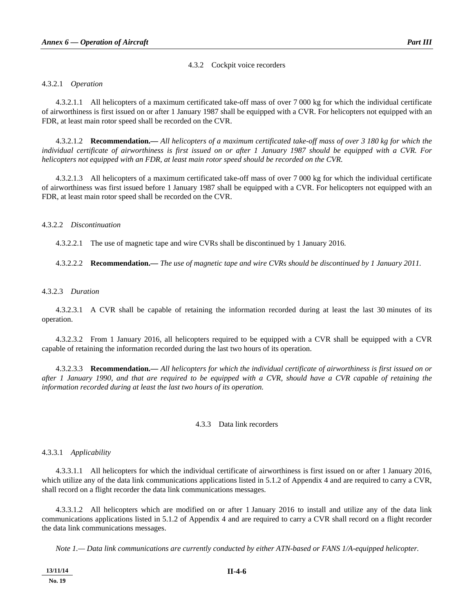#### 4.3.2 Cockpit voice recorders

#### 4.3.2.1 *Operation*

 4.3.2.1.1 All helicopters of a maximum certificated take-off mass of over 7 000 kg for which the individual certificate of airworthiness is first issued on or after 1 January 1987 shall be equipped with a CVR. For helicopters not equipped with an FDR, at least main rotor speed shall be recorded on the CVR.

 4.3.2.1.2 **Recommendation.—** *All helicopters of a maximum certificated take-off mass of over 3 180 kg for which the individual certificate of airworthiness is first issued on or after 1 January 1987 should be equipped with a CVR. For helicopters not equipped with an FDR, at least main rotor speed should be recorded on the CVR.* 

 4.3.2.1.3 All helicopters of a maximum certificated take-off mass of over 7 000 kg for which the individual certificate of airworthiness was first issued before 1 January 1987 shall be equipped with a CVR. For helicopters not equipped with an FDR, at least main rotor speed shall be recorded on the CVR.

#### 4.3.2.2 *Discontinuation*

4.3.2.2.1 The use of magnetic tape and wire CVRs shall be discontinued by 1 January 2016.

4.3.2.2.2 **Recommendation.—** *The use of magnetic tape and wire CVRs should be discontinued by 1 January 2011.* 

#### 4.3.2.3 *Duration*

 4.3.2.3.1 A CVR shall be capable of retaining the information recorded during at least the last 30 minutes of its operation.

 4.3.2.3.2 From 1 January 2016, all helicopters required to be equipped with a CVR shall be equipped with a CVR capable of retaining the information recorded during the last two hours of its operation.

 4.3.2.3.3 **Recommendation.—** *All helicopters for which the individual certificate of airworthiness is first issued on or after 1 January 1990, and that are required to be equipped with a CVR, should have a CVR capable of retaining the information recorded during at least the last two hours of its operation.* 

#### 4.3.3 Data link recorders

4.3.3.1 *Applicability*

 4.3.3.1.1 All helicopters for which the individual certificate of airworthiness is first issued on or after 1 January 2016, which utilize any of the data link communications applications listed in 5.1.2 of Appendix 4 and are required to carry a CVR, shall record on a flight recorder the data link communications messages.

 4.3.3.1.2 All helicopters which are modified on or after 1 January 2016 to install and utilize any of the data link communications applications listed in 5.1.2 of Appendix 4 and are required to carry a CVR shall record on a flight recorder the data link communications messages.

 *Note 1.— Data link communications are currently conducted by either ATN-based or FANS 1/A-equipped helicopter.*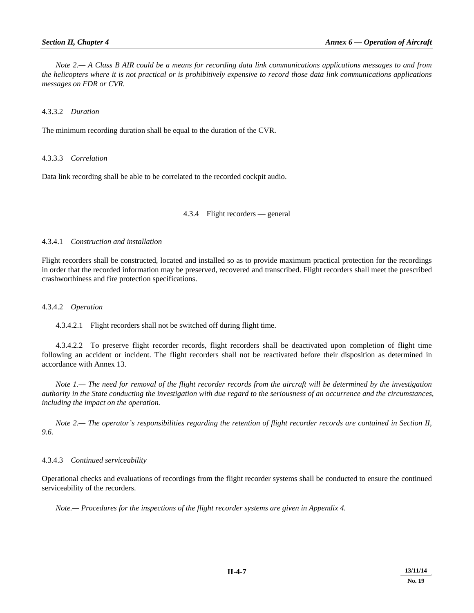*Note 2.— A Class B AIR could be a means for recording data link communications applications messages to and from the helicopters where it is not practical or is prohibitively expensive to record those data link communications applications messages on FDR or CVR.*

## 4.3.3.2 *Duration*

The minimum recording duration shall be equal to the duration of the CVR.

## 4.3.3.3 *Correlation*

Data link recording shall be able to be correlated to the recorded cockpit audio.

#### 4.3.4 Flight recorders — general

# 4.3.4.1 *Construction and installation*

Flight recorders shall be constructed, located and installed so as to provide maximum practical protection for the recordings in order that the recorded information may be preserved, recovered and transcribed. Flight recorders shall meet the prescribed crashworthiness and fire protection specifications.

# 4.3.4.2 *Operation*

4.3.4.2.1 Flight recorders shall not be switched off during flight time.

 4.3.4.2.2 To preserve flight recorder records, flight recorders shall be deactivated upon completion of flight time following an accident or incident. The flight recorders shall not be reactivated before their disposition as determined in accordance with Annex 13.

 *Note 1.— The need for removal of the flight recorder records from the aircraft will be determined by the investigation authority in the State conducting the investigation with due regard to the seriousness of an occurrence and the circumstances, including the impact on the operation.* 

 *Note 2.— The operator's responsibilities regarding the retention of flight recorder records are contained in Section II, 9.6.* 

# 4.3.4.3 *Continued serviceability*

Operational checks and evaluations of recordings from the flight recorder systems shall be conducted to ensure the continued serviceability of the recorders.

 *Note.— Procedures for the inspections of the flight recorder systems are given in Appendix 4.*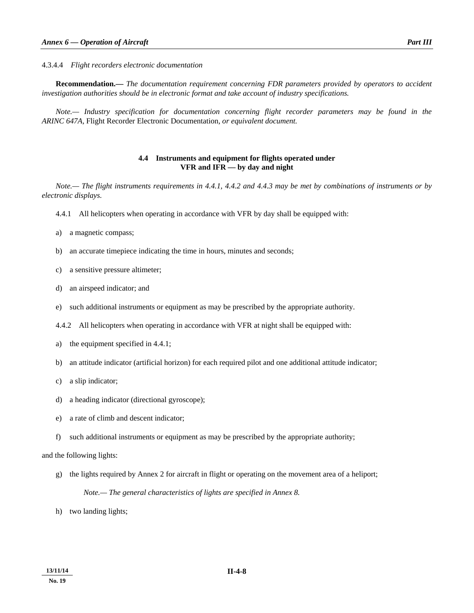4.3.4.4 *Flight recorders electronic documentation* 

 **Recommendation.—** *The documentation requirement concerning FDR parameters provided by operators to accident investigation authorities should be in electronic format and take account of industry specifications.* 

 *Note.— Industry specification for documentation concerning flight recorder parameters may be found in the ARINC 647A,* Flight Recorder Electronic Documentation*, or equivalent document.* 

# **4.4 Instruments and equipment for flights operated under VFR and IFR — by day and night**

*Note.— The flight instruments requirements in 4.4.1, 4.4.2 and 4.4.3 may be met by combinations of instruments or by electronic displays.* 

- 4.4.1 All helicopters when operating in accordance with VFR by day shall be equipped with:
- a) a magnetic compass;
- b) an accurate timepiece indicating the time in hours, minutes and seconds;
- c) a sensitive pressure altimeter;
- d) an airspeed indicator; and
- e) such additional instruments or equipment as may be prescribed by the appropriate authority.
- 4.4.2 All helicopters when operating in accordance with VFR at night shall be equipped with:
- a) the equipment specified in 4.4.1;
- b) an attitude indicator (artificial horizon) for each required pilot and one additional attitude indicator;
- c) a slip indicator;
- d) a heading indicator (directional gyroscope);
- e) a rate of climb and descent indicator;
- f) such additional instruments or equipment as may be prescribed by the appropriate authority;

# and the following lights:

- g) the lights required by Annex 2 for aircraft in flight or operating on the movement area of a heliport; *Note.— The general characteristics of lights are specified in Annex 8.*
- h) two landing lights;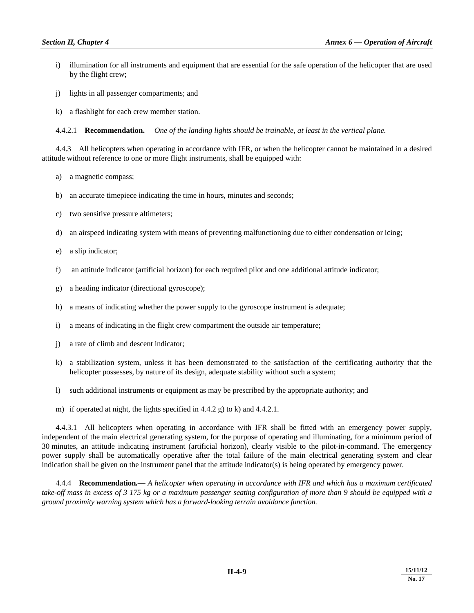- i) illumination for all instruments and equipment that are essential for the safe operation of the helicopter that are used by the flight crew;
- j) lights in all passenger compartments; and
- k) a flashlight for each crew member station.

4.4.2.1 **Recommendation.**— *One of the landing lights should be trainable, at least in the vertical plane.*

 4.4.3 All helicopters when operating in accordance with IFR, or when the helicopter cannot be maintained in a desired attitude without reference to one or more flight instruments, shall be equipped with:

- a) a magnetic compass;
- b) an accurate timepiece indicating the time in hours, minutes and seconds;
- c) two sensitive pressure altimeters;
- d) an airspeed indicating system with means of preventing malfunctioning due to either condensation or icing;
- e) a slip indicator;
- f) an attitude indicator (artificial horizon) for each required pilot and one additional attitude indicator;
- g) a heading indicator (directional gyroscope);
- h) a means of indicating whether the power supply to the gyroscope instrument is adequate;
- i) a means of indicating in the flight crew compartment the outside air temperature;
- j) a rate of climb and descent indicator;
- k) a stabilization system, unless it has been demonstrated to the satisfaction of the certificating authority that the helicopter possesses, by nature of its design, adequate stability without such a system;
- l) such additional instruments or equipment as may be prescribed by the appropriate authority; and
- m) if operated at night, the lights specified in 4.4.2 g) to k) and 4.4.2.1.

 4.4.3.1 All helicopters when operating in accordance with IFR shall be fitted with an emergency power supply, independent of the main electrical generating system, for the purpose of operating and illuminating, for a minimum period of 30 minutes, an attitude indicating instrument (artificial horizon), clearly visible to the pilot-in-command. The emergency power supply shall be automatically operative after the total failure of the main electrical generating system and clear indication shall be given on the instrument panel that the attitude indicator(s) is being operated by emergency power.

 4.4.4 **Recommendation***.— A helicopter when operating in accordance with IFR and which has a maximum certificated take-off mass in excess of 3 175 kg or a maximum passenger seating configuration of more than 9 should be equipped with a ground proximity warning system which has a forward-looking terrain avoidance function.*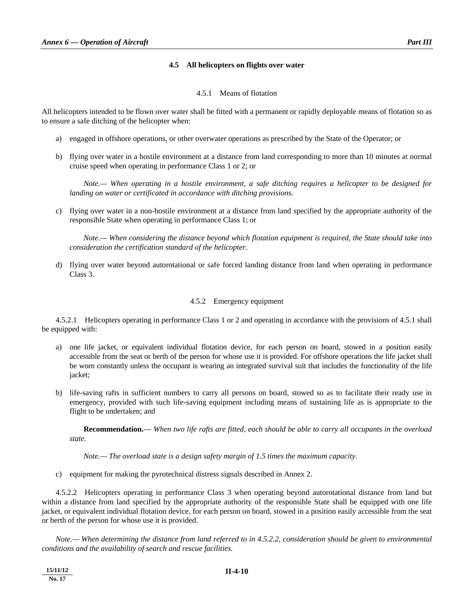# **4.5 All helicopters on flights over water**

#### 4.5.1 Means of flotation

All helicopters intended to be flown over water shall be fitted with a permanent or rapidly deployable means of flotation so as to ensure a safe ditching of the helicopter when:

- a) engaged in offshore operations, or other overwater operations as prescribed by the State of the Operator; or
- b) flying over water in a hostile environment at a distance from land corresponding to more than 10 minutes at normal cruise speed when operating in performance Class 1 or 2; or

 *Note.— When operating in a hostile environment, a safe ditching requires a helicopter to be designed for landing on water or certificated in accordance with ditching provisions.*

 c) flying over water in a non-hostile environment at a distance from land specified by the appropriate authority of the responsible State when operating in performance Class 1; or

 *Note.— When considering the distance beyond which flotation equipment is required, the State should take into consideration the certification standard of the helicopter.*

 d) flying over water beyond autorotational or safe forced landing distance from land when operating in performance Class 3.

#### 4.5.2 Emergency equipment

 4.5.2.1 Helicopters operating in performance Class 1 or 2 and operating in accordance with the provisions of 4.5.1 shall be equipped with:

- a) one life jacket, or equivalent individual flotation device, for each person on board, stowed in a position easily accessible from the seat or berth of the person for whose use it is provided. For offshore operations the life jacket shall be worn constantly unless the occupant is wearing an integrated survival suit that includes the functionality of the life jacket;
- b) life-saving rafts in sufficient numbers to carry all persons on board, stowed so as to facilitate their ready use in emergency, provided with such life-saving equipment including means of sustaining life as is appropriate to the flight to be undertaken; and

 **Recommendation.**— *When two life rafts are fitted, each should be able to carry all occupants in the overload state.*

 *Note.— The overload state is a design safety margin of 1.5 times the maximum capacity.*

c) equipment for making the pyrotechnical distress signals described in Annex 2.

 4.5.2.2 Helicopters operating in performance Class 3 when operating beyond autorotational distance from land but within a distance from land specified by the appropriate authority of the responsible State shall be equipped with one life jacket, or equivalent individual flotation device, for each person on board, stowed in a position easily accessible from the seat or berth of the person for whose use it is provided.

 *Note.— When determining the distance from land referred to in 4.5.2.2, consideration should be given to environmental conditions and the availability of search and rescue facilities.*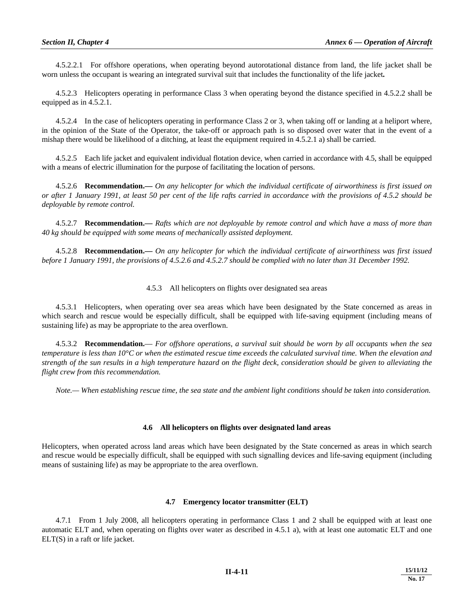4.5.2.2.1 For offshore operations, when operating beyond autorotational distance from land, the life jacket shall be worn unless the occupant is wearing an integrated survival suit that includes the functionality of the life jacket**.**

 4.5.2.3 Helicopters operating in performance Class 3 when operating beyond the distance specified in 4.5.2.2 shall be equipped as in 4.5.2.1.

 4.5.2.4 In the case of helicopters operating in performance Class 2 or 3, when taking off or landing at a heliport where, in the opinion of the State of the Operator, the take-off or approach path is so disposed over water that in the event of a mishap there would be likelihood of a ditching, at least the equipment required in 4.5.2.1 a) shall be carried.

 4.5.2.5 Each life jacket and equivalent individual flotation device, when carried in accordance with 4.5, shall be equipped with a means of electric illumination for the purpose of facilitating the location of persons.

 4.5.2.6 **Recommendation.—** *On any helicopter for which the individual certificate of airworthiness is first issued on or after 1 January 1991, at least 50 per cent of the life rafts carried in accordance with the provisions of 4.5.2 should be deployable by remote control.* 

 4.5.2.7 **Recommendation.—** *Rafts which are not deployable by remote control and which have a mass of more than 40 kg should be equipped with some means of mechanically assisted deployment.* 

 4.5.2.8 **Recommendation.—** *On any helicopter for which the individual certificate of airworthiness was first issued before 1 January 1991, the provisions of 4.5.2.6 and 4.5.2.7 should be complied with no later than 31 December 1992.* 

#### 4.5.3 All helicopters on flights over designated sea areas

 4.5.3.1 Helicopters, when operating over sea areas which have been designated by the State concerned as areas in which search and rescue would be especially difficult, shall be equipped with life-saving equipment (including means of sustaining life) as may be appropriate to the area overflown.

 4.5.3.2 **Recommendation.**— *For offshore operations, a survival suit should be worn by all occupants when the sea temperature is less than 10°C or when the estimated rescue time exceeds the calculated survival time. When the elevation and strength of the sun results in a high temperature hazard on the flight deck, consideration should be given to alleviating the flight crew from this recommendation.*

 *Note.— When establishing rescue time, the sea state and the ambient light conditions should be taken into consideration.*

#### **4.6 All helicopters on flights over designated land areas**

Helicopters, when operated across land areas which have been designated by the State concerned as areas in which search and rescue would be especially difficult, shall be equipped with such signalling devices and life-saving equipment (including means of sustaining life) as may be appropriate to the area overflown.

#### **4.7 Emergency locator transmitter (ELT)**

 4.7.1 From 1 July 2008, all helicopters operating in performance Class 1 and 2 shall be equipped with at least one automatic ELT and, when operating on flights over water as described in 4.5.1 a), with at least one automatic ELT and one ELT(S) in a raft or life jacket.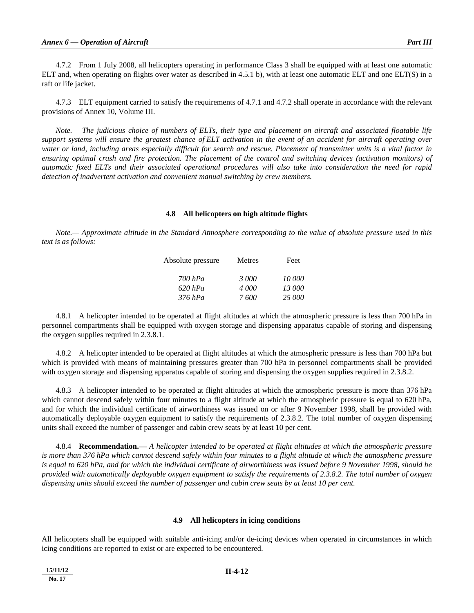4.7.2 From 1 July 2008, all helicopters operating in performance Class 3 shall be equipped with at least one automatic ELT and, when operating on flights over water as described in 4.5.1 b), with at least one automatic ELT and one ELT(S) in a raft or life jacket.

 4.7.3 ELT equipment carried to satisfy the requirements of 4.7.1 and 4.7.2 shall operate in accordance with the relevant provisions of Annex 10, Volume III.

 *Note.— The judicious choice of numbers of ELTs, their type and placement on aircraft and associated floatable life support systems will ensure the greatest chance of ELT activation in the event of an accident for aircraft operating over water or land, including areas especially difficult for search and rescue. Placement of transmitter units is a vital factor in ensuring optimal crash and fire protection. The placement of the control and switching devices (activation monitors) of automatic fixed ELTs and their associated operational procedures will also take into consideration the need for rapid detection of inadvertent activation and convenient manual switching by crew members.* 

#### **4.8 All helicopters on high altitude flights**

 *Note.— Approximate altitude in the Standard Atmosphere corresponding to the value of absolute pressure used in this text is as follows:* 

| Absolute pressure | Metres | Feet   |  |
|-------------------|--------|--------|--|
| 700 hPa           | 3000   | 10 000 |  |
| $620$ $hPa$       | 4 000  | 13 000 |  |
| 376 hPa           | 7600   | 25 000 |  |

 4.8.1 A helicopter intended to be operated at flight altitudes at which the atmospheric pressure is less than 700 hPa in personnel compartments shall be equipped with oxygen storage and dispensing apparatus capable of storing and dispensing the oxygen supplies required in 2.3.8.1.

 4.8.2 A helicopter intended to be operated at flight altitudes at which the atmospheric pressure is less than 700 hPa but which is provided with means of maintaining pressures greater than 700 hPa in personnel compartments shall be provided with oxygen storage and dispensing apparatus capable of storing and dispensing the oxygen supplies required in 2.3.8.2.

 4.8.3 A helicopter intended to be operated at flight altitudes at which the atmospheric pressure is more than 376 hPa which cannot descend safely within four minutes to a flight altitude at which the atmospheric pressure is equal to 620 hPa, and for which the individual certificate of airworthiness was issued on or after 9 November 1998, shall be provided with automatically deployable oxygen equipment to satisfy the requirements of 2.3.8.2. The total number of oxygen dispensing units shall exceed the number of passenger and cabin crew seats by at least 10 per cent.

 4.8.4 **Recommendation.—** *A helicopter intended to be operated at flight altitudes at which the atmospheric pressure is more than 376 hPa which cannot descend safely within four minutes to a flight altitude at which the atmospheric pressure is equal to 620 hPa, and for which the individual certificate of airworthiness was issued before 9 November 1998, should be provided with automatically deployable oxygen equipment to satisfy the requirements of 2.3.8.2. The total number of oxygen dispensing units should exceed the number of passenger and cabin crew seats by at least 10 per cent.* 

#### **4.9 All helicopters in icing conditions**

All helicopters shall be equipped with suitable anti-icing and/or de-icing devices when operated in circumstances in which icing conditions are reported to exist or are expected to be encountered.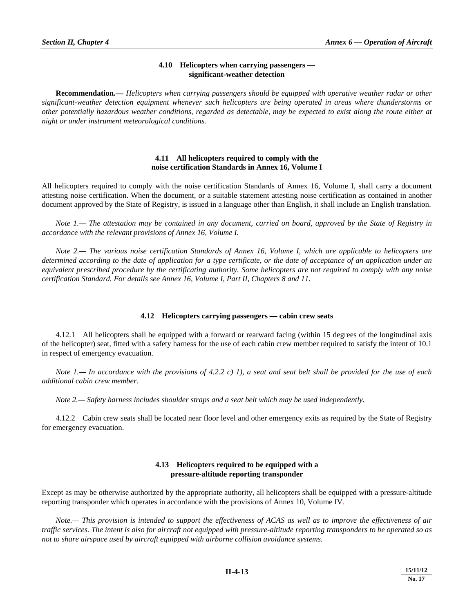# **4.10 Helicopters when carrying passengers significant-weather detection**

**Recommendation.—** *Helicopters when carrying passengers should be equipped with operative weather radar or other significant-weather detection equipment whenever such helicopters are being operated in areas where thunderstorms or other potentially hazardous weather conditions, regarded as detectable, may be expected to exist along the route either at night or under instrument meteorological conditions.* 

# **4.11 All helicopters required to comply with the noise certification Standards in Annex 16, Volume I**

All helicopters required to comply with the noise certification Standards of Annex 16, Volume I, shall carry a document attesting noise certification. When the document, or a suitable statement attesting noise certification as contained in another document approved by the State of Registry, is issued in a language other than English, it shall include an English translation.

 *Note 1.— The attestation may be contained in any document, carried on board, approved by the State of Registry in accordance with the relevant provisions of Annex 16, Volume I.*

*Note 2.— The various noise certification Standards of Annex 16, Volume I, which are applicable to helicopters are determined according to the date of application for a type certificate, or the date of acceptance of an application under an equivalent prescribed procedure by the certificating authority. Some helicopters are not required to comply with any noise certification Standard. For details see Annex 16, Volume I, Part II, Chapters 8 and 11.*

# **4.12 Helicopters carrying passengers — cabin crew seats**

 4.12.1 All helicopters shall be equipped with a forward or rearward facing (within 15 degrees of the longitudinal axis of the helicopter) seat, fitted with a safety harness for the use of each cabin crew member required to satisfy the intent of 10.1 in respect of emergency evacuation.

 *Note 1.— In accordance with the provisions of 4.2.2 c) 1), a seat and seat belt shall be provided for the use of each additional cabin crew member.* 

 *Note 2.— Safety harness includes shoulder straps and a seat belt which may be used independently.* 

 4.12.2 Cabin crew seats shall be located near floor level and other emergency exits as required by the State of Registry for emergency evacuation.

# **4.13 Helicopters required to be equipped with a pressure-altitude reporting transponder**

Except as may be otherwise authorized by the appropriate authority, all helicopters shall be equipped with a pressure-altitude reporting transponder which operates in accordance with the provisions of Annex 10, Volume IV.

 *Note.— This provision is intended to support the effectiveness of ACAS as well as to improve the effectiveness of air traffic services. The intent is also for aircraft not equipped with pressure-altitude reporting transponders to be operated so as not to share airspace used by aircraft equipped with airborne collision avoidance systems.*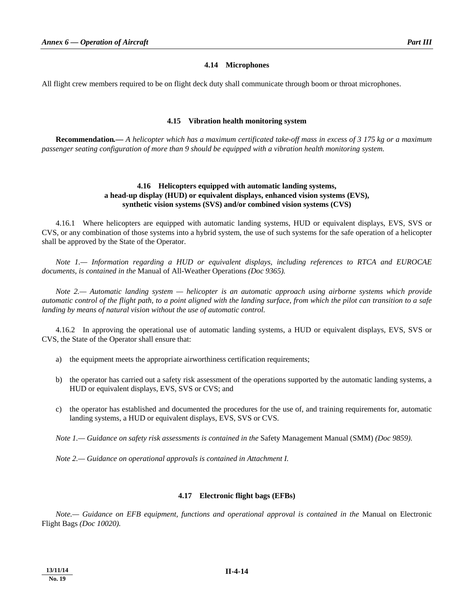#### **4.14 Microphones**

All flight crew members required to be on flight deck duty shall communicate through boom or throat microphones.

#### **4.15 Vibration health monitoring system**

**Recommendation***.— A helicopter which has a maximum certificated take-off mass in excess of 3 175 kg or a maximum passenger seating configuration of more than 9 should be equipped with a vibration health monitoring system.*

# **4.16 Helicopters equipped with automatic landing systems, a head-up display (HUD) or equivalent displays, enhanced vision systems (EVS), synthetic vision systems (SVS) and/or combined vision systems (CVS)**

 4.16.1 Where helicopters are equipped with automatic landing systems, HUD or equivalent displays, EVS, SVS or CVS, or any combination of those systems into a hybrid system, the use of such systems for the safe operation of a helicopter shall be approved by the State of the Operator.

*Note 1.— Information regarding a HUD or equivalent displays, including references to RTCA and EUROCAE documents, is contained in the* Manual of All-Weather Operations *(Doc 9365).* 

 *Note 2.— Automatic landing system — helicopter is an automatic approach using airborne systems which provide automatic control of the flight path, to a point aligned with the landing surface, from which the pilot can transition to a safe landing by means of natural vision without the use of automatic control.* 

 4.16.2 In approving the operational use of automatic landing systems, a HUD or equivalent displays, EVS, SVS or CVS, the State of the Operator shall ensure that:

- a) the equipment meets the appropriate airworthiness certification requirements;
- b) the operator has carried out a safety risk assessment of the operations supported by the automatic landing systems, a HUD or equivalent displays, EVS, SVS or CVS; and
- c) the operator has established and documented the procedures for the use of, and training requirements for, automatic landing systems, a HUD or equivalent displays, EVS, SVS or CVS.

 *Note 1.— Guidance on safety risk assessments is contained in the* Safety Management Manual (SMM) *(Doc 9859).* 

 *Note 2.— Guidance on operational approvals is contained in Attachment I.* 

#### **4.17 Electronic flight bags (EFBs)**

*Note.— Guidance on EFB equipment, functions and operational approval is contained in the* Manual on Electronic Flight Bags *(Doc 10020).*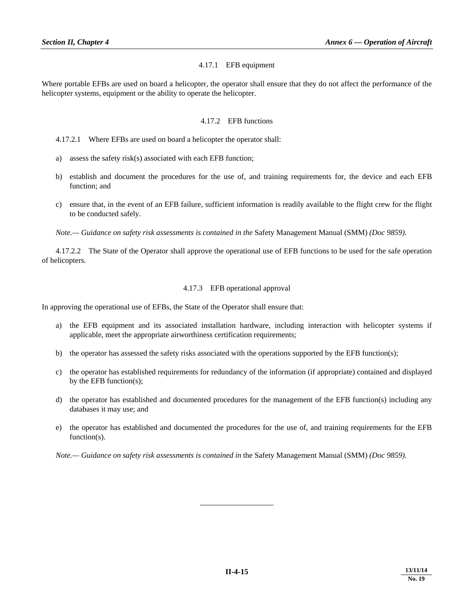## 4.17.1 EFB equipment

Where portable EFBs are used on board a helicopter, the operator shall ensure that they do not affect the performance of the helicopter systems, equipment or the ability to operate the helicopter.

# 4.17.2 EFB functions

- a) assess the safety risk(s) associated with each EFB function;
- b) establish and document the procedures for the use of, and training requirements for, the device and each EFB function; and
- c) ensure that, in the event of an EFB failure, sufficient information is readily available to the flight crew for the flight to be conducted safely.

*Note.— Guidance on safety risk assessments is contained in the* Safety Management Manual (SMM) *(Doc 9859).* 

 4.17.2.2 The State of the Operator shall approve the operational use of EFB functions to be used for the safe operation of helicopters.

## 4.17.3 EFB operational approval

In approving the operational use of EFBs, the State of the Operator shall ensure that:

- a) the EFB equipment and its associated installation hardware, including interaction with helicopter systems if applicable, meet the appropriate airworthiness certification requirements;
- b) the operator has assessed the safety risks associated with the operations supported by the EFB function(s);
- c) the operator has established requirements for redundancy of the information (if appropriate) contained and displayed by the EFB function(s);
- d) the operator has established and documented procedures for the management of the EFB function(s) including any databases it may use; and
- e) the operator has established and documented the procedures for the use of, and training requirements for the EFB function(s).

*Note.— Guidance on safety risk assessments is contained in the Safety Management Manual (SMM) (Doc 9859).* 

\_\_\_\_\_\_\_\_\_\_\_\_\_\_\_\_\_\_\_

 <sup>4.17.2.1</sup> Where EFBs are used on board a helicopter the operator shall: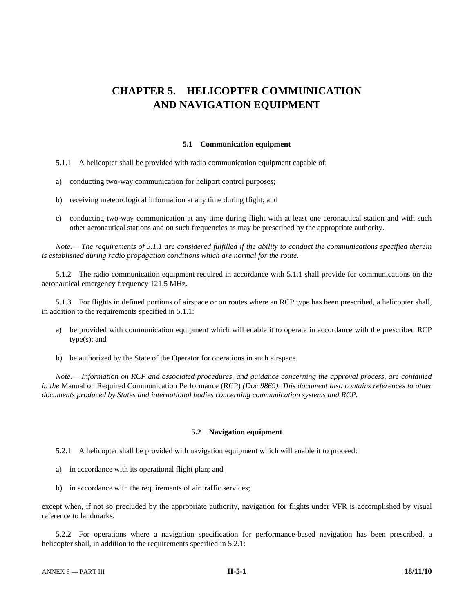# **CHAPTER 5. HELICOPTER COMMUNICATION AND NAVIGATION EQUIPMENT**

#### **5.1 Communication equipment**

5.1.1 A helicopter shall be provided with radio communication equipment capable of:

- a) conducting two-way communication for heliport control purposes;
- b) receiving meteorological information at any time during flight; and
- c) conducting two-way communication at any time during flight with at least one aeronautical station and with such other aeronautical stations and on such frequencies as may be prescribed by the appropriate authority.

*Note.— The requirements of 5.1.1 are considered fulfilled if the ability to conduct the communications specified therein is established during radio propagation conditions which are normal for the route.* 

 5.1.2 The radio communication equipment required in accordance with 5.1.1 shall provide for communications on the aeronautical emergency frequency 121.5 MHz.

5.1.3 For flights in defined portions of airspace or on routes where an RCP type has been prescribed, a helicopter shall, in addition to the requirements specified in 5.1.1:

- a) be provided with communication equipment which will enable it to operate in accordance with the prescribed RCP type(s); and
- b) be authorized by the State of the Operator for operations in such airspace.

*Note.— Information on RCP and associated procedures, and guidance concerning the approval process, are contained in the* Manual on Required Communication Performance (RCP) *(Doc 9869). This document also contains references to other documents produced by States and international bodies concerning communication systems and RCP.*

#### **5.2 Navigation equipment**

5.2.1 A helicopter shall be provided with navigation equipment which will enable it to proceed:

- a) in accordance with its operational flight plan; and
- b) in accordance with the requirements of air traffic services;

except when, if not so precluded by the appropriate authority, navigation for flights under VFR is accomplished by visual reference to landmarks.

 5.2.2 For operations where a navigation specification for performance-based navigation has been prescribed, a helicopter shall, in addition to the requirements specified in 5.2.1: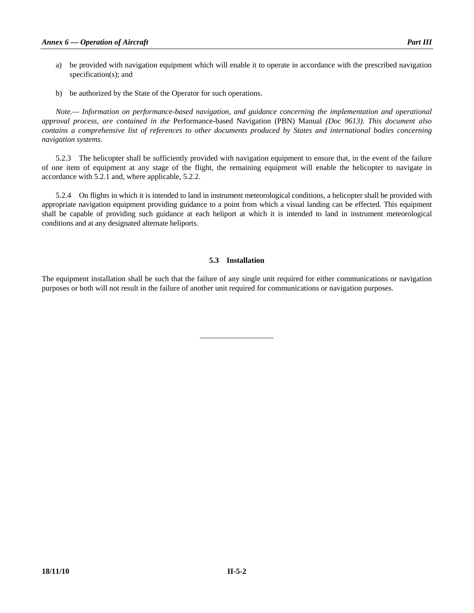- a) be provided with navigation equipment which will enable it to operate in accordance with the prescribed navigation specification(s); and
- b) be authorized by the State of the Operator for such operations.

 *Note.— Information on performance-based navigation, and guidance concerning the implementation and operational approval process, are contained in the* Performance-based Navigation (PBN) Manual *(Doc 9613). This document also contains a comprehensive list of references to other documents produced by States and international bodies concerning navigation systems.* 

 5.2.3 The helicopter shall be sufficiently provided with navigation equipment to ensure that, in the event of the failure of one item of equipment at any stage of the flight, the remaining equipment will enable the helicopter to navigate in accordance with 5.2.1 and, where applicable, 5.2.2.

 5.2.4 On flights in which it is intended to land in instrument meteorological conditions, a helicopter shall be provided with appropriate navigation equipment providing guidance to a point from which a visual landing can be effected. This equipment shall be capable of providing such guidance at each heliport at which it is intended to land in instrument meteorological conditions and at any designated alternate heliports.

# **5.3 Installation**

The equipment installation shall be such that the failure of any single unit required for either communications or navigation purposes or both will not result in the failure of another unit required for communications or navigation purposes.

\_\_\_\_\_\_\_\_\_\_\_\_\_\_\_\_\_\_\_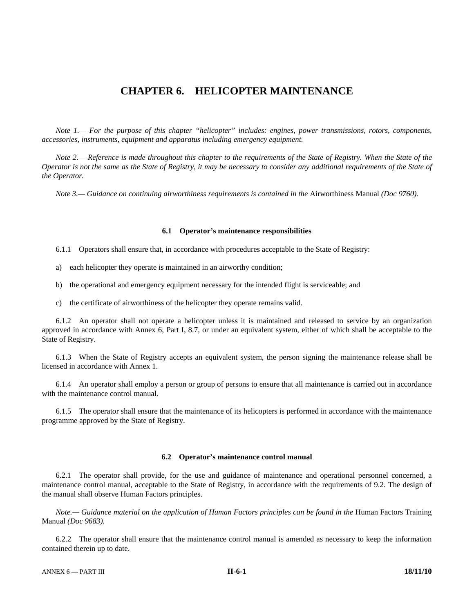# **CHAPTER 6. HELICOPTER MAINTENANCE**

 *Note 1.— For the purpose of this chapter "helicopter" includes: engines, power transmissions, rotors, components, accessories, instruments, equipment and apparatus including emergency equipment.* 

 *Note 2.— Reference is made throughout this chapter to the requirements of the State of Registry. When the State of the Operator is not the same as the State of Registry, it may be necessary to consider any additional requirements of the State of the Operator.* 

*Note 3.— Guidance on continuing airworthiness requirements is contained in the Airworthiness Manual (Doc 9760).* 

#### **6.1 Operator's maintenance responsibilities**

6.1.1 Operators shall ensure that, in accordance with procedures acceptable to the State of Registry:

- a) each helicopter they operate is maintained in an airworthy condition;
- b) the operational and emergency equipment necessary for the intended flight is serviceable; and
- c) the certificate of airworthiness of the helicopter they operate remains valid.

 6.1.2 An operator shall not operate a helicopter unless it is maintained and released to service by an organization approved in accordance with Annex 6, Part I, 8.7, or under an equivalent system, either of which shall be acceptable to the State of Registry.

 6.1.3 When the State of Registry accepts an equivalent system, the person signing the maintenance release shall be licensed in accordance with Annex 1.

 6.1.4 An operator shall employ a person or group of persons to ensure that all maintenance is carried out in accordance with the maintenance control manual.

 6.1.5 The operator shall ensure that the maintenance of its helicopters is performed in accordance with the maintenance programme approved by the State of Registry.

#### **6.2 Operator's maintenance control manual**

 6.2.1 The operator shall provide, for the use and guidance of maintenance and operational personnel concerned, a maintenance control manual, acceptable to the State of Registry, in accordance with the requirements of 9.2. The design of the manual shall observe Human Factors principles.

*Note.— Guidance material on the application of Human Factors principles can be found in the Human Factors Training* Manual *(Doc 9683).* 

 6.2.2 The operator shall ensure that the maintenance control manual is amended as necessary to keep the information contained therein up to date.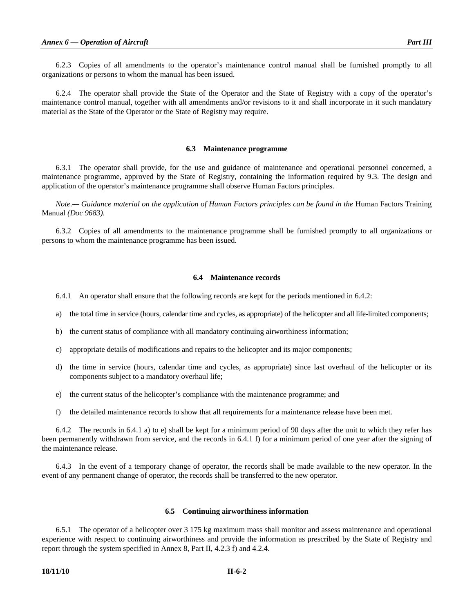6.2.3 Copies of all amendments to the operator's maintenance control manual shall be furnished promptly to all organizations or persons to whom the manual has been issued.

 6.2.4 The operator shall provide the State of the Operator and the State of Registry with a copy of the operator's maintenance control manual, together with all amendments and/or revisions to it and shall incorporate in it such mandatory material as the State of the Operator or the State of Registry may require.

#### **6.3 Maintenance programme**

 6.3.1 The operator shall provide, for the use and guidance of maintenance and operational personnel concerned, a maintenance programme, approved by the State of Registry, containing the information required by 9.3. The design and application of the operator's maintenance programme shall observe Human Factors principles.

*Note.*— Guidance material on the application of Human Factors principles can be found in the Human Factors Training Manual *(Doc 9683)*.

 6.3.2 Copies of all amendments to the maintenance programme shall be furnished promptly to all organizations or persons to whom the maintenance programme has been issued.

#### **6.4 Maintenance records**

- 6.4.1 An operator shall ensure that the following records are kept for the periods mentioned in 6.4.2:
- a) the total time in service (hours, calendar time and cycles, as appropriate) of the helicopter and all life-limited components;
- b) the current status of compliance with all mandatory continuing airworthiness information;
- c) appropriate details of modifications and repairs to the helicopter and its major components;
- d) the time in service (hours, calendar time and cycles, as appropriate) since last overhaul of the helicopter or its components subject to a mandatory overhaul life;
- e) the current status of the helicopter's compliance with the maintenance programme; and
- f) the detailed maintenance records to show that all requirements for a maintenance release have been met.

 6.4.2 The records in 6.4.1 a) to e) shall be kept for a minimum period of 90 days after the unit to which they refer has been permanently withdrawn from service, and the records in 6.4.1 f) for a minimum period of one year after the signing of the maintenance release.

 6.4.3 In the event of a temporary change of operator, the records shall be made available to the new operator. In the event of any permanent change of operator, the records shall be transferred to the new operator.

#### **6.5 Continuing airworthiness information**

 6.5.1 The operator of a helicopter over 3 175 kg maximum mass shall monitor and assess maintenance and operational experience with respect to continuing airworthiness and provide the information as prescribed by the State of Registry and report through the system specified in Annex 8, Part II, 4.2.3 f) and 4.2.4.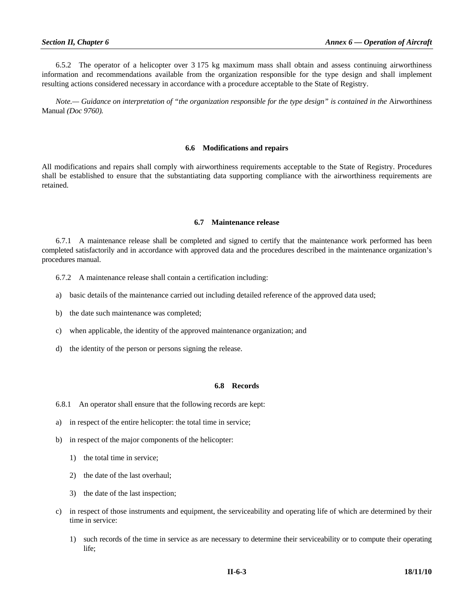6.5.2 The operator of a helicopter over 3 175 kg maximum mass shall obtain and assess continuing airworthiness information and recommendations available from the organization responsible for the type design and shall implement resulting actions considered necessary in accordance with a procedure acceptable to the State of Registry.

*Note.— Guidance on interpretation of "the organization responsible for the type design" is contained in the Airworthiness* Manual *(Doc 9760).* 

#### **6.6 Modifications and repairs**

All modifications and repairs shall comply with airworthiness requirements acceptable to the State of Registry. Procedures shall be established to ensure that the substantiating data supporting compliance with the airworthiness requirements are retained.

#### **6.7 Maintenance release**

 6.7.1 A maintenance release shall be completed and signed to certify that the maintenance work performed has been completed satisfactorily and in accordance with approved data and the procedures described in the maintenance organization's procedures manual.

6.7.2 A maintenance release shall contain a certification including:

- a) basic details of the maintenance carried out including detailed reference of the approved data used;
- b) the date such maintenance was completed;
- c) when applicable, the identity of the approved maintenance organization; and
- d) the identity of the person or persons signing the release.

#### **6.8 Records**

- 6.8.1An operator shall ensure that the following records are kept:
- a) in respect of the entire helicopter: the total time in service;
- b) in respect of the major components of the helicopter:
	- 1) the total time in service;
	- 2) the date of the last overhaul;
	- 3) the date of the last inspection;
- c) in respect of those instruments and equipment, the serviceability and operating life of which are determined by their time in service:
	- 1) such records of the time in service as are necessary to determine their serviceability or to compute their operating life;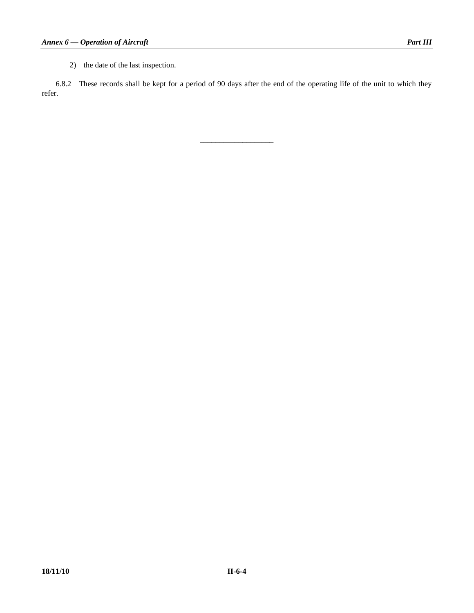2) the date of the last inspection.

 6.8.2These records shall be kept for a period of 90 days after the end of the operating life of the unit to which they refer.

\_\_\_\_\_\_\_\_\_\_\_\_\_\_\_\_\_\_\_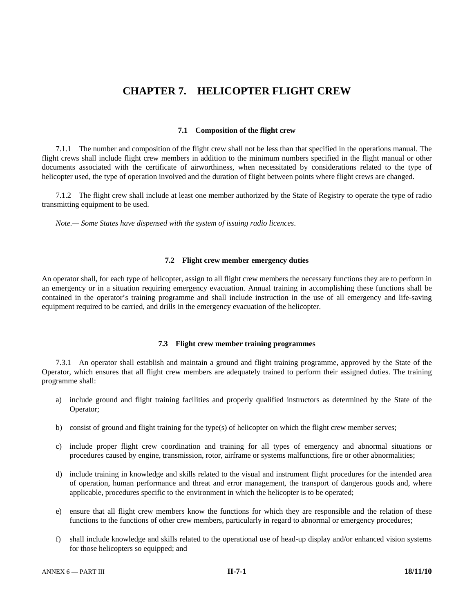# **CHAPTER 7. HELICOPTER FLIGHT CREW**

#### **7.1 Composition of the flight crew**

 7.1.1 The number and composition of the flight crew shall not be less than that specified in the operations manual. The flight crews shall include flight crew members in addition to the minimum numbers specified in the flight manual or other documents associated with the certificate of airworthiness, when necessitated by considerations related to the type of helicopter used, the type of operation involved and the duration of flight between points where flight crews are changed.

 7.1.2 The flight crew shall include at least one member authorized by the State of Registry to operate the type of radio transmitting equipment to be used.

 *Note.— Some States have dispensed with the system of issuing radio licences*.

#### **7.2 Flight crew member emergency duties**

An operator shall, for each type of helicopter, assign to all flight crew members the necessary functions they are to perform in an emergency or in a situation requiring emergency evacuation. Annual training in accomplishing these functions shall be contained in the operator's training programme and shall include instruction in the use of all emergency and life-saving equipment required to be carried, and drills in the emergency evacuation of the helicopter.

#### **7.3 Flight crew member training programmes**

 7.3.1 An operator shall establish and maintain a ground and flight training programme, approved by the State of the Operator, which ensures that all flight crew members are adequately trained to perform their assigned duties. The training programme shall:

- a) include ground and flight training facilities and properly qualified instructors as determined by the State of the Operator;
- b) consist of ground and flight training for the type(s) of helicopter on which the flight crew member serves;
- c) include proper flight crew coordination and training for all types of emergency and abnormal situations or procedures caused by engine, transmission, rotor, airframe or systems malfunctions, fire or other abnormalities;
- d) include training in knowledge and skills related to the visual and instrument flight procedures for the intended area of operation, human performance and threat and error management, the transport of dangerous goods and, where applicable, procedures specific to the environment in which the helicopter is to be operated;
- e) ensure that all flight crew members know the functions for which they are responsible and the relation of these functions to the functions of other crew members, particularly in regard to abnormal or emergency procedures;
- f) shall include knowledge and skills related to the operational use of head-up display and/or enhanced vision systems for those helicopters so equipped; and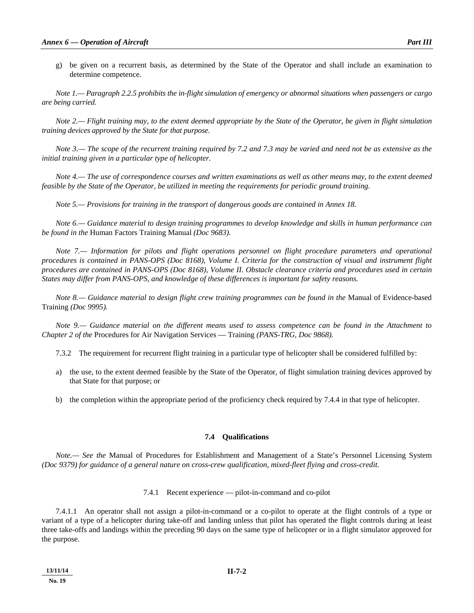g) be given on a recurrent basis, as determined by the State of the Operator and shall include an examination to determine competence.

 *Note 1.— Paragraph 2.2.5 prohibits the in-flight simulation of emergency or abnormal situations when passengers or cargo are being carried.* 

 *Note 2.— Flight training may, to the extent deemed appropriate by the State of the Operator, be given in flight simulation training devices approved by the State for that purpose.* 

 *Note 3.— The scope of the recurrent training required by 7.2 and 7.3 may be varied and need not be as extensive as the initial training given in a particular type of helicopter.* 

 *Note 4.— The use of correspondence courses and written examinations as well as other means may, to the extent deemed feasible by the State of the Operator, be utilized in meeting the requirements for periodic ground training.* 

 *Note 5.— Provisions for training in the transport of dangerous goods are contained in Annex 18.* 

 *Note 6.— Guidance material to design training programmes to develop knowledge and skills in human performance can be found in the* Human Factors Training Manual *(Doc 9683).* 

*Note 7.— Information for pilots and flight operations personnel on flight procedure parameters and operational procedures is contained in PANS-OPS (Doc 8168), Volume I. Criteria for the construction of visual and instrument flight procedures are contained in PANS-OPS (Doc 8168), Volume II. Obstacle clearance criteria and procedures used in certain States may differ from PANS-OPS, and knowledge of these differences is important for safety reasons.* 

*Note 8.— Guidance material to design flight crew training programmes can be found in the Manual of Evidence-based* Training *(Doc 9995).* 

 *Note 9.— Guidance material on the different means used to assess competence can be found in the Attachment to Chapter 2 of the* Procedures for Air Navigation Services — Training *(PANS-TRG, Doc 9868).* 

7.3.2 The requirement for recurrent flight training in a particular type of helicopter shall be considered fulfilled by:

- a) the use, to the extent deemed feasible by the State of the Operator, of flight simulation training devices approved by that State for that purpose; or
- b) the completion within the appropriate period of the proficiency check required by 7.4.4 in that type of helicopter.

#### **7.4 Qualifications**

*Note.— See the* Manual of Procedures for Establishment and Management of a State's Personnel Licensing System *(Doc 9379) for guidance of a general nature on cross-crew qualification, mixed-fleet flying and cross-credit.* 

#### 7.4.1 Recent experience — pilot-in-command and co-pilot

 7.4.1.1 An operator shall not assign a pilot-in-command or a co-pilot to operate at the flight controls of a type or variant of a type of a helicopter during take-off and landing unless that pilot has operated the flight controls during at least three take-offs and landings within the preceding 90 days on the same type of helicopter or in a flight simulator approved for the purpose.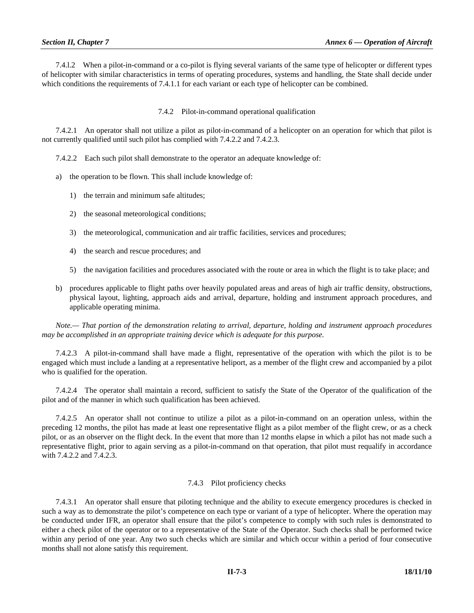7.4.l.2 When a pilot-in-command or a co-pilot is flying several variants of the same type of helicopter or different types of helicopter with similar characteristics in terms of operating procedures, systems and handling, the State shall decide under which conditions the requirements of 7.4.1.1 for each variant or each type of helicopter can be combined.

7.4.2 Pilot-in-command operational qualification

 7.4.2.1 An operator shall not utilize a pilot as pilot-in-command of a helicopter on an operation for which that pilot is not currently qualified until such pilot has complied with 7.4.2.2 and 7.4.2.3.

7.4.2.2 Each such pilot shall demonstrate to the operator an adequate knowledge of:

- a) the operation to be flown. This shall include knowledge of:
	- 1) the terrain and minimum safe altitudes;
	- 2) the seasonal meteorological conditions;
	- 3) the meteorological, communication and air traffic facilities, services and procedures;
	- 4) the search and rescue procedures; and
	- 5) the navigation facilities and procedures associated with the route or area in which the flight is to take place; and
- b) procedures applicable to flight paths over heavily populated areas and areas of high air traffic density, obstructions, physical layout, lighting, approach aids and arrival, departure, holding and instrument approach procedures, and applicable operating minima.

 *Note.— That portion of the demonstration relating to arrival, departure, holding and instrument approach procedures may be accomplished in an appropriate training device which is adequate for this purpose.* 

 7.4.2.3 A pilot-in-command shall have made a flight, representative of the operation with which the pilot is to be engaged which must include a landing at a representative heliport, as a member of the flight crew and accompanied by a pilot who is qualified for the operation.

 7.4.2.4 The operator shall maintain a record, sufficient to satisfy the State of the Operator of the qualification of the pilot and of the manner in which such qualification has been achieved.

 7.4.2.5 An operator shall not continue to utilize a pilot as a pilot-in-command on an operation unless, within the preceding 12 months, the pilot has made at least one representative flight as a pilot member of the flight crew, or as a check pilot, or as an observer on the flight deck. In the event that more than 12 months elapse in which a pilot has not made such a representative flight, prior to again serving as a pilot-in-command on that operation, that pilot must requalify in accordance with 7.4.2.2 and 7.4.2.3.

#### 7.4.3 Pilot proficiency checks

7.4.3.1 An operator shall ensure that piloting technique and the ability to execute emergency procedures is checked in such a way as to demonstrate the pilot's competence on each type or variant of a type of helicopter. Where the operation may be conducted under IFR, an operator shall ensure that the pilot's competence to comply with such rules is demonstrated to either a check pilot of the operator or to a representative of the State of the Operator. Such checks shall be performed twice within any period of one year. Any two such checks which are similar and which occur within a period of four consecutive months shall not alone satisfy this requirement.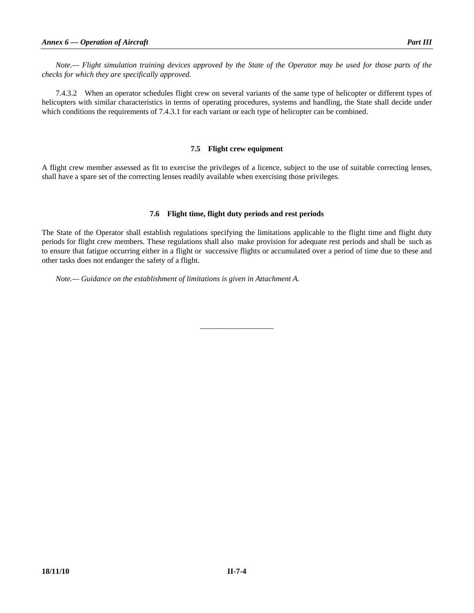*Note.— Flight simulation training devices approved by the State of the Operator may be used for those parts of the checks for which they are specifically approved.* 

 7.4.3.2 When an operator schedules flight crew on several variants of the same type of helicopter or different types of helicopters with similar characteristics in terms of operating procedures, systems and handling, the State shall decide under which conditions the requirements of 7.4.3.1 for each variant or each type of helicopter can be combined.

## **7.5 Flight crew equipment**

A flight crew member assessed as fit to exercise the privileges of a licence, subject to the use of suitable correcting lenses, shall have a spare set of the correcting lenses readily available when exercising those privileges.

## **7.6 Flight time, flight duty periods and rest periods**

The State of the Operator shall establish regulations specifying the limitations applicable to the flight time and flight duty periods for flight crew members. These regulations shall also make provision for adequate rest periods and shall be such as to ensure that fatigue occurring either in a flight or successive flights or accumulated over a period of time due to these and other tasks does not endanger the safety of a flight.

\_\_\_\_\_\_\_\_\_\_\_\_\_\_\_\_\_\_\_

 *Note.— Guidance on the establishment of limitations is given in Attachment A.*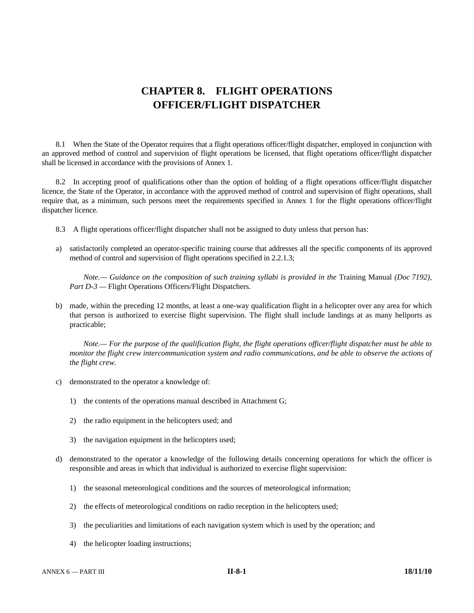# **CHAPTER 8. FLIGHT OPERATIONS OFFICER/FLIGHT DISPATCHER**

 8.1 When the State of the Operator requires that a flight operations officer/flight dispatcher, employed in conjunction with an approved method of control and supervision of flight operations be licensed, that flight operations officer/flight dispatcher shall be licensed in accordance with the provisions of Annex 1.

 8.2 In accepting proof of qualifications other than the option of holding of a flight operations officer/flight dispatcher licence, the State of the Operator, in accordance with the approved method of control and supervision of flight operations, shall require that, as a minimum, such persons meet the requirements specified in Annex 1 for the flight operations officer/flight dispatcher licence.

- 8.3 A flight operations officer/flight dispatcher shall not be assigned to duty unless that person has:
- a) satisfactorily completed an operator-specific training course that addresses all the specific components of its approved method of control and supervision of flight operations specified in 2.2.1.3;

*Note.*— Guidance on the composition of such training syllabi is provided in the Training Manual (Doc 7192), *Part D-3 —* Flight Operations Officers/Flight Dispatchers*.* 

 b) made, within the preceding 12 months, at least a one-way qualification flight in a helicopter over any area for which that person is authorized to exercise flight supervision. The flight shall include landings at as many heliports as practicable;

 *Note.— For the purpose of the qualification flight, the flight operations officer/flight dispatcher must be able to monitor the flight crew intercommunication system and radio communications, and be able to observe the actions of the flight crew.* 

- c) demonstrated to the operator a knowledge of:
	- 1) the contents of the operations manual described in Attachment G;
	- 2) the radio equipment in the helicopters used; and
	- 3) the navigation equipment in the helicopters used;
- d) demonstrated to the operator a knowledge of the following details concerning operations for which the officer is responsible and areas in which that individual is authorized to exercise flight supervision:
	- 1) the seasonal meteorological conditions and the sources of meteorological information;
	- 2) the effects of meteorological conditions on radio reception in the helicopters used;
	- 3) the peculiarities and limitations of each navigation system which is used by the operation; and
	- 4) the helicopter loading instructions;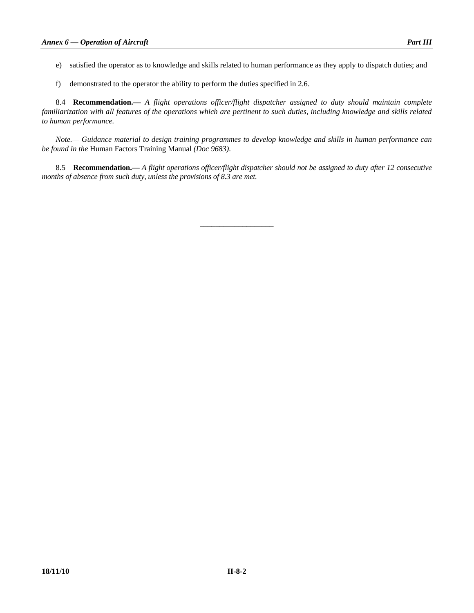- e) satisfied the operator as to knowledge and skills related to human performance as they apply to dispatch duties; and
- f) demonstrated to the operator the ability to perform the duties specified in 2.6.

 8.4 **Recommendation.—** *A flight operations officer/flight dispatcher assigned to duty should maintain complete familiarization with all features of the operations which are pertinent to such duties, including knowledge and skills related to human performance.* 

 *Note.— Guidance material to design training programmes to develop knowledge and skills in human performance can be found in the* Human Factors Training Manual *(Doc 9683)*.

 8.5 **Recommendation.—** *A flight operations officer/flight dispatcher should not be assigned to duty after 12 consecutive months of absence from such duty, unless the provisions of 8.3 are met.* 

\_\_\_\_\_\_\_\_\_\_\_\_\_\_\_\_\_\_\_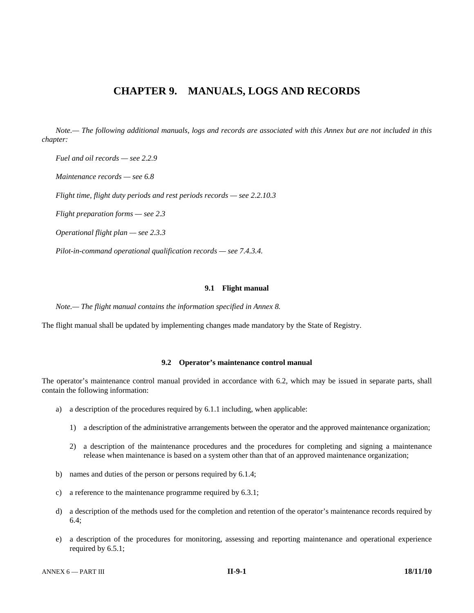# **CHAPTER 9. MANUALS, LOGS AND RECORDS**

 *Note.— The following additional manuals, logs and records are associated with this Annex but are not included in this chapter:* 

 *Fuel and oil records — see 2.2.9* 

 *Maintenance records — see 6.8* 

 *Flight time, flight duty periods and rest periods records — see 2.2.10.3* 

*Flight preparation forms — see 2.3* 

 *Operational flight plan — see 2.3.3* 

 *Pilot-in-command operational qualification records — see 7.4.3.4.* 

#### **9.1 Flight manual**

 *Note.— The flight manual contains the information specified in Annex 8.* 

The flight manual shall be updated by implementing changes made mandatory by the State of Registry.

# **9.2 Operator's maintenance control manual**

The operator's maintenance control manual provided in accordance with 6.2, which may be issued in separate parts, shall contain the following information:

- a) a description of the procedures required by 6.1.1 including, when applicable:
	- 1) a description of the administrative arrangements between the operator and the approved maintenance organization;
	- 2) a description of the maintenance procedures and the procedures for completing and signing a maintenance release when maintenance is based on a system other than that of an approved maintenance organization;
- b) names and duties of the person or persons required by 6.1.4;
- c) a reference to the maintenance programme required by 6.3.1;
- d) a description of the methods used for the completion and retention of the operator's maintenance records required by 6.4;
- e) a description of the procedures for monitoring, assessing and reporting maintenance and operational experience required by 6.5.1;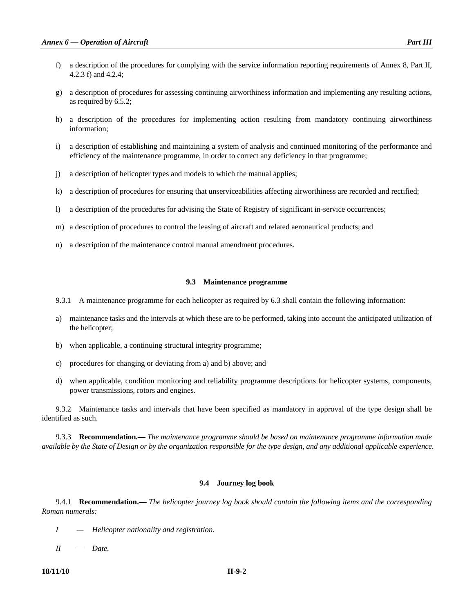- f) a description of the procedures for complying with the service information reporting requirements of Annex 8, Part II, 4.2.3 f) and 4.2.4;
- g) a description of procedures for assessing continuing airworthiness information and implementing any resulting actions, as required by 6.5.2;
- h) a description of the procedures for implementing action resulting from mandatory continuing airworthiness information;
- i) a description of establishing and maintaining a system of analysis and continued monitoring of the performance and efficiency of the maintenance programme, in order to correct any deficiency in that programme;
- j) a description of helicopter types and models to which the manual applies;
- k) a description of procedures for ensuring that unserviceabilities affecting airworthiness are recorded and rectified;
- l) a description of the procedures for advising the State of Registry of significant in-service occurrences;
- m) a description of procedures to control the leasing of aircraft and related aeronautical products; and
- n) a description of the maintenance control manual amendment procedures.

#### **9.3 Maintenance programme**

- 9.3.1 A maintenance programme for each helicopter as required by 6.3 shall contain the following information:
- a) maintenance tasks and the intervals at which these are to be performed, taking into account the anticipated utilization of the helicopter;
- b) when applicable, a continuing structural integrity programme;
- c) procedures for changing or deviating from a) and b) above; and
- d) when applicable, condition monitoring and reliability programme descriptions for helicopter systems, components, power transmissions, rotors and engines.

 9.3.2 Maintenance tasks and intervals that have been specified as mandatory in approval of the type design shall be identified as such.

 9.3.3 **Recommendation.—** *The maintenance programme should be based on maintenance programme information made available by the State of Design or by the organization responsible for the type design, and any additional applicable experience*.

#### **9.4 Journey log book**

 9.4.1 **Recommendation.—** *The helicopter journey log book should contain the following items and the corresponding Roman numerals:* 

- *I Helicopter nationality and registration.*
- *II Date.*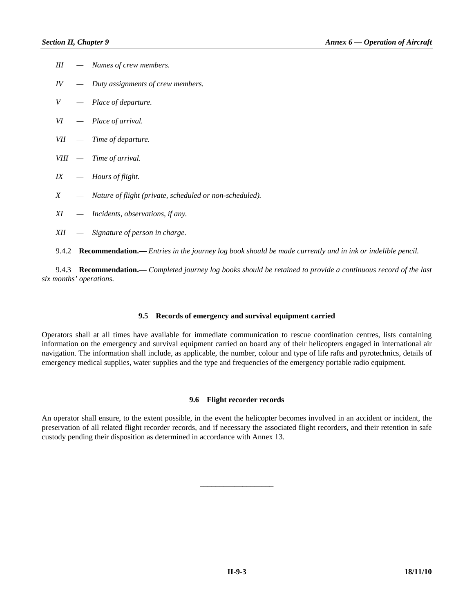| Ш   | - Names of crew members.                                                                                        |
|-----|-----------------------------------------------------------------------------------------------------------------|
| IV  | - Duty assignments of crew members.                                                                             |
| V   | $-$ Place of departure.                                                                                         |
| VI  | $-$ Place of arrival.                                                                                           |
|     | $VII$ - Time of departure.                                                                                      |
|     | VIII - Time of arrival.                                                                                         |
| IX  | $-$ Hours of flight.                                                                                            |
| X   | - Nature of flight (private, scheduled or non-scheduled).                                                       |
| XI  | - Incidents, observations, if any.                                                                              |
| XII | - Signature of person in charge.                                                                                |
|     | 9.4.2 Recommendation.— Entries in the journey log book should be made currently and in ink or indelible pencil. |

 9.4.3 **Recommendation.—** *Completed journey log books should be retained to provide a continuous record of the last six months' operations.* 

# **9.5 Records of emergency and survival equipment carried**

Operators shall at all times have available for immediate communication to rescue coordination centres, lists containing information on the emergency and survival equipment carried on board any of their helicopters engaged in international air navigation. The information shall include, as applicable, the number, colour and type of life rafts and pyrotechnics, details of emergency medical supplies, water supplies and the type and frequencies of the emergency portable radio equipment.

# **9.6 Flight recorder records**

An operator shall ensure, to the extent possible, in the event the helicopter becomes involved in an accident or incident, the preservation of all related flight recorder records, and if necessary the associated flight recorders, and their retention in safe custody pending their disposition as determined in accordance with Annex 13.

\_\_\_\_\_\_\_\_\_\_\_\_\_\_\_\_\_\_\_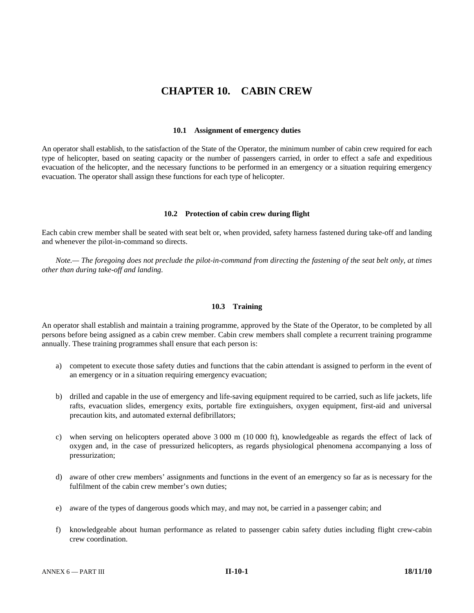# **CHAPTER 10. CABIN CREW**

#### **10.1 Assignment of emergency duties**

An operator shall establish, to the satisfaction of the State of the Operator, the minimum number of cabin crew required for each type of helicopter, based on seating capacity or the number of passengers carried, in order to effect a safe and expeditious evacuation of the helicopter, and the necessary functions to be performed in an emergency or a situation requiring emergency evacuation. The operator shall assign these functions for each type of helicopter.

#### **10.2 Protection of cabin crew during flight**

Each cabin crew member shall be seated with seat belt or, when provided, safety harness fastened during take-off and landing and whenever the pilot-in-command so directs.

 *Note.— The foregoing does not preclude the pilot-in-command from directing the fastening of the seat belt only, at times other than during take-off and landing.* 

# **10.3 Training**

An operator shall establish and maintain a training programme, approved by the State of the Operator, to be completed by all persons before being assigned as a cabin crew member. Cabin crew members shall complete a recurrent training programme annually. These training programmes shall ensure that each person is:

- a) competent to execute those safety duties and functions that the cabin attendant is assigned to perform in the event of an emergency or in a situation requiring emergency evacuation;
- b) drilled and capable in the use of emergency and life-saving equipment required to be carried, such as life jackets, life rafts, evacuation slides, emergency exits, portable fire extinguishers, oxygen equipment, first-aid and universal precaution kits, and automated external defibrillators;
- c) when serving on helicopters operated above 3 000 m (10 000 ft), knowledgeable as regards the effect of lack of oxygen and, in the case of pressurized helicopters, as regards physiological phenomena accompanying a loss of pressurization;
- d) aware of other crew members' assignments and functions in the event of an emergency so far as is necessary for the fulfilment of the cabin crew member's own duties;
- e) aware of the types of dangerous goods which may, and may not, be carried in a passenger cabin; and
- f) knowledgeable about human performance as related to passenger cabin safety duties including flight crew-cabin crew coordination.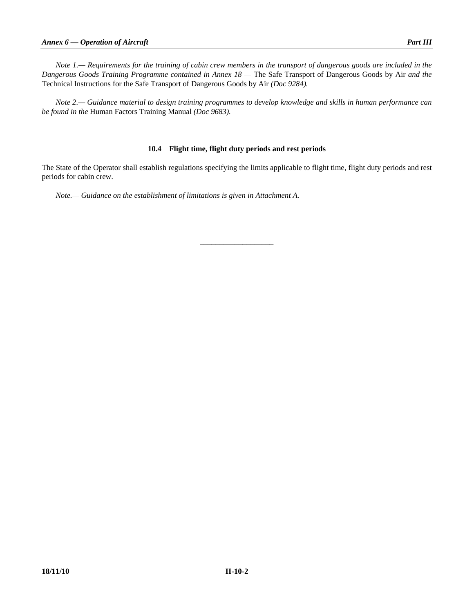*Note 1.— Requirements for the training of cabin crew members in the transport of dangerous goods are included in the Dangerous Goods Training Programme contained in Annex 18 —* The Safe Transport of Dangerous Goods by Air *and the*  Technical Instructions for the Safe Transport of Dangerous Goods by Air *(Doc 9284).* 

 *Note 2.— Guidance material to design training programmes to develop knowledge and skills in human performance can be found in the* Human Factors Training Manual *(Doc 9683).* 

# **10.4 Flight time, flight duty periods and rest periods**

The State of the Operator shall establish regulations specifying the limits applicable to flight time, flight duty periods and rest periods for cabin crew.

\_\_\_\_\_\_\_\_\_\_\_\_\_\_\_\_\_\_\_

 *Note.— Guidance on the establishment of limitations is given in Attachment A.*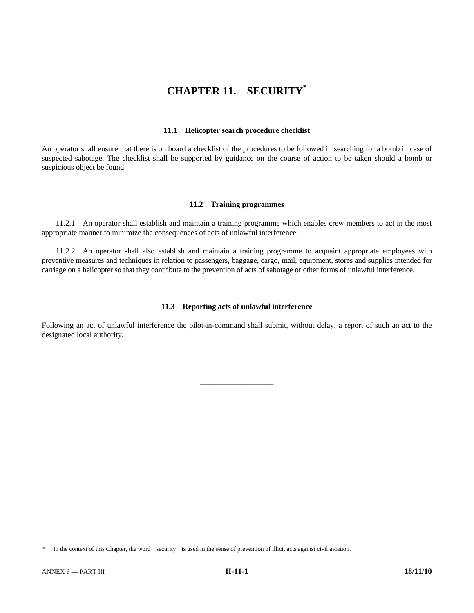# **CHAPTER 11. SECURITY\***

## **11.1 Helicopter search procedure checklist**

An operator shall ensure that there is on board a checklist of the procedures to be followed in searching for a bomb in case of suspected sabotage. The checklist shall be supported by guidance on the course of action to be taken should a bomb or suspicious object be found.

# **11.2 Training programmes**

 11.2.1 An operator shall establish and maintain a training programme which enables crew members to act in the most appropriate manner to minimize the consequences of acts of unlawful interference.

 11.2.2 An operator shall also establish and maintain a training programme to acquaint appropriate employees with preventive measures and techniques in relation to passengers, baggage, cargo, mail, equipment, stores and supplies intended for carriage on a helicopter so that they contribute to the prevention of acts of sabotage or other forms of unlawful interference.

# **11.3 Reporting acts of unlawful interference**

Following an act of unlawful interference the pilot-in-command shall submit, without delay, a report of such an act to the designated local authority.

\_\_\_\_\_\_\_\_\_\_\_\_\_\_\_\_\_\_\_

-

In the context of this Chapter, the word "security" is used in the sense of prevention of illicit acts against civil aviation.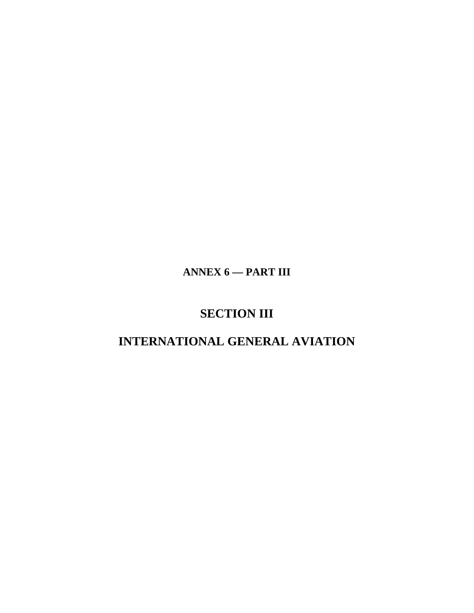**ANNEX 6 — PART III** 

# **SECTION III**

# **INTERNATIONAL GENERAL AVIATION**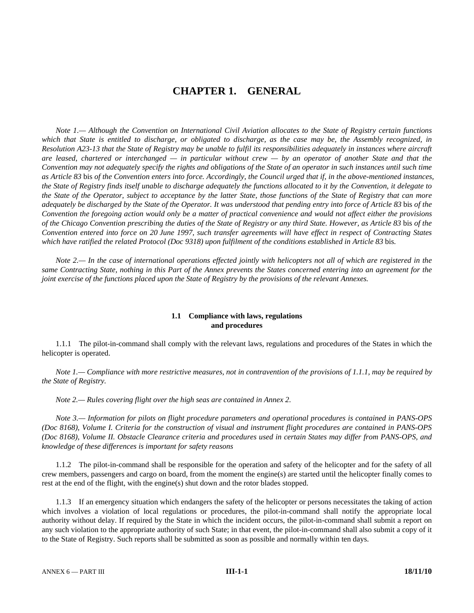# **CHAPTER 1. GENERAL**

 *Note 1.— Although the Convention on International Civil Aviation allocates to the State of Registry certain functions which that State is entitled to discharge, or obligated to discharge, as the case may be, the Assembly recognized, in Resolution A23-13 that the State of Registry may be unable to fulfil its responsibilities adequately in instances where aircraft are leased, chartered or interchanged — in particular without crew — by an operator of another State and that the Convention may not adequately specify the rights and obligations of the State of an operator in such instances until such time as Article 83* bis *of the Convention enters into force. Accordingly, the Council urged that if, in the above-mentioned instances, the State of Registry finds itself unable to discharge adequately the functions allocated to it by the Convention, it delegate to the State of the Operator, subject to acceptance by the latter State, those functions of the State of Registry that can more adequately be discharged by the State of the Operator. It was understood that pending entry into force of Article 83* bis *of the Convention the foregoing action would only be a matter of practical convenience and would not affect either the provisions of the Chicago Convention prescribing the duties of the State of Registry or any third State. However, as Article 83* bis *of the Convention entered into force on 20 June 1997, such transfer agreements will have effect in respect of Contracting States which have ratified the related Protocol (Doc 9318) upon fulfilment of the conditions established in Article 83* bis*.* 

 *Note 2.— In the case of international operations effected jointly with helicopters not all of which are registered in the same Contracting State, nothing in this Part of the Annex prevents the States concerned entering into an agreement for the joint exercise of the functions placed upon the State of Registry by the provisions of the relevant Annexes.* 

# **1.1 Compliance with laws, regulations and procedures**

 1.1.1 The pilot-in-command shall comply with the relevant laws, regulations and procedures of the States in which the helicopter is operated.

 *Note 1.— Compliance with more restrictive measures, not in contravention of the provisions of 1.1.1, may be required by the State of Registry.* 

 *Note 2.— Rules covering flight over the high seas are contained in Annex 2.* 

*Note 3.— Information for pilots on flight procedure parameters and operational procedures is contained in PANS-OPS (Doc 8168), Volume I. Criteria for the construction of visual and instrument flight procedures are contained in PANS-OPS (Doc 8168), Volume II. Obstacle Clearance criteria and procedures used in certain States may differ from PANS-OPS, and knowledge of these differences is important for safety reasons* 

 1.1.2 The pilot-in-command shall be responsible for the operation and safety of the helicopter and for the safety of all crew members, passengers and cargo on board, from the moment the engine(s) are started until the helicopter finally comes to rest at the end of the flight, with the engine(s) shut down and the rotor blades stopped.

 1.1.3 If an emergency situation which endangers the safety of the helicopter or persons necessitates the taking of action which involves a violation of local regulations or procedures, the pilot-in-command shall notify the appropriate local authority without delay. If required by the State in which the incident occurs, the pilot-in-command shall submit a report on any such violation to the appropriate authority of such State; in that event, the pilot-in-command shall also submit a copy of it to the State of Registry. Such reports shall be submitted as soon as possible and normally within ten days.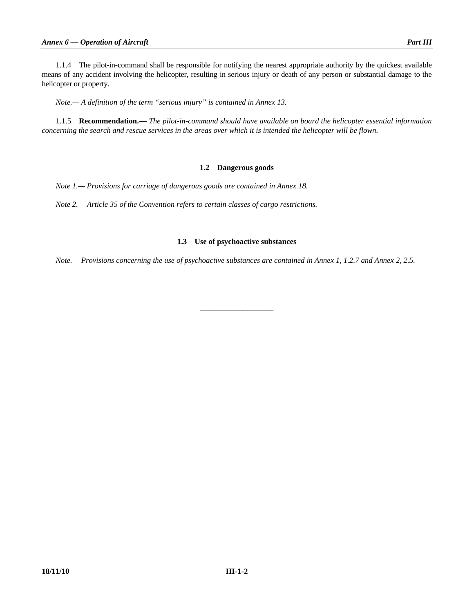helicopter or property.

 *Note.— A definition of the term "serious injury" is contained in Annex 13.* 

 1.1.5 **Recommendation.—** *The pilot-in-command should have available on board the helicopter essential information concerning the search and rescue services in the areas over which it is intended the helicopter will be flown.* 

# **1.2 Dangerous goods**

 *Note 1.— Provisions for carriage of dangerous goods are contained in Annex 18.* 

 *Note 2.— Article 35 of the Convention refers to certain classes of cargo restrictions.* 

# **1.3 Use of psychoactive substances**

 *Note.— Provisions concerning the use of psychoactive substances are contained in Annex 1, 1.2.7 and Annex 2, 2.5.* 

\_\_\_\_\_\_\_\_\_\_\_\_\_\_\_\_\_\_\_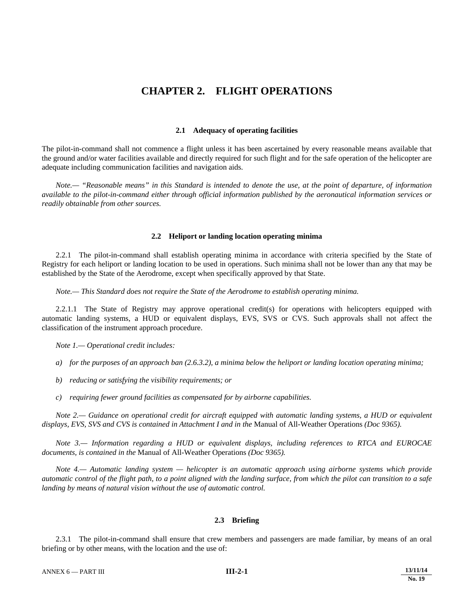# **CHAPTER 2. FLIGHT OPERATIONS**

## **2.1 Adequacy of operating facilities**

The pilot-in-command shall not commence a flight unless it has been ascertained by every reasonable means available that the ground and/or water facilities available and directly required for such flight and for the safe operation of the helicopter are adequate including communication facilities and navigation aids.

 *Note.— "Reasonable means" in this Standard is intended to denote the use, at the point of departure, of information available to the pilot-in-command either through official information published by the aeronautical information services or readily obtainable from other sources.*

#### **2.2 Heliport or landing location operating minima**

 2.2.1 The pilot-in-command shall establish operating minima in accordance with criteria specified by the State of Registry for each heliport or landing location to be used in operations. Such minima shall not be lower than any that may be established by the State of the Aerodrome, except when specifically approved by that State.

*Note.— This Standard does not require the State of the Aerodrome to establish operating minima.* 

 2.2.1.1 The State of Registry may approve operational credit(s) for operations with helicopters equipped with automatic landing systems, a HUD or equivalent displays, EVS, SVS or CVS. Such approvals shall not affect the classification of the instrument approach procedure.

*Note 1.— Operational credit includes:* 

 *a) for the purposes of an approach ban (2.6.3.2), a minima below the heliport or landing location operating minima;* 

- *b) reducing or satisfying the visibility requirements; or*
- *c) requiring fewer ground facilities as compensated for by airborne capabilities.*

 *Note 2.— Guidance on operational credit for aircraft equipped with automatic landing systems, a HUD or equivalent displays, EVS, SVS and CVS is contained in Attachment I and in the* Manual of All-Weather Operations *(Doc 9365).* 

 *Note 3.— Information regarding a HUD or equivalent displays, including references to RTCA and EUROCAE documents, is contained in the* Manual of All-Weather Operations *(Doc 9365).* 

 *Note 4.— Automatic landing system — helicopter is an automatic approach using airborne systems which provide automatic control of the flight path, to a point aligned with the landing surface, from which the pilot can transition to a safe landing by means of natural vision without the use of automatic control.* 

#### **2.3 Briefing**

 2.3.1 The pilot-in-command shall ensure that crew members and passengers are made familiar, by means of an oral briefing or by other means, with the location and the use of: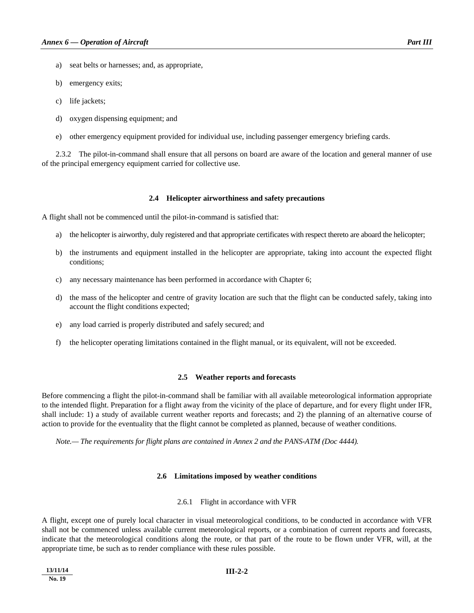- a) seat belts or harnesses; and, as appropriate,
- b) emergency exits;
- c) life jackets;
- d) oxygen dispensing equipment; and
- e) other emergency equipment provided for individual use, including passenger emergency briefing cards.

 2.3.2 The pilot-in-command shall ensure that all persons on board are aware of the location and general manner of use of the principal emergency equipment carried for collective use.

#### **2.4 Helicopter airworthiness and safety precautions**

A flight shall not be commenced until the pilot-in-command is satisfied that:

- a) the helicopter is airworthy, duly registered and that appropriate certificates with respect thereto are aboard the helicopter;
- b) the instruments and equipment installed in the helicopter are appropriate, taking into account the expected flight conditions;
- c) any necessary maintenance has been performed in accordance with Chapter 6;
- d) the mass of the helicopter and centre of gravity location are such that the flight can be conducted safely, taking into account the flight conditions expected;
- e) any load carried is properly distributed and safely secured; and
- f) the helicopter operating limitations contained in the flight manual, or its equivalent, will not be exceeded.

#### **2.5 Weather reports and forecasts**

Before commencing a flight the pilot-in-command shall be familiar with all available meteorological information appropriate to the intended flight. Preparation for a flight away from the vicinity of the place of departure, and for every flight under IFR, shall include: 1) a study of available current weather reports and forecasts; and 2) the planning of an alternative course of action to provide for the eventuality that the flight cannot be completed as planned, because of weather conditions.

 *Note.— The requirements for flight plans are contained in Annex 2 and the PANS-ATM (Doc 4444).* 

#### **2.6 Limitations imposed by weather conditions**

2.6.1 Flight in accordance with VFR

A flight, except one of purely local character in visual meteorological conditions, to be conducted in accordance with VFR shall not be commenced unless available current meteorological reports, or a combination of current reports and forecasts, indicate that the meteorological conditions along the route, or that part of the route to be flown under VFR, will, at the appropriate time, be such as to render compliance with these rules possible.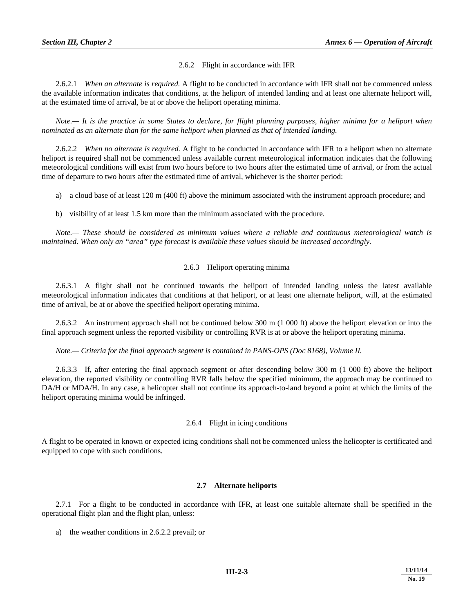2.6.2 Flight in accordance with IFR

 2.6.2.1 *When an alternate is required.* A flight to be conducted in accordance with IFR shall not be commenced unless the available information indicates that conditions, at the heliport of intended landing and at least one alternate heliport will, at the estimated time of arrival, be at or above the heliport operating minima.

 *Note.— It is the practice in some States to declare, for flight planning purposes, higher minima for a heliport when nominated as an alternate than for the same heliport when planned as that of intended landing.* 

 2.6.2.2 *When no alternate is required.* A flight to be conducted in accordance with IFR to a heliport when no alternate heliport is required shall not be commenced unless available current meteorological information indicates that the following meteorological conditions will exist from two hours before to two hours after the estimated time of arrival, or from the actual time of departure to two hours after the estimated time of arrival, whichever is the shorter period:

a) a cloud base of at least 120 m (400 ft) above the minimum associated with the instrument approach procedure; and

b) visibility of at least 1.5 km more than the minimum associated with the procedure.

 *Note.— These should be considered as minimum values where a reliable and continuous meteorological watch is maintained. When only an "area" type forecast is available these values should be increased accordingly.* 

#### 2.6.3 Heliport operating minima

 2.6.3.1 A flight shall not be continued towards the heliport of intended landing unless the latest available meteorological information indicates that conditions at that heliport, or at least one alternate heliport, will, at the estimated time of arrival, be at or above the specified heliport operating minima.

 2.6.3.2 An instrument approach shall not be continued below 300 m (1 000 ft) above the heliport elevation or into the final approach segment unless the reported visibility or controlling RVR is at or above the heliport operating minima.

*Note.— Criteria for the final approach segment is contained in PANS-OPS (Doc 8168), Volume II.* 

 2.6.3.3 If, after entering the final approach segment or after descending below 300 m (1 000 ft) above the heliport elevation, the reported visibility or controlling RVR falls below the specified minimum, the approach may be continued to DA/H or MDA/H. In any case, a helicopter shall not continue its approach-to-land beyond a point at which the limits of the heliport operating minima would be infringed.

#### 2.6.4 Flight in icing conditions

A flight to be operated in known or expected icing conditions shall not be commenced unless the helicopter is certificated and equipped to cope with such conditions.

#### **2.7 Alternate heliports**

 2.7.1 For a flight to be conducted in accordance with IFR, at least one suitable alternate shall be specified in the operational flight plan and the flight plan, unless:

a) the weather conditions in 2.6.2.2 prevail; or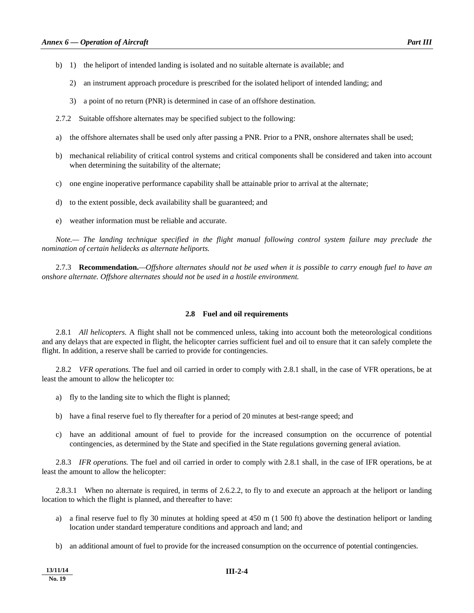- b) 1) the heliport of intended landing is isolated and no suitable alternate is available; and
	- 2) an instrument approach procedure is prescribed for the isolated heliport of intended landing; and
	- 3) a point of no return (PNR) is determined in case of an offshore destination.
- 2.7.2 Suitable offshore alternates may be specified subject to the following:
- a) the offshore alternates shall be used only after passing a PNR. Prior to a PNR, onshore alternates shall be used;
- b) mechanical reliability of critical control systems and critical components shall be considered and taken into account when determining the suitability of the alternate;
- c) one engine inoperative performance capability shall be attainable prior to arrival at the alternate;
- d) to the extent possible, deck availability shall be guaranteed; and
- e) weather information must be reliable and accurate.

*Note.*— The landing technique specified in the flight manual following control system failure may preclude the *nomination of certain helidecks as alternate heliports.* 

 2.7.3 **Recommendation.***—Offshore alternates should not be used when it is possible to carry enough fuel to have an onshore alternate. Offshore alternates should not be used in a hostile environment.*

#### **2.8 Fuel and oil requirements**

 2.8.1 *All helicopters.* A flight shall not be commenced unless, taking into account both the meteorological conditions and any delays that are expected in flight, the helicopter carries sufficient fuel and oil to ensure that it can safely complete the flight. In addition, a reserve shall be carried to provide for contingencies.

 2.8.2 *VFR operations.* The fuel and oil carried in order to comply with 2.8.1 shall, in the case of VFR operations, be at least the amount to allow the helicopter to:

- a) fly to the landing site to which the flight is planned;
- b) have a final reserve fuel to fly thereafter for a period of 20 minutes at best-range speed; and
- c) have an additional amount of fuel to provide for the increased consumption on the occurrence of potential contingencies, as determined by the State and specified in the State regulations governing general aviation.

 2.8.3 *IFR operations.* The fuel and oil carried in order to comply with 2.8.1 shall, in the case of IFR operations, be at least the amount to allow the helicopter:

 2.8.3.1 When no alternate is required, in terms of 2.6.2.2, to fly to and execute an approach at the heliport or landing location to which the flight is planned, and thereafter to have:

- a) a final reserve fuel to fly 30 minutes at holding speed at 450 m (1 500 ft) above the destination heliport or landing location under standard temperature conditions and approach and land; and
- b) an additional amount of fuel to provide for the increased consumption on the occurrence of potential contingencies.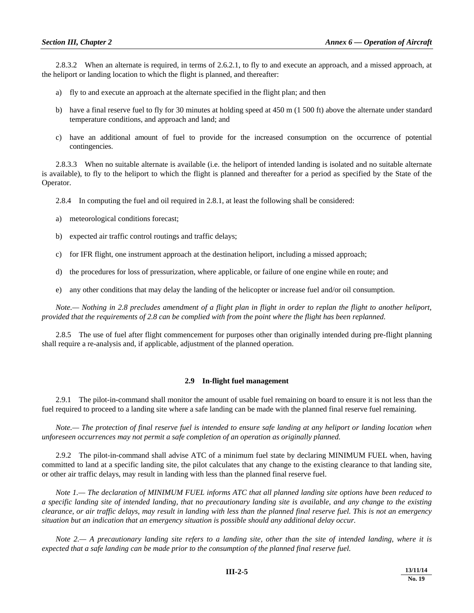2.8.3.2 When an alternate is required, in terms of 2.6.2.1, to fly to and execute an approach, and a missed approach, at the heliport or landing location to which the flight is planned, and thereafter:

- a) fly to and execute an approach at the alternate specified in the flight plan; and then
- b) have a final reserve fuel to fly for 30 minutes at holding speed at 450 m (1 500 ft) above the alternate under standard temperature conditions, and approach and land; and
- c) have an additional amount of fuel to provide for the increased consumption on the occurrence of potential contingencies.

 2.8.3.3 When no suitable alternate is available (i.e. the heliport of intended landing is isolated and no suitable alternate is available), to fly to the heliport to which the flight is planned and thereafter for a period as specified by the State of the Operator.

2.8.4 In computing the fuel and oil required in 2.8.1, at least the following shall be considered:

- a) meteorological conditions forecast;
- b) expected air traffic control routings and traffic delays;
- c) for IFR flight, one instrument approach at the destination heliport, including a missed approach;
- d) the procedures for loss of pressurization, where applicable, or failure of one engine while en route; and
- e) any other conditions that may delay the landing of the helicopter or increase fuel and/or oil consumption.

 *Note.— Nothing in 2.8 precludes amendment of a flight plan in flight in order to replan the flight to another heliport, provided that the requirements of 2.8 can be complied with from the point where the flight has been replanned.* 

 2.8.5 The use of fuel after flight commencement for purposes other than originally intended during pre-flight planning shall require a re-analysis and, if applicable, adjustment of the planned operation.

#### **2.9 In-flight fuel management**

 2.9.1 The pilot-in-command shall monitor the amount of usable fuel remaining on board to ensure it is not less than the fuel required to proceed to a landing site where a safe landing can be made with the planned final reserve fuel remaining.

*Note.— The protection of final reserve fuel is intended to ensure safe landing at any heliport or landing location when unforeseen occurrences may not permit a safe completion of an operation as originally planned.* 

 2.9.2 The pilot-in-command shall advise ATC of a minimum fuel state by declaring MINIMUM FUEL when, having committed to land at a specific landing site, the pilot calculates that any change to the existing clearance to that landing site, or other air traffic delays, may result in landing with less than the planned final reserve fuel.

*Note 1.— The declaration of MINIMUM FUEL informs ATC that all planned landing site options have been reduced to a specific landing site of intended landing, that no precautionary landing site is available, and any change to the existing clearance, or air traffic delays, may result in landing with less than the planned final reserve fuel. This is not an emergency situation but an indication that an emergency situation is possible should any additional delay occur.* 

 *Note 2.— A precautionary landing site refers to a landing site, other than the site of intended landing, where it is expected that a safe landing can be made prior to the consumption of the planned final reserve fuel.*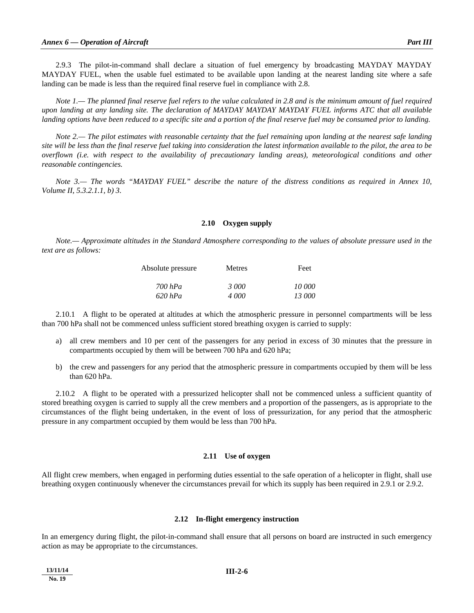2.9.3 The pilot-in-command shall declare a situation of fuel emergency by broadcasting MAYDAY MAYDAY MAYDAY FUEL, when the usable fuel estimated to be available upon landing at the nearest landing site where a safe landing can be made is less than the required final reserve fuel in compliance with 2.8.

*Note 1.— The planned final reserve fuel refers to the value calculated in 2.8 and is the minimum amount of fuel required upon landing at any landing site. The declaration of MAYDAY MAYDAY MAYDAY FUEL informs ATC that all available landing options have been reduced to a specific site and a portion of the final reserve fuel may be consumed prior to landing.* 

 *Note 2.— The pilot estimates with reasonable certainty that the fuel remaining upon landing at the nearest safe landing site will be less than the final reserve fuel taking into consideration the latest information available to the pilot, the area to be overflown (i.e. with respect to the availability of precautionary landing areas), meteorological conditions and other reasonable contingencies.* 

 *Note 3.— The words "MAYDAY FUEL" describe the nature of the distress conditions as required in Annex 10, Volume II, 5.3.2.1.1, b) 3.* 

#### **2.10 Oxygen supply**

 *Note.— Approximate altitudes in the Standard Atmosphere corresponding to the values of absolute pressure used in the text are as follows:* 

| Absolute pressure | Metres | Feet   |
|-------------------|--------|--------|
| $700$ hPa         | 3000   | 10 000 |
| $620$ hPa         | 4.000  | 13 000 |

 2.10.1 A flight to be operated at altitudes at which the atmospheric pressure in personnel compartments will be less than 700 hPa shall not be commenced unless sufficient stored breathing oxygen is carried to supply:

- a) all crew members and 10 per cent of the passengers for any period in excess of 30 minutes that the pressure in compartments occupied by them will be between 700 hPa and 620 hPa;
- b) the crew and passengers for any period that the atmospheric pressure in compartments occupied by them will be less than 620 hPa.

 2.10.2 A flight to be operated with a pressurized helicopter shall not be commenced unless a sufficient quantity of stored breathing oxygen is carried to supply all the crew members and a proportion of the passengers, as is appropriate to the circumstances of the flight being undertaken, in the event of loss of pressurization, for any period that the atmospheric pressure in any compartment occupied by them would be less than 700 hPa.

#### **2.11 Use of oxygen**

All flight crew members, when engaged in performing duties essential to the safe operation of a helicopter in flight, shall use breathing oxygen continuously whenever the circumstances prevail for which its supply has been required in 2.9.1 or 2.9.2.

#### **2.12 In-flight emergency instruction**

In an emergency during flight, the pilot-in-command shall ensure that all persons on board are instructed in such emergency action as may be appropriate to the circumstances.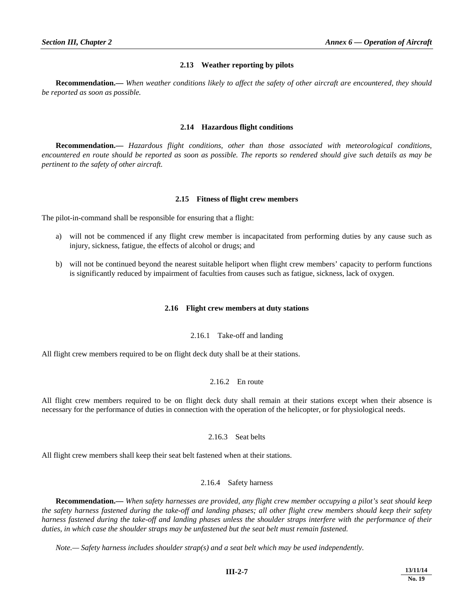#### **2.13 Weather reporting by pilots**

**Recommendation.—** *When weather conditions likely to affect the safety of other aircraft are encountered, they should be reported as soon as possible.* 

#### **2.14 Hazardous flight conditions**

**Recommendation.—** *Hazardous flight conditions, other than those associated with meteorological conditions, encountered en route should be reported as soon as possible. The reports so rendered should give such details as may be pertinent to the safety of other aircraft.* 

#### **2.15 Fitness of flight crew members**

The pilot-in-command shall be responsible for ensuring that a flight:

- a) will not be commenced if any flight crew member is incapacitated from performing duties by any cause such as injury, sickness, fatigue, the effects of alcohol or drugs; and
- b) will not be continued beyond the nearest suitable heliport when flight crew members' capacity to perform functions is significantly reduced by impairment of faculties from causes such as fatigue, sickness, lack of oxygen.

#### **2.16 Flight crew members at duty stations**

#### 2.16.1 Take-off and landing

All flight crew members required to be on flight deck duty shall be at their stations.

#### 2.16.2 En route

All flight crew members required to be on flight deck duty shall remain at their stations except when their absence is necessary for the performance of duties in connection with the operation of the helicopter, or for physiological needs.

#### 2.16.3 Seat belts

All flight crew members shall keep their seat belt fastened when at their stations.

#### 2.16.4 Safety harness

**Recommendation.—** *When safety harnesses are provided, any flight crew member occupying a pilot's seat should keep the safety harness fastened during the take-off and landing phases; all other flight crew members should keep their safety harness fastened during the take-off and landing phases unless the shoulder straps interfere with the performance of their duties, in which case the shoulder straps may be unfastened but the seat belt must remain fastened.* 

 *Note.— Safety harness includes shoulder strap(s) and a seat belt which may be used independently.*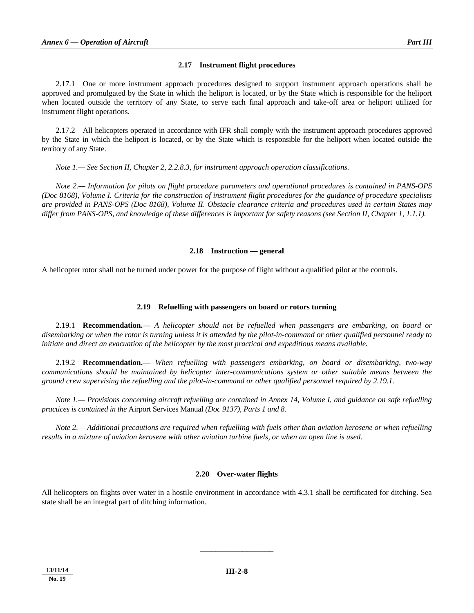#### **2.17 Instrument flight procedures**

 2.17.1 One or more instrument approach procedures designed to support instrument approach operations shall be approved and promulgated by the State in which the heliport is located, or by the State which is responsible for the heliport when located outside the territory of any State, to serve each final approach and take-off area or heliport utilized for instrument flight operations.

 2.17.2 All helicopters operated in accordance with IFR shall comply with the instrument approach procedures approved by the State in which the heliport is located, or by the State which is responsible for the heliport when located outside the territory of any State.

 *Note 1.— See Section II, Chapter 2, 2.2.8.3, for instrument approach operation classifications.* 

 *Note 2.— Information for pilots on flight procedure parameters and operational procedures is contained in PANS-OPS (Doc 8168), Volume I. Criteria for the construction of instrument flight procedures for the guidance of procedure specialists are provided in PANS-OPS (Doc 8168), Volume II. Obstacle clearance criteria and procedures used in certain States may differ from PANS-OPS, and knowledge of these differences is important for safety reasons (see Section II, Chapter 1, 1.1.1).* 

#### **2.18 Instruction — general**

A helicopter rotor shall not be turned under power for the purpose of flight without a qualified pilot at the controls.

#### **2.19 Refuelling with passengers on board or rotors turning**

 2.19.1 **Recommendation.—** *A helicopter should not be refuelled when passengers are embarking, on board or disembarking or when the rotor is turning unless it is attended by the pilot-in-command or other qualified personnel ready to initiate and direct an evacuation of the helicopter by the most practical and expeditious means available.* 

 2.19.2 **Recommendation.—** *When refuelling with passengers embarking, on board or disembarking, two-way communications should be maintained by helicopter inter-communications system or other suitable means between the ground crew supervising the refuelling and the pilot-in-command or other qualified personnel required by 2.19.1.* 

 *Note 1.— Provisions concerning aircraft refuelling are contained in Annex 14, Volume I, and guidance on safe refuelling practices is contained in the* Airport Services Manual *(Doc 9137), Parts 1 and 8.* 

 *Note 2.— Additional precautions are required when refuelling with fuels other than aviation kerosene or when refuelling results in a mixture of aviation kerosene with other aviation turbine fuels, or when an open line is used.* 

#### **2.20 Over-water flights**

All helicopters on flights over water in a hostile environment in accordance with 4.3.1 shall be certificated for ditching. Sea state shall be an integral part of ditching information.

\_\_\_\_\_\_\_\_\_\_\_\_\_\_\_\_\_\_\_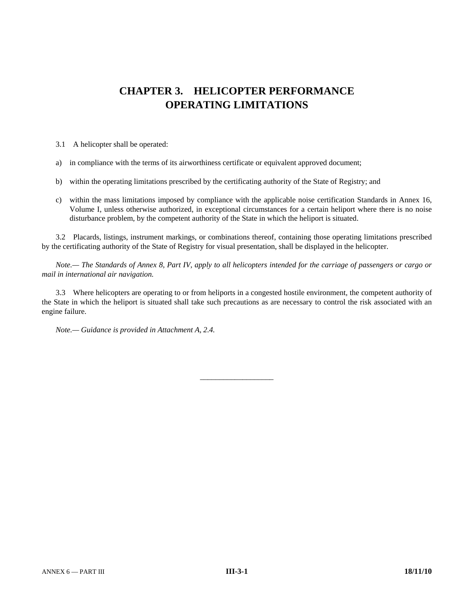# **CHAPTER 3. HELICOPTER PERFORMANCE OPERATING LIMITATIONS**

3.1 A helicopter shall be operated:

- a) in compliance with the terms of its airworthiness certificate or equivalent approved document;
- b) within the operating limitations prescribed by the certificating authority of the State of Registry; and
- c) within the mass limitations imposed by compliance with the applicable noise certification Standards in Annex 16, Volume I, unless otherwise authorized, in exceptional circumstances for a certain heliport where there is no noise disturbance problem, by the competent authority of the State in which the heliport is situated.

 3.2 Placards, listings, instrument markings, or combinations thereof, containing those operating limitations prescribed by the certificating authority of the State of Registry for visual presentation, shall be displayed in the helicopter.

 *Note.— The Standards of Annex 8, Part IV, apply to all helicopters intended for the carriage of passengers or cargo or mail in international air navigation.* 

 3.3 Where helicopters are operating to or from heliports in a congested hostile environment, the competent authority of the State in which the heliport is situated shall take such precautions as are necessary to control the risk associated with an engine failure.

\_\_\_\_\_\_\_\_\_\_\_\_\_\_\_\_\_\_\_

*Note.— Guidance is provided in Attachment A, 2.4.*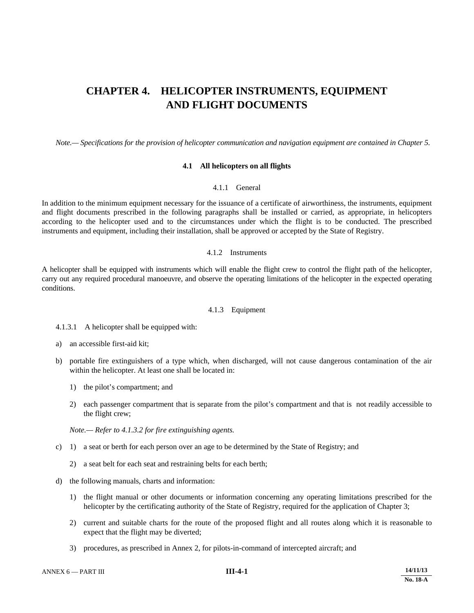## **CHAPTER 4. HELICOPTER INSTRUMENTS, EQUIPMENT AND FLIGHT DOCUMENTS**

 *Note.— Specifications for the provision of helicopter communication and navigation equipment are contained in Chapter 5.* 

#### **4.1 All helicopters on all flights**

#### 4.1.1 General

In addition to the minimum equipment necessary for the issuance of a certificate of airworthiness, the instruments, equipment and flight documents prescribed in the following paragraphs shall be installed or carried, as appropriate, in helicopters according to the helicopter used and to the circumstances under which the flight is to be conducted. The prescribed instruments and equipment, including their installation, shall be approved or accepted by the State of Registry.

#### 4.1.2 Instruments

A helicopter shall be equipped with instruments which will enable the flight crew to control the flight path of the helicopter, carry out any required procedural manoeuvre, and observe the operating limitations of the helicopter in the expected operating conditions.

#### 4.1.3 Equipment

4.1.3.1 A helicopter shall be equipped with:

- a) an accessible first-aid kit;
- b) portable fire extinguishers of a type which, when discharged, will not cause dangerous contamination of the air within the helicopter. At least one shall be located in:
	- 1) the pilot's compartment; and
	- 2) each passenger compartment that is separate from the pilot's compartment and that is not readily accessible to the flight crew;

*Note.— Refer to 4.1.3.2 for fire extinguishing agents.* 

- c) 1) a seat or berth for each person over an age to be determined by the State of Registry; and
	- 2) a seat belt for each seat and restraining belts for each berth;
- d) the following manuals, charts and information:
	- 1) the flight manual or other documents or information concerning any operating limitations prescribed for the helicopter by the certificating authority of the State of Registry, required for the application of Chapter 3;
	- 2) current and suitable charts for the route of the proposed flight and all routes along which it is reasonable to expect that the flight may be diverted;
	- 3) procedures, as prescribed in Annex 2, for pilots-in-command of intercepted aircraft; and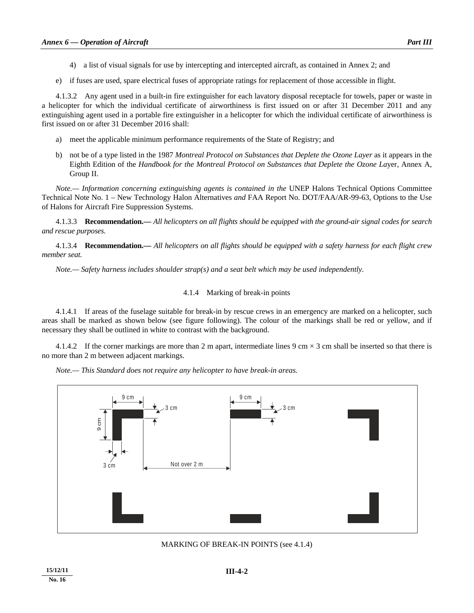- 4) a list of visual signals for use by intercepting and intercepted aircraft, as contained in Annex 2; and
- e) if fuses are used, spare electrical fuses of appropriate ratings for replacement of those accessible in flight.

 4.1.3.2 Any agent used in a built-in fire extinguisher for each lavatory disposal receptacle for towels, paper or waste in a helicopter for which the individual certificate of airworthiness is first issued on or after 31 December 2011 and any extinguishing agent used in a portable fire extinguisher in a helicopter for which the individual certificate of airworthiness is first issued on or after 31 December 2016 shall:

- a) meet the applicable minimum performance requirements of the State of Registry; and
- b) not be of a type listed in the 1987 *Montreal Protocol on Substances that Deplete the Ozone Layer* as it appears in the Eighth Edition of the *Handbook for the Montreal Protocol on Substances that Deplete the Ozone La*yer, Annex A, Group II.

*Note.— Information concerning extinguishing agents is contained in the UNEP Halons Technical Options Committee* Technical Note No. 1 – New Technology Halon Alternatives *and* FAA Report No. DOT/FAA/AR-99-63, Options to the Use of Halons for Aircraft Fire Suppression Systems*.* 

 4.1.3.3 **Recommendation.—** *All helicopters on all flights should be equipped with the ground-air signal codes for search and rescue purposes.* 

 4.1.3.4 **Recommendation.—** *All helicopters on all flights should be equipped with a safety harness for each flight crew member seat.* 

 *Note.— Safety harness includes shoulder strap(s) and a seat belt which may be used independently.* 

#### 4.1.4 Marking of break-in points

 4.1.4.1 If areas of the fuselage suitable for break-in by rescue crews in an emergency are marked on a helicopter, such areas shall be marked as shown below (see figure following). The colour of the markings shall be red or yellow, and if necessary they shall be outlined in white to contrast with the background.

4.1.4.2 If the corner markings are more than 2 m apart, intermediate lines 9 cm  $\times$  3 cm shall be inserted so that there is no more than 2 m between adjacent markings.

 *Note.— This Standard does not require any helicopter to have break-in areas.* 



MARKING OF BREAK-IN POINTS (see 4.1.4)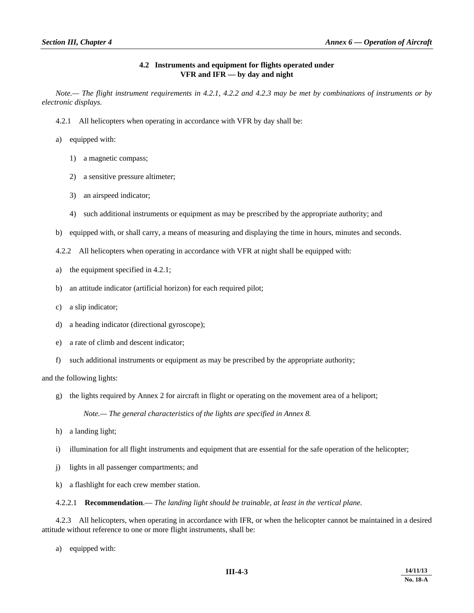#### **4.2 Instruments and equipment for flights operated under VFR and IFR — by day and night**

 *Note.— The flight instrument requirements in 4.2.1, 4.2.2 and 4.2.3 may be met by combinations of instruments or by electronic displays.*

- 4.2.1 All helicopters when operating in accordance with VFR by day shall be:
- a) equipped with:
	- 1) a magnetic compass;
	- 2) a sensitive pressure altimeter;
	- 3) an airspeed indicator;
	- 4) such additional instruments or equipment as may be prescribed by the appropriate authority; and
- b) equipped with, or shall carry, a means of measuring and displaying the time in hours, minutes and seconds.
- 4.2.2 All helicopters when operating in accordance with VFR at night shall be equipped with:
- a) the equipment specified in 4.2.1;
- b) an attitude indicator (artificial horizon) for each required pilot;
- c) a slip indicator;
- d) a heading indicator (directional gyroscope);
- e) a rate of climb and descent indicator;
- f) such additional instruments or equipment as may be prescribed by the appropriate authority;

and the following lights:

g) the lights required by Annex 2 for aircraft in flight or operating on the movement area of a heliport;

 *Note.— The general characteristics of the lights are specified in Annex 8.* 

- h) a landing light;
- i) illumination for all flight instruments and equipment that are essential for the safe operation of the helicopter;
- j) lights in all passenger compartments; and
- k) a flashlight for each crew member station.

4.2.2.1 **Recommendation**.— *The landing light should be trainable, at least in the vertical plane.*

 4.2.3 All helicopters, when operating in accordance with IFR, or when the helicopter cannot be maintained in a desired attitude without reference to one or more flight instruments, shall be:

a) equipped with: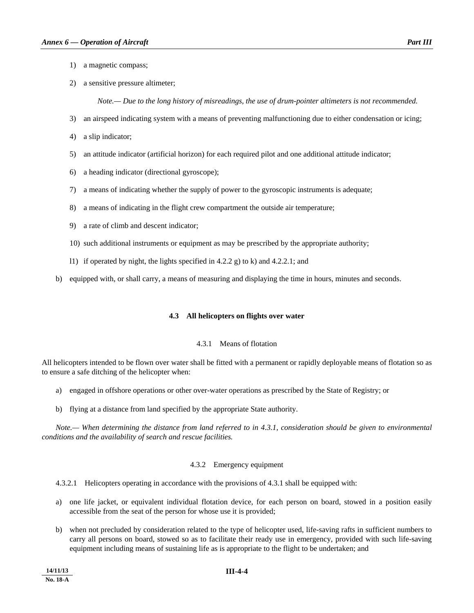- 1) a magnetic compass;
- 2) a sensitive pressure altimeter;

 *Note.— Due to the long history of misreadings, the use of drum-pointer altimeters is not recommended.* 

- 3) an airspeed indicating system with a means of preventing malfunctioning due to either condensation or icing;
- 4) a slip indicator;
- 5) an attitude indicator (artificial horizon) for each required pilot and one additional attitude indicator;
- 6) a heading indicator (directional gyroscope);
- 7) a means of indicating whether the supply of power to the gyroscopic instruments is adequate;
- 8) a means of indicating in the flight crew compartment the outside air temperature;
- 9) a rate of climb and descent indicator;
- 10) such additional instruments or equipment as may be prescribed by the appropriate authority;
- l1) if operated by night, the lights specified in 4.2.2 g) to k) and 4.2.2.1; and

b) equipped with, or shall carry, a means of measuring and displaying the time in hours, minutes and seconds.

#### **4.3 All helicopters on flights over water**

#### 4.3.1 Means of flotation

All helicopters intended to be flown over water shall be fitted with a permanent or rapidly deployable means of flotation so as to ensure a safe ditching of the helicopter when:

- a) engaged in offshore operations or other over-water operations as prescribed by the State of Registry; or
- b) flying at a distance from land specified by the appropriate State authority.

 *Note.— When determining the distance from land referred to in 4.3.1, consideration should be given to environmental conditions and the availability of search and rescue facilities.*

#### 4.3.2 Emergency equipment

4.3.2.1 Helicopters operating in accordance with the provisions of 4.3.1 shall be equipped with:

- a) one life jacket, or equivalent individual flotation device, for each person on board, stowed in a position easily accessible from the seat of the person for whose use it is provided;
- b) when not precluded by consideration related to the type of helicopter used, life-saving rafts in sufficient numbers to carry all persons on board, stowed so as to facilitate their ready use in emergency, provided with such life-saving equipment including means of sustaining life as is appropriate to the flight to be undertaken; and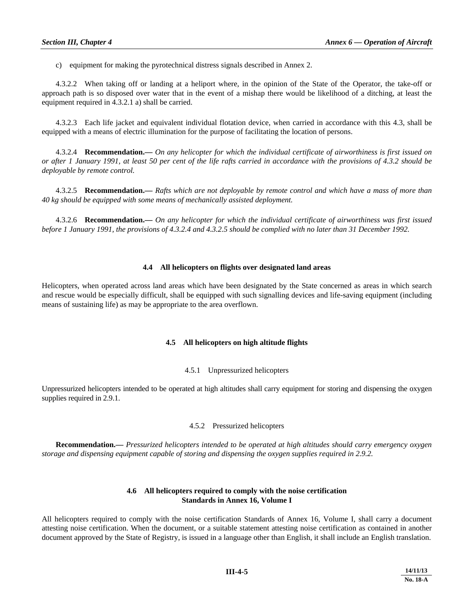c) equipment for making the pyrotechnical distress signals described in Annex 2.

 4.3.2.2 When taking off or landing at a heliport where, in the opinion of the State of the Operator, the take-off or approach path is so disposed over water that in the event of a mishap there would be likelihood of a ditching, at least the equipment required in 4.3.2.1 a) shall be carried.

 4.3.2.3 Each life jacket and equivalent individual flotation device, when carried in accordance with this 4.3, shall be equipped with a means of electric illumination for the purpose of facilitating the location of persons.

 4.3.2.4 **Recommendation.—** *On any helicopter for which the individual certificate of airworthiness is first issued on or after 1 January 1991, at least 50 per cent of the life rafts carried in accordance with the provisions of 4.3.2 should be deployable by remote control.* 

 4.3.2.5 **Recommendation.—** *Rafts which are not deployable by remote control and which have a mass of more than 40 kg should be equipped with some means of mechanically assisted deployment.* 

 4.3.2.6 **Recommendation.—** *On any helicopter for which the individual certificate of airworthiness was first issued before 1 January 1991, the provisions of 4.3.2.4 and 4.3.2.5 should be complied with no later than 31 December 1992.* 

#### **4.4 All helicopters on flights over designated land areas**

Helicopters, when operated across land areas which have been designated by the State concerned as areas in which search and rescue would be especially difficult, shall be equipped with such signalling devices and life-saving equipment (including means of sustaining life) as may be appropriate to the area overflown.

#### **4.5 All helicopters on high altitude flights**

#### 4.5.1 Unpressurized helicopters

Unpressurized helicopters intended to be operated at high altitudes shall carry equipment for storing and dispensing the oxygen supplies required in 2.9.1.

#### 4.5.2 Pressurized helicopters

**Recommendation.—** *Pressurized helicopters intended to be operated at high altitudes should carry emergency oxygen storage and dispensing equipment capable of storing and dispensing the oxygen supplies required in 2.9.2.* 

#### **4.6 All helicopters required to comply with the noise certification Standards in Annex 16, Volume I**

All helicopters required to comply with the noise certification Standards of Annex 16, Volume I, shall carry a document attesting noise certification. When the document, or a suitable statement attesting noise certification as contained in another document approved by the State of Registry, is issued in a language other than English, it shall include an English translation.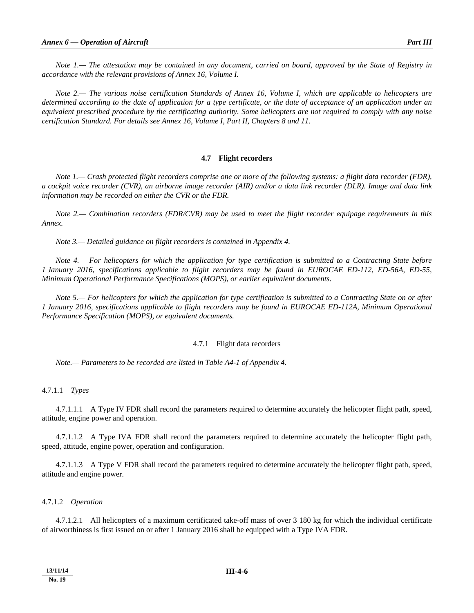*Note 1.— The attestation may be contained in any document, carried on board, approved by the State of Registry in accordance with the relevant provisions of Annex 16, Volume I.*

*Note 2.— The various noise certification Standards of Annex 16, Volume I, which are applicable to helicopters are determined according to the date of application for a type certificate, or the date of acceptance of an application under an equivalent prescribed procedure by the certificating authority. Some helicopters are not required to comply with any noise certification Standard. For details see Annex 16, Volume I, Part II, Chapters 8 and 11.*

#### **4.7 Flight recorders**

 *Note 1.— Crash protected flight recorders comprise one or more of the following systems: a flight data recorder (FDR), a cockpit voice recorder (CVR), an airborne image recorder (AIR) and/or a data link recorder (DLR). Image and data link information may be recorded on either the CVR or the FDR.* 

 *Note 2.— Combination recorders (FDR/CVR) may be used to meet the flight recorder equipage requirements in this Annex.* 

 *Note 3.— Detailed guidance on flight recorders is contained in Appendix 4.* 

 *Note 4.— For helicopters for which the application for type certification is submitted to a Contracting State before 1 January 2016, specifications applicable to flight recorders may be found in EUROCAE ED-112, ED-56A, ED-55, Minimum Operational Performance Specifications (MOPS), or earlier equivalent documents.* 

 *Note 5.— For helicopters for which the application for type certification is submitted to a Contracting State on or after 1 January 2016, specifications applicable to flight recorders may be found in EUROCAE ED-112A, Minimum Operational Performance Specification (MOPS), or equivalent documents.* 

#### 4.7.1 Flight data recorders

*Note.— Parameters to be recorded are listed in Table A4-1 of Appendix 4.*

4.7.1.1 *Types*

 4.7.1.1.1 A Type IV FDR shall record the parameters required to determine accurately the helicopter flight path, speed, attitude, engine power and operation.

 4.7.1.1.2 A Type IVA FDR shall record the parameters required to determine accurately the helicopter flight path, speed, attitude, engine power, operation and configuration.

 4.7.1.1.3 A Type V FDR shall record the parameters required to determine accurately the helicopter flight path, speed, attitude and engine power.

#### 4.7.1.2 *Operation*

 4.7.1.2.1 All helicopters of a maximum certificated take-off mass of over 3 180 kg for which the individual certificate of airworthiness is first issued on or after 1 January 2016 shall be equipped with a Type IVA FDR.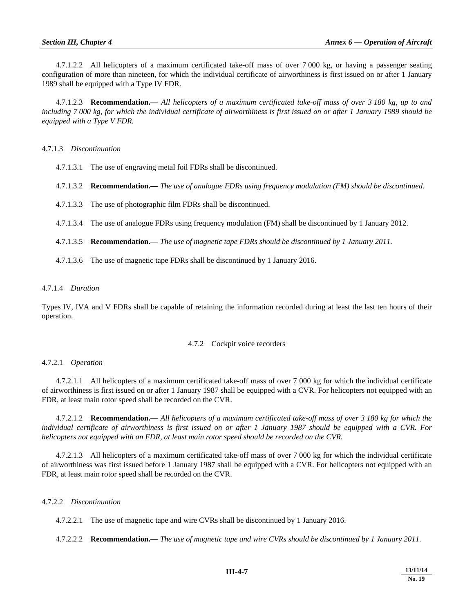4.7.1.2.2 All helicopters of a maximum certificated take-off mass of over 7 000 kg, or having a passenger seating configuration of more than nineteen, for which the individual certificate of airworthiness is first issued on or after 1 January 1989 shall be equipped with a Type IV FDR.

 4.7.1.2.3 **Recommendation.—** *All helicopters of a maximum certificated take-off mass of over 3 180 kg, up to and including 7 000 kg, for which the individual certificate of airworthiness is first issued on or after 1 January 1989 should be equipped with a Type V FDR.* 

4.7.1.3 *Discontinuation* 

4.7.1.3.1 The use of engraving metal foil FDRs shall be discontinued.

- 4.7.1.3.2 **Recommendation.—** *The use of analogue FDRs using frequency modulation (FM) should be discontinued.*
- 4.7.1.3.3 The use of photographic film FDRs shall be discontinued.
- 4.7.1.3.4 The use of analogue FDRs using frequency modulation (FM) shall be discontinued by 1 January 2012.
- 4.7.1.3.5 **Recommendation.—** *The use of magnetic tape FDRs should be discontinued by 1 January 2011.*
- 4.7.1.3.6 The use of magnetic tape FDRs shall be discontinued by 1 January 2016.

4.7.1.4 *Duration*

Types IV, IVA and V FDRs shall be capable of retaining the information recorded during at least the last ten hours of their operation.

#### 4.7.2 Cockpit voice recorders

#### 4.7.2.1 *Operation*

 4.7.2.1.1 All helicopters of a maximum certificated take-off mass of over 7 000 kg for which the individual certificate of airworthiness is first issued on or after 1 January 1987 shall be equipped with a CVR. For helicopters not equipped with an FDR, at least main rotor speed shall be recorded on the CVR.

 4.7.2.1.2 **Recommendation.—** *All helicopters of a maximum certificated take-off mass of over 3 180 kg for which the individual certificate of airworthiness is first issued on or after 1 January 1987 should be equipped with a CVR. For helicopters not equipped with an FDR, at least main rotor speed should be recorded on the CVR.*

 4.7.2.1.3 All helicopters of a maximum certificated take-off mass of over 7 000 kg for which the individual certificate of airworthiness was first issued before 1 January 1987 shall be equipped with a CVR. For helicopters not equipped with an FDR, at least main rotor speed shall be recorded on the CVR.

#### 4.7.2.2 *Discontinuation*

4.7.2.2.1 The use of magnetic tape and wire CVRs shall be discontinued by 1 January 2016.

4.7.2.2.2 **Recommendation.—** *The use of magnetic tape and wire CVRs should be discontinued by 1 January 2011.*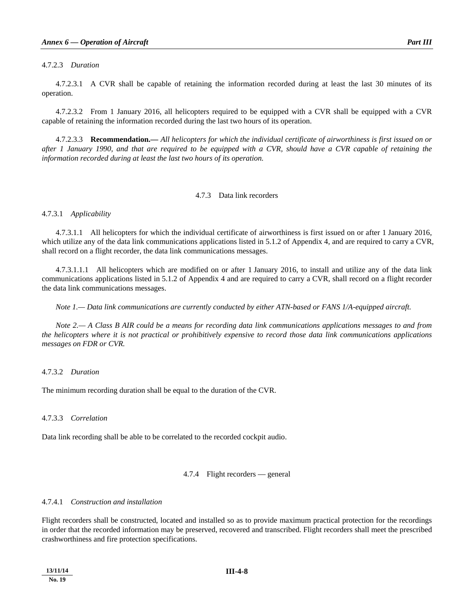#### 4.7.2.3 *Duration*

 4.7.2.3.1 A CVR shall be capable of retaining the information recorded during at least the last 30 minutes of its operation.

 4.7.2.3.2 From 1 January 2016, all helicopters required to be equipped with a CVR shall be equipped with a CVR capable of retaining the information recorded during the last two hours of its operation.

 4.7.2.3.3 **Recommendation.—** *All helicopters for which the individual certificate of airworthiness is first issued on or after 1 January 1990, and that are required to be equipped with a CVR, should have a CVR capable of retaining the information recorded during at least the last two hours of its operation.*

#### 4.7.3 Data link recorders

#### 4.7.3.1 *Applicability*

 4.7.3.1.1 All helicopters for which the individual certificate of airworthiness is first issued on or after 1 January 2016, which utilize any of the data link communications applications listed in 5.1.2 of Appendix 4, and are required to carry a CVR, shall record on a flight recorder, the data link communications messages.

 4.7.3.1.1.1 All helicopters which are modified on or after 1 January 2016, to install and utilize any of the data link communications applications listed in 5.1.2 of Appendix 4 and are required to carry a CVR, shall record on a flight recorder the data link communications messages.

 *Note 1.— Data link communications are currently conducted by either ATN-based or FANS 1/A-equipped aircraft.* 

 *Note 2.— A Class B AIR could be a means for recording data link communications applications messages to and from the helicopters where it is not practical or prohibitively expensive to record those data link communications applications messages on FDR or CVR.* 

#### 4.7.3.2 *Duration*

The minimum recording duration shall be equal to the duration of the CVR.

#### 4.7.3.3 *Correlation*

Data link recording shall be able to be correlated to the recorded cockpit audio.

#### 4.7.4 Flight recorders — general

#### 4.7.4.1 *Construction and installation*

Flight recorders shall be constructed, located and installed so as to provide maximum practical protection for the recordings in order that the recorded information may be preserved, recovered and transcribed. Flight recorders shall meet the prescribed crashworthiness and fire protection specifications.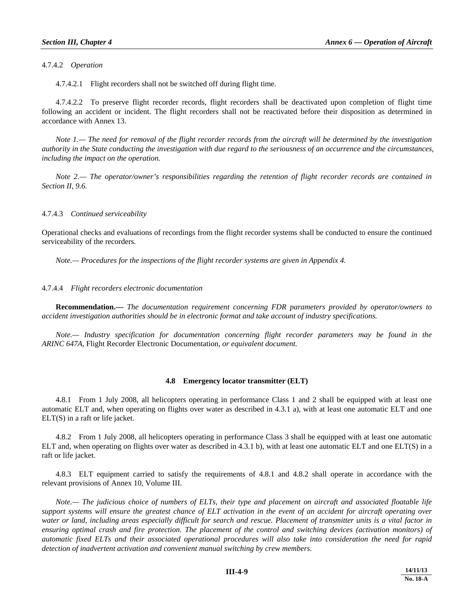4.7.4.2 *Operation*

4.7.4.2.1 Flight recorders shall not be switched off during flight time.

 4.7.4.2.2 To preserve flight recorder records, flight recorders shall be deactivated upon completion of flight time following an accident or incident. The flight recorders shall not be reactivated before their disposition as determined in accordance with Annex 13.

 *Note 1.— The need for removal of the flight recorder records from the aircraft will be determined by the investigation authority in the State conducting the investigation with due regard to the seriousness of an occurrence and the circumstances, including the impact on the operation.* 

 *Note 2.— The operator/owner's responsibilities regarding the retention of flight recorder records are contained in Section II, 9.6.* 

#### 4.7.4.3 *Continued serviceability*

Operational checks and evaluations of recordings from the flight recorder systems shall be conducted to ensure the continued serviceability of the recorders.

 *Note.— Procedures for the inspections of the flight recorder systems are given in Appendix 4.*

#### 4.7.4.4 *Flight recorders electronic documentation*

 **Recommendation.—** *The documentation requirement concerning FDR parameters provided by operator/owners to accident investigation authorities should be in electronic format and take account of industry specifications.* 

 *Note.— Industry specification for documentation concerning flight recorder parameters may be found in the ARINC 647A,* Flight Recorder Electronic Documentation*, or equivalent document.* 

#### **4.8 Emergency locator transmitter (ELT)**

 4.8.1 From 1 July 2008, all helicopters operating in performance Class 1 and 2 shall be equipped with at least one automatic ELT and, when operating on flights over water as described in 4.3.1 a), with at least one automatic ELT and one ELT(S) in a raft or life jacket.

 4.8.2 From 1 July 2008, all helicopters operating in performance Class 3 shall be equipped with at least one automatic ELT and, when operating on flights over water as described in 4.3.1 b), with at least one automatic ELT and one ELT(S) in a raft or life jacket.

 4.8.3 ELT equipment carried to satisfy the requirements of 4.8.1 and 4.8.2 shall operate in accordance with the relevant provisions of Annex 10, Volume III.

 *Note.— The judicious choice of numbers of ELTs, their type and placement on aircraft and associated floatable life support systems will ensure the greatest chance of ELT activation in the event of an accident for aircraft operating over water or land, including areas especially difficult for search and rescue. Placement of transmitter units is a vital factor in*  ensuring optimal crash and fire protection. The placement of the control and switching devices (activation monitors) of *automatic fixed ELTs and their associated operational procedures will also take into consideration the need for rapid detection of inadvertent activation and convenient manual switching by crew members.*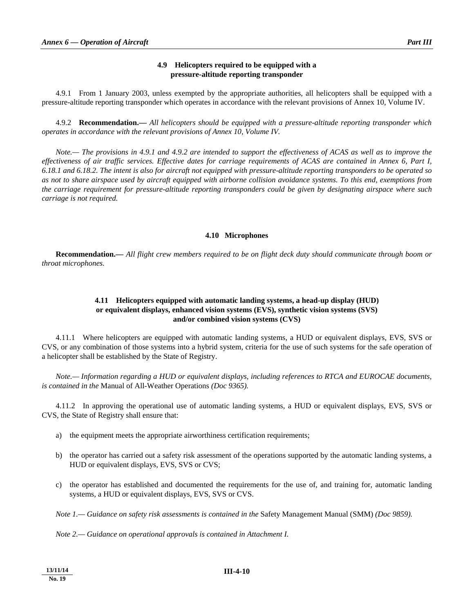#### **4.9 Helicopters required to be equipped with a pressure-altitude reporting transponder**

 4.9.1 From 1 January 2003, unless exempted by the appropriate authorities, all helicopters shall be equipped with a pressure-altitude reporting transponder which operates in accordance with the relevant provisions of Annex 10, Volume IV.

 4.9.2 **Recommendation.—** *All helicopters should be equipped with a pressure-altitude reporting transponder which operates in accordance with the relevant provisions of Annex 10, Volume IV.* 

 *Note.— The provisions in 4.9.1 and 4.9.2 are intended to support the effectiveness of ACAS as well as to improve the effectiveness of air traffic services. Effective dates for carriage requirements of ACAS are contained in Annex 6, Part I, 6.18.1 and 6.18.2. The intent is also for aircraft not equipped with pressure-altitude reporting transponders to be operated so as not to share airspace used by aircraft equipped with airborne collision avoidance systems. To this end, exemptions from the carriage requirement for pressure-altitude reporting transponders could be given by designating airspace where such carriage is not required.* 

#### **4.10 Microphones**

 **Recommendation.—** *All flight crew members required to be on flight deck duty should communicate through boom or throat microphones.* 

#### **4.11 Helicopters equipped with automatic landing systems, a head-up display (HUD) or equivalent displays, enhanced vision systems (EVS), synthetic vision systems (SVS) and/or combined vision systems (CVS)**

 4.11.1 Where helicopters are equipped with automatic landing systems, a HUD or equivalent displays, EVS, SVS or CVS, or any combination of those systems into a hybrid system, criteria for the use of such systems for the safe operation of a helicopter shall be established by the State of Registry.

*Note.— Information regarding a HUD or equivalent displays, including references to RTCA and EUROCAE documents, is contained in the* Manual of All-Weather Operations *(Doc 9365).* 

 4.11.2 In approving the operational use of automatic landing systems, a HUD or equivalent displays, EVS, SVS or CVS, the State of Registry shall ensure that:

- a) the equipment meets the appropriate airworthiness certification requirements;
- b) the operator has carried out a safety risk assessment of the operations supported by the automatic landing systems, a HUD or equivalent displays, EVS, SVS or CVS;
- c) the operator has established and documented the requirements for the use of, and training for, automatic landing systems, a HUD or equivalent displays, EVS, SVS or CVS.

 *Note 1.— Guidance on safety risk assessments is contained in the* Safety Management Manual (SMM) *(Doc 9859).* 

 *Note 2.— Guidance on operational approvals is contained in Attachment I.* 

**13/11/14 No. 19**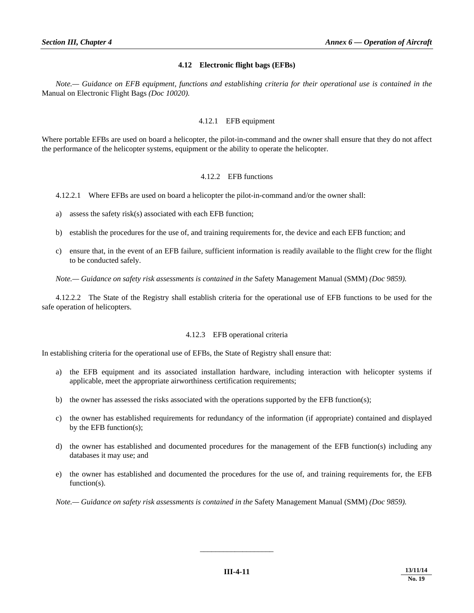#### **4.12 Electronic flight bags (EFBs)**

*Note.— Guidance on EFB equipment, functions and establishing criteria for their operational use is contained in the*  Manual on Electronic Flight Bags *(Doc 10020).* 

#### 4.12.1 EFB equipment

Where portable EFBs are used on board a helicopter, the pilot-in-command and the owner shall ensure that they do not affect the performance of the helicopter systems, equipment or the ability to operate the helicopter.

#### 4.12.2 EFB functions

4.12.2.1 Where EFBs are used on board a helicopter the pilot-in-command and/or the owner shall:

- a) assess the safety risk(s) associated with each EFB function;
- b) establish the procedures for the use of, and training requirements for, the device and each EFB function; and
- c) ensure that, in the event of an EFB failure, sufficient information is readily available to the flight crew for the flight to be conducted safely.

*Note.— Guidance on safety risk assessments is contained in the* Safety Management Manual (SMM) *(Doc 9859).* 

 4.12.2.2 The State of the Registry shall establish criteria for the operational use of EFB functions to be used for the safe operation of helicopters.

#### 4.12.3 EFB operational criteria

In establishing criteria for the operational use of EFBs, the State of Registry shall ensure that:

- a) the EFB equipment and its associated installation hardware, including interaction with helicopter systems if applicable, meet the appropriate airworthiness certification requirements;
- b) the owner has assessed the risks associated with the operations supported by the EFB function(s);
- c) the owner has established requirements for redundancy of the information (if appropriate) contained and displayed by the EFB function(s);
- d) the owner has established and documented procedures for the management of the EFB function(s) including any databases it may use; and
- e) the owner has established and documented the procedures for the use of, and training requirements for, the EFB function(s).

*Note.— Guidance on safety risk assessments is contained in the* Safety Management Manual (SMM) *(Doc 9859).* 

\_\_\_\_\_\_\_\_\_\_\_\_\_\_\_\_\_\_\_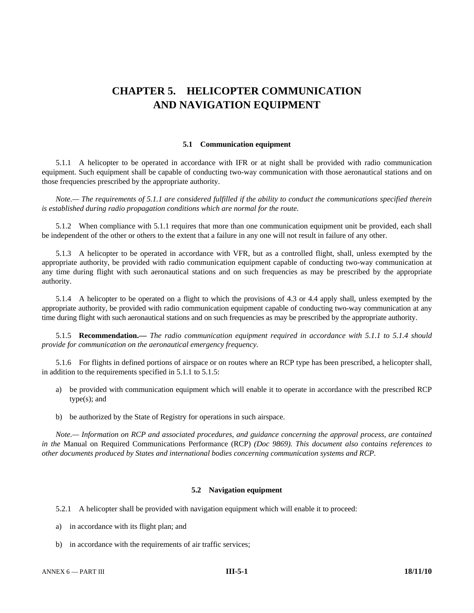## **CHAPTER 5. HELICOPTER COMMUNICATION AND NAVIGATION EQUIPMENT**

#### **5.1 Communication equipment**

 5.1.1 A helicopter to be operated in accordance with IFR or at night shall be provided with radio communication equipment. Such equipment shall be capable of conducting two-way communication with those aeronautical stations and on those frequencies prescribed by the appropriate authority.

 *Note.— The requirements of 5.1.1 are considered fulfilled if the ability to conduct the communications specified therein is established during radio propagation conditions which are normal for the route.* 

 5.1.2 When compliance with 5.1.1 requires that more than one communication equipment unit be provided, each shall be independent of the other or others to the extent that a failure in any one will not result in failure of any other.

 5.1.3 A helicopter to be operated in accordance with VFR, but as a controlled flight, shall, unless exempted by the appropriate authority, be provided with radio communication equipment capable of conducting two-way communication at any time during flight with such aeronautical stations and on such frequencies as may be prescribed by the appropriate authority.

 5.1.4 A helicopter to be operated on a flight to which the provisions of 4.3 or 4.4 apply shall, unless exempted by the appropriate authority, be provided with radio communication equipment capable of conducting two-way communication at any time during flight with such aeronautical stations and on such frequencies as may be prescribed by the appropriate authority.

 5.1.5 **Recommendation.—** *The radio communication equipment required in accordance with 5.1.1 to 5.1.4 should provide for communication on the aeronautical emergency frequency.* 

 5.1.6 For flights in defined portions of airspace or on routes where an RCP type has been prescribed, a helicopter shall, in addition to the requirements specified in 5.1.1 to 5.1.5:

- a) be provided with communication equipment which will enable it to operate in accordance with the prescribed RCP type(s); and
- b) be authorized by the State of Registry for operations in such airspace.

 *Note.— Information on RCP and associated procedures, and guidance concerning the approval process, are contained in the* Manual on Required Communications Performance (RCP) *(Doc 9869). This document also contains references to other documents produced by States and international bodies concerning communication systems and RCP.* 

#### **5.2 Navigation equipment**

5.2.1 A helicopter shall be provided with navigation equipment which will enable it to proceed:

- a) in accordance with its flight plan; and
- b) in accordance with the requirements of air traffic services;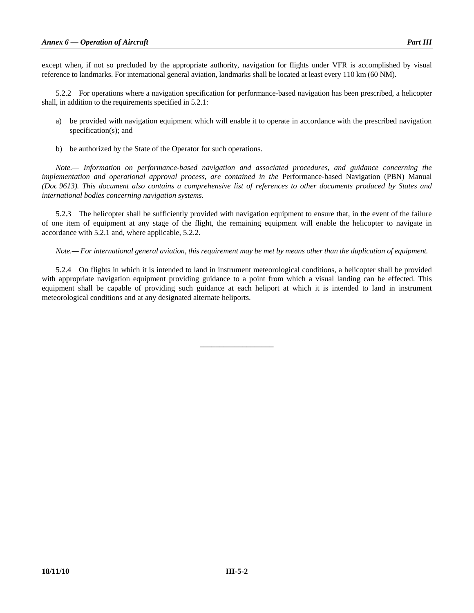except when, if not so precluded by the appropriate authority, navigation for flights under VFR is accomplished by visual reference to landmarks. For international general aviation, landmarks shall be located at least every 110 km (60 NM).

 5.2.2 For operations where a navigation specification for performance-based navigation has been prescribed, a helicopter shall, in addition to the requirements specified in 5.2.1:

- a) be provided with navigation equipment which will enable it to operate in accordance with the prescribed navigation specification(s); and
- b) be authorized by the State of the Operator for such operations.

 *Note.— Information on performance-based navigation and associated procedures, and guidance concerning the implementation and operational approval process, are contained in the* Performance-based Navigation (PBN) Manual *(Doc 9613). This document also contains a comprehensive list of references to other documents produced by States and international bodies concerning navigation systems.* 

 5.2.3 The helicopter shall be sufficiently provided with navigation equipment to ensure that, in the event of the failure of one item of equipment at any stage of the flight, the remaining equipment will enable the helicopter to navigate in accordance with 5.2.1 and, where applicable, 5.2.2.

 *Note.— For international general aviation, this requirement may be met by means other than the duplication of equipment.* 

 5.2.4 On flights in which it is intended to land in instrument meteorological conditions, a helicopter shall be provided with appropriate navigation equipment providing guidance to a point from which a visual landing can be effected. This equipment shall be capable of providing such guidance at each heliport at which it is intended to land in instrument meteorological conditions and at any designated alternate heliports.

\_\_\_\_\_\_\_\_\_\_\_\_\_\_\_\_\_\_\_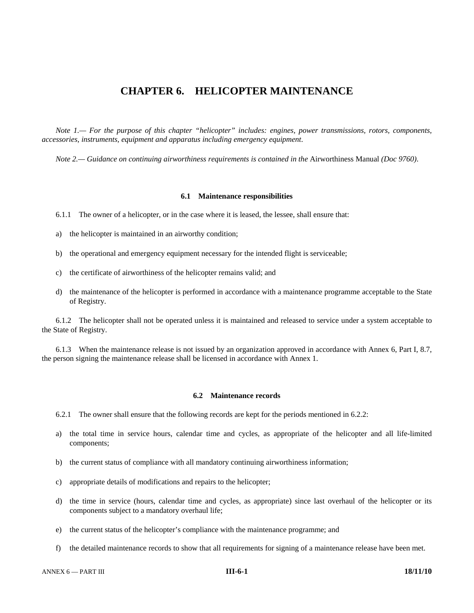### **CHAPTER 6. HELICOPTER MAINTENANCE**

 *Note 1.— For the purpose of this chapter "helicopter" includes: engines, power transmissions, rotors, components, accessories, instruments, equipment and apparatus including emergency equipment*.

*Note 2.— Guidance on continuing airworthiness requirements is contained in the Airworthiness Manual (Doc 9760).* 

#### **6.1 Maintenance responsibilities**

- 6.1.1 The owner of a helicopter, or in the case where it is leased, the lessee, shall ensure that:
- a) the helicopter is maintained in an airworthy condition;
- b) the operational and emergency equipment necessary for the intended flight is serviceable;
- c) the certificate of airworthiness of the helicopter remains valid; and
- d) the maintenance of the helicopter is performed in accordance with a maintenance programme acceptable to the State of Registry.

 6.1.2 The helicopter shall not be operated unless it is maintained and released to service under a system acceptable to the State of Registry.

 6.1.3 When the maintenance release is not issued by an organization approved in accordance with Annex 6, Part I, 8.7, the person signing the maintenance release shall be licensed in accordance with Annex 1.

#### **6.2 Maintenance records**

6.2.1 The owner shall ensure that the following records are kept for the periods mentioned in 6.2.2:

- a) the total time in service hours, calendar time and cycles, as appropriate of the helicopter and all life-limited components;
- b) the current status of compliance with all mandatory continuing airworthiness information;
- c) appropriate details of modifications and repairs to the helicopter;
- d) the time in service (hours, calendar time and cycles, as appropriate) since last overhaul of the helicopter or its components subject to a mandatory overhaul life;
- e) the current status of the helicopter's compliance with the maintenance programme; and
- f) the detailed maintenance records to show that all requirements for signing of a maintenance release have been met.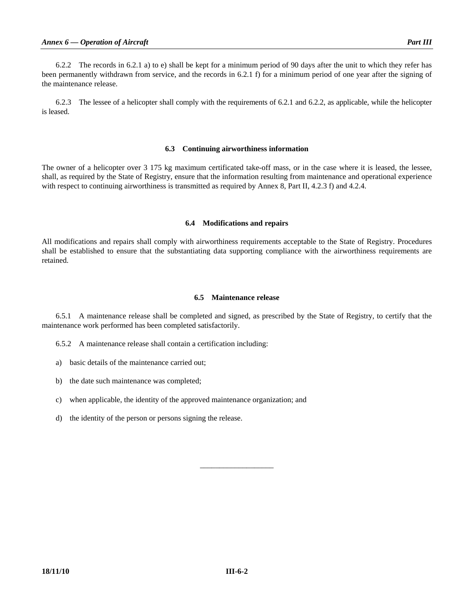6.2.2 The records in 6.2.1 a) to e) shall be kept for a minimum period of 90 days after the unit to which they refer has been permanently withdrawn from service, and the records in 6.2.1 f) for a minimum period of one year after the signing of the maintenance release.

 6.2.3 The lessee of a helicopter shall comply with the requirements of 6.2.1 and 6.2.2, as applicable, while the helicopter is leased.

#### **6.3 Continuing airworthiness information**

The owner of a helicopter over 3 175 kg maximum certificated take-off mass, or in the case where it is leased, the lessee, shall, as required by the State of Registry, ensure that the information resulting from maintenance and operational experience with respect to continuing airworthiness is transmitted as required by Annex 8, Part II, 4.2.3 f) and 4.2.4.

#### **6.4 Modifications and repairs**

All modifications and repairs shall comply with airworthiness requirements acceptable to the State of Registry. Procedures shall be established to ensure that the substantiating data supporting compliance with the airworthiness requirements are retained.

#### **6.5 Maintenance release**

 6.5.1 A maintenance release shall be completed and signed, as prescribed by the State of Registry, to certify that the maintenance work performed has been completed satisfactorily.

- 6.5.2 A maintenance release shall contain a certification including:
- a) basic details of the maintenance carried out;
- b) the date such maintenance was completed;
- c) when applicable, the identity of the approved maintenance organization; and
- d) the identity of the person or persons signing the release.

\_\_\_\_\_\_\_\_\_\_\_\_\_\_\_\_\_\_\_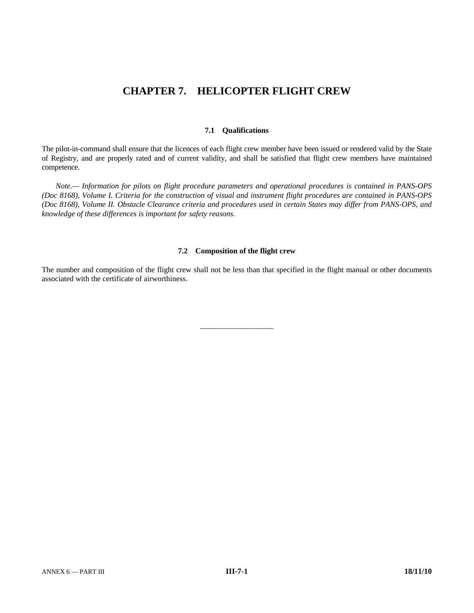## **CHAPTER 7. HELICOPTER FLIGHT CREW**

#### **7.1 Qualifications**

The pilot-in-command shall ensure that the licences of each flight crew member have been issued or rendered valid by the State of Registry, and are properly rated and of current validity, and shall be satisfied that flight crew members have maintained competence.

 *Note.— Information for pilots on flight procedure parameters and operational procedures is contained in PANS-OPS (Doc 8168), Volume I. Criteria for the construction of visual and instrument flight procedures are contained in PANS-OPS (Doc 8168), Volume II. Obstacle Clearance criteria and procedures used in certain States may differ from PANS-OPS, and knowledge of these differences is important for safety reasons.*

#### **7.2 Composition of the flight crew**

The number and composition of the flight crew shall not be less than that specified in the flight manual or other documents associated with the certificate of airworthiness.

\_\_\_\_\_\_\_\_\_\_\_\_\_\_\_\_\_\_\_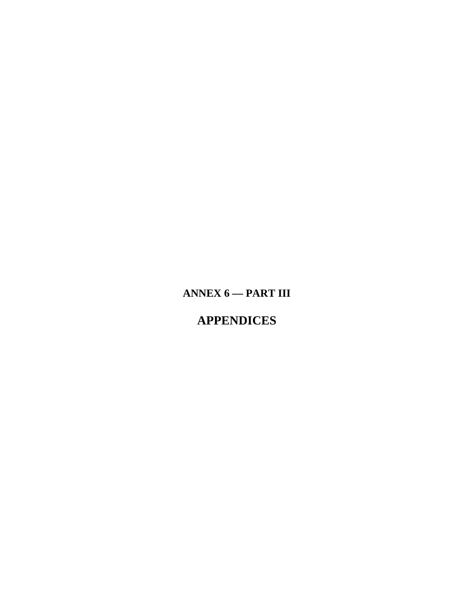# ANNEX  $6$  - PART III

# **APPENDICES**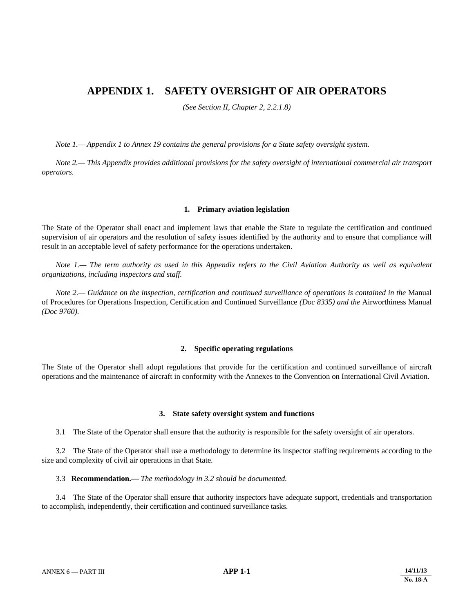### **APPENDIX 1. SAFETY OVERSIGHT OF AIR OPERATORS**

*(See Section II, Chapter 2, 2.2.1.8)* 

*Note 1.— Appendix 1 to Annex 19 contains the general provisions for a State safety oversight system.* 

 *Note 2.— This Appendix provides additional provisions for the safety oversight of international commercial air transport operators.*

#### **1. Primary aviation legislation**

The State of the Operator shall enact and implement laws that enable the State to regulate the certification and continued supervision of air operators and the resolution of safety issues identified by the authority and to ensure that compliance will result in an acceptable level of safety performance for the operations undertaken.

*Note 1.*— The term authority as used in this Appendix refers to the Civil Aviation Authority as well as equivalent *organizations, including inspectors and staff.*

 *Note 2.— Guidance on the inspection, certification and continued surveillance of operations is contained in the* Manual of Procedures for Operations Inspection, Certification and Continued Surveillance *(Doc 8335) and the* Airworthiness Manual *(Doc 9760)*.

#### **2. Specific operating regulations**

The State of the Operator shall adopt regulations that provide for the certification and continued surveillance of aircraft operations and the maintenance of aircraft in conformity with the Annexes to the Convention on International Civil Aviation.

#### **3. State safety oversight system and functions**

3.1 The State of the Operator shall ensure that the authority is responsible for the safety oversight of air operators.

 3.2 The State of the Operator shall use a methodology to determine its inspector staffing requirements according to the size and complexity of civil air operations in that State.

#### 3.3 **Recommendation.—** *The methodology in 3.2 should be documented.*

 3.4 The State of the Operator shall ensure that authority inspectors have adequate support, credentials and transportation to accomplish, independently, their certification and continued surveillance tasks.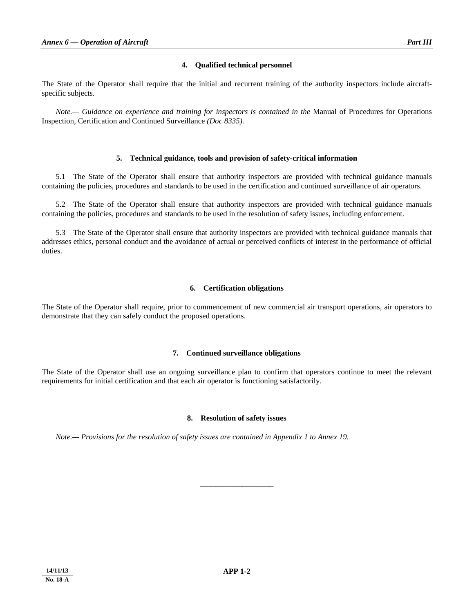#### **4. Qualified technical personnel**

The State of the Operator shall require that the initial and recurrent training of the authority inspectors include aircraftspecific subjects.

 *Note.— Guidance on experience and training for inspectors is contained in the* Manual of Procedures for Operations Inspection, Certification and Continued Surveillance *(Doc 8335)*.

#### **5. Technical guidance, tools and provision of safety-critical information**

 5.1 The State of the Operator shall ensure that authority inspectors are provided with technical guidance manuals containing the policies, procedures and standards to be used in the certification and continued surveillance of air operators.

 5.2 The State of the Operator shall ensure that authority inspectors are provided with technical guidance manuals containing the policies, procedures and standards to be used in the resolution of safety issues, including enforcement.

 5.3 The State of the Operator shall ensure that authority inspectors are provided with technical guidance manuals that addresses ethics, personal conduct and the avoidance of actual or perceived conflicts of interest in the performance of official duties.

#### **6. Certification obligations**

The State of the Operator shall require, prior to commencement of new commercial air transport operations, air operators to demonstrate that they can safely conduct the proposed operations.

#### **7. Continued surveillance obligations**

The State of the Operator shall use an ongoing surveillance plan to confirm that operators continue to meet the relevant requirements for initial certification and that each air operator is functioning satisfactorily.

#### **8. Resolution of safety issues**

\_\_\_\_\_\_\_\_\_\_\_\_\_\_\_\_\_\_\_

*Note.— Provisions for the resolution of safety issues are contained in Appendix 1 to Annex 19.*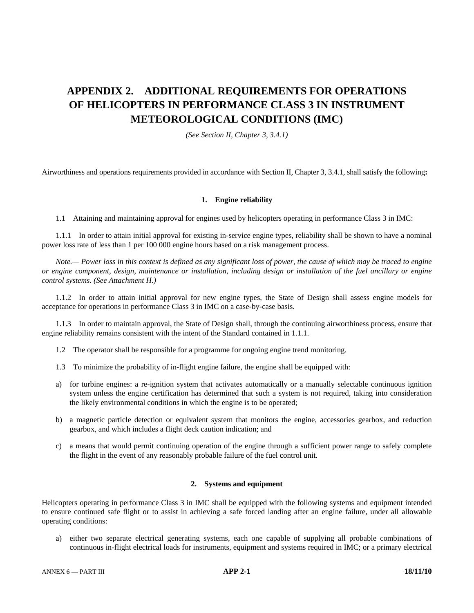# **APPENDIX 2. ADDITIONAL REQUIREMENTS FOR OPERATIONS OF HELICOPTERS IN PERFORMANCE CLASS 3 IN INSTRUMENT METEOROLOGICAL CONDITIONS (IMC)**

*(See Section II, Chapter 3, 3.4.1)* 

Airworthiness and operations requirements provided in accordance with Section II, Chapter 3, 3.4.1, shall satisfy the following**:** 

#### **1. Engine reliability**

1.1 Attaining and maintaining approval for engines used by helicopters operating in performance Class 3 in IMC:

 1.1.1 In order to attain initial approval for existing in-service engine types, reliability shall be shown to have a nominal power loss rate of less than 1 per 100 000 engine hours based on a risk management process.

 *Note.— Power loss in this context is defined as any significant loss of power, the cause of which may be traced to engine or engine component, design, maintenance or installation, including design or installation of the fuel ancillary or engine control systems. (See Attachment H.)* 

 1.1.2 In order to attain initial approval for new engine types, the State of Design shall assess engine models for acceptance for operations in performance Class 3 in IMC on a case-by-case basis.

 1.1.3 In order to maintain approval, the State of Design shall, through the continuing airworthiness process, ensure that engine reliability remains consistent with the intent of the Standard contained in 1.1.1.

1.2 The operator shall be responsible for a programme for ongoing engine trend monitoring.

- 1.3 To minimize the probability of in-flight engine failure, the engine shall be equipped with:
- a) for turbine engines: a re-ignition system that activates automatically or a manually selectable continuous ignition system unless the engine certification has determined that such a system is not required, taking into consideration the likely environmental conditions in which the engine is to be operated;
- b) a magnetic particle detection or equivalent system that monitors the engine, accessories gearbox, and reduction gearbox, and which includes a flight deck caution indication; and
- c) a means that would permit continuing operation of the engine through a sufficient power range to safely complete the flight in the event of any reasonably probable failure of the fuel control unit.

#### **2. Systems and equipment**

Helicopters operating in performance Class 3 in IMC shall be equipped with the following systems and equipment intended to ensure continued safe flight or to assist in achieving a safe forced landing after an engine failure, under all allowable operating conditions:

 a) either two separate electrical generating systems, each one capable of supplying all probable combinations of continuous in-flight electrical loads for instruments, equipment and systems required in IMC; or a primary electrical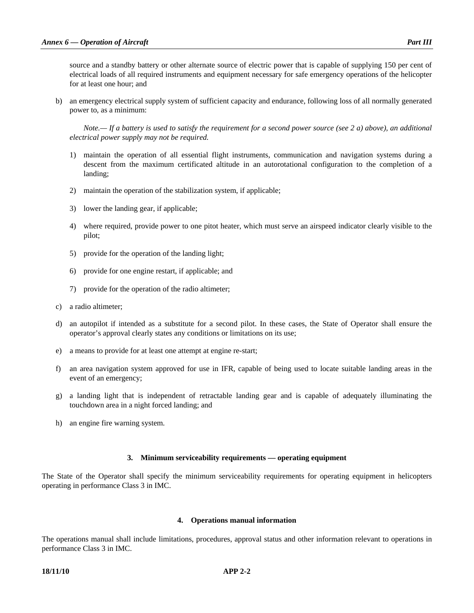source and a standby battery or other alternate source of electric power that is capable of supplying 150 per cent of electrical loads of all required instruments and equipment necessary for safe emergency operations of the helicopter for at least one hour; and

 b) an emergency electrical supply system of sufficient capacity and endurance, following loss of all normally generated power to, as a minimum:

*Note.— If a battery is used to satisfy the requirement for a second power source (see 2 a) above), an additional electrical power supply may not be required.*

- 1) maintain the operation of all essential flight instruments, communication and navigation systems during a descent from the maximum certificated altitude in an autorotational configuration to the completion of a landing;
- 2) maintain the operation of the stabilization system, if applicable;
- 3) lower the landing gear, if applicable;
- 4) where required, provide power to one pitot heater, which must serve an airspeed indicator clearly visible to the pilot;
- 5) provide for the operation of the landing light;
- 6) provide for one engine restart, if applicable; and
- 7) provide for the operation of the radio altimeter;
- c) a radio altimeter;
- d) an autopilot if intended as a substitute for a second pilot. In these cases, the State of Operator shall ensure the operator's approval clearly states any conditions or limitations on its use;
- e) a means to provide for at least one attempt at engine re-start;
- f) an area navigation system approved for use in IFR, capable of being used to locate suitable landing areas in the event of an emergency;
- g) a landing light that is independent of retractable landing gear and is capable of adequately illuminating the touchdown area in a night forced landing; and
- h) an engine fire warning system.

#### **3. Minimum serviceability requirements — operating equipment**

The State of the Operator shall specify the minimum serviceability requirements for operating equipment in helicopters operating in performance Class 3 in IMC.

#### **4. Operations manual information**

The operations manual shall include limitations, procedures, approval status and other information relevant to operations in performance Class 3 in IMC.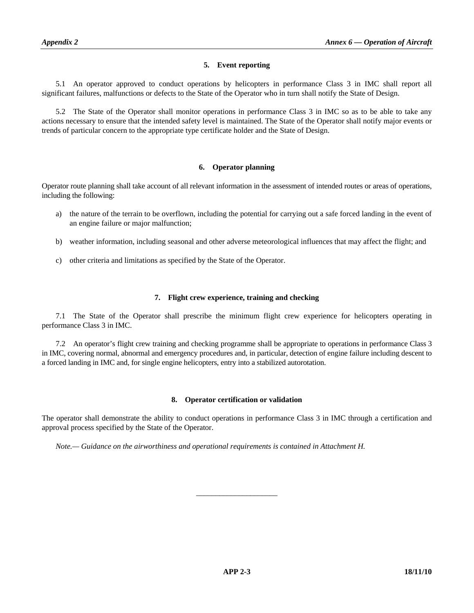#### **5. Event reporting**

 5.1 An operator approved to conduct operations by helicopters in performance Class 3 in IMC shall report all significant failures, malfunctions or defects to the State of the Operator who in turn shall notify the State of Design.

 5.2 The State of the Operator shall monitor operations in performance Class 3 in IMC so as to be able to take any actions necessary to ensure that the intended safety level is maintained. The State of the Operator shall notify major events or trends of particular concern to the appropriate type certificate holder and the State of Design.

#### **6. Operator planning**

Operator route planning shall take account of all relevant information in the assessment of intended routes or areas of operations, including the following:

- a) the nature of the terrain to be overflown, including the potential for carrying out a safe forced landing in the event of an engine failure or major malfunction;
- b) weather information, including seasonal and other adverse meteorological influences that may affect the flight; and
- c) other criteria and limitations as specified by the State of the Operator.

#### **7. Flight crew experience, training and checking**

 7.1 The State of the Operator shall prescribe the minimum flight crew experience for helicopters operating in performance Class 3 in IMC.

 7.2 An operator's flight crew training and checking programme shall be appropriate to operations in performance Class 3 in IMC, covering normal, abnormal and emergency procedures and, in particular, detection of engine failure including descent to a forced landing in IMC and, for single engine helicopters, entry into a stabilized autorotation.

#### **8. Operator certification or validation**

The operator shall demonstrate the ability to conduct operations in performance Class 3 in IMC through a certification and approval process specified by the State of the Operator.

\_\_\_\_\_\_\_\_\_\_\_\_\_\_\_\_\_\_\_\_\_

 *Note.— Guidance on the airworthiness and operational requirements is contained in Attachment H.*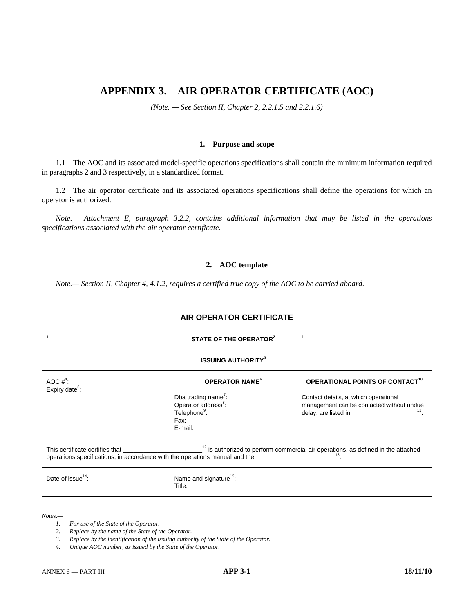## **APPENDIX 3. AIR OPERATOR CERTIFICATE (AOC)**

*(Note. — See Section II, Chapter 2, 2.2.1.5 and 2.2.1.6)* 

#### **1. Purpose and scope**

 1.1 The AOC and its associated model-specific operations specifications shall contain the minimum information required in paragraphs 2 and 3 respectively, in a standardized format.

 1.2 The air operator certificate and its associated operations specifications shall define the operations for which an operator is authorized.

 *Note.— Attachment E, paragraph 3.2.2, contains additional information that may be listed in the operations specifications associated with the air operator certificate.* 

#### **2. AOC template**

 *Note.— Section II, Chapter 4, 4.1.2, requires a certified true copy of the AOC to be carried aboard.* 

| <b>AIR OPERATOR CERTIFICATE</b>                                                                                                                                                                                                                                            |                                                                                                                                          |                                                                                                                                                                            |  |
|----------------------------------------------------------------------------------------------------------------------------------------------------------------------------------------------------------------------------------------------------------------------------|------------------------------------------------------------------------------------------------------------------------------------------|----------------------------------------------------------------------------------------------------------------------------------------------------------------------------|--|
| $\overline{1}$                                                                                                                                                                                                                                                             | STATE OF THE OPERATOR <sup>2</sup>                                                                                                       | $\overline{1}$                                                                                                                                                             |  |
|                                                                                                                                                                                                                                                                            | <b>ISSUING AUTHORITY3</b>                                                                                                                |                                                                                                                                                                            |  |
| AOC $#4$ :<br>Expiry date <sup>5</sup> :                                                                                                                                                                                                                                   | <b>OPERATOR NAME<sup>6</sup></b><br>Dba trading name':<br>Operator address <sup>8</sup> :<br>Telephone <sup>9</sup> :<br>Fax:<br>E-mail: | OPERATIONAL POINTS OF CONTACT <sup>10</sup><br>Contact details, at which operational<br>management can be contacted without undue<br>delay, are listed in $\frac{11}{2}$ . |  |
| This certificate certifies that ______________________ <sup>12</sup> is authorized to perform commercial air operations, as defined in the attached<br>operations specifications, in accordance with the operations manual and the _______________________ <sup>13</sup> . |                                                                                                                                          |                                                                                                                                                                            |  |
| Date of issue <sup>14</sup> :                                                                                                                                                                                                                                              | Name and signature <sup>15</sup> :<br>Title:                                                                                             |                                                                                                                                                                            |  |

*Notes.—* 

- *1. For use of the State of the Operator.*
- *2. Replace by the name of the State of the Operator.*
- *3. Replace by the identification of the issuing authority of the State of the Operator.*
- *4. Unique AOC number, as issued by the State of the Operator.*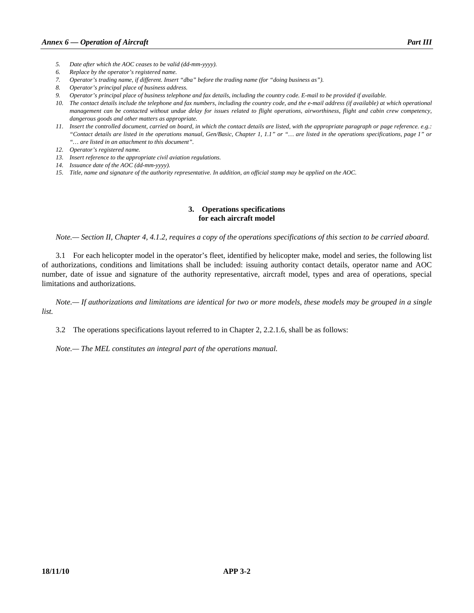- *5. Date after which the AOC ceases to be valid (dd-mm-yyyy).*
- *6. Replace by the operator's registered name.*
- *7. Operator's trading name, if different. Insert "dba" before the trading name (for "doing business as").*
- *8. Operator's principal place of business address.*
- *9. Operator's principal place of business telephone and fax details, including the country code. E-mail to be provided if available.*
- *10. The contact details include the telephone and fax numbers, including the country code, and the e-mail address (if available) at which operational management can be contacted without undue delay for issues related to flight operations, airworthiness, flight and cabin crew competency, dangerous goods and other matters as appropriate.*
- *11. Insert the controlled document, carried on board, in which the contact details are listed, with the appropriate paragraph or page reference. e.g.: "Contact details are listed in the operations manual, Gen/Basic, Chapter 1, 1.1" or "… are listed in the operations specifications, page 1" or "… are listed in an attachment to this document".*
- *12. Operator's registered name.*
- *13. Insert reference to the appropriate civil aviation regulations.*
- *14. Issuance date of the AOC (dd-mm-yyyy).*
- *15. Title, name and signature of the authority representative. In addition, an official stamp may be applied on the AOC.*

# **3. Operations specifications for each aircraft model**

 *Note.— Section II, Chapter 4, 4.1.2, requires a copy of the operations specifications of this section to be carried aboard.* 

 3.1 For each helicopter model in the operator's fleet, identified by helicopter make, model and series, the following list of authorizations, conditions and limitations shall be included: issuing authority contact details, operator name and AOC number, date of issue and signature of the authority representative, aircraft model, types and area of operations, special limitations and authorizations.

 *Note.— If authorizations and limitations are identical for two or more models, these models may be grouped in a single list.* 

3.2 The operations specifications layout referred to in Chapter 2, 2.2.1.6, shall be as follows:

 *Note.— The MEL constitutes an integral part of the operations manual.*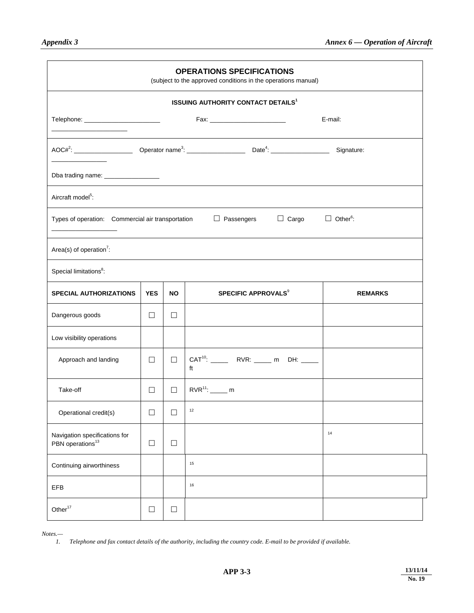| <b>OPERATIONS SPECIFICATIONS</b><br>(subject to the approved conditions in the operations manual) |            |        |                                                      |                             |  |  |  |
|---------------------------------------------------------------------------------------------------|------------|--------|------------------------------------------------------|-----------------------------|--|--|--|
|                                                                                                   |            |        | <b>ISSUING AUTHORITY CONTACT DETAILS<sup>1</sup></b> |                             |  |  |  |
|                                                                                                   |            |        | Fax: ___________________________                     | E-mail:                     |  |  |  |
|                                                                                                   |            |        |                                                      |                             |  |  |  |
| Dba trading name: __________________                                                              |            |        |                                                      |                             |  |  |  |
| Aircraft model <sup>5</sup> :                                                                     |            |        |                                                      |                             |  |  |  |
| Types of operation: Commercial air transportation                                                 |            |        | $\Box$ Cargo<br>$\Box$ Passengers                    | $\Box$ Other <sup>6</sup> : |  |  |  |
| Area(s) of operation <sup>7</sup> :                                                               |            |        |                                                      |                             |  |  |  |
| Special limitations <sup>8</sup> :                                                                |            |        |                                                      |                             |  |  |  |
| <b>SPECIAL AUTHORIZATIONS</b>                                                                     | <b>YES</b> | NO.    | <b>SPECIFIC APPROVALS<sup>9</sup></b>                | <b>REMARKS</b>              |  |  |  |
| Dangerous goods                                                                                   | $\Box$     | $\Box$ |                                                      |                             |  |  |  |
| Low visibility operations                                                                         |            |        |                                                      |                             |  |  |  |
| Approach and landing                                                                              | □          | $\Box$ | ft                                                   |                             |  |  |  |
| Take-off                                                                                          | $\Box$     | $\Box$ | $RVR^{11}$ : _______ m                               |                             |  |  |  |
| Operational credit(s)                                                                             | $\Box$     |        | $12\,$                                               |                             |  |  |  |
| Navigation specifications for<br>PBN operations <sup>13</sup>                                     | $\Box$     | □      |                                                      | 14                          |  |  |  |
| Continuing airworthiness                                                                          |            |        | 15                                                   |                             |  |  |  |
| EFB                                                                                               |            |        | 16                                                   |                             |  |  |  |
| Other <sup>17</sup>                                                                               | $\Box$     | $\Box$ |                                                      |                             |  |  |  |

*Notes.—* 

 *1. Telephone and fax contact details of the authority, including the country code. E-mail to be provided if available.*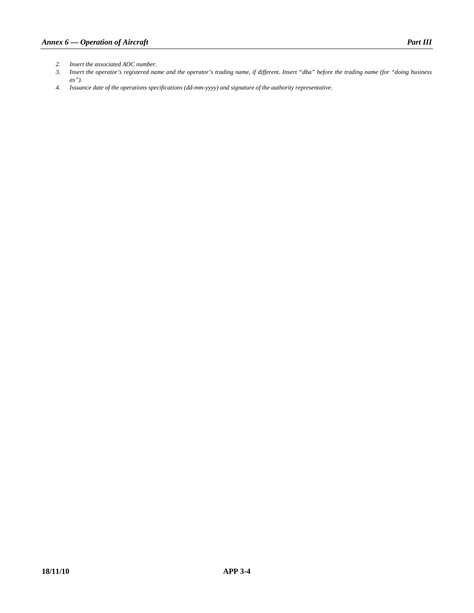- *2. Insert the associated AOC number.*
- *3. Insert the operator's registered name and the operator's trading name, if different. Insert "dba" before the trading name (for "doing business as").*
- *4. Issuance date of the operations specifications (dd-mm-yyyy) and signature of the authority representative.*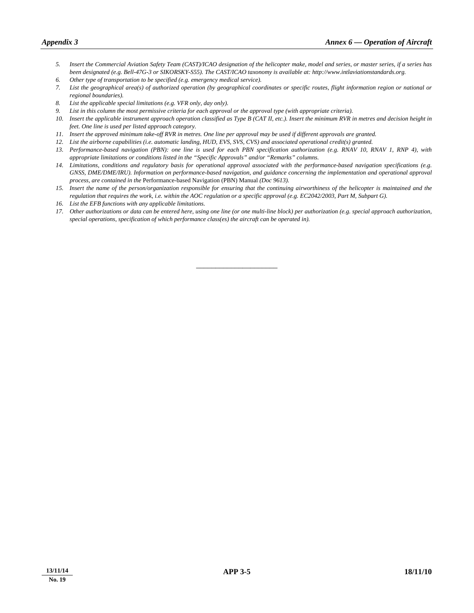- *5. Insert the Commercial Aviation Safety Team (CAST)/ICAO designation of the helicopter make, model and series, or master series, if a series has been designated (e.g. Bell-47G-3 or SIKORSKY-S55). The CAST/ICAO taxonomy is available at: http://www.intlaviationstandards.org.*
- *6. Other type of transportation to be specified (e.g. emergency medical service).*
- *7. List the geographical area(s) of authorized operation (by geographical coordinates or specific routes, flight information region or national or regional boundaries).*
- *8. List the applicable special limitations (e.g. VFR only, day only).*
- *9. List in this column the most permissive criteria for each approval or the approval type (with appropriate criteria).*
- *10. Insert the applicable instrument approach operation classified as Type B (CAT II, etc.). Insert the minimum RVR in metres and decision height in feet. One line is used per listed approach category.*
- *11. Insert the approved minimum take-off RVR in metres. One line per approval may be used if different approvals are granted.*
- *12. List the airborne capabilities (i.e. automatic landing, HUD, EVS, SVS, CVS) and associated operational credit(s) granted.*
- *13. Performance-based navigation (PBN): one line is used for each PBN specification authorization (e.g. RNAV 10, RNAV 1, RNP 4), with appropriate limitations or conditions listed in the "Specific Approvals" and/or "Remarks" columns.*
- *14. Limitations, conditions and regulatory basis for operational approval associated with the performance-based navigation specifications (e.g. GNSS, DME/DME/IRU). Information on performance-based navigation, and guidance concerning the implementation and operational approval process, are contained in the* Performance-based Navigation (PBN) Manual *(Doc 9613).*
- *15. Insert the name of the person/organization responsible for ensuring that the continuing airworthiness of the helicopter is maintained and the regulation that requires the work, i.e. within the AOC regulation or a specific approval (e.g. EC2042/2003, Part M, Subpart G).*
- *16. List the EFB functions with any applicable limitations.*
- *17. Other authorizations or data can be entered here, using one line (or one multi-line block) per authorization (e.g. special approach authorization, special operations, specification of which performance class(es) the aircraft can be operated in).*

\_\_\_\_\_\_\_\_\_\_\_\_\_\_\_\_\_\_\_\_\_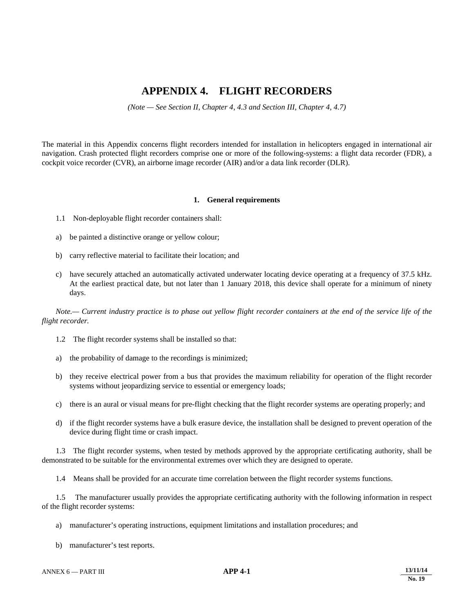# **APPENDIX 4. FLIGHT RECORDERS**

*(Note — See Section II, Chapter 4, 4.3 and Section III, Chapter 4, 4.7)* 

The material in this Appendix concerns flight recorders intended for installation in helicopters engaged in international air navigation. Crash protected flight recorders comprise one or more of the following-systems: a flight data recorder (FDR), a cockpit voice recorder (CVR), an airborne image recorder (AIR) and/or a data link recorder (DLR).

#### **1. General requirements**

- 1.1 Non-deployable flight recorder containers shall:
- a) be painted a distinctive orange or yellow colour;
- b) carry reflective material to facilitate their location; and
- c) have securely attached an automatically activated underwater locating device operating at a frequency of 37.5 kHz. At the earliest practical date, but not later than 1 January 2018, this device shall operate for a minimum of ninety days.

 *Note.— Current industry practice is to phase out yellow flight recorder containers at the end of the service life of the flight recorder.*

- 1.2 The flight recorder systems shall be installed so that:
- a) the probability of damage to the recordings is minimized;
- b) they receive electrical power from a bus that provides the maximum reliability for operation of the flight recorder systems without jeopardizing service to essential or emergency loads;
- c) there is an aural or visual means for pre-flight checking that the flight recorder systems are operating properly; and
- d) if the flight recorder systems have a bulk erasure device, the installation shall be designed to prevent operation of the device during flight time or crash impact.

 1.3 The flight recorder systems, when tested by methods approved by the appropriate certificating authority, shall be demonstrated to be suitable for the environmental extremes over which they are designed to operate.

1.4 Means shall be provided for an accurate time correlation between the flight recorder systems functions.

 1.5 The manufacturer usually provides the appropriate certificating authority with the following information in respect of the flight recorder systems:

- a) manufacturer's operating instructions, equipment limitations and installation procedures; and
- b) manufacturer's test reports.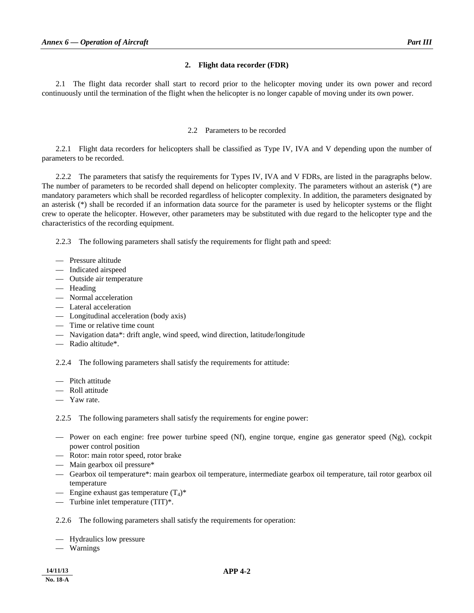# **2. Flight data recorder (FDR)**

 2.1 The flight data recorder shall start to record prior to the helicopter moving under its own power and record continuously until the termination of the flight when the helicopter is no longer capable of moving under its own power.

# 2.2 Parameters to be recorded

 2.2.1 Flight data recorders for helicopters shall be classified as Type IV, IVA and V depending upon the number of parameters to be recorded.

 2.2.2 The parameters that satisfy the requirements for Types IV, IVA and V FDRs, are listed in the paragraphs below. The number of parameters to be recorded shall depend on helicopter complexity. The parameters without an asterisk (\*) are mandatory parameters which shall be recorded regardless of helicopter complexity. In addition, the parameters designated by an asterisk (\*) shall be recorded if an information data source for the parameter is used by helicopter systems or the flight crew to operate the helicopter. However, other parameters may be substituted with due regard to the helicopter type and the characteristics of the recording equipment.

2.2.3 The following parameters shall satisfy the requirements for flight path and speed:

- Pressure altitude
- Indicated airspeed
- Outside air temperature
- Heading
- Normal acceleration
- Lateral acceleration
- Longitudinal acceleration (body axis)
- Time or relative time count
- Navigation data\*: drift angle, wind speed, wind direction, latitude/longitude
- Radio altitude\*.

2.2.4 The following parameters shall satisfy the requirements for attitude:

- Pitch attitude
- Roll attitude
- Yaw rate.

2.2.5 The following parameters shall satisfy the requirements for engine power:

- Power on each engine: free power turbine speed (Nf), engine torque, engine gas generator speed (Ng), cockpit power control position
- Rotor: main rotor speed, rotor brake
- Main gearbox oil pressure\*
- Gearbox oil temperature\*: main gearbox oil temperature, intermediate gearbox oil temperature, tail rotor gearbox oil temperature
- Engine exhaust gas temperature  $(T_4)^*$
- Turbine inlet temperature (TIT)\*.

2.2.6 The following parameters shall satisfy the requirements for operation:

- Hydraulics low pressure
- Warnings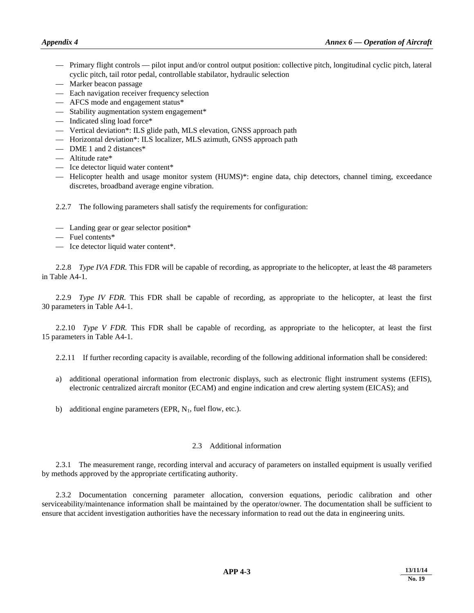- Primary flight controls pilot input and/or control output position: collective pitch, longitudinal cyclic pitch, lateral cyclic pitch, tail rotor pedal, controllable stabilator, hydraulic selection
- Marker beacon passage
- Each navigation receiver frequency selection
- AFCS mode and engagement status\*
- Stability augmentation system engagement\*
- Indicated sling load force\*
- Vertical deviation\*: ILS glide path, MLS elevation, GNSS approach path
- Horizontal deviation\*: ILS localizer, MLS azimuth, GNSS approach path
- DME 1 and 2 distances\*
- Altitude rate\*
- Ice detector liquid water content\*
- Helicopter health and usage monitor system (HUMS)\*: engine data, chip detectors, channel timing, exceedance discretes, broadband average engine vibration.

2.2.7 The following parameters shall satisfy the requirements for configuration:

- Landing gear or gear selector position\*
- Fuel contents\*
- Ice detector liquid water content\*.

 2.2.8 *Type IVA FDR.* This FDR will be capable of recording, as appropriate to the helicopter, at least the 48 parameters in Table A4-1.

2.2.9 *Type IV FDR*. This FDR shall be capable of recording, as appropriate to the helicopter, at least the first 30 parameters in Table A4-1.

2.2.10 *Type V FDR*. This FDR shall be capable of recording, as appropriate to the helicopter, at least the first 15 parameters in Table A4-1.

2.2.11 If further recording capacity is available, recording of the following additional information shall be considered:

- a) additional operational information from electronic displays, such as electronic flight instrument systems (EFIS), electronic centralized aircraft monitor (ECAM) and engine indication and crew alerting system (EICAS); and
- b) additional engine parameters (EPR,  $N_1$ , fuel flow, etc.).

# 2.3 Additional information

 2.3.1 The measurement range, recording interval and accuracy of parameters on installed equipment is usually verified by methods approved by the appropriate certificating authority.

 2.3.2 Documentation concerning parameter allocation, conversion equations, periodic calibration and other serviceability/maintenance information shall be maintained by the operator/owner. The documentation shall be sufficient to ensure that accident investigation authorities have the necessary information to read out the data in engineering units.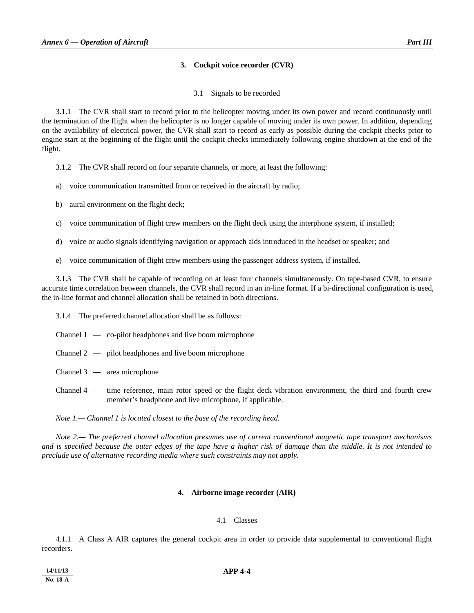# **3. Cockpit voice recorder (CVR)**

3.1 Signals to be recorded

 3.1.1 The CVR shall start to record prior to the helicopter moving under its own power and record continuously until the termination of the flight when the helicopter is no longer capable of moving under its own power. In addition, depending on the availability of electrical power, the CVR shall start to record as early as possible during the cockpit checks prior to engine start at the beginning of the flight until the cockpit checks immediately following engine shutdown at the end of the flight.

3.1.2 The CVR shall record on four separate channels, or more, at least the following:

- a) voice communication transmitted from or received in the aircraft by radio;
- b) aural environment on the flight deck;
- c) voice communication of flight crew members on the flight deck using the interphone system, if installed;
- d) voice or audio signals identifying navigation or approach aids introduced in the headset or speaker; and
- e) voice communication of flight crew members using the passenger address system, if installed.

 3.1.3 The CVR shall be capable of recording on at least four channels simultaneously. On tape-based CVR, to ensure accurate time correlation between channels, the CVR shall record in an in-line format. If a bi-directional configuration is used, the in-line format and channel allocation shall be retained in both directions.

3.1.4 The preferred channel allocation shall be as follows:

- Channel 1 co-pilot headphones and live boom microphone
- Channel 2 pilot headphones and live boom microphone
- Channel 3 area microphone
- Channel 4 time reference, main rotor speed or the flight deck vibration environment, the third and fourth crew member's headphone and live microphone, if applicable.

 *Note 1.— Channel 1 is located closest to the base of the recording head.* 

 *Note 2.— The preferred channel allocation presumes use of current conventional magnetic tape transport mechanisms and is specified because the outer edges of the tape have a higher risk of damage than the middle. It is not intended to preclude use of alternative recording media where such constraints may not apply.* 

# **4. Airborne image recorder (AIR)**

#### 4.1 Classes

 4.1.1 A Class A AIR captures the general cockpit area in order to provide data supplemental to conventional flight recorders.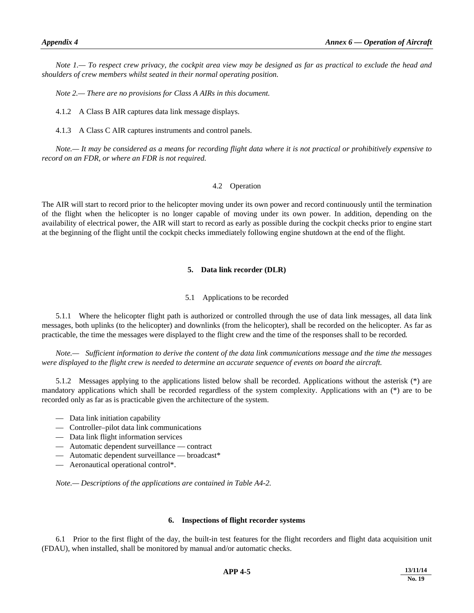*Note 1.— To respect crew privacy, the cockpit area view may be designed as far as practical to exclude the head and shoulders of crew members whilst seated in their normal operating position.* 

 *Note 2.— There are no provisions for Class A AIRs in this document.*

4.1.2 A Class B AIR captures data link message displays.

4.1.3 A Class C AIR captures instruments and control panels.

*Note.— It may be considered as a means for recording flight data where it is not practical or prohibitively expensive to record on an FDR, or where an FDR is not required.* 

# 4.2 Operation

The AIR will start to record prior to the helicopter moving under its own power and record continuously until the termination of the flight when the helicopter is no longer capable of moving under its own power. In addition, depending on the availability of electrical power, the AIR will start to record as early as possible during the cockpit checks prior to engine start at the beginning of the flight until the cockpit checks immediately following engine shutdown at the end of the flight.

# **5. Data link recorder (DLR)**

# 5.1 Applications to be recorded

 5.1.1 Where the helicopter flight path is authorized or controlled through the use of data link messages, all data link messages, both uplinks (to the helicopter) and downlinks (from the helicopter), shall be recorded on the helicopter. As far as practicable, the time the messages were displayed to the flight crew and the time of the responses shall to be recorded*.*

*Note.— Sufficient information to derive the content of the data link communications message and the time the messages were displayed to the flight crew is needed to determine an accurate sequence of events on board the aircraft.* 

 5.1.2 Messages applying to the applications listed below shall be recorded. Applications without the asterisk (\*) are mandatory applications which shall be recorded regardless of the system complexity. Applications with an (\*) are to be recorded only as far as is practicable given the architecture of the system.

- Data link initiation capability
- Controller–pilot data link communications
- Data link flight information services
- Automatic dependent surveillance contract
- Automatic dependent surveillance broadcast\*
- Aeronautical operational control\*.

*Note.— Descriptions of the applications are contained in Table A4-2.*

#### **6. Inspections of flight recorder systems**

 6.1 Prior to the first flight of the day, the built-in test features for the flight recorders and flight data acquisition unit (FDAU), when installed, shall be monitored by manual and/or automatic checks.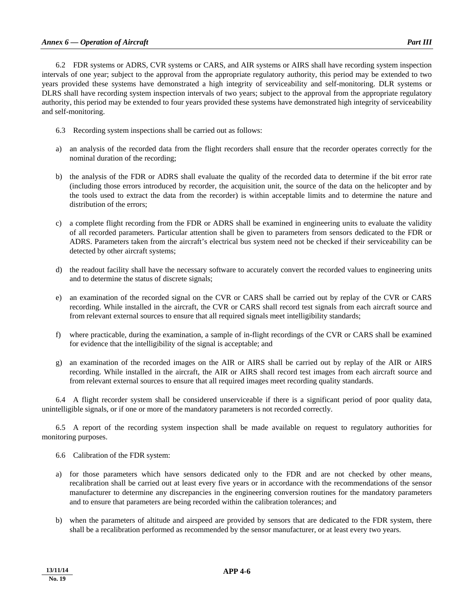6.2 FDR systems or ADRS, CVR systems or CARS, and AIR systems or AIRS shall have recording system inspection intervals of one year; subject to the approval from the appropriate regulatory authority, this period may be extended to two years provided these systems have demonstrated a high integrity of serviceability and self-monitoring. DLR systems or DLRS shall have recording system inspection intervals of two years; subject to the approval from the appropriate regulatory authority, this period may be extended to four years provided these systems have demonstrated high integrity of serviceability and self-monitoring.

- 6.3 Recording system inspections shall be carried out as follows:
- a) an analysis of the recorded data from the flight recorders shall ensure that the recorder operates correctly for the nominal duration of the recording;
- b) the analysis of the FDR or ADRS shall evaluate the quality of the recorded data to determine if the bit error rate (including those errors introduced by recorder, the acquisition unit, the source of the data on the helicopter and by the tools used to extract the data from the recorder) is within acceptable limits and to determine the nature and distribution of the errors;
- c) a complete flight recording from the FDR or ADRS shall be examined in engineering units to evaluate the validity of all recorded parameters. Particular attention shall be given to parameters from sensors dedicated to the FDR or ADRS. Parameters taken from the aircraft's electrical bus system need not be checked if their serviceability can be detected by other aircraft systems;
- d) the readout facility shall have the necessary software to accurately convert the recorded values to engineering units and to determine the status of discrete signals;
- e) an examination of the recorded signal on the CVR or CARS shall be carried out by replay of the CVR or CARS recording. While installed in the aircraft, the CVR or CARS shall record test signals from each aircraft source and from relevant external sources to ensure that all required signals meet intelligibility standards;
- f) where practicable, during the examination, a sample of in-flight recordings of the CVR or CARS shall be examined for evidence that the intelligibility of the signal is acceptable; and
- g) an examination of the recorded images on the AIR or AIRS shall be carried out by replay of the AIR or AIRS recording. While installed in the aircraft, the AIR or AIRS shall record test images from each aircraft source and from relevant external sources to ensure that all required images meet recording quality standards.

 6.4 A flight recorder system shall be considered unserviceable if there is a significant period of poor quality data, unintelligible signals, or if one or more of the mandatory parameters is not recorded correctly.

 6.5 A report of the recording system inspection shall be made available on request to regulatory authorities for monitoring purposes.

- 6.6 Calibration of the FDR system:
- a) for those parameters which have sensors dedicated only to the FDR and are not checked by other means, recalibration shall be carried out at least every five years or in accordance with the recommendations of the sensor manufacturer to determine any discrepancies in the engineering conversion routines for the mandatory parameters and to ensure that parameters are being recorded within the calibration tolerances; and
- b) when the parameters of altitude and airspeed are provided by sensors that are dedicated to the FDR system, there shall be a recalibration performed as recommended by the sensor manufacturer, or at least every two years.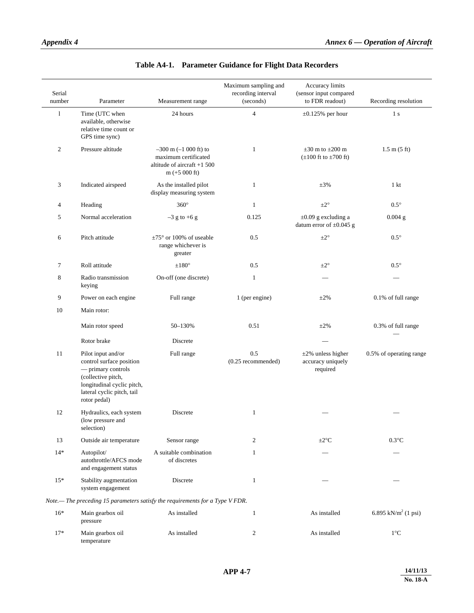temperature

| Serial<br>number | Parameter                                                                                                                                                              | Measurement range                                                                                    | Maximum sampling and<br>recording interval<br>(seconds) | Accuracy limits<br>(sensor input compared<br>to FDR readout) | Recording resolution            |
|------------------|------------------------------------------------------------------------------------------------------------------------------------------------------------------------|------------------------------------------------------------------------------------------------------|---------------------------------------------------------|--------------------------------------------------------------|---------------------------------|
| 1                | Time (UTC when<br>available, otherwise<br>relative time count or<br>GPS time sync)                                                                                     | 24 hours                                                                                             | $\overline{4}$                                          | $\pm 0.125\%$ per hour                                       | 1 <sub>s</sub>                  |
| $\overline{2}$   | Pressure altitude                                                                                                                                                      | $-300$ m $(-1000$ ft) to<br>maximum certificated<br>altitude of aircraft $+1$ 500<br>$m (+5 000 ft)$ | $\mathbf{1}$                                            | $\pm 30$ m to $\pm 200$ m<br>$(\pm 100$ ft to $\pm 700$ ft)  | $1.5 \text{ m} (5 \text{ ft})$  |
| 3                | Indicated airspeed                                                                                                                                                     | As the installed pilot<br>display measuring system                                                   | $\mathbf{1}$                                            | $\pm 3\%$                                                    | 1 <sub>kt</sub>                 |
| 4                | Heading                                                                                                                                                                | $360^\circ$                                                                                          | $\mathbf{1}$                                            | $\pm 2^{\circ}$                                              | $0.5^\circ$                     |
| 5                | Normal acceleration                                                                                                                                                    | $-3$ g to +6 g                                                                                       | 0.125                                                   | $\pm 0.09$ g excluding a<br>datum error of $\pm 0.045$ g     | $0.004$ g                       |
| 6                | Pitch attitude                                                                                                                                                         | $\pm 75^{\circ}$ or 100% of useable<br>range whichever is<br>greater                                 | 0.5                                                     | $\pm 2^{\circ}$                                              | $0.5^{\circ}$                   |
| $\tau$           | Roll attitude                                                                                                                                                          | $\pm 180^\circ$                                                                                      | 0.5                                                     | $\pm 2^{\circ}$                                              | $0.5^{\circ}$                   |
| 8                | Radio transmission<br>keying                                                                                                                                           | On-off (one discrete)                                                                                | $\mathbf{1}$                                            |                                                              |                                 |
| 9                | Power on each engine                                                                                                                                                   | Full range                                                                                           | 1 (per engine)                                          | $\pm 2\%$                                                    | 0.1% of full range              |
| 10               | Main rotor:                                                                                                                                                            |                                                                                                      |                                                         |                                                              |                                 |
|                  | Main rotor speed                                                                                                                                                       | 50-130%                                                                                              | 0.51                                                    | $\pm 2\%$                                                    | 0.3% of full range              |
|                  | Rotor brake                                                                                                                                                            | Discrete                                                                                             |                                                         |                                                              |                                 |
| 11               | Pilot input and/or<br>control surface position<br>- primary controls<br>(collective pitch,<br>longitudinal cyclic pitch,<br>lateral cyclic pitch, tail<br>rotor pedal) | Full range                                                                                           | 0.5<br>$(0.25$ recommended)                             | $\pm 2\%$ unless higher<br>accuracy uniquely<br>required     | 0.5% of operating range         |
| 12               | Hydraulics, each system<br>(low pressure and<br>selection)                                                                                                             | Discrete                                                                                             | $\mathbf{1}$                                            |                                                              |                                 |
| 13               | Outside air temperature                                                                                                                                                | Sensor range                                                                                         | 2                                                       | $\pm 2^{\circ}$ C                                            | $0.3$ °C                        |
| $14*$            | Autopilot/<br>autothrottle/AFCS mode<br>and engagement status                                                                                                          | A suitable combination<br>of discretes                                                               | 1                                                       |                                                              |                                 |
| $15*$            | Stability augmentation<br>system engagement                                                                                                                            | Discrete                                                                                             | $\mathbf{1}$                                            |                                                              |                                 |
|                  |                                                                                                                                                                        | Note.— The preceding 15 parameters satisfy the requirements for a Type V FDR.                        |                                                         |                                                              |                                 |
| $16*$            | Main gearbox oil<br>pressure                                                                                                                                           | As installed                                                                                         | $\mathbf{1}$                                            | As installed                                                 | 6.895 kN/m <sup>2</sup> (1 psi) |
| $17*$            | Main gearbox oil                                                                                                                                                       | As installed                                                                                         | $\mathfrak{2}$                                          | As installed                                                 | $1^{\circ}C$                    |

# **Table A4-1. Parameter Guidance for Flight Data Recorders**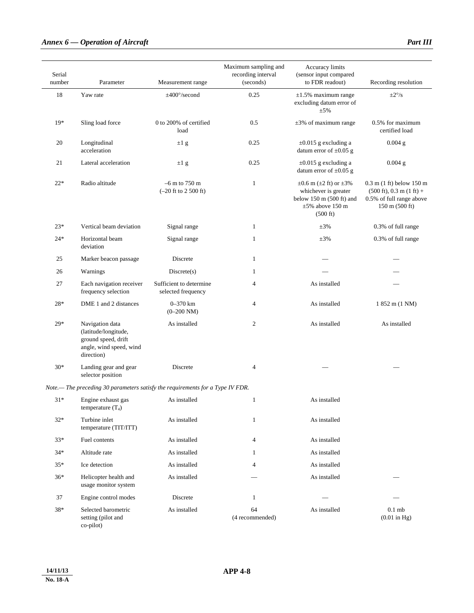# *Annex 6 — Operation of Aircraft Part III Part III*

| Serial<br>number | Parameter                                                                                               | Measurement range                             | Maximum sampling and<br>recording interval<br>(seconds) | Accuracy limits<br>(sensor input compared<br>to FDR readout)                                                                                  | Recording resolution                                                                                                                                            |
|------------------|---------------------------------------------------------------------------------------------------------|-----------------------------------------------|---------------------------------------------------------|-----------------------------------------------------------------------------------------------------------------------------------------------|-----------------------------------------------------------------------------------------------------------------------------------------------------------------|
| 18               | Yaw rate                                                                                                | $\pm 400^{\circ}/\text{second}$               | 0.25                                                    | $\pm 1.5\%$ maximum range<br>excluding datum error of<br>$\pm$ 5%                                                                             | $\pm 2^{\circ}/s$                                                                                                                                               |
| $19*$            | Sling load force                                                                                        | 0 to 200% of certified<br>load                | 0.5                                                     | $\pm 3\%$ of maximum range                                                                                                                    | 0.5% for maximum<br>certified load                                                                                                                              |
| 20               | Longitudinal<br>acceleration                                                                            | $\pm 1$ g                                     | 0.25                                                    | $\pm 0.015$ g excluding a<br>datum error of $\pm 0.05$ g                                                                                      | $0.004$ g                                                                                                                                                       |
| 21               | Lateral acceleration                                                                                    | $\pm 1$ g                                     | 0.25                                                    | $\pm 0.015$ g excluding a<br>datum error of $\pm 0.05$ g                                                                                      | $0.004$ g                                                                                                                                                       |
| $22*$            | Radio altitude                                                                                          | $-6$ m to 750 m<br>$(-20$ ft to 2 500 ft)     | $\mathbf{1}$                                            | $\pm 0.6$ m ( $\pm 2$ ft) or $\pm 3\%$<br>whichever is greater<br>below $150$ m $(500$ ft) and<br>$\pm 5\%$ above 150 m<br>$(500 \text{ ft})$ | $0.3$ m $(1 \text{ ft})$ below $150 \text{ m}$<br>$(500 \text{ ft})$ , 0.3 m $(1 \text{ ft})$ +<br>0.5% of full range above<br>$150 \text{ m} (500 \text{ ft})$ |
| $23*$            | Vertical beam deviation                                                                                 | Signal range                                  | 1                                                       | $\pm 3\%$                                                                                                                                     | 0.3% of full range                                                                                                                                              |
| $24*$            | Horizontal beam<br>deviation                                                                            | Signal range                                  | $\mathbf{1}$                                            | $\pm 3\%$                                                                                                                                     | 0.3% of full range                                                                                                                                              |
| 25               | Marker beacon passage                                                                                   | Discrete                                      | $\mathbf{1}$                                            |                                                                                                                                               |                                                                                                                                                                 |
| 26               | Warnings                                                                                                | Discrete(s)                                   | 1                                                       |                                                                                                                                               |                                                                                                                                                                 |
| 27               | Each navigation receiver<br>frequency selection                                                         | Sufficient to determine<br>selected frequency | $\overline{4}$                                          | As installed                                                                                                                                  |                                                                                                                                                                 |
| 28*              | DME 1 and 2 distances                                                                                   | 0-370 km<br>$(0-200\text{ NM})$               | 4                                                       | As installed                                                                                                                                  | 1 852 m (1 NM)                                                                                                                                                  |
| $29*$            | Navigation data<br>(latitude/longitude,<br>ground speed, drift<br>angle, wind speed, wind<br>direction) | As installed                                  | $\overline{c}$                                          | As installed                                                                                                                                  | As installed                                                                                                                                                    |
| $30*$            | Landing gear and gear<br>selector position                                                              | Discrete                                      | $\overline{4}$                                          |                                                                                                                                               |                                                                                                                                                                 |
|                  | Note.— The preceding 30 parameters satisfy the requirements for a Type IV FDR.                          |                                               |                                                         |                                                                                                                                               |                                                                                                                                                                 |
| $31*$            | Engine exhaust gas<br>temperature $(T_4)$                                                               | As installed                                  | $\mathbf{1}$                                            | As installed                                                                                                                                  |                                                                                                                                                                 |
| $32*$            | Turbine inlet<br>temperature (TIT/ITT)                                                                  | As installed                                  | 1                                                       | As installed                                                                                                                                  |                                                                                                                                                                 |
| $33*$            | Fuel contents                                                                                           | As installed                                  | 4                                                       | As installed                                                                                                                                  |                                                                                                                                                                 |
| $34*$            | Altitude rate                                                                                           | As installed                                  | 1                                                       | As installed                                                                                                                                  |                                                                                                                                                                 |
| $35*$            | Ice detection                                                                                           | As installed                                  | 4                                                       | As installed                                                                                                                                  |                                                                                                                                                                 |
| $36*$            | Helicopter health and<br>usage monitor system                                                           | As installed                                  |                                                         | As installed                                                                                                                                  |                                                                                                                                                                 |
| 37               | Engine control modes                                                                                    | Discrete                                      | $\mathbf{1}$                                            |                                                                                                                                               |                                                                                                                                                                 |
| 38*              | Selected barometric<br>setting (pilot and<br>co-pilot)                                                  | As installed                                  | 64<br>(4 recommended)                                   | As installed                                                                                                                                  | $0.1$ mb<br>$(0.01$ in Hg)                                                                                                                                      |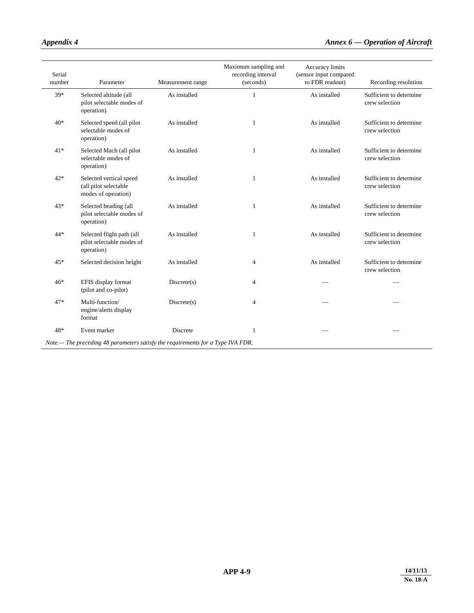| Serial<br>number | Parameter                                                                       | Measurement range | Maximum sampling and<br>recording interval<br>(seconds) | Accuracy limits<br>(sensor input compared<br>to FDR readout) | Recording resolution                      |
|------------------|---------------------------------------------------------------------------------|-------------------|---------------------------------------------------------|--------------------------------------------------------------|-------------------------------------------|
| 39*              | Selected altitude (all<br>pilot selectable modes of<br>operation)               | As installed      | $\mathbf{1}$                                            | As installed                                                 | Sufficient to determine<br>crew selection |
| $40*$            | Selected speed (all pilot<br>selectable modes of<br>operation)                  | As installed      | 1                                                       | As installed                                                 | Sufficient to determine<br>crew selection |
| $41*$            | Selected Mach (all pilot<br>selectable modes of<br>operation)                   | As installed      | 1                                                       | As installed                                                 | Sufficient to determine<br>crew selection |
| $42*$            | Selected vertical speed<br>(all pilot selectable<br>modes of operation)         | As installed      | $\mathbf{1}$                                            | As installed                                                 | Sufficient to determine<br>crew selection |
| 43*              | Selected heading (all<br>pilot selectable modes of<br>operation)                | As installed      | 1                                                       | As installed                                                 | Sufficient to determine<br>crew selection |
| 44*              | Selected flight path (all<br>pilot selectable modes of<br>operation)            | As installed      | $\mathbf{1}$                                            | As installed                                                 | Sufficient to determine<br>crew selection |
| 45*              | Selected decision height                                                        | As installed      | $\overline{4}$                                          | As installed                                                 | Sufficient to determine<br>crew selection |
| $46*$            | EFIS display format<br>(pilot and co-pilot)                                     | Discrete(s)       | $\overline{4}$                                          |                                                              |                                           |
| 47*              | Multi-function/<br>engine/alerts display<br>format                              | Discrete(s)       | $\overline{4}$                                          |                                                              |                                           |
| 48*              | Event marker                                                                    | Discrete          | 1                                                       |                                                              |                                           |
|                  | Note.— The preceding 48 parameters satisfy the requirements for a Type IVA FDR. |                   |                                                         |                                                              |                                           |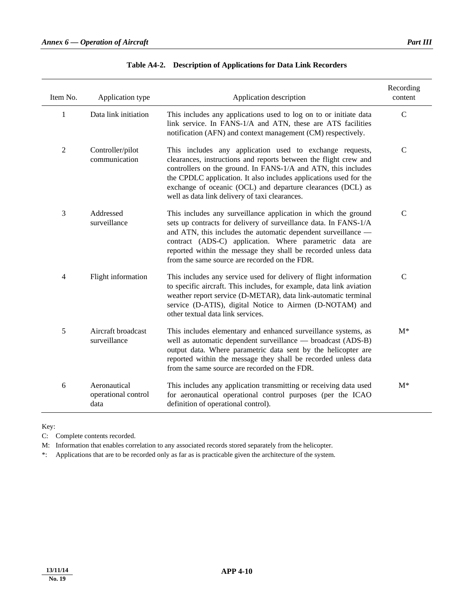$\overline{a}$ 

| Item No.       | Application type                            | Application description                                                                                                                                                                                                                                                                                                                                                             | Recording<br>content |
|----------------|---------------------------------------------|-------------------------------------------------------------------------------------------------------------------------------------------------------------------------------------------------------------------------------------------------------------------------------------------------------------------------------------------------------------------------------------|----------------------|
| $\mathbf{1}$   | Data link initiation                        | This includes any applications used to log on to or initiate data<br>link service. In FANS-1/A and ATN, these are ATS facilities<br>notification (AFN) and context management (CM) respectively.                                                                                                                                                                                    | $\mathbf C$          |
| $\overline{2}$ | Controller/pilot<br>communication           | This includes any application used to exchange requests,<br>clearances, instructions and reports between the flight crew and<br>controllers on the ground. In FANS-1/A and ATN, this includes<br>the CPDLC application. It also includes applications used for the<br>exchange of oceanic (OCL) and departure clearances (DCL) as<br>well as data link delivery of taxi clearances. | $\mathcal{C}$        |
| 3              | Addressed<br>surveillance                   | This includes any surveillance application in which the ground<br>sets up contracts for delivery of surveillance data. In FANS-1/A<br>and ATN, this includes the automatic dependent surveillance -<br>contract (ADS-C) application. Where parametric data are<br>reported within the message they shall be recorded unless data<br>from the same source are recorded on the FDR.   | $\mathcal{C}$        |
| 4              | Flight information                          | This includes any service used for delivery of flight information<br>to specific aircraft. This includes, for example, data link aviation<br>weather report service (D-METAR), data link-automatic terminal<br>service (D-ATIS), digital Notice to Airmen (D-NOTAM) and<br>other textual data link services.                                                                        | $\mathbf C$          |
| 5              | Aircraft broadcast<br>surveillance          | This includes elementary and enhanced surveillance systems, as<br>well as automatic dependent surveillance - broadcast (ADS-B)<br>output data. Where parametric data sent by the helicopter are<br>reported within the message they shall be recorded unless data<br>from the same source are recorded on the FDR.                                                                  | $M^*$                |
| 6              | Aeronautical<br>operational control<br>data | This includes any application transmitting or receiving data used<br>for aeronautical operational control purposes (per the ICAO<br>definition of operational control).                                                                                                                                                                                                             | $M^*$                |

Key:

 $\overline{a}$ 

C: Complete contents recorded.

M: Information that enables correlation to any associated records stored separately from the helicopter.

\*: Applications that are to be recorded only as far as is practicable given the architecture of the system.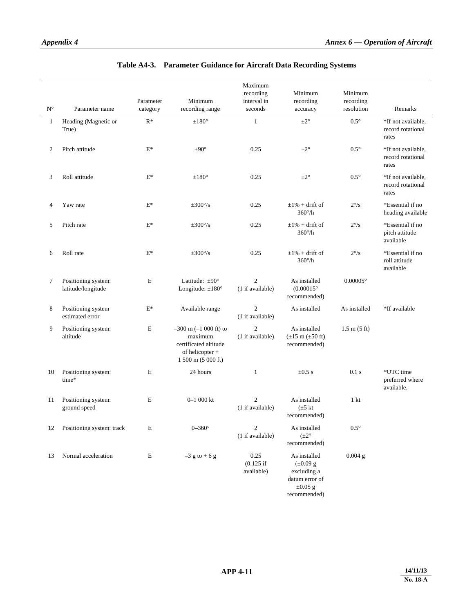| $\mathbf{N}^\circ$ | Parameter name                            | Parameter<br>category | Minimum<br>recording range                                                                              | Maximum<br>recording<br>interval in<br>seconds | Minimum<br>recording<br>accuracy                                                               | Minimum<br>recording<br>resolution | Remarks                                          |
|--------------------|-------------------------------------------|-----------------------|---------------------------------------------------------------------------------------------------------|------------------------------------------------|------------------------------------------------------------------------------------------------|------------------------------------|--------------------------------------------------|
| $\mathbf{1}$       | Heading (Magnetic or<br>True)             | $R^*$                 | $\pm 180^\circ$                                                                                         | $\mathbf{1}$                                   | $\pm 2^{\circ}$                                                                                | $0.5^{\circ}$                      | *If not available.<br>record rotational<br>rates |
| 2                  | Pitch attitude                            | $E^*$                 | $\pm 90^\circ$                                                                                          | 0.25                                           | $\pm 2^{\circ}$                                                                                | $0.5^\circ$                        | *If not available,<br>record rotational<br>rates |
| 3                  | Roll attitude                             | $E^*$                 | $\pm 180^\circ$                                                                                         | 0.25                                           | $\pm 2^{\circ}$                                                                                | $0.5^\circ$                        | *If not available,<br>record rotational<br>rates |
| 4                  | Yaw rate                                  | $E^*$                 | $\pm 300^{\circ}/s$                                                                                     | 0.25                                           | $\pm 1\%$ + drift of<br>$360^\circ/h$                                                          | $2^{\circ}/s$                      | *Essential if no<br>heading available            |
| 5                  | Pitch rate                                | $E^*$                 | $\pm 300^{\circ}/s$                                                                                     | 0.25                                           | $\pm 1\%$ + drift of<br>$360^\circ/h$                                                          | $2^{\circ}/s$                      | *Essential if no<br>pitch attitude<br>available  |
| 6                  | Roll rate                                 | $E^*$                 | $\pm 300^{\circ}/s$                                                                                     | 0.25                                           | $\pm 1\%$ + drift of<br>$360^\circ/h$                                                          | $2^{\circ}/s$                      | *Essential if no<br>roll attitude<br>available   |
| 7                  | Positioning system:<br>latitude/longitude | $\mathbf E$           | Latitude: $\pm 90^\circ$<br>Longitude: $\pm 180^\circ$                                                  | $\overline{2}$<br>(1 if available)             | As installed<br>$(0.00015^{\circ}$<br>recommended)                                             | $0.00005^{\circ}$                  |                                                  |
| 8                  | Positioning system<br>estimated error     | $E^*$                 | Available range                                                                                         | $\overline{c}$<br>(1 if available)             | As installed                                                                                   | As installed                       | *If available                                    |
| 9                  | Positioning system:<br>altitude           | Е                     | $-300$ m $(-1000$ ft) to<br>maximum<br>certificated altitude<br>of helicopter +<br>$1500$ m $(5000$ ft) | $\overline{c}$<br>(1 if available)             | As installed<br>$(\pm 15 \text{ m} (\pm 50 \text{ ft})$<br>recommended)                        | $1.5 \text{ m} (5 \text{ ft})$     |                                                  |
| 10                 | Positioning system:<br>time*              | E                     | 24 hours                                                                                                | $\mathbf{1}$                                   | $\pm 0.5$ s                                                                                    | 0.1 s                              | *UTC time<br>preferred where<br>available.       |
| 11                 | Positioning system:<br>ground speed       | E                     | $0 - 1000$ kt                                                                                           | $\overline{2}$<br>(1 if available)             | As installed<br>$(\pm 5 \text{ kt})$<br>recommended)                                           | 1 <sub>kt</sub>                    |                                                  |
|                    | 12 Positioning system: track              | E                     | $0-360^\circ$                                                                                           | 2<br>(1 if available)                          | As installed<br>$(\pm 2^{\circ})$<br>recommended)                                              | $0.5^{\circ}$                      |                                                  |
| 13                 | Normal acceleration                       | $\mathbf E$           | $-3$ g to + 6 g                                                                                         | 0.25<br>$(0.125$ if<br>available)              | As installed<br>$(\pm 0.09$ g<br>excluding a<br>datum error of<br>$\pm 0.05$ g<br>recommended) | $0.004$ g                          |                                                  |

# **Table A4-3. Parameter Guidance for Aircraft Data Recording Systems**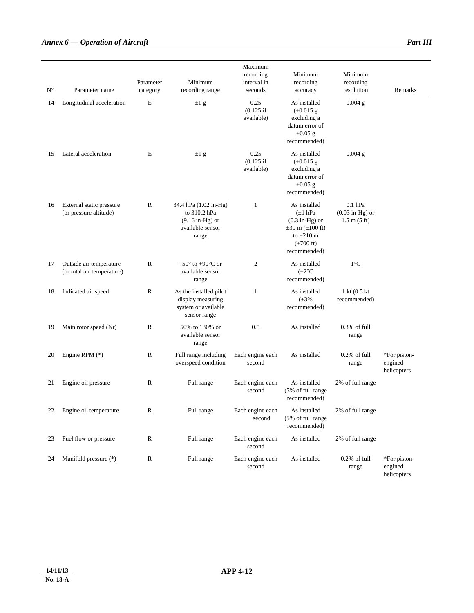| ${\bf N}^\circ$ | Parameter name                                        | Parameter<br>category | Minimum<br>recording range                                                              | Maximum<br>recording<br>interval in<br>seconds | Minimum<br>recording<br>accuracy                                                                                                                    | Minimum<br>recording<br>resolution                               | Remarks                                |
|-----------------|-------------------------------------------------------|-----------------------|-----------------------------------------------------------------------------------------|------------------------------------------------|-----------------------------------------------------------------------------------------------------------------------------------------------------|------------------------------------------------------------------|----------------------------------------|
| 14              | Longitudinal acceleration                             | E                     | $\pm 1$ g                                                                               | 0.25<br>$(0.125$ if<br>available)              | As installed<br>$(\pm 0.015$ g<br>excluding a<br>datum error of<br>$\pm 0.05$ g<br>recommended)                                                     | $0.004$ g                                                        |                                        |
| 15              | Lateral acceleration                                  | E                     | $\pm 1$ g                                                                               | 0.25<br>$(0.125$ if<br>available)              | As installed<br>$(\pm 0.015$ g<br>excluding a<br>datum error of<br>$\pm 0.05$ g<br>recommended)                                                     | $0.004$ g                                                        |                                        |
| 16              | External static pressure<br>(or pressure altitude)    | R                     | 34.4 hPa (1.02 in-Hg)<br>to 310.2 hPa<br>$(9.16$ in-Hg) or<br>available sensor<br>range | $\mathbf{1}$                                   | As installed<br>$(\pm 1)$ hPa<br>$(0.3 \text{ in-Hg})$ or<br>$\pm 30$ m ( $\pm 100$ ft)<br>to $\pm 210$ m<br>$(\pm 700 \text{ ft})$<br>recommended) | $0.1$ hPa<br>$(0.03$ in-Hg) or<br>$1.5 \text{ m} (5 \text{ ft})$ |                                        |
| 17              | Outside air temperature<br>(or total air temperature) | R                     | $-50^{\circ}$ to +90 $^{\circ}$ C or<br>available sensor<br>range                       | $\overline{c}$                                 | As installed<br>$(\pm 2^{\circ}C)$<br>recommended)                                                                                                  | $1^{\circ}C$                                                     |                                        |
| 18              | Indicated air speed                                   | R                     | As the installed pilot<br>display measuring<br>system or available<br>sensor range      | $\mathbf{1}$                                   | As installed<br>$(\pm 3\%$<br>recommended)                                                                                                          | 1 kt (0.5 kt)<br>recommended)                                    |                                        |
| 19              | Main rotor speed (Nr)                                 | $\mathbb{R}$          | 50% to 130% or<br>available sensor<br>range                                             | 0.5                                            | As installed                                                                                                                                        | 0.3% of full<br>range                                            |                                        |
| 20              | Engine RPM $(*)$                                      | $\mathbb{R}$          | Full range including<br>overspeed condition                                             | Each engine each<br>second                     | As installed                                                                                                                                        | 0.2% of full<br>range                                            | *For piston-<br>engined<br>helicopters |
| 21              | Engine oil pressure                                   | R                     | Full range                                                                              | Each engine each<br>second                     | As installed<br>(5% of full range<br>recommended)                                                                                                   | 2% of full range                                                 |                                        |
| 22              | Engine oil temperature                                | ${\bf R}$             | Full range                                                                              | Each engine each<br>second                     | As installed<br>(5% of full range<br>recommended)                                                                                                   | 2% of full range                                                 |                                        |
| 23              | Fuel flow or pressure                                 | R                     | Full range                                                                              | Each engine each<br>second                     | As installed                                                                                                                                        | 2% of full range                                                 |                                        |
| 24              | Manifold pressure (*)                                 | ${\mathbb R}$         | Full range                                                                              | Each engine each<br>second                     | As installed                                                                                                                                        | $0.2\%$ of full<br>range                                         | *For piston-<br>engined<br>helicopters |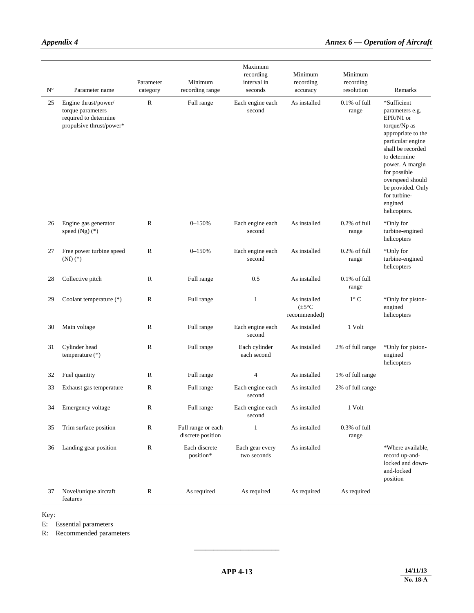|                    |                                                                                                |              |                                         | Maximum                        |                                                    |                          |                                                                                                                                                                                                                                                                    |
|--------------------|------------------------------------------------------------------------------------------------|--------------|-----------------------------------------|--------------------------------|----------------------------------------------------|--------------------------|--------------------------------------------------------------------------------------------------------------------------------------------------------------------------------------------------------------------------------------------------------------------|
|                    |                                                                                                | Parameter    | Minimum                                 | recording<br>interval in       | Minimum<br>recording                               | Minimum<br>recording     |                                                                                                                                                                                                                                                                    |
| $\mathbf{N}^\circ$ | Parameter name                                                                                 | category     | recording range                         | seconds                        | accuracy                                           | resolution               | Remarks                                                                                                                                                                                                                                                            |
| 25                 | Engine thrust/power/<br>torque parameters<br>required to determine<br>propulsive thrust/power* | $\mathbb{R}$ | Full range                              | Each engine each<br>second     | As installed                                       | $0.1\%$ of full<br>range | *Sufficient<br>parameters e.g.<br>EPR/N1 or<br>torque/Np as<br>appropriate to the<br>particular engine<br>shall be recorded<br>to determine<br>power. A margin<br>for possible<br>overspeed should<br>be provided. Only<br>for turbine-<br>engined<br>helicopters. |
| 26                 | Engine gas generator<br>speed $(Ng)(*)$                                                        | $\mathbb{R}$ | $0 - 150%$                              | Each engine each<br>second     | As installed                                       | $0.2\%$ of full<br>range | *Only for<br>turbine-engined<br>helicopters                                                                                                                                                                                                                        |
| 27                 | Free power turbine speed<br>$(Nf)$ $(*)$                                                       | $\mathbb{R}$ | $0 - 150%$                              | Each engine each<br>second     | As installed                                       | $0.2%$ of full<br>range  | *Only for<br>turbine-engined<br>helicopters                                                                                                                                                                                                                        |
| 28                 | Collective pitch                                                                               | R            | Full range                              | 0.5                            | As installed                                       | $0.1\%$ of full<br>range |                                                                                                                                                                                                                                                                    |
| 29                 | Coolant temperature (*)                                                                        | $\mathbb{R}$ | Full range                              | 1                              | As installed<br>$(\pm 5^{\circ}C)$<br>recommended) | $1^{\circ}$ C            | *Only for piston-<br>engined<br>helicopters                                                                                                                                                                                                                        |
| 30                 | Main voltage                                                                                   | R            | Full range                              | Each engine each<br>second     | As installed                                       | 1 Volt                   |                                                                                                                                                                                                                                                                    |
| 31                 | Cylinder head<br>temperature (*)                                                               | $\mathbb{R}$ | Full range                              | Each cylinder<br>each second   | As installed                                       | 2% of full range         | *Only for piston-<br>engined<br>helicopters                                                                                                                                                                                                                        |
| 32                 | Fuel quantity                                                                                  | R            | Full range                              | 4                              | As installed                                       | 1% of full range         |                                                                                                                                                                                                                                                                    |
| 33                 | Exhaust gas temperature                                                                        | $\mathbb{R}$ | Full range                              | Each engine each<br>second     | As installed                                       | 2% of full range         |                                                                                                                                                                                                                                                                    |
| 34                 | Emergency voltage                                                                              | ${\bf R}$    | Full range                              | Each engine each<br>second     | As installed                                       | 1 Volt                   |                                                                                                                                                                                                                                                                    |
| 35                 | Trim surface position                                                                          | $\mathbb{R}$ | Full range or each<br>discrete position | 1                              | As installed                                       | $0.3\%$ of full<br>range |                                                                                                                                                                                                                                                                    |
| 36                 | Landing gear position                                                                          | $\mathbb{R}$ | Each discrete<br>position*              | Each gear every<br>two seconds | As installed                                       |                          | *Where available,<br>record up-and-<br>locked and down-<br>and-locked<br>position                                                                                                                                                                                  |
| 37                 | Novel/unique aircraft<br>features                                                              | $\mathbb R$  | As required                             | As required                    | As required                                        | As required              |                                                                                                                                                                                                                                                                    |

Key:

E: Essential parameters

R: Recommended parameters

\_\_\_\_\_\_\_\_\_\_\_\_\_\_\_\_\_\_\_\_\_\_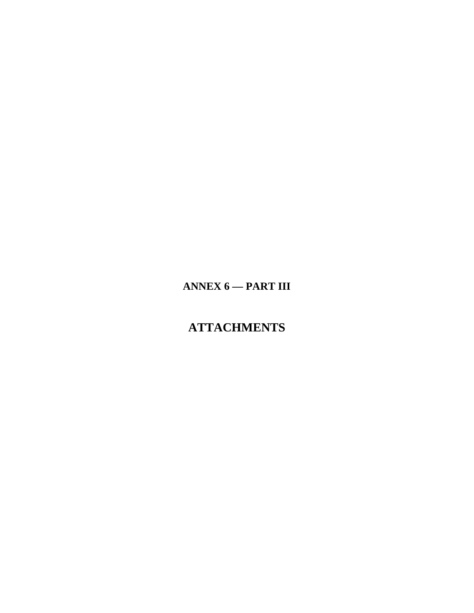# **ANNEX 6 — PART III**

# **ATTACHMENTS**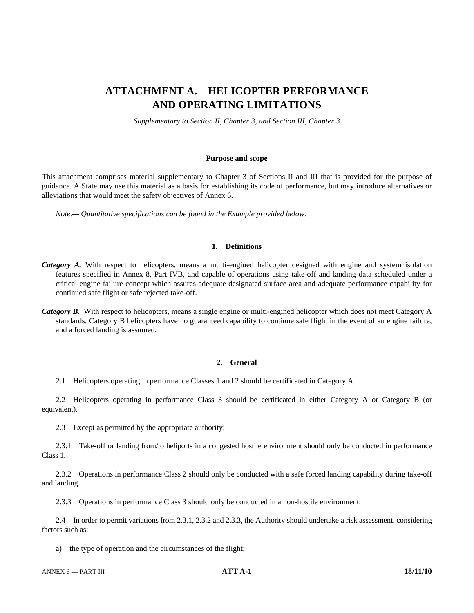# **ATTACHMENT A. HELICOPTER PERFORMANCE AND OPERATING LIMITATIONS**

*Supplementary to Section II, Chapter 3, and Section III, Chapter 3* 

#### **Purpose and scope**

This attachment comprises material supplementary to Chapter 3 of Sections II and III that is provided for the purpose of guidance. A State may use this material as a basis for establishing its code of performance, but may introduce alternatives or alleviations that would meet the safety objectives of Annex 6.

 *Note.— Quantitative specifications can be found in the Example provided below.* 

## **1. Definitions**

- *Category A.* With respect to helicopters, means a multi-engined helicopter designed with engine and system isolation features specified in Annex 8, Part IVB, and capable of operations using take-off and landing data scheduled under a critical engine failure concept which assures adequate designated surface area and adequate performance capability for continued safe flight or safe rejected take-off.
- *Category B.* With respect to helicopters, means a single engine or multi-engined helicopter which does not meet Category A standards. Category B helicopters have no guaranteed capability to continue safe flight in the event of an engine failure, and a forced landing is assumed.

#### **2. General**

2.1 Helicopters operating in performance Classes 1 and 2 should be certificated in Category A.

 2.2 Helicopters operating in performance Class 3 should be certificated in either Category A or Category B (or equivalent).

2.3 Except as permitted by the appropriate authority:

 2.3.1 Take-off or landing from/to heliports in a congested hostile environment should only be conducted in performance Class 1.

 2.3.2 Operations in performance Class 2 should only be conducted with a safe forced landing capability during take-off and landing.

2.3.3 Operations in performance Class 3 should only be conducted in a non-hostile environment.

 2.4 In order to permit variations from 2.3.1, 2.3.2 and 2.3.3, the Authority should undertake a risk assessment, considering factors such as:

a) the type of operation and the circumstances of the flight;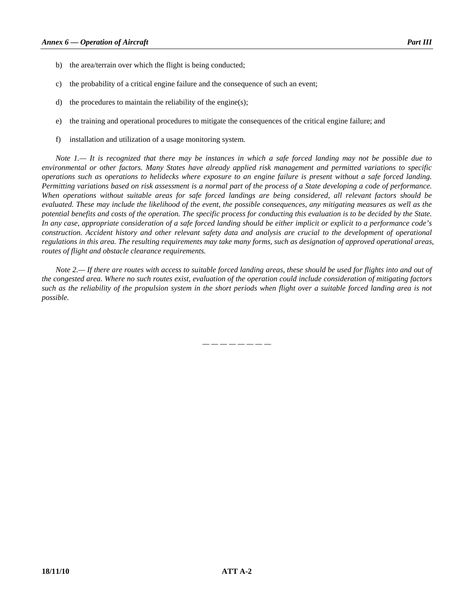- b) the area/terrain over which the flight is being conducted;
- c) the probability of a critical engine failure and the consequence of such an event;
- d) the procedures to maintain the reliability of the engine(s);
- e) the training and operational procedures to mitigate the consequences of the critical engine failure; and
- f) installation and utilization of a usage monitoring system.

 *Note 1.— It is recognized that there may be instances in which a safe forced landing may not be possible due to environmental or other factors. Many States have already applied risk management and permitted variations to specific operations such as operations to helidecks where exposure to an engine failure is present without a safe forced landing. Permitting variations based on risk assessment is a normal part of the process of a State developing a code of performance. When operations without suitable areas for safe forced landings are being considered, all relevant factors should be evaluated. These may include the likelihood of the event, the possible consequences, any mitigating measures as well as the potential benefits and costs of the operation. The specific process for conducting this evaluation is to be decided by the State. In any case, appropriate consideration of a safe forced landing should be either implicit or explicit to a performance code's construction. Accident history and other relevant safety data and analysis are crucial to the development of operational regulations in this area. The resulting requirements may take many forms, such as designation of approved operational areas, routes of flight and obstacle clearance requirements.* 

 *Note 2.— If there are routes with access to suitable forced landing areas, these should be used for flights into and out of the congested area. Where no such routes exist, evaluation of the operation could include consideration of mitigating factors such as the reliability of the propulsion system in the short periods when flight over a suitable forced landing area is not possible.* 

*— — — — — — — —*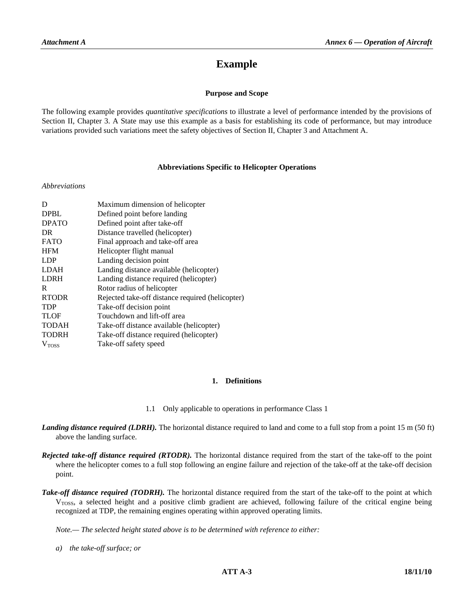# **Example**

# **Purpose and Scope**

The following example provides *quantitative specifications* to illustrate a level of performance intended by the provisions of Section II, Chapter 3. A State may use this example as a basis for establishing its code of performance, but may introduce variations provided such variations meet the safety objectives of Section II, Chapter 3 and Attachment A.

#### **Abbreviations Specific to Helicopter Operations**

#### *Abbreviations*

| D                 | Maximum dimension of helicopter                  |
|-------------------|--------------------------------------------------|
| <b>DPBL</b>       | Defined point before landing                     |
| <b>DPATO</b>      | Defined point after take-off                     |
| DR.               | Distance travelled (helicopter)                  |
| <b>FATO</b>       | Final approach and take-off area                 |
| <b>HFM</b>        | Helicopter flight manual                         |
| <b>LDP</b>        | Landing decision point                           |
| <b>LDAH</b>       | Landing distance available (helicopter)          |
| <b>LDRH</b>       | Landing distance required (helicopter)           |
| R                 | Rotor radius of helicopter                       |
| <b>RTODR</b>      | Rejected take-off distance required (helicopter) |
| <b>TDP</b>        | Take-off decision point                          |
| <b>TLOF</b>       | Touchdown and lift-off area                      |
| <b>TODAH</b>      | Take-off distance available (helicopter)         |
| <b>TODRH</b>      | Take-off distance required (helicopter)          |
| V <sub>Toss</sub> | Take-off safety speed                            |

# **1. Definitions**

- 1.1 Only applicable to operations in performance Class 1
- *Landing distance required (LDRH).* The horizontal distance required to land and come to a full stop from a point 15 m (50 ft) above the landing surface.
- *Rejected take-off distance required (RTODR).* The horizontal distance required from the start of the take-off to the point where the helicopter comes to a full stop following an engine failure and rejection of the take-off at the take-off decision point.
- *Take-off distance required (TODRH).* The horizontal distance required from the start of the take-off to the point at which V<sub>TOSS</sub>, a selected height and a positive climb gradient are achieved, following failure of the critical engine being recognized at TDP, the remaining engines operating within approved operating limits.

 *Note.— The selected height stated above is to be determined with reference to either:* 

 *a) the take-off surface; or*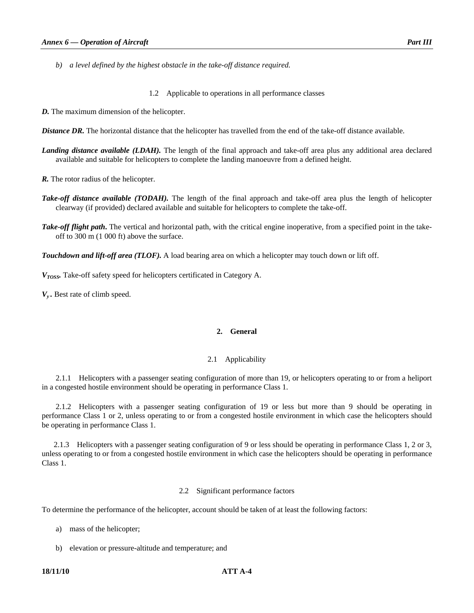*b) a level defined by the highest obstacle in the take-off distance required.* 

1.2 Applicable to operations in all performance classes

*D.* The maximum dimension of the helicopter.

*Distance DR.* The horizontal distance that the helicopter has travelled from the end of the take-off distance available.

*Landing distance available (LDAH).* The length of the final approach and take-off area plus any additional area declared available and suitable for helicopters to complete the landing manoeuvre from a defined height.

*R*. The rotor radius of the helicopter.

- *Take-off distance available (TODAH).* The length of the final approach and take-off area plus the length of helicopter clearway (if provided) declared available and suitable for helicopters to complete the take-off.
- *Take-off flight path*. The vertical and horizontal path, with the critical engine inoperative, from a specified point in the takeoff to 300 m (1 000 ft) above the surface.

*Touchdown and lift-off area (TLOF).* A load bearing area on which a helicopter may touch down or lift off.

*VTOSS.* Take-off safety speed for helicopters certificated in Category A.

*Vy .* Best rate of climb speed.

# **2. General**

#### 2.1 Applicability

 2.1.1 Helicopters with a passenger seating configuration of more than 19, or helicopters operating to or from a heliport in a congested hostile environment should be operating in performance Class 1.

 2.1.2 Helicopters with a passenger seating configuration of 19 or less but more than 9 should be operating in performance Class 1 or 2, unless operating to or from a congested hostile environment in which case the helicopters should be operating in performance Class 1.

 2.1.3 Helicopters with a passenger seating configuration of 9 or less should be operating in performance Class 1, 2 or 3, unless operating to or from a congested hostile environment in which case the helicopters should be operating in performance Class 1.

#### 2.2 Significant performance factors

To determine the performance of the helicopter, account should be taken of at least the following factors:

a) mass of the helicopter;

b) elevation or pressure-altitude and temperature; and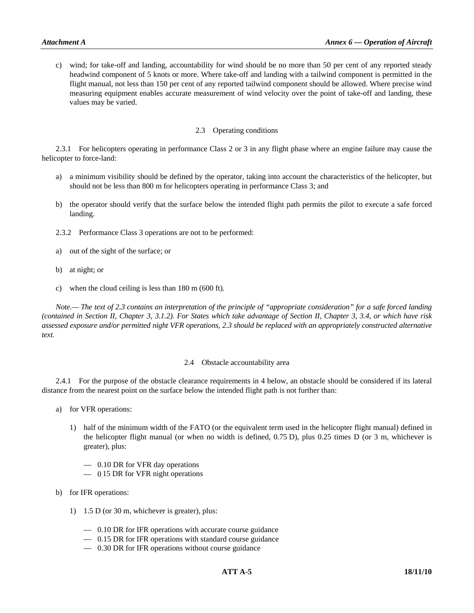c) wind; for take-off and landing, accountability for wind should be no more than 50 per cent of any reported steady headwind component of 5 knots or more. Where take-off and landing with a tailwind component is permitted in the flight manual, not less than 150 per cent of any reported tailwind component should be allowed. Where precise wind measuring equipment enables accurate measurement of wind velocity over the point of take-off and landing, these values may be varied.

### 2.3 Operating conditions

 2.3.1 For helicopters operating in performance Class 2 or 3 in any flight phase where an engine failure may cause the helicopter to force-land:

- a) a minimum visibility should be defined by the operator, taking into account the characteristics of the helicopter, but should not be less than 800 m for helicopters operating in performance Class 3; and
- b) the operator should verify that the surface below the intended flight path permits the pilot to execute a safe forced landing.
- 2.3.2 Performance Class 3 operations are not to be performed:
- a) out of the sight of the surface; or
- b) at night; or
- c) when the cloud ceiling is less than 180 m (600 ft).

 *Note.— The text of 2.3 contains an interpretation of the principle of "appropriate consideration" for a safe forced landing (contained in Section II, Chapter 3, 3.1.2). For States which take advantage of Section II, Chapter 3, 3.4, or which have risk assessed exposure and/or permitted night VFR operations, 2.3 should be replaced with an appropriately constructed alternative text.*

#### 2.4 Obstacle accountability area

 2.4.1 For the purpose of the obstacle clearance requirements in 4 below, an obstacle should be considered if its lateral distance from the nearest point on the surface below the intended flight path is not further than:

- a) for VFR operations:
	- 1) half of the minimum width of the FATO (or the equivalent term used in the helicopter flight manual) defined in the helicopter flight manual (or when no width is defined, 0.75 D), plus 0.25 times D (or 3 m, whichever is greater), plus:
		- 0.10 DR for VFR day operations
		- 0.15 DR for VFR night operations
- b) for IFR operations:
	- 1) 1.5 D (or 30 m, whichever is greater), plus:
		- 0.10 DR for IFR operations with accurate course guidance
		- 0.15 DR for IFR operations with standard course guidance
		- 0.30 DR for IFR operations without course guidance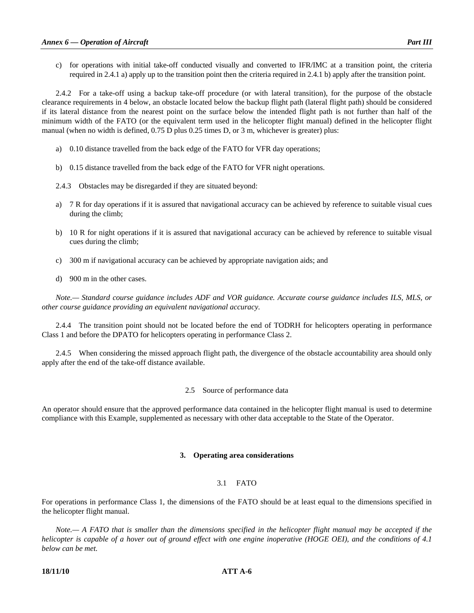c) for operations with initial take-off conducted visually and converted to IFR/IMC at a transition point, the criteria required in 2.4.1 a) apply up to the transition point then the criteria required in 2.4.1 b) apply after the transition point.

2.4.2 For a take-off using a backup take-off procedure (or with lateral transition), for the purpose of the obstacle clearance requirements in 4 below, an obstacle located below the backup flight path (lateral flight path) should be considered if its lateral distance from the nearest point on the surface below the intended flight path is not further than half of the minimum width of the FATO (or the equivalent term used in the helicopter flight manual) defined in the helicopter flight manual (when no width is defined, 0.75 D plus 0.25 times D, or 3 m, whichever is greater) plus:

- a) 0.10 distance travelled from the back edge of the FATO for VFR day operations;
- b) 0.15 distance travelled from the back edge of the FATO for VFR night operations.
- 2.4.3 Obstacles may be disregarded if they are situated beyond:
- a) 7 R for day operations if it is assured that navigational accuracy can be achieved by reference to suitable visual cues during the climb;
- b) 10 R for night operations if it is assured that navigational accuracy can be achieved by reference to suitable visual cues during the climb;
- c) 300 m if navigational accuracy can be achieved by appropriate navigation aids; and
- d) 900 m in the other cases.

 *Note.— Standard course guidance includes ADF and VOR guidance. Accurate course guidance includes ILS, MLS, or other course guidance providing an equivalent navigational accuracy.* 

 2.4.4 The transition point should not be located before the end of TODRH for helicopters operating in performance Class 1 and before the DPATO for helicopters operating in performance Class 2.

 2.4.5 When considering the missed approach flight path, the divergence of the obstacle accountability area should only apply after the end of the take-off distance available.

#### 2.5 Source of performance data

An operator should ensure that the approved performance data contained in the helicopter flight manual is used to determine compliance with this Example, supplemented as necessary with other data acceptable to the State of the Operator.

#### **3. Operating area considerations**

# 3.1 FATO

For operations in performance Class 1, the dimensions of the FATO should be at least equal to the dimensions specified in the helicopter flight manual.

 *Note.— A FATO that is smaller than the dimensions specified in the helicopter flight manual may be accepted if the helicopter is capable of a hover out of ground effect with one engine inoperative (HOGE OEI), and the conditions of 4.1 below can be met.* 

# **18/11/10 ATT A-6**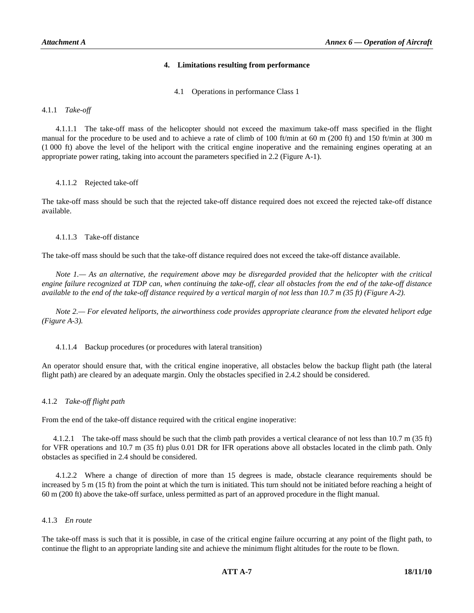# **4. Limitations resulting from performance**

4.1 Operations in performance Class 1

4.1.1 *Take-off* 

 4.1.1.1 The take-off mass of the helicopter should not exceed the maximum take-off mass specified in the flight manual for the procedure to be used and to achieve a rate of climb of 100 ft/min at 60 m (200 ft) and 150 ft/min at 300 m (1 000 ft) above the level of the heliport with the critical engine inoperative and the remaining engines operating at an appropriate power rating, taking into account the parameters specified in 2.2 (Figure A-1).

# 4.1.1.2 Rejected take-off

The take-off mass should be such that the rejected take-off distance required does not exceed the rejected take-off distance available.

# 4.1.1.3 Take-off distance

The take-off mass should be such that the take-off distance required does not exceed the take-off distance available.

 *Note 1.— As an alternative, the requirement above may be disregarded provided that the helicopter with the critical engine failure recognized at TDP can, when continuing the take-off, clear all obstacles from the end of the take-off distance available to the end of the take-off distance required by a vertical margin of not less than 10.7 m (35 ft) (Figure A-2).* 

 *Note 2.— For elevated heliports, the airworthiness code provides appropriate clearance from the elevated heliport edge (Figure A-3).*

# 4.1.1.4 Backup procedures (or procedures with lateral transition)

An operator should ensure that, with the critical engine inoperative, all obstacles below the backup flight path (the lateral flight path) are cleared by an adequate margin. Only the obstacles specified in 2.4.2 should be considered.

# 4.1.2 *Take-off flight path*

From the end of the take-off distance required with the critical engine inoperative:

 4.1.2.1 The take-off mass should be such that the climb path provides a vertical clearance of not less than 10.7 m (35 ft) for VFR operations and 10.7 m (35 ft) plus 0.01 DR for IFR operations above all obstacles located in the climb path. Only obstacles as specified in 2.4 should be considered.

 4.1.2.2 Where a change of direction of more than 15 degrees is made, obstacle clearance requirements should be increased by 5 m (15 ft) from the point at which the turn is initiated. This turn should not be initiated before reaching a height of 60 m (200 ft) above the take-off surface, unless permitted as part of an approved procedure in the flight manual.

#### 4.1.3 *En route*

The take-off mass is such that it is possible, in case of the critical engine failure occurring at any point of the flight path, to continue the flight to an appropriate landing site and achieve the minimum flight altitudes for the route to be flown.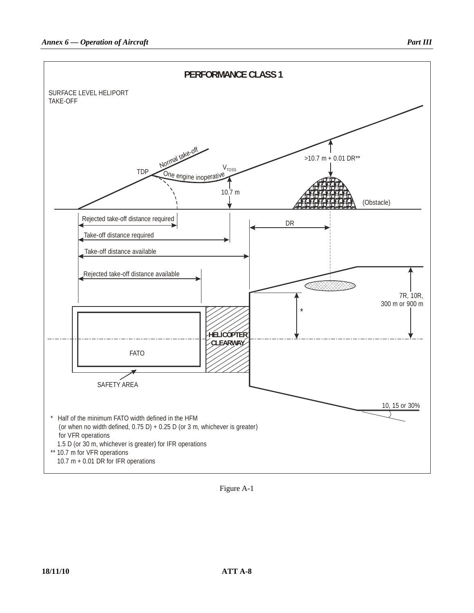

Figure A-1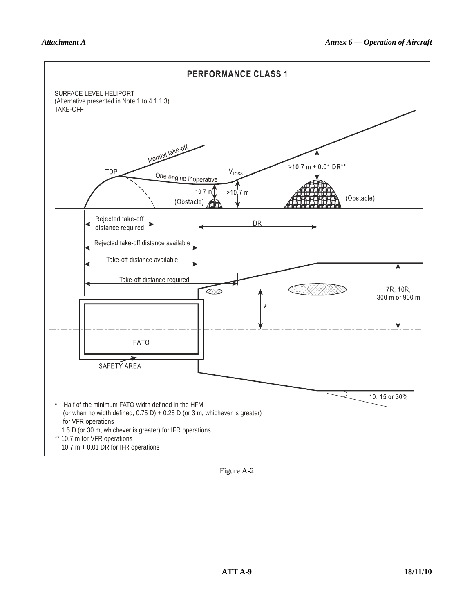

Figure A-2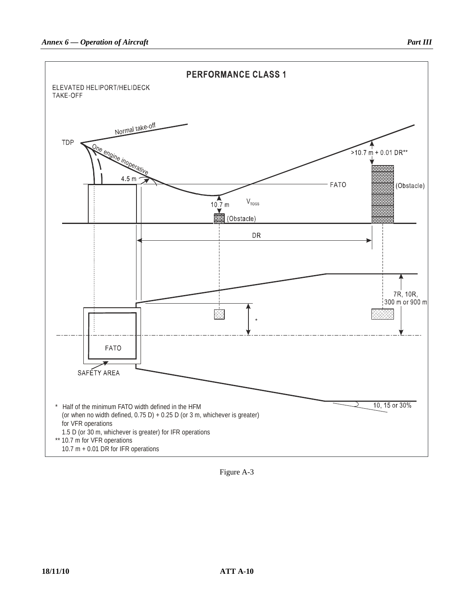

Figure A-3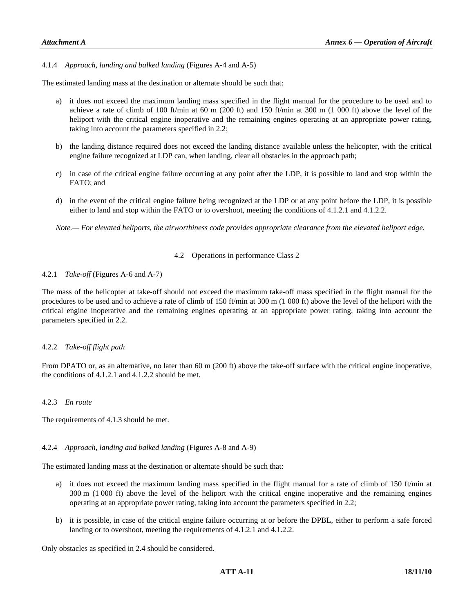4.1.4 *Approach, landing and balked landing* (Figures A-4 and A-5)

The estimated landing mass at the destination or alternate should be such that:

- a) it does not exceed the maximum landing mass specified in the flight manual for the procedure to be used and to achieve a rate of climb of 100 ft/min at 60 m (200 ft) and 150 ft/min at 300 m (1 000 ft) above the level of the heliport with the critical engine inoperative and the remaining engines operating at an appropriate power rating, taking into account the parameters specified in 2.2;
- b) the landing distance required does not exceed the landing distance available unless the helicopter, with the critical engine failure recognized at LDP can, when landing, clear all obstacles in the approach path;
- c) in case of the critical engine failure occurring at any point after the LDP, it is possible to land and stop within the FATO; and
- d) in the event of the critical engine failure being recognized at the LDP or at any point before the LDP, it is possible either to land and stop within the FATO or to overshoot, meeting the conditions of 4.1.2.1 and 4.1.2.2.

 *Note.— For elevated heliports, the airworthiness code provides appropriate clearance from the elevated heliport edge*.

# 4.2 Operations in performance Class 2

# 4.2.1 *Take-off* (Figures A-6 and A-7)

The mass of the helicopter at take-off should not exceed the maximum take-off mass specified in the flight manual for the procedures to be used and to achieve a rate of climb of 150 ft/min at 300 m (1 000 ft) above the level of the heliport with the critical engine inoperative and the remaining engines operating at an appropriate power rating, taking into account the parameters specified in 2.2.

#### 4.2.2 *Take-off flight path*

From DPATO or, as an alternative, no later than 60 m (200 ft) above the take-off surface with the critical engine inoperative, the conditions of 4.1.2.1 and 4.1.2.2 should be met.

#### 4.2.3 *En route*

The requirements of 4.1.3 should be met.

#### 4.2.4 *Approach, landing and balked landing* (Figures A-8 and A-9)

The estimated landing mass at the destination or alternate should be such that:

- a) it does not exceed the maximum landing mass specified in the flight manual for a rate of climb of 150 ft/min at 300 m (1 000 ft) above the level of the heliport with the critical engine inoperative and the remaining engines operating at an appropriate power rating, taking into account the parameters specified in 2.2;
- b) it is possible, in case of the critical engine failure occurring at or before the DPBL, either to perform a safe forced landing or to overshoot, meeting the requirements of 4.1.2.1 and 4.1.2.2.

Only obstacles as specified in 2.4 should be considered.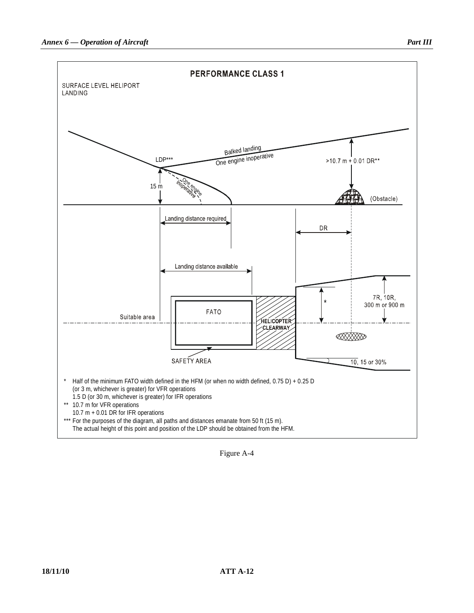

Figure A-4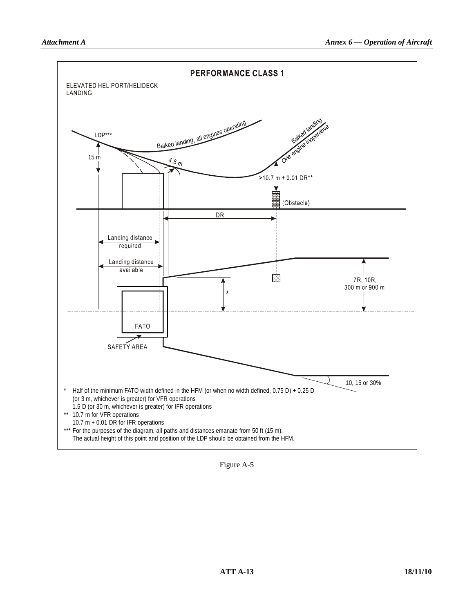

Figure A-5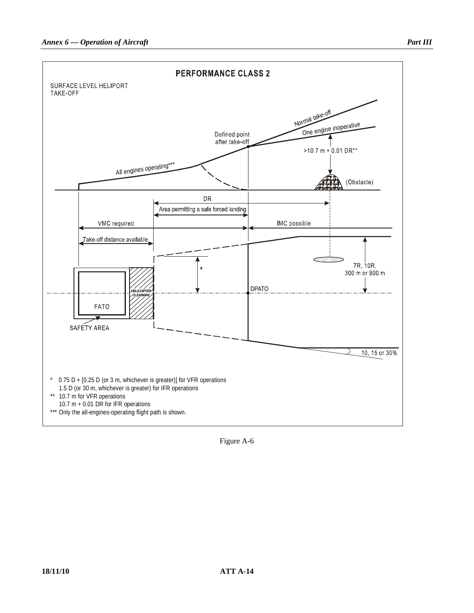

Figure A-6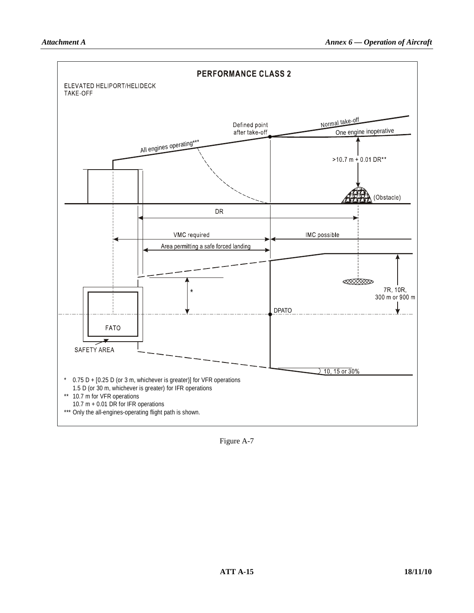

Figure A-7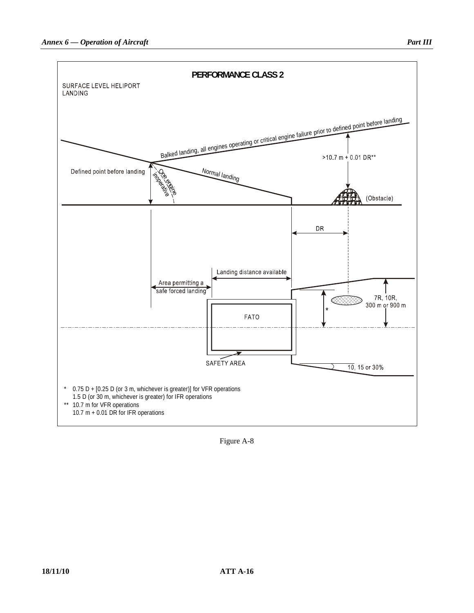

Figure A-8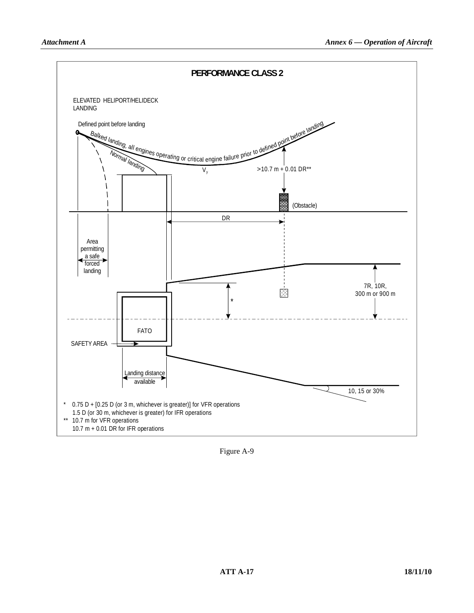

Figure A-9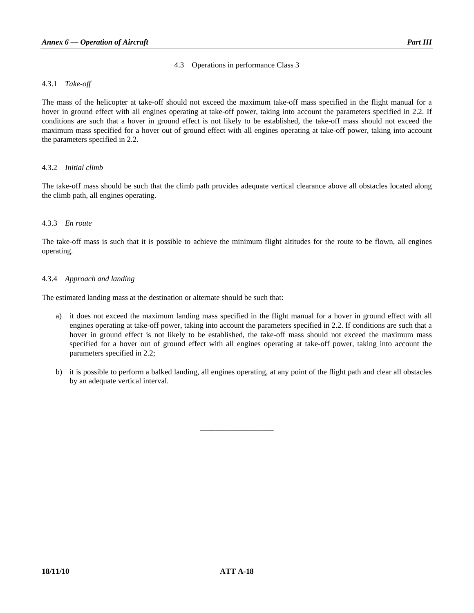# 4.3 Operations in performance Class 3

# 4.3.1 *Take-off*

The mass of the helicopter at take-off should not exceed the maximum take-off mass specified in the flight manual for a hover in ground effect with all engines operating at take-off power, taking into account the parameters specified in 2.2. If conditions are such that a hover in ground effect is not likely to be established, the take-off mass should not exceed the maximum mass specified for a hover out of ground effect with all engines operating at take-off power, taking into account the parameters specified in 2.2.

# 4.3.2 *Initial climb*

The take-off mass should be such that the climb path provides adequate vertical clearance above all obstacles located along the climb path, all engines operating.

# 4.3.3 *En route*

The take-off mass is such that it is possible to achieve the minimum flight altitudes for the route to be flown, all engines operating.

# 4.3.4 *Approach and landing*

The estimated landing mass at the destination or alternate should be such that:

- a) it does not exceed the maximum landing mass specified in the flight manual for a hover in ground effect with all engines operating at take-off power, taking into account the parameters specified in 2.2. If conditions are such that a hover in ground effect is not likely to be established, the take-off mass should not exceed the maximum mass specified for a hover out of ground effect with all engines operating at take-off power, taking into account the parameters specified in 2.2;
- b) it is possible to perform a balked landing, all engines operating, at any point of the flight path and clear all obstacles by an adequate vertical interval.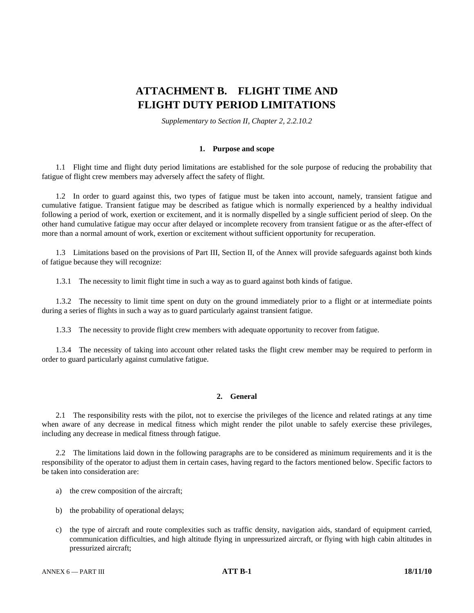# **ATTACHMENT B. FLIGHT TIME AND FLIGHT DUTY PERIOD LIMITATIONS**

*Supplementary to Section II, Chapter 2, 2.2.10.2* 

# **1. Purpose and scope**

 1.1 Flight time and flight duty period limitations are established for the sole purpose of reducing the probability that fatigue of flight crew members may adversely affect the safety of flight.

 1.2 In order to guard against this, two types of fatigue must be taken into account, namely, transient fatigue and cumulative fatigue. Transient fatigue may be described as fatigue which is normally experienced by a healthy individual following a period of work, exertion or excitement, and it is normally dispelled by a single sufficient period of sleep. On the other hand cumulative fatigue may occur after delayed or incomplete recovery from transient fatigue or as the after-effect of more than a normal amount of work, exertion or excitement without sufficient opportunity for recuperation.

 1.3 Limitations based on the provisions of Part III, Section II, of the Annex will provide safeguards against both kinds of fatigue because they will recognize:

1.3.1 The necessity to limit flight time in such a way as to guard against both kinds of fatigue.

 1.3.2 The necessity to limit time spent on duty on the ground immediately prior to a flight or at intermediate points during a series of flights in such a way as to guard particularly against transient fatigue.

1.3.3 The necessity to provide flight crew members with adequate opportunity to recover from fatigue.

 1.3.4 The necessity of taking into account other related tasks the flight crew member may be required to perform in order to guard particularly against cumulative fatigue.

# **2. General**

 2.1 The responsibility rests with the pilot, not to exercise the privileges of the licence and related ratings at any time when aware of any decrease in medical fitness which might render the pilot unable to safely exercise these privileges, including any decrease in medical fitness through fatigue.

 2.2 The limitations laid down in the following paragraphs are to be considered as minimum requirements and it is the responsibility of the operator to adjust them in certain cases, having regard to the factors mentioned below. Specific factors to be taken into consideration are:

- a) the crew composition of the aircraft;
- b) the probability of operational delays;
- c) the type of aircraft and route complexities such as traffic density, navigation aids, standard of equipment carried, communication difficulties, and high altitude flying in unpressurized aircraft, or flying with high cabin altitudes in pressurized aircraft;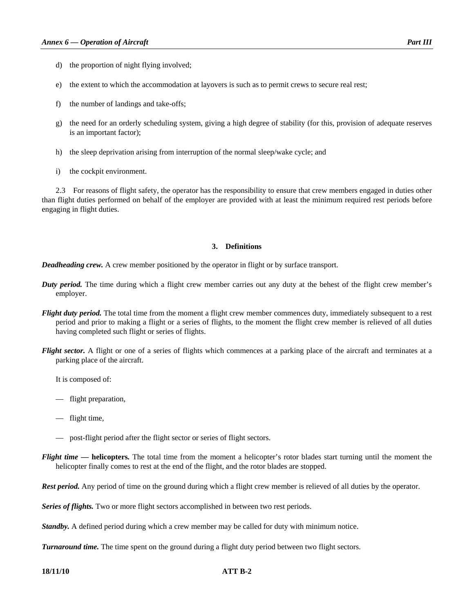- d) the proportion of night flying involved;
- e) the extent to which the accommodation at layovers is such as to permit crews to secure real rest;
- f) the number of landings and take-offs;
- g) the need for an orderly scheduling system, giving a high degree of stability (for this, provision of adequate reserves is an important factor);
- h) the sleep deprivation arising from interruption of the normal sleep/wake cycle; and
- i) the cockpit environment.

 2.3 For reasons of flight safety, the operator has the responsibility to ensure that crew members engaged in duties other than flight duties performed on behalf of the employer are provided with at least the minimum required rest periods before engaging in flight duties.

# **3. Definitions**

*Deadheading crew.* A crew member positioned by the operator in flight or by surface transport.

- *Duty period.* The time during which a flight crew member carries out any duty at the behest of the flight crew member's employer.
- *Flight duty period.* The total time from the moment a flight crew member commences duty, immediately subsequent to a rest period and prior to making a flight or a series of flights, to the moment the flight crew member is relieved of all duties having completed such flight or series of flights.
- *Flight sector.* A flight or one of a series of flights which commences at a parking place of the aircraft and terminates at a parking place of the aircraft.

It is composed of:

- flight preparation,
- flight time,
- post-flight period after the flight sector or series of flight sectors.
- *Flight time*  **helicopters***.* The total time from the moment a helicopter's rotor blades start turning until the moment the helicopter finally comes to rest at the end of the flight, and the rotor blades are stopped.

*Rest period.* Any period of time on the ground during which a flight crew member is relieved of all duties by the operator.

*Series of flights.* Two or more flight sectors accomplished in between two rest periods.

*Standby.* A defined period during which a crew member may be called for duty with minimum notice.

*Turnaround time.* The time spent on the ground during a flight duty period between two flight sectors.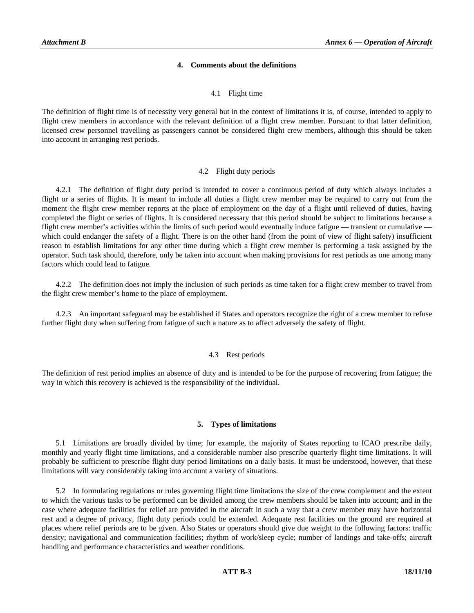## **4. Comments about the definitions**

#### 4.1 Flight time

The definition of flight time is of necessity very general but in the context of limitations it is, of course, intended to apply to flight crew members in accordance with the relevant definition of a flight crew member. Pursuant to that latter definition, licensed crew personnel travelling as passengers cannot be considered flight crew members, although this should be taken into account in arranging rest periods.

#### 4.2 Flight duty periods

 4.2.1 The definition of flight duty period is intended to cover a continuous period of duty which always includes a flight or a series of flights. It is meant to include all duties a flight crew member may be required to carry out from the moment the flight crew member reports at the place of employment on the day of a flight until relieved of duties, having completed the flight or series of flights. It is considered necessary that this period should be subject to limitations because a flight crew member's activities within the limits of such period would eventually induce fatigue — transient or cumulative which could endanger the safety of a flight. There is on the other hand (from the point of view of flight safety) insufficient reason to establish limitations for any other time during which a flight crew member is performing a task assigned by the operator. Such task should, therefore, only be taken into account when making provisions for rest periods as one among many factors which could lead to fatigue.

 4.2.2 The definition does not imply the inclusion of such periods as time taken for a flight crew member to travel from the flight crew member's home to the place of employment.

 4.2.3 An important safeguard may be established if States and operators recognize the right of a crew member to refuse further flight duty when suffering from fatigue of such a nature as to affect adversely the safety of flight.

#### 4.3 Rest periods

The definition of rest period implies an absence of duty and is intended to be for the purpose of recovering from fatigue; the way in which this recovery is achieved is the responsibility of the individual.

#### **5. Types of limitations**

 5.1 Limitations are broadly divided by time; for example, the majority of States reporting to ICAO prescribe daily, monthly and yearly flight time limitations, and a considerable number also prescribe quarterly flight time limitations. It will probably be sufficient to prescribe flight duty period limitations on a daily basis. It must be understood, however, that these limitations will vary considerably taking into account a variety of situations.

 5.2 In formulating regulations or rules governing flight time limitations the size of the crew complement and the extent to which the various tasks to be performed can be divided among the crew members should be taken into account; and in the case where adequate facilities for relief are provided in the aircraft in such a way that a crew member may have horizontal rest and a degree of privacy, flight duty periods could be extended. Adequate rest facilities on the ground are required at places where relief periods are to be given. Also States or operators should give due weight to the following factors: traffic density; navigational and communication facilities; rhythm of work/sleep cycle; number of landings and take-offs; aircraft handling and performance characteristics and weather conditions.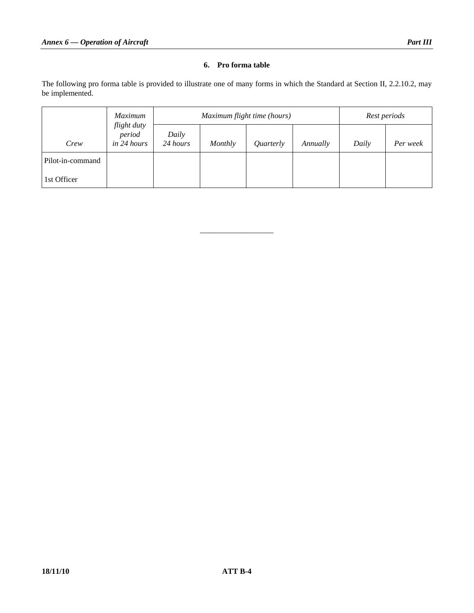# **6. Pro forma table**

The following pro forma table is provided to illustrate one of many forms in which the Standard at Section II, 2.2.10.2, may be implemented.

|                  | <i>Maximum</i><br>flight duty<br>period<br>in 24 hours | Maximum flight time (hours) |         |           |          | Rest periods |          |
|------------------|--------------------------------------------------------|-----------------------------|---------|-----------|----------|--------------|----------|
| Crew             |                                                        | Daily<br>24 hours           | Monthly | Quarterly | Annually | Daily        | Per week |
| Pilot-in-command |                                                        |                             |         |           |          |              |          |
| 1st Officer      |                                                        |                             |         |           |          |              |          |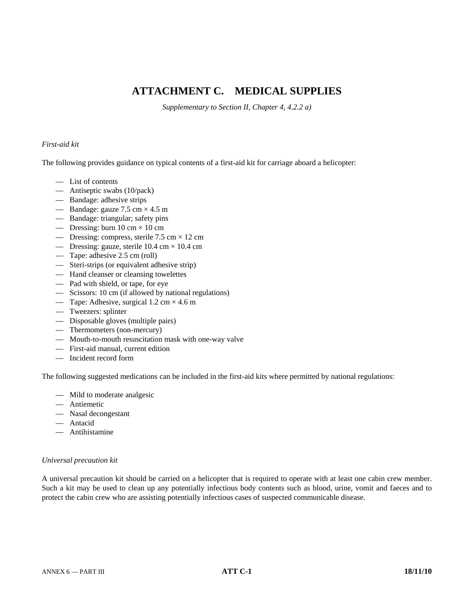# **ATTACHMENT C. MEDICAL SUPPLIES**

*Supplementary to Section II, Chapter 4, 4.2.2 a)* 

# *First-aid kit*

The following provides guidance on typical contents of a first-aid kit for carriage aboard a helicopter:

- List of contents
- Antiseptic swabs (10/pack)
- Bandage: adhesive strips
- Bandage: gauze  $7.5 \text{ cm} \times 4.5 \text{ m}$
- Bandage: triangular; safety pins
- Dressing: burn  $10 \text{ cm} \times 10 \text{ cm}$
- Dressing: compress, sterile  $7.5 \text{ cm} \times 12 \text{ cm}$
- Dressing: gauze, sterile  $10.4 \text{ cm} \times 10.4 \text{ cm}$
- Tape: adhesive 2.5 cm (roll)
- Steri-strips (or equivalent adhesive strip)
- Hand cleanser or cleansing towelettes
- Pad with shield, or tape, for eye
- Scissors: 10 cm (if allowed by national regulations)
- Tape: Adhesive, surgical  $1.2 \text{ cm} \times 4.6 \text{ m}$
- Tweezers: splinter
- Disposable gloves (multiple pairs)
- Thermometers (non-mercury)
- Mouth-to-mouth resuscitation mask with one-way valve
- First-aid manual, current edition
- Incident record form

The following suggested medications can be included in the first-aid kits where permitted by national regulations:

- Mild to moderate analgesic
- Antiemetic
- Nasal decongestant
- Antacid
- Antihistamine

# *Universal precaution kit*

A universal precaution kit should be carried on a helicopter that is required to operate with at least one cabin crew member. Such a kit may be used to clean up any potentially infectious body contents such as blood, urine, vomit and faeces and to protect the cabin crew who are assisting potentially infectious cases of suspected communicable disease.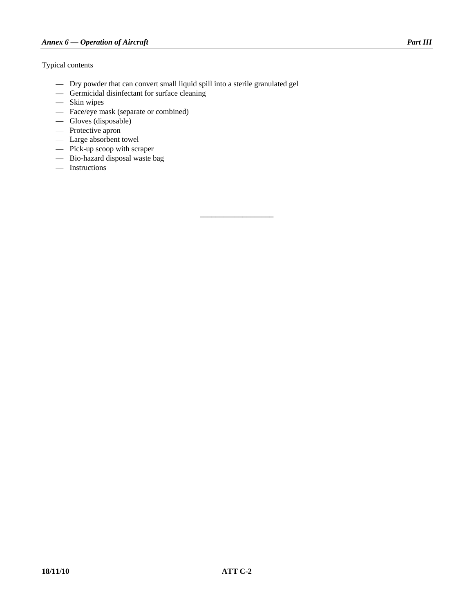# Typical contents

- Dry powder that can convert small liquid spill into a sterile granulated gel
- Germicidal disinfectant for surface cleaning
- Skin wipes
- Face/eye mask (separate or combined)
- Gloves (disposable)
- Protective apron
- Large absorbent towel
- Pick-up scoop with scraper
- Bio-hazard disposal waste bag
- Instructions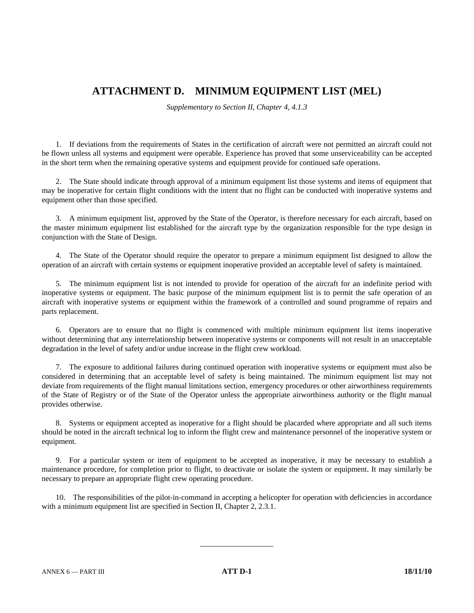# **ATTACHMENT D. MINIMUM EQUIPMENT LIST (MEL)**

*Supplementary to Section II, Chapter 4, 4.1.3* 

 1. If deviations from the requirements of States in the certification of aircraft were not permitted an aircraft could not be flown unless all systems and equipment were operable. Experience has proved that some unserviceability can be accepted in the short term when the remaining operative systems and equipment provide for continued safe operations.

 2. The State should indicate through approval of a minimum equipment list those systems and items of equipment that may be inoperative for certain flight conditions with the intent that no flight can be conducted with inoperative systems and equipment other than those specified.

 3. A minimum equipment list, approved by the State of the Operator, is therefore necessary for each aircraft, based on the master minimum equipment list established for the aircraft type by the organization responsible for the type design in conjunction with the State of Design.

 4. The State of the Operator should require the operator to prepare a minimum equipment list designed to allow the operation of an aircraft with certain systems or equipment inoperative provided an acceptable level of safety is maintained.

 5. The minimum equipment list is not intended to provide for operation of the aircraft for an indefinite period with inoperative systems or equipment. The basic purpose of the minimum equipment list is to permit the safe operation of an aircraft with inoperative systems or equipment within the framework of a controlled and sound programme of repairs and parts replacement.

 6. Operators are to ensure that no flight is commenced with multiple minimum equipment list items inoperative without determining that any interrelationship between inoperative systems or components will not result in an unacceptable degradation in the level of safety and/or undue increase in the flight crew workload.

 7. The exposure to additional failures during continued operation with inoperative systems or equipment must also be considered in determining that an acceptable level of safety is being maintained. The minimum equipment list may not deviate from requirements of the flight manual limitations section, emergency procedures or other airworthiness requirements of the State of Registry or of the State of the Operator unless the appropriate airworthiness authority or the flight manual provides otherwise.

 8. Systems or equipment accepted as inoperative for a flight should be placarded where appropriate and all such items should be noted in the aircraft technical log to inform the flight crew and maintenance personnel of the inoperative system or equipment.

 9. For a particular system or item of equipment to be accepted as inoperative, it may be necessary to establish a maintenance procedure, for completion prior to flight, to deactivate or isolate the system or equipment. It may similarly be necessary to prepare an appropriate flight crew operating procedure.

 10. The responsibilities of the pilot-in-command in accepting a helicopter for operation with deficiencies in accordance with a minimum equipment list are specified in Section II, Chapter 2, 2.3.1.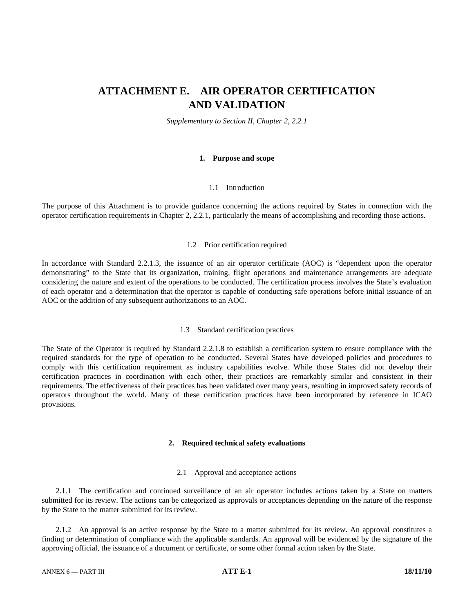# **ATTACHMENT E. AIR OPERATOR CERTIFICATION AND VALIDATION**

*Supplementary to Section II, Chapter 2, 2.2.1* 

### **1. Purpose and scope**

# 1.1 Introduction

The purpose of this Attachment is to provide guidance concerning the actions required by States in connection with the operator certification requirements in Chapter 2, 2.2.1, particularly the means of accomplishing and recording those actions.

### 1.2 Prior certification required

In accordance with Standard 2.2.1.3, the issuance of an air operator certificate (AOC) is "dependent upon the operator demonstrating" to the State that its organization, training, flight operations and maintenance arrangements are adequate considering the nature and extent of the operations to be conducted. The certification process involves the State's evaluation of each operator and a determination that the operator is capable of conducting safe operations before initial issuance of an AOC or the addition of any subsequent authorizations to an AOC.

#### 1.3 Standard certification practices

The State of the Operator is required by Standard 2.2.1.8 to establish a certification system to ensure compliance with the required standards for the type of operation to be conducted. Several States have developed policies and procedures to comply with this certification requirement as industry capabilities evolve. While those States did not develop their certification practices in coordination with each other, their practices are remarkably similar and consistent in their requirements. The effectiveness of their practices has been validated over many years, resulting in improved safety records of operators throughout the world. Many of these certification practices have been incorporated by reference in ICAO provisions.

#### **2. Required technical safety evaluations**

# 2.1 Approval and acceptance actions

 2.1.1 The certification and continued surveillance of an air operator includes actions taken by a State on matters submitted for its review. The actions can be categorized as approvals or acceptances depending on the nature of the response by the State to the matter submitted for its review.

 2.1.2 An approval is an active response by the State to a matter submitted for its review. An approval constitutes a finding or determination of compliance with the applicable standards. An approval will be evidenced by the signature of the approving official, the issuance of a document or certificate, or some other formal action taken by the State.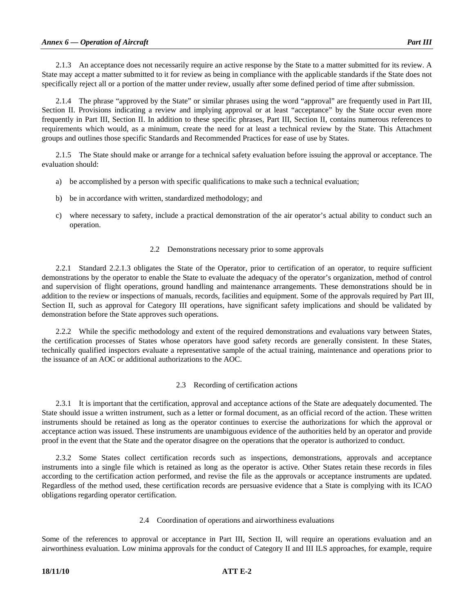2.1.3 An acceptance does not necessarily require an active response by the State to a matter submitted for its review. A State may accept a matter submitted to it for review as being in compliance with the applicable standards if the State does not specifically reject all or a portion of the matter under review, usually after some defined period of time after submission.

 2.1.4 The phrase "approved by the State" or similar phrases using the word "approval" are frequently used in Part III, Section II. Provisions indicating a review and implying approval or at least "acceptance" by the State occur even more frequently in Part III, Section II. In addition to these specific phrases, Part III, Section II, contains numerous references to requirements which would, as a minimum, create the need for at least a technical review by the State. This Attachment groups and outlines those specific Standards and Recommended Practices for ease of use by States.

 2.1.5 The State should make or arrange for a technical safety evaluation before issuing the approval or acceptance. The evaluation should:

- a) be accomplished by a person with specific qualifications to make such a technical evaluation;
- b) be in accordance with written, standardized methodology; and
- c) where necessary to safety, include a practical demonstration of the air operator's actual ability to conduct such an operation.

#### 2.2 Demonstrations necessary prior to some approvals

 2.2.1 Standard 2.2.1.3 obligates the State of the Operator, prior to certification of an operator, to require sufficient demonstrations by the operator to enable the State to evaluate the adequacy of the operator's organization, method of control and supervision of flight operations, ground handling and maintenance arrangements. These demonstrations should be in addition to the review or inspections of manuals, records, facilities and equipment. Some of the approvals required by Part III, Section II, such as approval for Category III operations, have significant safety implications and should be validated by demonstration before the State approves such operations.

 2.2.2 While the specific methodology and extent of the required demonstrations and evaluations vary between States, the certification processes of States whose operators have good safety records are generally consistent. In these States, technically qualified inspectors evaluate a representative sample of the actual training, maintenance and operations prior to the issuance of an AOC or additional authorizations to the AOC.

# 2.3 Recording of certification actions

 2.3.1 It is important that the certification, approval and acceptance actions of the State are adequately documented. The State should issue a written instrument, such as a letter or formal document, as an official record of the action. These written instruments should be retained as long as the operator continues to exercise the authorizations for which the approval or acceptance action was issued. These instruments are unambiguous evidence of the authorities held by an operator and provide proof in the event that the State and the operator disagree on the operations that the operator is authorized to conduct.

 2.3.2 Some States collect certification records such as inspections, demonstrations, approvals and acceptance instruments into a single file which is retained as long as the operator is active. Other States retain these records in files according to the certification action performed, and revise the file as the approvals or acceptance instruments are updated. Regardless of the method used, these certification records are persuasive evidence that a State is complying with its ICAO obligations regarding operator certification.

#### 2.4 Coordination of operations and airworthiness evaluations

Some of the references to approval or acceptance in Part III, Section II, will require an operations evaluation and an airworthiness evaluation. Low minima approvals for the conduct of Category II and III ILS approaches, for example, require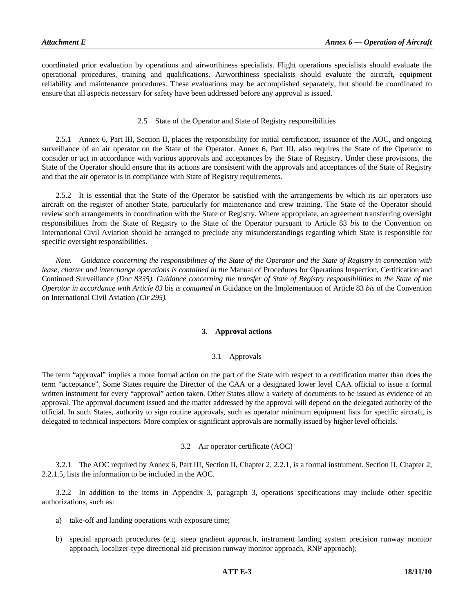coordinated prior evaluation by operations and airworthiness specialists. Flight operations specialists should evaluate the operational procedures, training and qualifications. Airworthiness specialists should evaluate the aircraft, equipment reliability and maintenance procedures. These evaluations may be accomplished separately, but should be coordinated to ensure that all aspects necessary for safety have been addressed before any approval is issued.

# 2.5 State of the Operator and State of Registry responsibilities

 2.5.1 Annex 6, Part III, Section II, places the responsibility for initial certification, issuance of the AOC, and ongoing surveillance of an air operator on the State of the Operator. Annex 6, Part III, also requires the State of the Operator to consider or act in accordance with various approvals and acceptances by the State of Registry. Under these provisions, the State of the Operator should ensure that its actions are consistent with the approvals and acceptances of the State of Registry and that the air operator is in compliance with State of Registry requirements.

 2.5.2 It is essential that the State of the Operator be satisfied with the arrangements by which its air operators use aircraft on the register of another State, particularly for maintenance and crew training. The State of the Operator should review such arrangements in coordination with the State of Registry. Where appropriate, an agreement transferring oversight responsibilities from the State of Registry to the State of the Operator pursuant to Article 83 *bis* to the Convention on International Civil Aviation should be arranged to preclude any misunderstandings regarding which State is responsible for specific oversight responsibilities.

 *Note.— Guidance concerning the responsibilities of the State of the Operator and the State of Registry in connection with lease, charter and interchange operations is contained in the Manual of Procedures for Operations Inspection, Certification and* Continued Surveillance *(Doc 8335)*. *Guidance concerning the transfer of State of Registry responsibilities to the State of the Operator in accordance with Article 83* bis *is contained in* Guidance on the Implementation of Article 83 *bis* of the Convention on International Civil Aviation *(Cir 295).* 

# **3. Approval actions**

# 3.1 Approvals

The term "approval" implies a more formal action on the part of the State with respect to a certification matter than does the term "acceptance". Some States require the Director of the CAA or a designated lower level CAA official to issue a formal written instrument for every "approval" action taken. Other States allow a variety of documents to be issued as evidence of an approval. The approval document issued and the matter addressed by the approval will depend on the delegated authority of the official. In such States, authority to sign routine approvals, such as operator minimum equipment lists for specific aircraft, is delegated to technical inspectors. More complex or significant approvals are normally issued by higher level officials.

# 3.2 Air operator certificate (AOC)

 3.2.1 The AOC required by Annex 6, Part III, Section II, Chapter 2, 2.2.1, is a formal instrument. Section II, Chapter 2, 2.2.1.5, lists the information to be included in the AOC.

 3.2.2 In addition to the items in Appendix 3, paragraph 3, operations specifications may include other specific authorizations, such as:

- a) take-off and landing operations with exposure time;
- b) special approach procedures (e.g. steep gradient approach, instrument landing system precision runway monitor approach, localizer-type directional aid precision runway monitor approach, RNP approach);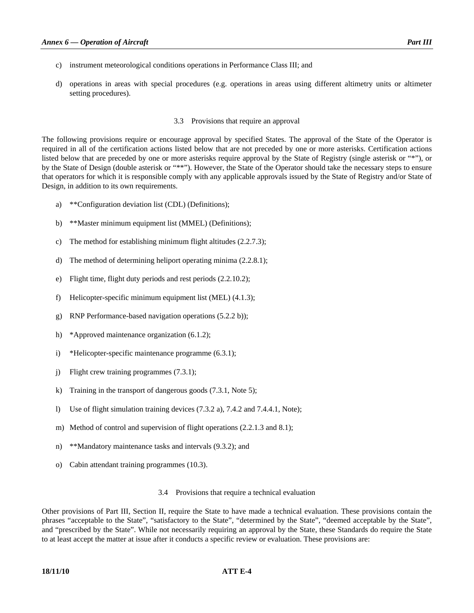- c) instrument meteorological conditions operations in Performance Class III; and
- d) operations in areas with special procedures (e.g. operations in areas using different altimetry units or altimeter setting procedures).

## 3.3 Provisions that require an approval

The following provisions require or encourage approval by specified States. The approval of the State of the Operator is required in all of the certification actions listed below that are not preceded by one or more asterisks. Certification actions listed below that are preceded by one or more asterisks require approval by the State of Registry (single asterisk or "\*"), or by the State of Design (double asterisk or "\*\*"). However, the State of the Operator should take the necessary steps to ensure that operators for which it is responsible comply with any applicable approvals issued by the State of Registry and/or State of Design, in addition to its own requirements.

- a) \*\*Configuration deviation list (CDL) (Definitions);
- b) \*\*Master minimum equipment list (MMEL) (Definitions);
- c) The method for establishing minimum flight altitudes (2.2.7.3);
- d) The method of determining heliport operating minima (2.2.8.1);
- e) Flight time, flight duty periods and rest periods (2.2.10.2);
- f) Helicopter-specific minimum equipment list (MEL) (4.1.3);
- g) RNP Performance-based navigation operations (5.2.2 b));
- h) \*Approved maintenance organization (6.1.2);
- i) \*Helicopter-specific maintenance programme (6.3.1);
- j) Flight crew training programmes (7.3.1);
- k) Training in the transport of dangerous goods (7.3.1, Note 5);
- l) Use of flight simulation training devices (7.3.2 a), 7.4.2 and 7.4.4.1, Note);
- m) Method of control and supervision of flight operations (2.2.1.3 and 8.1);
- n) \*\*Mandatory maintenance tasks and intervals (9.3.2); and
- o) Cabin attendant training programmes (10.3).

#### 3.4 Provisions that require a technical evaluation

Other provisions of Part III, Section II, require the State to have made a technical evaluation. These provisions contain the phrases "acceptable to the State", "satisfactory to the State", "determined by the State", "deemed acceptable by the State", and "prescribed by the State". While not necessarily requiring an approval by the State, these Standards do require the State to at least accept the matter at issue after it conducts a specific review or evaluation. These provisions are:

# **18/11/10 ATT E-4**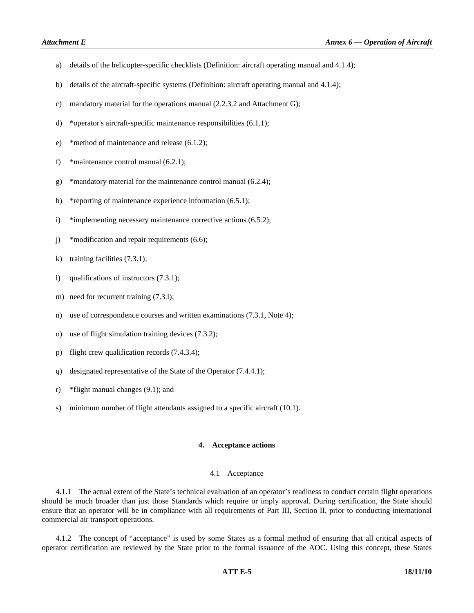- a) details of the helicopter-specific checklists (Definition: aircraft operating manual and 4.1.4);
- b) details of the aircraft-specific systems (Definition: aircraft operating manual and 4.1.4);
- c) mandatory material for the operations manual (2.2.3.2 and Attachment G);
- d) \*operator's aircraft-specific maintenance responsibilities (6.1.1);
- e) \*method of maintenance and release (6.1.2);
- f) \*maintenance control manual (6.2.1);
- g) \*mandatory material for the maintenance control manual (6.2.4);
- h) \*reporting of maintenance experience information (6.5.1);
- i) \*implementing necessary maintenance corrective actions (6.5.2);
- j) \*modification and repair requirements (6.6);
- k) training facilities (7.3.1);
- l) qualifications of instructors (7.3.1);
- m) need for recurrent training  $(7.3.1)$ ;
- n) use of correspondence courses and written examinations (7.3.1, Note 4);
- o) use of flight simulation training devices (7.3.2);
- p) flight crew qualification records (7.4.3.4);
- q) designated representative of the State of the Operator (7.4.4.1);
- r) \*flight manual changes (9.1); and
- s) minimum number of flight attendants assigned to a specific aircraft (10.1).

### **4. Acceptance actions**

#### 4.1 Acceptance

 4.1.1 The actual extent of the State's technical evaluation of an operator's readiness to conduct certain flight operations should be much broader than just those Standards which require or imply approval. During certification, the State should ensure that an operator will be in compliance with all requirements of Part III, Section II, prior to conducting international commercial air transport operations.

 4.1.2 The concept of "acceptance" is used by some States as a formal method of ensuring that all critical aspects of operator certification are reviewed by the State prior to the formal issuance of the AOC. Using this concept, these States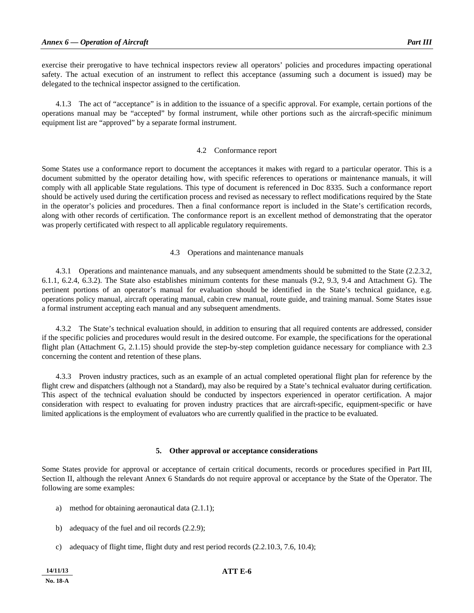exercise their prerogative to have technical inspectors review all operators' policies and procedures impacting operational safety. The actual execution of an instrument to reflect this acceptance (assuming such a document is issued) may be delegated to the technical inspector assigned to the certification.

 4.1.3 The act of "acceptance" is in addition to the issuance of a specific approval. For example, certain portions of the operations manual may be "accepted" by formal instrument, while other portions such as the aircraft-specific minimum equipment list are "approved" by a separate formal instrument.

## 4.2 Conformance report

Some States use a conformance report to document the acceptances it makes with regard to a particular operator. This is a document submitted by the operator detailing how, with specific references to operations or maintenance manuals, it will comply with all applicable State regulations. This type of document is referenced in Doc 8335. Such a conformance report should be actively used during the certification process and revised as necessary to reflect modifications required by the State in the operator's policies and procedures. Then a final conformance report is included in the State's certification records, along with other records of certification. The conformance report is an excellent method of demonstrating that the operator was properly certificated with respect to all applicable regulatory requirements.

# 4.3 Operations and maintenance manuals

 4.3.1 Operations and maintenance manuals, and any subsequent amendments should be submitted to the State (2.2.3.2, 6.1.1, 6.2.4, 6.3.2). The State also establishes minimum contents for these manuals (9.2, 9.3, 9.4 and Attachment G). The pertinent portions of an operator's manual for evaluation should be identified in the State's technical guidance, e.g. operations policy manual, aircraft operating manual, cabin crew manual, route guide, and training manual. Some States issue a formal instrument accepting each manual and any subsequent amendments.

 4.3.2 The State's technical evaluation should, in addition to ensuring that all required contents are addressed, consider if the specific policies and procedures would result in the desired outcome. For example, the specifications for the operational flight plan (Attachment G, 2.1.15) should provide the step-by-step completion guidance necessary for compliance with 2.3 concerning the content and retention of these plans.

 4.3.3 Proven industry practices, such as an example of an actual completed operational flight plan for reference by the flight crew and dispatchers (although not a Standard), may also be required by a State's technical evaluator during certification. This aspect of the technical evaluation should be conducted by inspectors experienced in operator certification. A major consideration with respect to evaluating for proven industry practices that are aircraft-specific, equipment-specific or have limited applications is the employment of evaluators who are currently qualified in the practice to be evaluated.

# **5. Other approval or acceptance considerations**

Some States provide for approval or acceptance of certain critical documents, records or procedures specified in Part III, Section II, although the relevant Annex 6 Standards do not require approval or acceptance by the State of the Operator. The following are some examples:

- a) method for obtaining aeronautical data (2.1.1);
- b) adequacy of the fuel and oil records (2.2.9);
- c) adequacy of flight time, flight duty and rest period records (2.2.10.3, 7.6, 10.4);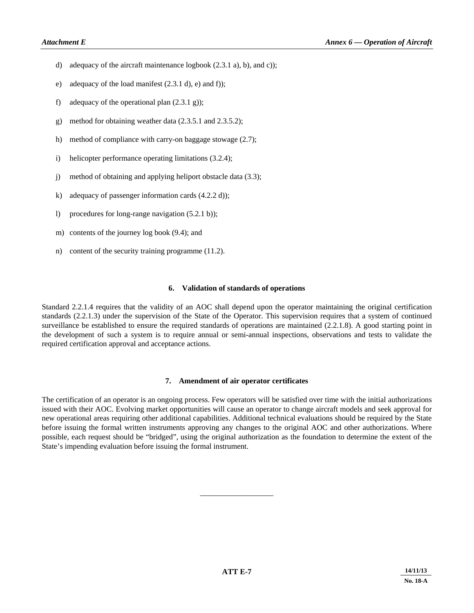- d) adequacy of the aircraft maintenance logbook (2.3.1 a), b), and c));
- e) adequacy of the load manifest (2.3.1 d), e) and f));
- f) adequacy of the operational plan  $(2.3.1 \text{ g})$ ;
- g) method for obtaining weather data (2.3.5.1 and 2.3.5.2);
- h) method of compliance with carry-on baggage stowage (2.7);
- i) helicopter performance operating limitations (3.2.4);
- j) method of obtaining and applying heliport obstacle data (3.3);
- k) adequacy of passenger information cards (4.2.2 d));
- l) procedures for long-range navigation (5.2.1 b));
- m) contents of the journey log book (9.4); and
- n) content of the security training programme (11.2).

# **6. Validation of standards of operations**

Standard 2.2.1.4 requires that the validity of an AOC shall depend upon the operator maintaining the original certification standards (2.2.1.3) under the supervision of the State of the Operator. This supervision requires that a system of continued surveillance be established to ensure the required standards of operations are maintained (2.2.1.8). A good starting point in the development of such a system is to require annual or semi-annual inspections, observations and tests to validate the required certification approval and acceptance actions.

# **7. Amendment of air operator certificates**

The certification of an operator is an ongoing process. Few operators will be satisfied over time with the initial authorizations issued with their AOC. Evolving market opportunities will cause an operator to change aircraft models and seek approval for new operational areas requiring other additional capabilities. Additional technical evaluations should be required by the State before issuing the formal written instruments approving any changes to the original AOC and other authorizations. Where possible, each request should be "bridged", using the original authorization as the foundation to determine the extent of the State's impending evaluation before issuing the formal instrument.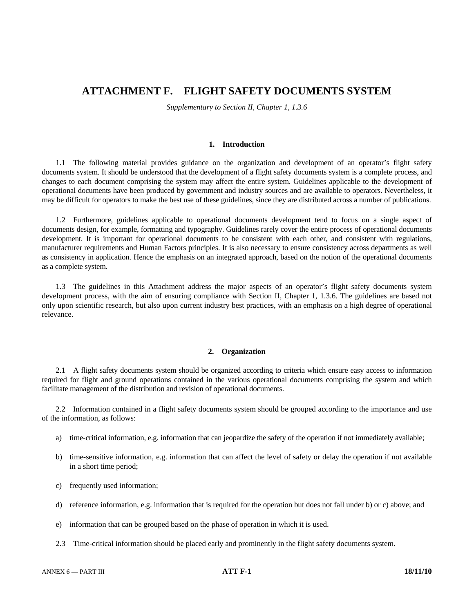# **ATTACHMENT F. FLIGHT SAFETY DOCUMENTS SYSTEM**

*Supplementary to Section II, Chapter 1, 1.3.6* 

# **1. Introduction**

 1.1 The following material provides guidance on the organization and development of an operator's flight safety documents system. It should be understood that the development of a flight safety documents system is a complete process, and changes to each document comprising the system may affect the entire system. Guidelines applicable to the development of operational documents have been produced by government and industry sources and are available to operators. Nevertheless, it may be difficult for operators to make the best use of these guidelines, since they are distributed across a number of publications.

 1.2 Furthermore, guidelines applicable to operational documents development tend to focus on a single aspect of documents design, for example, formatting and typography. Guidelines rarely cover the entire process of operational documents development. It is important for operational documents to be consistent with each other, and consistent with regulations, manufacturer requirements and Human Factors principles. It is also necessary to ensure consistency across departments as well as consistency in application. Hence the emphasis on an integrated approach, based on the notion of the operational documents as a complete system.

 1.3 The guidelines in this Attachment address the major aspects of an operator's flight safety documents system development process, with the aim of ensuring compliance with Section II, Chapter 1, 1.3.6. The guidelines are based not only upon scientific research, but also upon current industry best practices, with an emphasis on a high degree of operational relevance.

# **2. Organization**

 2.1 A flight safety documents system should be organized according to criteria which ensure easy access to information required for flight and ground operations contained in the various operational documents comprising the system and which facilitate management of the distribution and revision of operational documents.

 2.2 Information contained in a flight safety documents system should be grouped according to the importance and use of the information, as follows:

- a) time-critical information, e.g. information that can jeopardize the safety of the operation if not immediately available;
- b) time-sensitive information, e.g. information that can affect the level of safety or delay the operation if not available in a short time period;
- c) frequently used information;
- d) reference information, e.g. information that is required for the operation but does not fall under b) or c) above; and
- e) information that can be grouped based on the phase of operation in which it is used.
- 2.3 Time-critical information should be placed early and prominently in the flight safety documents system.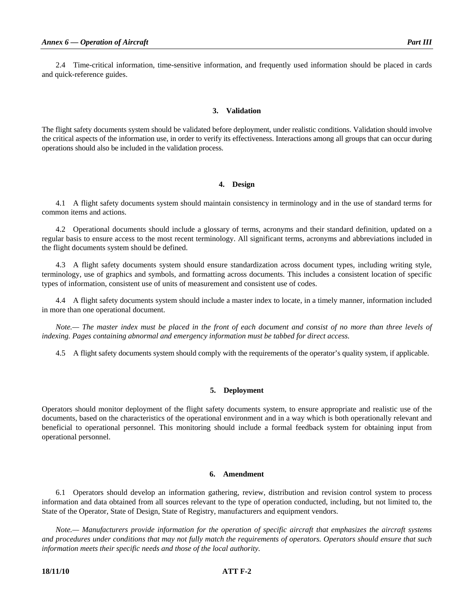2.4 Time-critical information, time-sensitive information, and frequently used information should be placed in cards and quick-reference guides.

# **3. Validation**

The flight safety documents system should be validated before deployment, under realistic conditions. Validation should involve the critical aspects of the information use, in order to verify its effectiveness. Interactions among all groups that can occur during operations should also be included in the validation process.

#### **4. Design**

 4.1 A flight safety documents system should maintain consistency in terminology and in the use of standard terms for common items and actions.

 4.2 Operational documents should include a glossary of terms, acronyms and their standard definition, updated on a regular basis to ensure access to the most recent terminology. All significant terms, acronyms and abbreviations included in the flight documents system should be defined.

 4.3 A flight safety documents system should ensure standardization across document types, including writing style, terminology, use of graphics and symbols, and formatting across documents. This includes a consistent location of specific types of information, consistent use of units of measurement and consistent use of codes.

 4.4 A flight safety documents system should include a master index to locate, in a timely manner, information included in more than one operational document.

*Note.*— The master index must be placed in the front of each document and consist of no more than three levels of *indexing. Pages containing abnormal and emergency information must be tabbed for direct access.* 

4.5 A flight safety documents system should comply with the requirements of the operator's quality system, if applicable.

### **5. Deployment**

Operators should monitor deployment of the flight safety documents system, to ensure appropriate and realistic use of the documents, based on the characteristics of the operational environment and in a way which is both operationally relevant and beneficial to operational personnel. This monitoring should include a formal feedback system for obtaining input from operational personnel.

#### **6. Amendment**

 6.1 Operators should develop an information gathering, review, distribution and revision control system to process information and data obtained from all sources relevant to the type of operation conducted, including, but not limited to, the State of the Operator, State of Design, State of Registry, manufacturers and equipment vendors.

 *Note.— Manufacturers provide information for the operation of specific aircraft that emphasizes the aircraft systems and procedures under conditions that may not fully match the requirements of operators. Operators should ensure that such information meets their specific needs and those of the local authority.*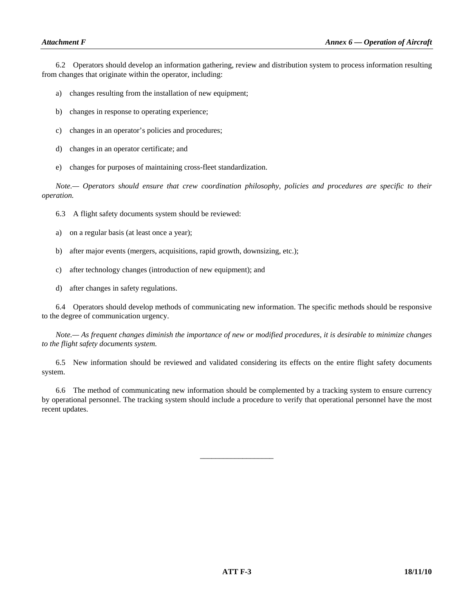6.2 Operators should develop an information gathering, review and distribution system to process information resulting from changes that originate within the operator, including:

- a) changes resulting from the installation of new equipment;
- b) changes in response to operating experience;
- c) changes in an operator's policies and procedures;
- d) changes in an operator certificate; and
- e) changes for purposes of maintaining cross-fleet standardization.

 *Note.— Operators should ensure that crew coordination philosophy, policies and procedures are specific to their operation.* 

- 6.3 A flight safety documents system should be reviewed:
- a) on a regular basis (at least once a year);
- b) after major events (mergers, acquisitions, rapid growth, downsizing, etc.);
- c) after technology changes (introduction of new equipment); and
- d) after changes in safety regulations.

 6.4 Operators should develop methods of communicating new information. The specific methods should be responsive to the degree of communication urgency.

 *Note.— As frequent changes diminish the importance of new or modified procedures, it is desirable to minimize changes to the flight safety documents system.* 

 6.5 New information should be reviewed and validated considering its effects on the entire flight safety documents system.

 6.6 The method of communicating new information should be complemented by a tracking system to ensure currency by operational personnel. The tracking system should include a procedure to verify that operational personnel have the most recent updates.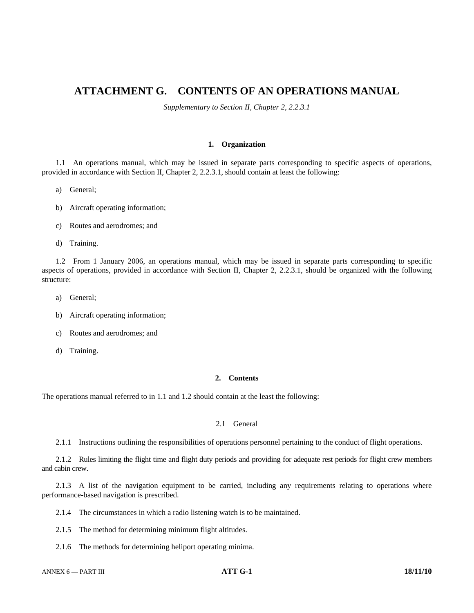# **ATTACHMENT G. CONTENTS OF AN OPERATIONS MANUAL**

*Supplementary to Section II, Chapter 2, 2.2.3.1*

# **1. Organization**

 1.1 An operations manual, which may be issued in separate parts corresponding to specific aspects of operations, provided in accordance with Section II, Chapter 2, 2.2.3.1, should contain at least the following:

- a) General;
- b) Aircraft operating information;
- c) Routes and aerodromes; and
- d) Training.

 1.2 From 1 January 2006, an operations manual, which may be issued in separate parts corresponding to specific aspects of operations, provided in accordance with Section II, Chapter 2, 2.2.3.1, should be organized with the following structure:

- a) General;
- b) Aircraft operating information;
- c) Routes and aerodromes; and
- d) Training.

# **2. Contents**

The operations manual referred to in 1.1 and 1.2 should contain at the least the following:

# 2.1 General

## 2.1.1 Instructions outlining the responsibilities of operations personnel pertaining to the conduct of flight operations.

 2.1.2 Rules limiting the flight time and flight duty periods and providing for adequate rest periods for flight crew members and cabin crew.

 2.1.3 A list of the navigation equipment to be carried, including any requirements relating to operations where performance-based navigation is prescribed.

2.1.4 The circumstances in which a radio listening watch is to be maintained.

- 2.1.5 The method for determining minimum flight altitudes.
- 2.1.6 The methods for determining heliport operating minima.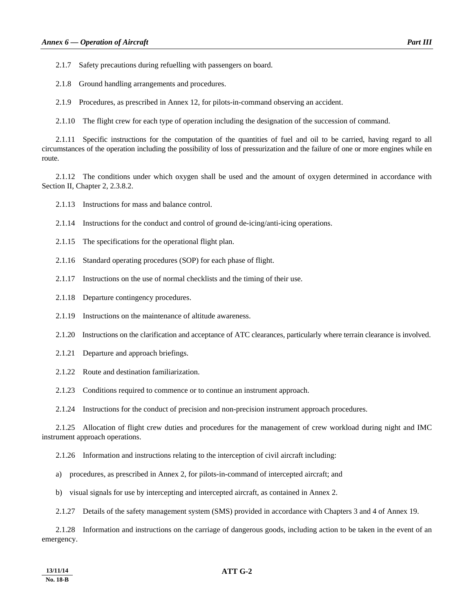2.1.7 Safety precautions during refuelling with passengers on board.

2.1.8 Ground handling arrangements and procedures.

2.1.9 Procedures, as prescribed in Annex 12, for pilots-in-command observing an accident.

2.1.10 The flight crew for each type of operation including the designation of the succession of command.

 2.1.11 Specific instructions for the computation of the quantities of fuel and oil to be carried, having regard to all circumstances of the operation including the possibility of loss of pressurization and the failure of one or more engines while en route.

 2.1.12 The conditions under which oxygen shall be used and the amount of oxygen determined in accordance with Section II, Chapter 2, 2.3.8.2.

2.1.13 Instructions for mass and balance control.

2.1.14 Instructions for the conduct and control of ground de-icing/anti-icing operations.

- 2.1.15 The specifications for the operational flight plan.
- 2.1.16 Standard operating procedures (SOP) for each phase of flight.
- 2.1.17 Instructions on the use of normal checklists and the timing of their use.
- 2.1.18 Departure contingency procedures.
- 2.1.19 Instructions on the maintenance of altitude awareness.
- 2.1.20 Instructions on the clarification and acceptance of ATC clearances, particularly where terrain clearance is involved.
- 2.1.21 Departure and approach briefings.
- 2.1.22 Route and destination familiarization.

2.1.23 Conditions required to commence or to continue an instrument approach.

2.1.24 Instructions for the conduct of precision and non-precision instrument approach procedures.

 2.1.25 Allocation of flight crew duties and procedures for the management of crew workload during night and IMC instrument approach operations.

2.1.26 Information and instructions relating to the interception of civil aircraft including:

a) procedures, as prescribed in Annex 2, for pilots-in-command of intercepted aircraft; and

b) visual signals for use by intercepting and intercepted aircraft, as contained in Annex 2.

2.1.27 Details of the safety management system (SMS) provided in accordance with Chapters 3 and 4 of Annex 19.

 2.1.28 Information and instructions on the carriage of dangerous goods, including action to be taken in the event of an emergency.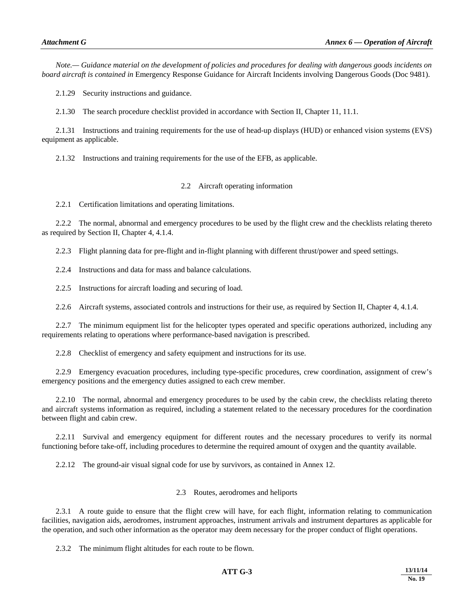*Note.— Guidance material on the development of policies and procedures for dealing with dangerous goods incidents on board aircraft is contained in* Emergency Response Guidance for Aircraft Incidents involving Dangerous Goods (Doc 9481).

2.1.29 Security instructions and guidance.

2.1.30 The search procedure checklist provided in accordance with Section II, Chapter 11, 11.1.

 2.1.31 Instructions and training requirements for the use of head-up displays (HUD) or enhanced vision systems (EVS) equipment as applicable.

2.1.32 Instructions and training requirements for the use of the EFB, as applicable.

# 2.2 Aircraft operating information

2.2.1 Certification limitations and operating limitations.

 2.2.2 The normal, abnormal and emergency procedures to be used by the flight crew and the checklists relating thereto as required by Section II, Chapter 4, 4.1.4.

2.2.3 Flight planning data for pre-flight and in-flight planning with different thrust/power and speed settings.

2.2.4 Instructions and data for mass and balance calculations.

2.2.5 Instructions for aircraft loading and securing of load.

2.2.6 Aircraft systems, associated controls and instructions for their use, as required by Section II, Chapter 4, 4.1.4.

 2.2.7 The minimum equipment list for the helicopter types operated and specific operations authorized, including any requirements relating to operations where performance-based navigation is prescribed.

2.2.8 Checklist of emergency and safety equipment and instructions for its use.

 2.2.9 Emergency evacuation procedures, including type-specific procedures, crew coordination, assignment of crew's emergency positions and the emergency duties assigned to each crew member.

 2.2.10 The normal, abnormal and emergency procedures to be used by the cabin crew, the checklists relating thereto and aircraft systems information as required, including a statement related to the necessary procedures for the coordination between flight and cabin crew.

 2.2.11 Survival and emergency equipment for different routes and the necessary procedures to verify its normal functioning before take-off, including procedures to determine the required amount of oxygen and the quantity available.

2.2.12 The ground-air visual signal code for use by survivors, as contained in Annex 12.

# 2.3 Routes, aerodromes and heliports

 2.3.1 A route guide to ensure that the flight crew will have, for each flight, information relating to communication facilities, navigation aids, aerodromes, instrument approaches, instrument arrivals and instrument departures as applicable for the operation, and such other information as the operator may deem necessary for the proper conduct of flight operations.

2.3.2 The minimum flight altitudes for each route to be flown.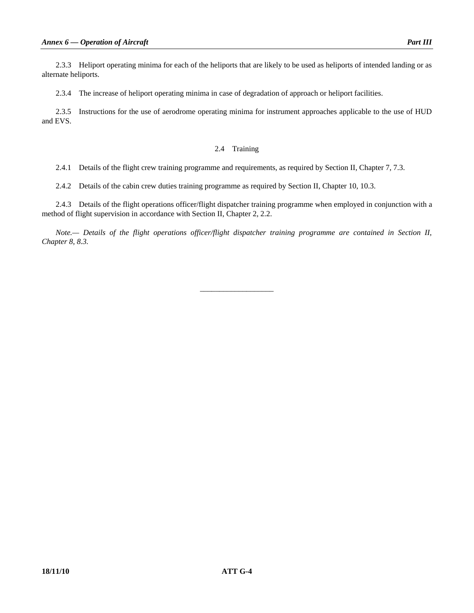2.3.3 Heliport operating minima for each of the heliports that are likely to be used as heliports of intended landing or as alternate heliports.

2.3.4 The increase of heliport operating minima in case of degradation of approach or heliport facilities.

 2.3.5 Instructions for the use of aerodrome operating minima for instrument approaches applicable to the use of HUD and EVS.

# 2.4 Training

2.4.1 Details of the flight crew training programme and requirements, as required by Section II, Chapter 7, 7.3.

2.4.2 Details of the cabin crew duties training programme as required by Section II, Chapter 10, 10.3.

 2.4.3 Details of the flight operations officer/flight dispatcher training programme when employed in conjunction with a method of flight supervision in accordance with Section II, Chapter 2, 2.2.

*Note.— Details of the flight operations officer/flight dispatcher training programme are contained in Section II, Chapter 8, 8.3.*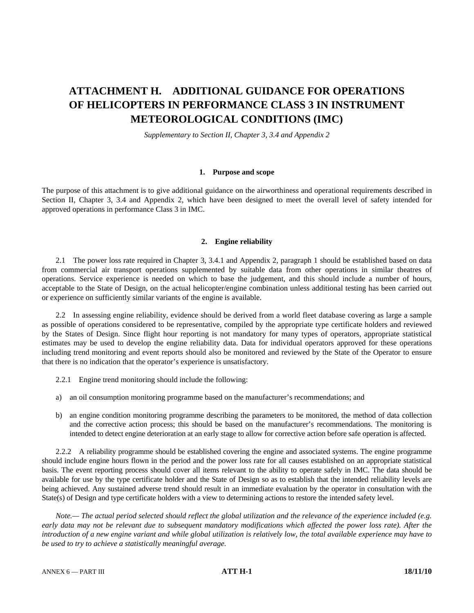# **ATTACHMENT H. ADDITIONAL GUIDANCE FOR OPERATIONS OF HELICOPTERS IN PERFORMANCE CLASS 3 IN INSTRUMENT METEOROLOGICAL CONDITIONS (IMC)**

*Supplementary to Section II, Chapter 3, 3.4 and Appendix 2* 

#### **1. Purpose and scope**

The purpose of this attachment is to give additional guidance on the airworthiness and operational requirements described in Section II, Chapter 3, 3.4 and Appendix 2, which have been designed to meet the overall level of safety intended for approved operations in performance Class 3 in IMC.

# **2. Engine reliability**

 2.1 The power loss rate required in Chapter 3, 3.4.1 and Appendix 2, paragraph 1 should be established based on data from commercial air transport operations supplemented by suitable data from other operations in similar theatres of operations. Service experience is needed on which to base the judgement, and this should include a number of hours, acceptable to the State of Design, on the actual helicopter/engine combination unless additional testing has been carried out or experience on sufficiently similar variants of the engine is available.

 2.2 In assessing engine reliability, evidence should be derived from a world fleet database covering as large a sample as possible of operations considered to be representative, compiled by the appropriate type certificate holders and reviewed by the States of Design. Since flight hour reporting is not mandatory for many types of operators, appropriate statistical estimates may be used to develop the engine reliability data. Data for individual operators approved for these operations including trend monitoring and event reports should also be monitored and reviewed by the State of the Operator to ensure that there is no indication that the operator's experience is unsatisfactory.

- 2.2.1 Engine trend monitoring should include the following:
- a) an oil consumption monitoring programme based on the manufacturer's recommendations; and
- b) an engine condition monitoring programme describing the parameters to be monitored, the method of data collection and the corrective action process; this should be based on the manufacturer's recommendations. The monitoring is intended to detect engine deterioration at an early stage to allow for corrective action before safe operation is affected.

 2.2.2 A reliability programme should be established covering the engine and associated systems. The engine programme should include engine hours flown in the period and the power loss rate for all causes established on an appropriate statistical basis. The event reporting process should cover all items relevant to the ability to operate safely in IMC. The data should be available for use by the type certificate holder and the State of Design so as to establish that the intended reliability levels are being achieved. Any sustained adverse trend should result in an immediate evaluation by the operator in consultation with the State(s) of Design and type certificate holders with a view to determining actions to restore the intended safety level.

 *Note.— The actual period selected should reflect the global utilization and the relevance of the experience included (e.g.*  early data may not be relevant due to subsequent mandatory modifications which affected the power loss rate). After the *introduction of a new engine variant and while global utilization is relatively low, the total available experience may have to be used to try to achieve a statistically meaningful average.*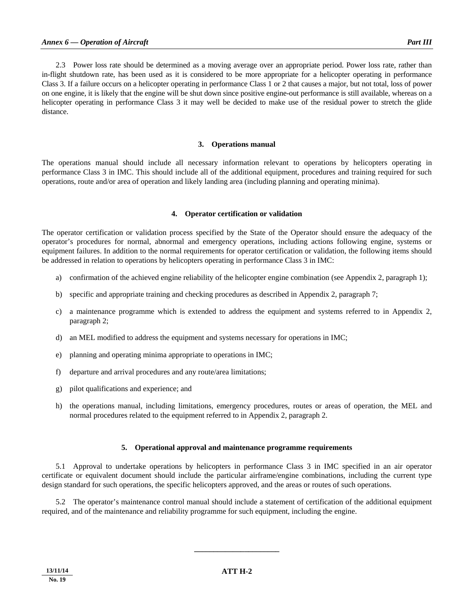2.3 Power loss rate should be determined as a moving average over an appropriate period. Power loss rate, rather than in-flight shutdown rate, has been used as it is considered to be more appropriate for a helicopter operating in performance Class 3. If a failure occurs on a helicopter operating in performance Class 1 or 2 that causes a major, but not total, loss of power on one engine, it is likely that the engine will be shut down since positive engine-out performance is still available, whereas on a helicopter operating in performance Class 3 it may well be decided to make use of the residual power to stretch the glide distance.

#### **3. Operations manual**

The operations manual should include all necessary information relevant to operations by helicopters operating in performance Class 3 in IMC. This should include all of the additional equipment, procedures and training required for such operations, route and/or area of operation and likely landing area (including planning and operating minima).

#### **4. Operator certification or validation**

The operator certification or validation process specified by the State of the Operator should ensure the adequacy of the operator's procedures for normal, abnormal and emergency operations, including actions following engine, systems or equipment failures. In addition to the normal requirements for operator certification or validation, the following items should be addressed in relation to operations by helicopters operating in performance Class 3 in IMC:

- a) confirmation of the achieved engine reliability of the helicopter engine combination (see Appendix 2, paragraph 1);
- b) specific and appropriate training and checking procedures as described in Appendix 2, paragraph 7;
- c) a maintenance programme which is extended to address the equipment and systems referred to in Appendix 2, paragraph 2;
- d) an MEL modified to address the equipment and systems necessary for operations in IMC;
- e) planning and operating minima appropriate to operations in IMC;
- f) departure and arrival procedures and any route/area limitations;
- g) pilot qualifications and experience; and
- h) the operations manual, including limitations, emergency procedures, routes or areas of operation, the MEL and normal procedures related to the equipment referred to in Appendix 2, paragraph 2.

### **5. Operational approval and maintenance programme requirements**

 5.1 Approval to undertake operations by helicopters in performance Class 3 in IMC specified in an air operator certificate or equivalent document should include the particular airframe/engine combinations, including the current type design standard for such operations, the specific helicopters approved, and the areas or routes of such operations.

 5.2 The operator's maintenance control manual should include a statement of certification of the additional equipment required, and of the maintenance and reliability programme for such equipment, including the engine.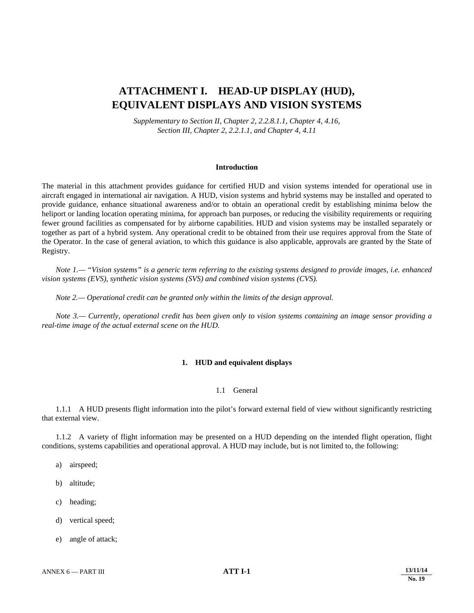# **ATTACHMENT I. HEAD-UP DISPLAY (HUD), EQUIVALENT DISPLAYS AND VISION SYSTEMS**

*Supplementary to Section II, Chapter 2, 2.2.8.1.1, Chapter 4, 4.16, Section III, Chapter 2, 2.2.1.1, and Chapter 4, 4.11* 

#### **Introduction**

The material in this attachment provides guidance for certified HUD and vision systems intended for operational use in aircraft engaged in international air navigation. A HUD, vision systems and hybrid systems may be installed and operated to provide guidance, enhance situational awareness and/or to obtain an operational credit by establishing minima below the heliport or landing location operating minima, for approach ban purposes, or reducing the visibility requirements or requiring fewer ground facilities as compensated for by airborne capabilities. HUD and vision systems may be installed separately or together as part of a hybrid system. Any operational credit to be obtained from their use requires approval from the State of the Operator. In the case of general aviation, to which this guidance is also applicable, approvals are granted by the State of Registry.

 *Note 1.— "Vision systems" is a generic term referring to the existing systems designed to provide images, i.e. enhanced vision systems (EVS), synthetic vision systems (SVS) and combined vision systems (CVS).* 

 *Note 2.— Operational credit can be granted only within the limits of the design approval.* 

 *Note 3.— Currently, operational credit has been given only to vision systems containing an image sensor providing a real-time image of the actual external scene on the HUD.* 

# **1. HUD and equivalent displays**

### 1.1 General

 1.1.1 A HUD presents flight information into the pilot's forward external field of view without significantly restricting that external view.

 1.1.2 A variety of flight information may be presented on a HUD depending on the intended flight operation, flight conditions, systems capabilities and operational approval. A HUD may include, but is not limited to, the following:

- a) airspeed;
- b) altitude;
- c) heading;
- d) vertical speed;
- e) angle of attack;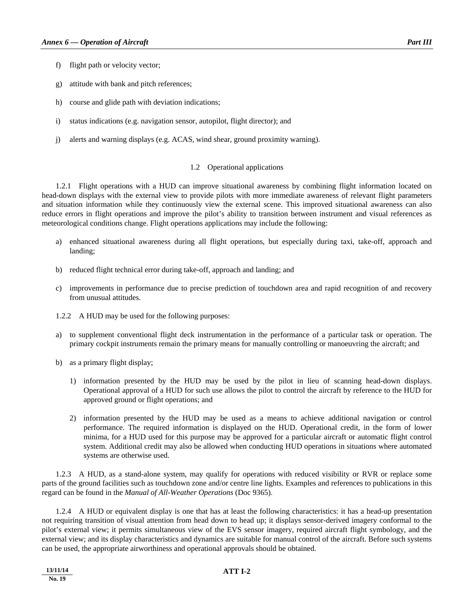- f) flight path or velocity vector;
- g) attitude with bank and pitch references;
- h) course and glide path with deviation indications;
- i) status indications (e.g. navigation sensor, autopilot, flight director); and
- j) alerts and warning displays (e.g. ACAS, wind shear, ground proximity warning).

# 1.2 Operational applications

 1.2.1 Flight operations with a HUD can improve situational awareness by combining flight information located on head-down displays with the external view to provide pilots with more immediate awareness of relevant flight parameters and situation information while they continuously view the external scene. This improved situational awareness can also reduce errors in flight operations and improve the pilot's ability to transition between instrument and visual references as meteorological conditions change. Flight operations applications may include the following:

- a) enhanced situational awareness during all flight operations, but especially during taxi, take-off, approach and landing;
- b) reduced flight technical error during take-off, approach and landing; and
- c) improvements in performance due to precise prediction of touchdown area and rapid recognition of and recovery from unusual attitudes.
- 1.2.2 A HUD may be used for the following purposes:
- a) to supplement conventional flight deck instrumentation in the performance of a particular task or operation. The primary cockpit instruments remain the primary means for manually controlling or manoeuvring the aircraft; and
- b) as a primary flight display;
	- 1) information presented by the HUD may be used by the pilot in lieu of scanning head-down displays. Operational approval of a HUD for such use allows the pilot to control the aircraft by reference to the HUD for approved ground or flight operations; and
	- 2) information presented by the HUD may be used as a means to achieve additional navigation or control performance. The required information is displayed on the HUD. Operational credit, in the form of lower minima, for a HUD used for this purpose may be approved for a particular aircraft or automatic flight control system. Additional credit may also be allowed when conducting HUD operations in situations where automated systems are otherwise used.

 1.2.3 A HUD, as a stand-alone system, may qualify for operations with reduced visibility or RVR or replace some parts of the ground facilities such as touchdown zone and/or centre line lights. Examples and references to publications in this regard can be found in the *Manual of All-Weather Operations* (Doc 9365).

 1.2.4 A HUD or equivalent display is one that has at least the following characteristics: it has a head-up presentation not requiring transition of visual attention from head down to head up; it displays sensor-derived imagery conformal to the pilot's external view; it permits simultaneous view of the EVS sensor imagery, required aircraft flight symbology, and the external view; and its display characteristics and dynamics are suitable for manual control of the aircraft. Before such systems can be used, the appropriate airworthiness and operational approvals should be obtained.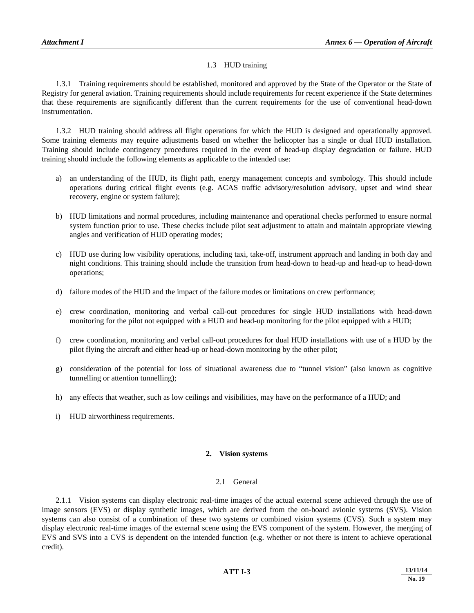# 1.3 HUD training

 1.3.1 Training requirements should be established, monitored and approved by the State of the Operator or the State of Registry for general aviation. Training requirements should include requirements for recent experience if the State determines that these requirements are significantly different than the current requirements for the use of conventional head-down instrumentation.

 1.3.2 HUD training should address all flight operations for which the HUD is designed and operationally approved. Some training elements may require adjustments based on whether the helicopter has a single or dual HUD installation. Training should include contingency procedures required in the event of head-up display degradation or failure. HUD training should include the following elements as applicable to the intended use:

- a) an understanding of the HUD, its flight path, energy management concepts and symbology. This should include operations during critical flight events (e.g. ACAS traffic advisory/resolution advisory, upset and wind shear recovery, engine or system failure);
- b) HUD limitations and normal procedures, including maintenance and operational checks performed to ensure normal system function prior to use. These checks include pilot seat adjustment to attain and maintain appropriate viewing angles and verification of HUD operating modes;
- c) HUD use during low visibility operations, including taxi, take-off, instrument approach and landing in both day and night conditions. This training should include the transition from head-down to head-up and head-up to head-down operations;
- d) failure modes of the HUD and the impact of the failure modes or limitations on crew performance;
- e) crew coordination, monitoring and verbal call-out procedures for single HUD installations with head-down monitoring for the pilot not equipped with a HUD and head-up monitoring for the pilot equipped with a HUD;
- f) crew coordination, monitoring and verbal call-out procedures for dual HUD installations with use of a HUD by the pilot flying the aircraft and either head-up or head-down monitoring by the other pilot;
- g) consideration of the potential for loss of situational awareness due to "tunnel vision" (also known as cognitive tunnelling or attention tunnelling);
- h) any effects that weather, such as low ceilings and visibilities, may have on the performance of a HUD; and
- i) HUD airworthiness requirements.

# **2. Vision systems**

# 2.1 General

 2.1.1 Vision systems can display electronic real-time images of the actual external scene achieved through the use of image sensors (EVS) or display synthetic images, which are derived from the on-board avionic systems (SVS). Vision systems can also consist of a combination of these two systems or combined vision systems (CVS). Such a system may display electronic real-time images of the external scene using the EVS component of the system. However, the merging of EVS and SVS into a CVS is dependent on the intended function (e.g. whether or not there is intent to achieve operational credit).

# **ATT I-3** 13/11/14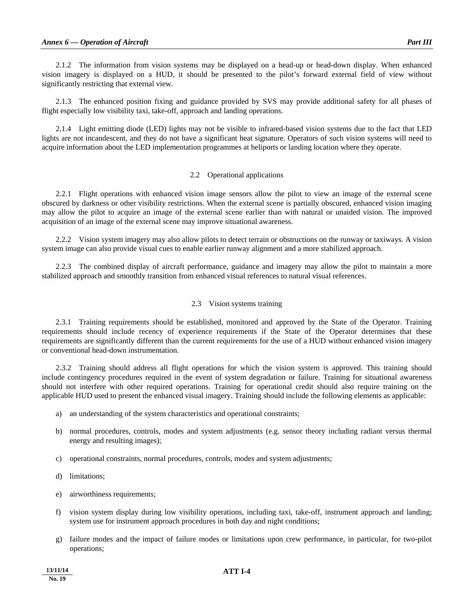2.1.2 The information from vision systems may be displayed on a head-up or head-down display. When enhanced vision imagery is displayed on a HUD, it should be presented to the pilot's forward external field of view without significantly restricting that external view.

 2.1.3 The enhanced position fixing and guidance provided by SVS may provide additional safety for all phases of flight especially low visibility taxi, take-off, approach and landing operations.

 2.1.4 Light emitting diode (LED) lights may not be visible to infrared-based vision systems due to the fact that LED lights are not incandescent, and they do not have a significant heat signature. Operators of such vision systems will need to acquire information about the LED implementation programmes at heliports or landing location where they operate.

# 2.2 Operational applications

 2.2.1 Flight operations with enhanced vision image sensors allow the pilot to view an image of the external scene obscured by darkness or other visibility restrictions. When the external scene is partially obscured, enhanced vision imaging may allow the pilot to acquire an image of the external scene earlier than with natural or unaided vision. The improved acquisition of an image of the external scene may improve situational awareness.

 2.2.2 Vision system imagery may also allow pilots to detect terrain or obstructions on the runway or taxiways. A vision system image can also provide visual cues to enable earlier runway alignment and a more stabilized approach.

 2.2.3 The combined display of aircraft performance, guidance and imagery may allow the pilot to maintain a more stabilized approach and smoothly transition from enhanced visual references to natural visual references.

# 2.3 Vision systems training

 2.3.1 Training requirements should be established, monitored and approved by the State of the Operator. Training requirements should include recency of experience requirements if the State of the Operator determines that these requirements are significantly different than the current requirements for the use of a HUD without enhanced vision imagery or conventional head-down instrumentation.

 2.3.2 Training should address all flight operations for which the vision system is approved. This training should include contingency procedures required in the event of system degradation or failure. Training for situational awareness should not interfere with other required operations. Training for operational credit should also require training on the applicable HUD used to present the enhanced visual imagery. Training should include the following elements as applicable:

- a) an understanding of the system characteristics and operational constraints;
- b) normal procedures, controls, modes and system adjustments (e.g. sensor theory including radiant versus thermal energy and resulting images);
- c) operational constraints, normal procedures, controls, modes and system adjustments;
- d) limitations;
- e) airworthiness requirements;
- f) vision system display during low visibility operations, including taxi, take-off, instrument approach and landing; system use for instrument approach procedures in both day and night conditions;
- g) failure modes and the impact of failure modes or limitations upon crew performance, in particular, for two-pilot operations;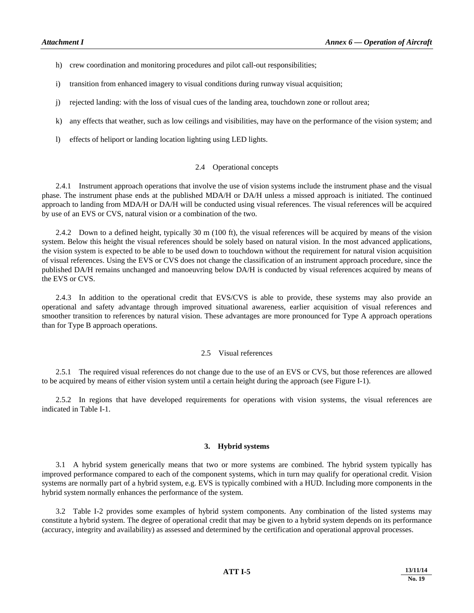- h) crew coordination and monitoring procedures and pilot call-out responsibilities;
- i) transition from enhanced imagery to visual conditions during runway visual acquisition;
- j) rejected landing: with the loss of visual cues of the landing area, touchdown zone or rollout area;
- k) any effects that weather, such as low ceilings and visibilities, may have on the performance of the vision system; and
- l) effects of heliport or landing location lighting using LED lights.

### 2.4 Operational concepts

 2.4.1 Instrument approach operations that involve the use of vision systems include the instrument phase and the visual phase. The instrument phase ends at the published MDA/H or DA/H unless a missed approach is initiated. The continued approach to landing from MDA/H or DA/H will be conducted using visual references. The visual references will be acquired by use of an EVS or CVS, natural vision or a combination of the two.

 2.4.2 Down to a defined height, typically 30 m (100 ft), the visual references will be acquired by means of the vision system. Below this height the visual references should be solely based on natural vision. In the most advanced applications, the vision system is expected to be able to be used down to touchdown without the requirement for natural vision acquisition of visual references. Using the EVS or CVS does not change the classification of an instrument approach procedure, since the published DA/H remains unchanged and manoeuvring below DA/H is conducted by visual references acquired by means of the EVS or CVS.

 2.4.3 In addition to the operational credit that EVS/CVS is able to provide, these systems may also provide an operational and safety advantage through improved situational awareness, earlier acquisition of visual references and smoother transition to references by natural vision. These advantages are more pronounced for Type A approach operations than for Type B approach operations.

#### 2.5 Visual references

 2.5.1 The required visual references do not change due to the use of an EVS or CVS, but those references are allowed to be acquired by means of either vision system until a certain height during the approach (see Figure I-1).

 2.5.2 In regions that have developed requirements for operations with vision systems, the visual references are indicated in Table I-1.

# **3. Hybrid systems**

 3.1 A hybrid system generically means that two or more systems are combined. The hybrid system typically has improved performance compared to each of the component systems, which in turn may qualify for operational credit. Vision systems are normally part of a hybrid system, e.g. EVS is typically combined with a HUD. Including more components in the hybrid system normally enhances the performance of the system.

 3.2 Table I-2 provides some examples of hybrid system components. Any combination of the listed systems may constitute a hybrid system. The degree of operational credit that may be given to a hybrid system depends on its performance (accuracy, integrity and availability) as assessed and determined by the certification and operational approval processes.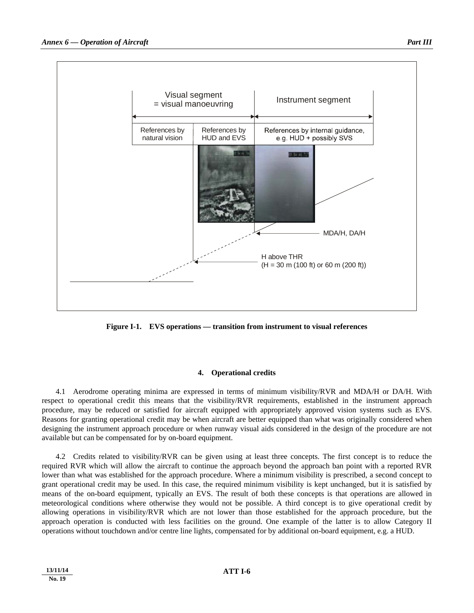

**Figure I-1. EVS operations — transition from instrument to visual references** 

# **4. Operational credits**

 4.1 Aerodrome operating minima are expressed in terms of minimum visibility/RVR and MDA/H or DA/H. With respect to operational credit this means that the visibility/RVR requirements, established in the instrument approach procedure, may be reduced or satisfied for aircraft equipped with appropriately approved vision systems such as EVS. Reasons for granting operational credit may be when aircraft are better equipped than what was originally considered when designing the instrument approach procedure or when runway visual aids considered in the design of the procedure are not available but can be compensated for by on-board equipment.

 4.2 Credits related to visibility/RVR can be given using at least three concepts. The first concept is to reduce the required RVR which will allow the aircraft to continue the approach beyond the approach ban point with a reported RVR lower than what was established for the approach procedure. Where a minimum visibility is prescribed, a second concept to grant operational credit may be used. In this case, the required minimum visibility is kept unchanged, but it is satisfied by means of the on-board equipment, typically an EVS. The result of both these concepts is that operations are allowed in meteorological conditions where otherwise they would not be possible. A third concept is to give operational credit by allowing operations in visibility/RVR which are not lower than those established for the approach procedure, but the approach operation is conducted with less facilities on the ground. One example of the latter is to allow Category II operations without touchdown and/or centre line lights, compensated for by additional on-board equipment, e.g. a HUD.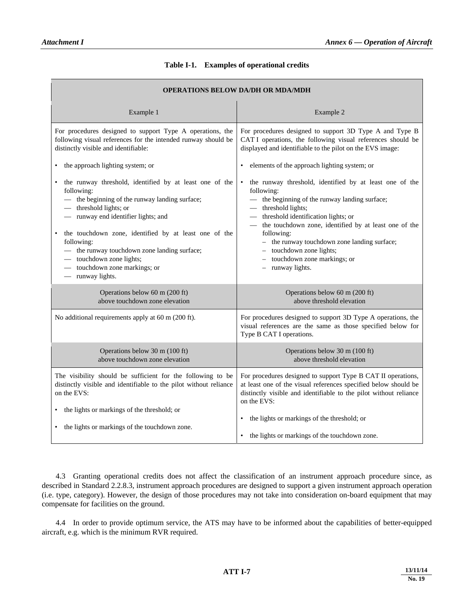| Table I-1. | <b>Examples of operational credits</b> |  |
|------------|----------------------------------------|--|
|------------|----------------------------------------|--|

| <b>OPERATIONS BELOW DA/DH OR MDA/MDH</b>                                                                                                                                                                                                                                                                                                                                                         |                                                                                                                                                                                                                                                                                                                                                                                                    |  |  |  |  |
|--------------------------------------------------------------------------------------------------------------------------------------------------------------------------------------------------------------------------------------------------------------------------------------------------------------------------------------------------------------------------------------------------|----------------------------------------------------------------------------------------------------------------------------------------------------------------------------------------------------------------------------------------------------------------------------------------------------------------------------------------------------------------------------------------------------|--|--|--|--|
| Example 1                                                                                                                                                                                                                                                                                                                                                                                        | Example 2                                                                                                                                                                                                                                                                                                                                                                                          |  |  |  |  |
| For procedures designed to support Type A operations, the<br>following visual references for the intended runway should be<br>distinctly visible and identifiable:                                                                                                                                                                                                                               | For procedures designed to support 3D Type A and Type B<br>CAT I operations, the following visual references should be<br>displayed and identifiable to the pilot on the EVS image:                                                                                                                                                                                                                |  |  |  |  |
| • the approach lighting system; or                                                                                                                                                                                                                                                                                                                                                               | elements of the approach lighting system; or<br>$\bullet$                                                                                                                                                                                                                                                                                                                                          |  |  |  |  |
| the runway threshold, identified by at least one of the<br>following:<br>- the beginning of the runway landing surface;<br>- threshold lights; or<br>- runway end identifier lights; and<br>the touchdown zone, identified by at least one of the<br>following:<br>- the runway touchdown zone landing surface;<br>- touchdown zone lights;<br>- touchdown zone markings; or<br>— runway lights. | the runway threshold, identified by at least one of the<br>$\bullet$<br>following:<br>- the beginning of the runway landing surface;<br>threshold lights;<br>threshold identification lights; or<br>the touchdown zone, identified by at least one of the<br>following:<br>- the runway touchdown zone landing surface;<br>touchdown zone lights;<br>touchdown zone markings; or<br>runway lights. |  |  |  |  |
| Operations below 60 m (200 ft)<br>above touchdown zone elevation                                                                                                                                                                                                                                                                                                                                 | Operations below 60 m (200 ft)<br>above threshold elevation                                                                                                                                                                                                                                                                                                                                        |  |  |  |  |
| No additional requirements apply at 60 m (200 ft).                                                                                                                                                                                                                                                                                                                                               | For procedures designed to support 3D Type A operations, the<br>visual references are the same as those specified below for<br>Type B CAT I operations.                                                                                                                                                                                                                                            |  |  |  |  |
| Operations below 30 m (100 ft)<br>above touchdown zone elevation                                                                                                                                                                                                                                                                                                                                 | Operations below 30 m (100 ft)<br>above threshold elevation                                                                                                                                                                                                                                                                                                                                        |  |  |  |  |
| The visibility should be sufficient for the following to be<br>distinctly visible and identifiable to the pilot without reliance<br>on the EVS:<br>• the lights or markings of the threshold; or                                                                                                                                                                                                 | For procedures designed to support Type B CAT II operations,<br>at least one of the visual references specified below should be<br>distinctly visible and identifiable to the pilot without reliance<br>on the EVS:                                                                                                                                                                                |  |  |  |  |
| • the lights or markings of the touchdown zone.                                                                                                                                                                                                                                                                                                                                                  | the lights or markings of the threshold; or<br>٠<br>the lights or markings of the touchdown zone.                                                                                                                                                                                                                                                                                                  |  |  |  |  |

 4.3 Granting operational credits does not affect the classification of an instrument approach procedure since, as described in Standard 2.2.8.3, instrument approach procedures are designed to support a given instrument approach operation (i.e. type, category). However, the design of those procedures may not take into consideration on-board equipment that may compensate for facilities on the ground.

 4.4 In order to provide optimum service, the ATS may have to be informed about the capabilities of better-equipped aircraft, e.g. which is the minimum RVR required.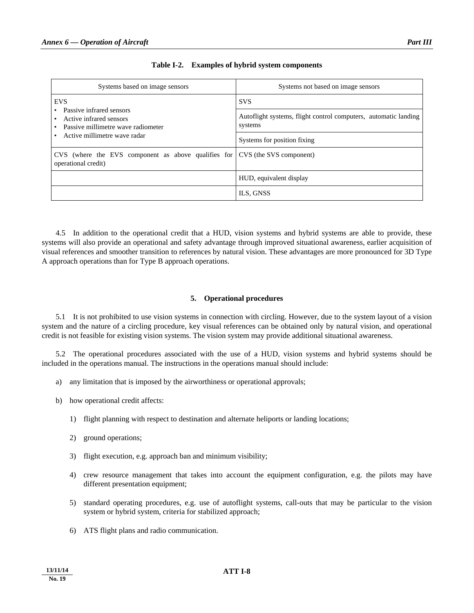| Systems based on image sensors                                                                                            | Systems not based on image sensors                                         |
|---------------------------------------------------------------------------------------------------------------------------|----------------------------------------------------------------------------|
| <b>EVS</b>                                                                                                                | <b>SVS</b>                                                                 |
| Passive infrared sensors<br>Active infrared sensors<br>Passive millimetre wave radiometer<br>Active millimetre wave radar | Autoflight systems, flight control computers, automatic landing<br>systems |
|                                                                                                                           | Systems for position fixing                                                |
| CVS (where the EVS component as above qualifies for<br>operational credit)                                                | CVS (the SVS component)                                                    |
|                                                                                                                           | HUD, equivalent display                                                    |
|                                                                                                                           | ILS, GNSS                                                                  |

|  |  | Table I-2. Examples of hybrid system components |
|--|--|-------------------------------------------------|
|--|--|-------------------------------------------------|

 4.5 In addition to the operational credit that a HUD, vision systems and hybrid systems are able to provide, these systems will also provide an operational and safety advantage through improved situational awareness, earlier acquisition of visual references and smoother transition to references by natural vision. These advantages are more pronounced for 3D Type A approach operations than for Type B approach operations.

## **5. Operational procedures**

 5.1 It is not prohibited to use vision systems in connection with circling. However, due to the system layout of a vision system and the nature of a circling procedure, key visual references can be obtained only by natural vision, and operational credit is not feasible for existing vision systems. The vision system may provide additional situational awareness.

 5.2 The operational procedures associated with the use of a HUD, vision systems and hybrid systems should be included in the operations manual. The instructions in the operations manual should include:

- a) any limitation that is imposed by the airworthiness or operational approvals;
- b) how operational credit affects:
	- 1) flight planning with respect to destination and alternate heliports or landing locations;
	- 2) ground operations;
	- 3) flight execution, e.g. approach ban and minimum visibility;
	- 4) crew resource management that takes into account the equipment configuration, e.g. the pilots may have different presentation equipment;
	- 5) standard operating procedures, e.g. use of autoflight systems, call-outs that may be particular to the vision system or hybrid system, criteria for stabilized approach;
	- 6) ATS flight plans and radio communication.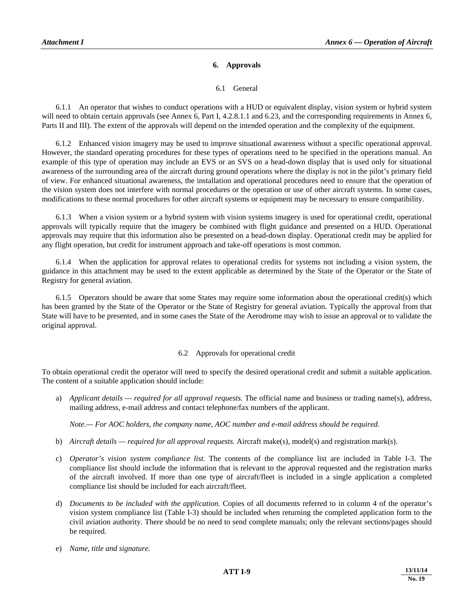## **6. Approvals**

## 6.1 General

 6.1.1 An operator that wishes to conduct operations with a HUD or equivalent display, vision system or hybrid system will need to obtain certain approvals (see Annex 6, Part I, 4.2.8.1.1 and 6.23, and the corresponding requirements in Annex 6, Parts II and III). The extent of the approvals will depend on the intended operation and the complexity of the equipment.

 6.1.2 Enhanced vision imagery may be used to improve situational awareness without a specific operational approval. However, the standard operating procedures for these types of operations need to be specified in the operations manual. An example of this type of operation may include an EVS or an SVS on a head-down display that is used only for situational awareness of the surrounding area of the aircraft during ground operations where the display is not in the pilot's primary field of view. For enhanced situational awareness, the installation and operational procedures need to ensure that the operation of the vision system does not interfere with normal procedures or the operation or use of other aircraft systems. In some cases, modifications to these normal procedures for other aircraft systems or equipment may be necessary to ensure compatibility.

 6.1.3 When a vision system or a hybrid system with vision systems imagery is used for operational credit, operational approvals will typically require that the imagery be combined with flight guidance and presented on a HUD. Operational approvals may require that this information also be presented on a head-down display. Operational credit may be applied for any flight operation, but credit for instrument approach and take-off operations is most common.

 6.1.4 When the application for approval relates to operational credits for systems not including a vision system, the guidance in this attachment may be used to the extent applicable as determined by the State of the Operator or the State of Registry for general aviation.

 6.1.5 Operators should be aware that some States may require some information about the operational credit(s) which has been granted by the State of the Operator or the State of Registry for general aviation. Typically the approval from that State will have to be presented, and in some cases the State of the Aerodrome may wish to issue an approval or to validate the original approval.

## 6.2 Approvals for operational credit

To obtain operational credit the operator will need to specify the desired operational credit and submit a suitable application. The content of a suitable application should include:

 a) *Applicant details — required for all approval requests.* The official name and business or trading name(s), address, mailing address, e-mail address and contact telephone/fax numbers of the applicant.

*Note.— For AOC holders, the company name, AOC number and e-mail address should be required.* 

- b) *Aircraft details required for all approval requests.* Aircraft make(s), model(s) and registration mark(s).
- c) *Operator's vision system compliance list.* The contents of the compliance list are included in Table I-3. The compliance list should include the information that is relevant to the approval requested and the registration marks of the aircraft involved. If more than one type of aircraft/fleet is included in a single application a completed compliance list should be included for each aircraft/fleet.
- d) *Documents to be included with the application.* Copies of all documents referred to in column 4 of the operator's vision system compliance list (Table I-3) should be included when returning the completed application form to the civil aviation authority. There should be no need to send complete manuals; only the relevant sections/pages should be required.
- e) *Name, title and signature.*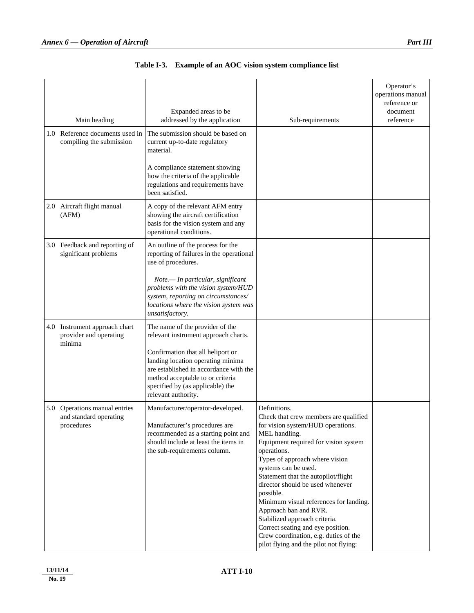| Main heading                                                          | Expanded areas to be<br>addressed by the application                                                                                                                                                            | Sub-requirements                                                                                                                                                                                                                                                                                                                                                                                                                                                                                                                                 | Operator's<br>operations manual<br>reference or<br>document<br>reference |
|-----------------------------------------------------------------------|-----------------------------------------------------------------------------------------------------------------------------------------------------------------------------------------------------------------|--------------------------------------------------------------------------------------------------------------------------------------------------------------------------------------------------------------------------------------------------------------------------------------------------------------------------------------------------------------------------------------------------------------------------------------------------------------------------------------------------------------------------------------------------|--------------------------------------------------------------------------|
| 1.0 Reference documents used in<br>compiling the submission           | The submission should be based on<br>current up-to-date regulatory<br>material.                                                                                                                                 |                                                                                                                                                                                                                                                                                                                                                                                                                                                                                                                                                  |                                                                          |
|                                                                       | A compliance statement showing<br>how the criteria of the applicable<br>regulations and requirements have<br>been satisfied.                                                                                    |                                                                                                                                                                                                                                                                                                                                                                                                                                                                                                                                                  |                                                                          |
| 2.0 Aircraft flight manual<br>(AFM)                                   | A copy of the relevant AFM entry<br>showing the aircraft certification<br>basis for the vision system and any<br>operational conditions.                                                                        |                                                                                                                                                                                                                                                                                                                                                                                                                                                                                                                                                  |                                                                          |
| 3.0 Feedback and reporting of<br>significant problems                 | An outline of the process for the<br>reporting of failures in the operational<br>use of procedures.                                                                                                             |                                                                                                                                                                                                                                                                                                                                                                                                                                                                                                                                                  |                                                                          |
|                                                                       | Note.- In particular, significant<br>problems with the vision system/HUD<br>system, reporting on circumstances/<br>locations where the vision system was<br>unsatisfactory.                                     |                                                                                                                                                                                                                                                                                                                                                                                                                                                                                                                                                  |                                                                          |
| 4.0 Instrument approach chart<br>provider and operating<br>minima     | The name of the provider of the<br>relevant instrument approach charts.                                                                                                                                         |                                                                                                                                                                                                                                                                                                                                                                                                                                                                                                                                                  |                                                                          |
|                                                                       | Confirmation that all heliport or<br>landing location operating minima<br>are established in accordance with the<br>method acceptable to or criteria<br>specified by (as applicable) the<br>relevant authority. |                                                                                                                                                                                                                                                                                                                                                                                                                                                                                                                                                  |                                                                          |
| 5.0 Operations manual entries<br>and standard operating<br>procedures | Manufacturer/operator-developed.<br>Manufacturer's procedures are<br>recommended as a starting point and<br>should include at least the items in<br>the sub-requirements column.                                | Definitions.<br>Check that crew members are qualified<br>for vision system/HUD operations.<br>MEL handling.<br>Equipment required for vision system<br>operations.<br>Types of approach where vision<br>systems can be used.<br>Statement that the autopilot/flight<br>director should be used whenever<br>possible.<br>Minimum visual references for landing.<br>Approach ban and RVR.<br>Stabilized approach criteria.<br>Correct seating and eye position.<br>Crew coordination, e.g. duties of the<br>pilot flying and the pilot not flying: |                                                                          |

| Table I-3. Example of an AOC vision system compliance list |  |  |
|------------------------------------------------------------|--|--|
|                                                            |  |  |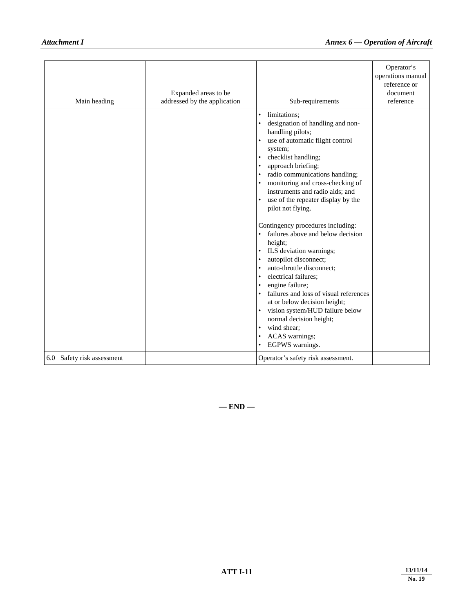| Main heading               | Expanded areas to be<br>addressed by the application | Sub-requirements                                                                                                                                                                                                                                                                                                                                                                                                                                                                                                                                                                                                                                                                                                                                                                                       | Operator's<br>operations manual<br>reference or<br>document<br>reference |
|----------------------------|------------------------------------------------------|--------------------------------------------------------------------------------------------------------------------------------------------------------------------------------------------------------------------------------------------------------------------------------------------------------------------------------------------------------------------------------------------------------------------------------------------------------------------------------------------------------------------------------------------------------------------------------------------------------------------------------------------------------------------------------------------------------------------------------------------------------------------------------------------------------|--------------------------------------------------------------------------|
|                            |                                                      | limitations;<br>$\bullet$<br>designation of handling and non-<br>handling pilots;<br>use of automatic flight control<br>system;<br>checklist handling;<br>approach briefing;<br>radio communications handling;<br>monitoring and cross-checking of<br>$\bullet$<br>instruments and radio aids; and<br>use of the repeater display by the<br>$\bullet$<br>pilot not flying.<br>Contingency procedures including:<br>• failures above and below decision<br>height;<br>ILS deviation warnings;<br>autopilot disconnect;<br>auto-throttle disconnect;<br>electrical failures;<br>engine failure;<br>failures and loss of visual references<br>at or below decision height;<br>vision system/HUD failure below<br>$\bullet$<br>normal decision height;<br>wind shear;<br>ACAS warnings;<br>EGPWS warnings. |                                                                          |
| 6.0 Safety risk assessment |                                                      | Operator's safety risk assessment.                                                                                                                                                                                                                                                                                                                                                                                                                                                                                                                                                                                                                                                                                                                                                                     |                                                                          |

**— END —**